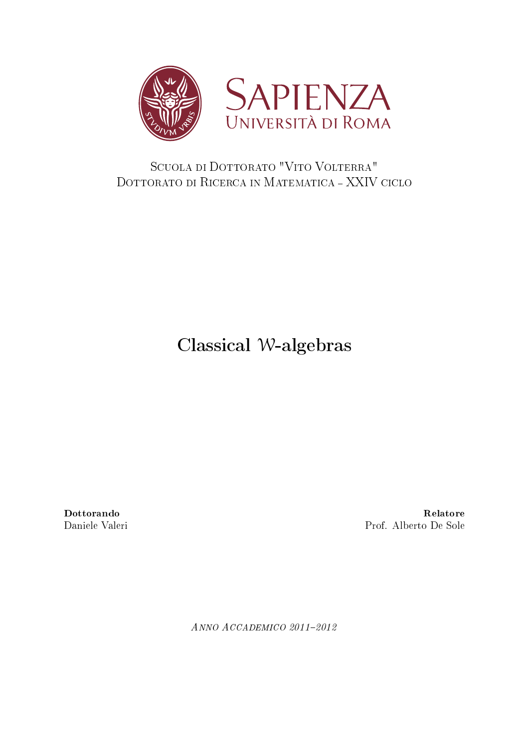

# SCUOLA DI DOTTORATO "VITO VOLTERRA" DOTTORATO DI RICERCA IN MATEMATICA - XXIV CICLO

# Classical W-algebras

Dottorando Relatore Daniele Valeri Prof. Alberto De Sole

ANNO ACCADEMICO 2011-2012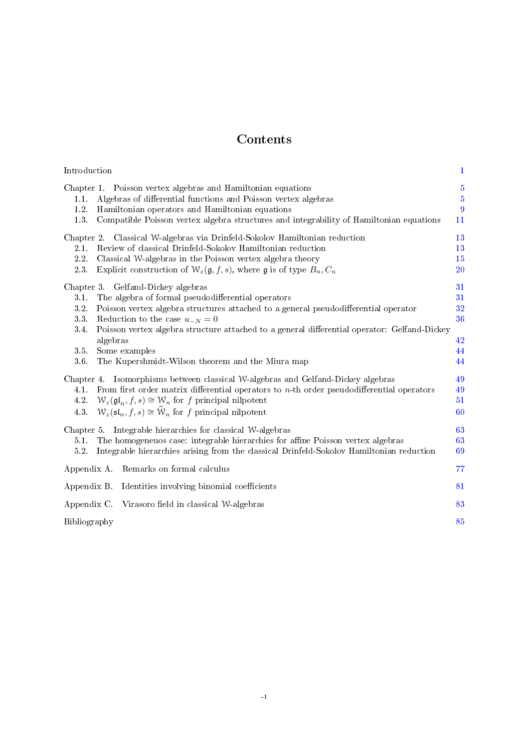# Contents

| Introduction                                                                                                                                                                                                                                                                                                                                                                                                                                           | 1                                           |
|--------------------------------------------------------------------------------------------------------------------------------------------------------------------------------------------------------------------------------------------------------------------------------------------------------------------------------------------------------------------------------------------------------------------------------------------------------|---------------------------------------------|
| Chapter 1. Poisson vertex algebras and Hamiltonian equations<br>Algebras of differential functions and Poisson vertex algebras<br>1.1.<br>Hamiltonian operators and Hamiltonian equations<br>1.2.<br>1.3.<br>Compatible Poisson vertex algebra structures and integrability of Hamiltonian equations                                                                                                                                                   | $\overline{5}$<br>$\overline{5}$<br>9<br>11 |
| Chapter 2. Classical W-algebras via Drinfeld-Sokolov Hamiltonian reduction<br>Review of classical Drinfeld-Sokolov Hamiltonian reduction<br>2.1.<br>$2.2.$<br>Classical W-algebras in the Poisson vertex algebra theory<br>Explicit construction of $W_z(\mathfrak{g},f,s)$ , where $\mathfrak g$ is of type $B_n, C_n$<br>2.3.                                                                                                                        | 13<br>13<br>15<br><b>20</b>                 |
| Chapter 3. Gelfand-Dickey algebras<br>The algebra of formal pseudodifferential operators<br>3.1.<br>3.2.<br>Poisson vertex algebra structures attached to a general pseudodifferential operator<br>Reduction to the case $u_{-N} = 0$<br>3.3.<br>3.4.<br>Poisson vertex algebra structure attached to a general differential operator: Gelfand-Dickey<br>algebras<br>3.5.<br>Some examples<br>3.6.<br>The Kupershmidt-Wilson theorem and the Miura map | 31<br>31<br>32<br>36<br>42<br>44<br>44      |
| Chapter 4. Isomorphisms between classical W-algebras and Gelfand-Dickey algebras<br>From first order matrix differential operators to $n$ -th order pseudodifferential operators<br>4.1.<br>$W_z(\mathfrak{gl}_n, f, s) \cong W_n$ for f principal nilpotent<br>4.2.<br>$W_z(\mathfrak{sl}_n, f, s) \cong \widehat{\mathcal{W}}_n$ for f principal nilpotent<br>4.3.                                                                                   | 49<br>49<br>51<br>60                        |
| Integrable hierarchies for classical $W$ -algebras<br>Chapter 5.<br>The homogeneuos case: integrable hierarchies for affine Poisson vertex algebras<br>5.1.<br>5.2.<br>Integrable hierarchies arising from the classical Drinfeld-Sokolov Hamiltonian reduction                                                                                                                                                                                        | 63<br>63<br>69                              |
| Remarks on formal calculus<br>Appendix A.                                                                                                                                                                                                                                                                                                                                                                                                              | 77                                          |
| Identities involving binomial coefficients<br>Appendix B.                                                                                                                                                                                                                                                                                                                                                                                              | 81                                          |
| Virasoro field in classical W-algebras<br>Appendix C.                                                                                                                                                                                                                                                                                                                                                                                                  | 83                                          |
| Bibliography                                                                                                                                                                                                                                                                                                                                                                                                                                           | 85                                          |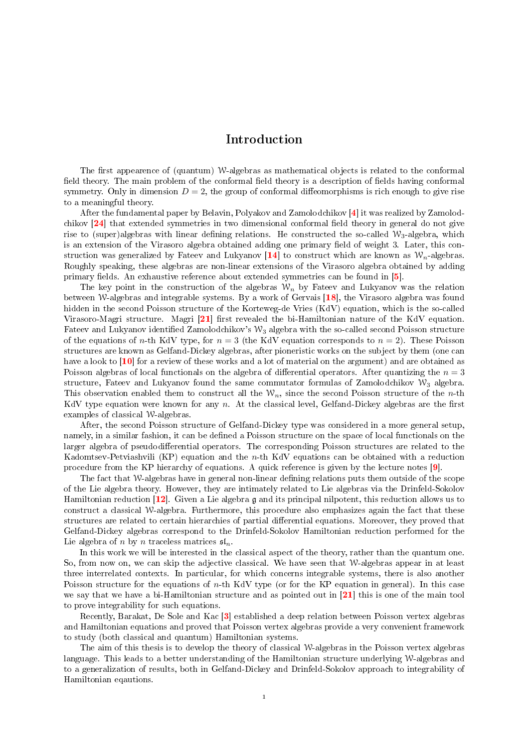# Introduction

<span id="page-4-0"></span>The first appearence of (quantum) W-algebras as mathematical objects is related to the conformal field theory. The main problem of the conformal field theory is a description of fields having conformal symmetry. Only in dimension  $D = 2$ , the group of conformal diffeomorphisms is rich enough to give rise to a meaningful theory.

After the fundamental paper by Belavin, Polyakov and Zamolodchikov [\[4\]](#page-88-0) it was realized by Zamolodchikov  $[24]$  that extended symmetries in two dimensional conformal field theory in general do not give rise to (super)algebras with linear defining relations. He constructed the so-called  $\mathcal{W}_3$ -algebra, which is an extension of the Virasoro algebra obtained adding one primary field of weight 3. Later, this con-struction was generalized by Fateev and Lukyanov [\[14\]](#page-88-2) to construct which are known as  $W_n$ -algebras. Roughly speaking, these algebras are non-linear extensions of the Virasoro algebra obtained by adding primary fields. An exhaustive reference about extended symmetries can be found in [\[5\]](#page-88-3).

The key point in the construction of the algebras  $W_n$  by Fateev and Lukyanov was the relation between W-algebras and integrable systems. By a work of Gervais [\[18\]](#page-88-4), the Virasoro algebra was found hidden in the second Poisson structure of the Korteweg-de Vries (KdV) equation, which is the so-called Virasoro-Magri structure. Magri  $[21]$  first revealed the bi-Hamiltonian nature of the KdV equation. Fateev and Lukyanov identified Zamolodchikov's  $\mathcal{W}_3$  algebra with the so-called second Poisson structure of the equations of n-th KdV type, for  $n = 3$  (the KdV equation corresponds to  $n = 2$ ). These Poisson structures are known as Gelfand-Dickey algebras, after pioneristic works on the subject by them (one can have a look to [\[10\]](#page-88-6) for a review of these works and a lot of material on the argument) and are obtained as Poisson algebras of local functionals on the algebra of differential operators. After quantizing the  $n = 3$ structure, Fateev and Lukyanov found the same commutator formulas of Zamolodchikov  $\mathcal{W}_3$  algebra. This observation enabled them to construct all the  $\mathcal{W}_n$ , since the second Poisson structure of the *n*-th KdV type equation were known for any  $n$ . At the classical level, Gelfand-Dickey algebras are the first examples of classical W-algebras.

After, the second Poisson structure of Gelfand-Dickey type was considered in a more general setup, namely, in a similar fashion, it can be defined a Poisson structure on the space of local functionals on the larger algebra of pseudodifferential operators. The corresponding Poisson structures are related to the Kadomtsev-Petviashvili (KP) equation and the n-th KdV equations can be obtained with a reduction procedure from the KP hierarchy of equations. A quick reference is given by the lecture notes [\[9\]](#page-88-7).

The fact that W-algebras have in general non-linear defining relations puts them outside of the scope of the Lie algebra theory. However, they are intimately related to Lie algebras via the Drinfeld-Sokolov Hamiltonian reduction  $[12]$ . Given a Lie algebra g and its principal nilpotent, this reduction allows us to construct a classical W-algebra. Furthermore, this procedure also emphasizes again the fact that these structures are related to certain hierarchies of partial dierential equations. Moreover, they proved that Gelfand-Dickey algebras correspond to the Drinfeld-Sokolov Hamiltonian reduction performed for the Lie algebra of n by n traceless matrices  $\mathfrak{sl}_n$ .

In this work we will be interested in the classical aspect of the theory, rather than the quantum one. So, from now on, we can skip the adjective classical. We have seen that W-algebras appear in at least three interrelated contexts. In particular, for which concerns integrable systems, there is also another Poisson structure for the equations of n-th KdV type (or for the KP equation in general). In this case we say that we have a bi-Hamiltonian structure and as pointed out in [\[21\]](#page-88-5) this is one of the main tool to prove integrability for such equations.

Recently, Barakat, De Sole and Kac [\[3\]](#page-88-9) established a deep relation between Poisson vertex algebras and Hamiltonian equations and proved that Poisson vertex algebras provide a very convenient framework to study (both classical and quantum) Hamiltonian systems.

The aim of this thesis is to develop the theory of classical W-algebras in the Poisson vertex algebras language. This leads to a better understanding of the Hamiltonian structure underlying W-algebras and to a generalization of results, both in Gelfand-Dickey and Drinfeld-Sokolov approach to integrability of Hamiltonian eqautions.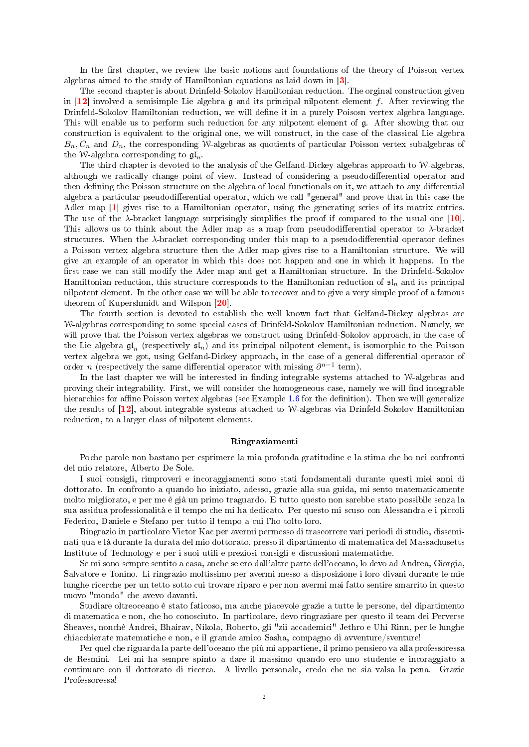In the first chapter, we review the basic notions and foundations of the theory of Poisson vertex algebras aimed to the study of Hamiltonian equations as laid down in [\[3\]](#page-88-9).

The second chapter is about Drinfeld-Sokolov Hamiltonian reduction. The orginal construction given in [\[12\]](#page-88-8) involved a semisimple Lie algebra g and its principal nilpotent element f. After reviewing the Drinfeld-Sokolov Hamiltonian reduction, we will define it in a purely Poisosn vertex algebra language. This will enable us to perform such reduction for any nilpotent element of g. After showing that our construction is equivalent to the original one, we will construct, in the case of the classical Lie algebra  $B_n, C_n$  and  $D_n$ , the corresponding W-algebras as quotients of particular Poisson vertex subalgebras of the W-algebra corresponding to  $\mathfrak{gl}_n$ .

The third chapter is devoted to the analysis of the Gelfand-Dickey algebras approach to W-algebras, although we radically change point of view. Instead of considering a pseudodifferential operator and then defining the Poisson structure on the algebra of local functionals on it, we attach to any differential algebra a particular pseudodifferential operator, which we call "general" and prove that in this case the Adler map [\[1\]](#page-88-10) gives rise to a Hamiltonian operator, using the generating series of its matrix entries. The use of the  $\lambda$ -bracket language surprisingly simplifies the proof if compared to the usual one [\[10\]](#page-88-6). This allows us to think about the Adler map as a map from pseudodifferential operator to  $\lambda$ -bracket structures. When the  $\lambda$ -bracket corresponding under this map to a pseudodifferential operator defines a Poisson vertex algebra structure then the Adler map gives rise to a Hamiltonian structure. We will give an example of an operator in which this does not happen and one in which it happens. In the first case we can still modify the Ader map and get a Hamiltonian structure. In the Drinfeld-Sokolov Hamiltonian reduction, this structure corresponds to the Hamiltonian reduction of  $\mathfrak{sl}_n$  and its principal nilpotent element. In the other case we will be able to recover and to give a very simple proof of a famous theorem of Kupershmidt and Wilspon [\[20\]](#page-88-11).

The fourth section is devoted to establish the well known fact that Gelfand-Dickey algebras are W-algebras corresponding to some special cases of Drinfeld-Sokolov Hamiltonian reduction. Namely, we will prove that the Poisson vertex algebras we construct using Drinfeld-Sokolov approach, in the case of the Lie algebra  $\mathfrak{gl}_n$  (respectively  $\mathfrak{sl}_n$ ) and its principal nilpotent element, is isomorphic to the Poisson vertex algebra we got, using Gelfand-Dickey approach, in the case of a general differential operator of order *n* (respectively the same differential operator with missing  $\partial^{n-1}$  term).

In the last chapter we will be interested in finding integrable systems attached to W-algebras and proving their integrability. First, we will consider the homogeneous case, namely we will find integrable hierarchies for affine Poisson vertex algebras (see Example [1.6](#page-11-0) for the definition). Then we will generalize the results of [\[12\]](#page-88-8), about integrable systems attached to W-algebras via Drinfeld-Sokolov Hamiltonian reduction, to a larger class of nilpotent elements.

#### Ringraziamenti

Poche parole non bastano per esprimere la mia profonda gratitudine e la stima che ho nei confronti del mio relatore, Alberto De Sole.

I suoi consigli, rimproveri e incoraggiamenti sono stati fondamentali durante questi miei anni di dottorato. In confronto a quando ho iniziato, adesso, grazie alla sua guida, mi sento matematicamente molto migliorato, e per me è già un primo traguardo. E tutto questo non sarebbe stato possibile senza la sua assidua professionalità e il tempo che mi ha dedicato. Per questo mi scuso con Alessandra e i piccoli Federico, Daniele e Stefano per tutto il tempo a cui l'ho tolto loro.

Ringrazio in particolare Victor Kac per avermi permesso di trascorrere vari periodi di studio, disseminati qua e là durante la durata del mio dottorato, presso il dipartimento di matematica del Massachusetts Institute of Technology e per i suoi utili e preziosi consigli e discussioni matematiche.

Se mi sono sempre sentito a casa, anche se ero dall'altre parte dell'oceano, lo devo ad Andrea, Giorgia, Salvatore e Tonino. Li ringrazio moltissimo per avermi messo a disposizione i loro divani durante le mie lunghe ricerche per un tetto sotto cui trovare riparo e per non avermi mai fatto sentire smarrito in questo nuovo "mondo" che avevo davanti.

Studiare oltreoceano è stato faticoso, ma anche piacevole grazie a tutte le persone, del dipartimento di matematica e non, che ho conosciuto. In particolare, devo ringraziare per questo il team dei Perverse Sheaves, nonchè Andrei, Bhairav, Nikola, Roberto, gli "zii accademici" Jethro e Uhi Rinn, per le lunghe chiacchierate matematiche e non, e il grande amico Sasha, compagno di avventure/sventure!

Per quel che riguarda la parte dell'oceano che più mi appartiene, il primo pensiero va alla professoressa de Resmini. Lei mi ha sempre spinto a dare il massimo quando ero uno studente e incoraggiato a continuare con il dottorato di ricerca. A livello personale, credo che ne sia valsa la pena. Grazie Professoressa!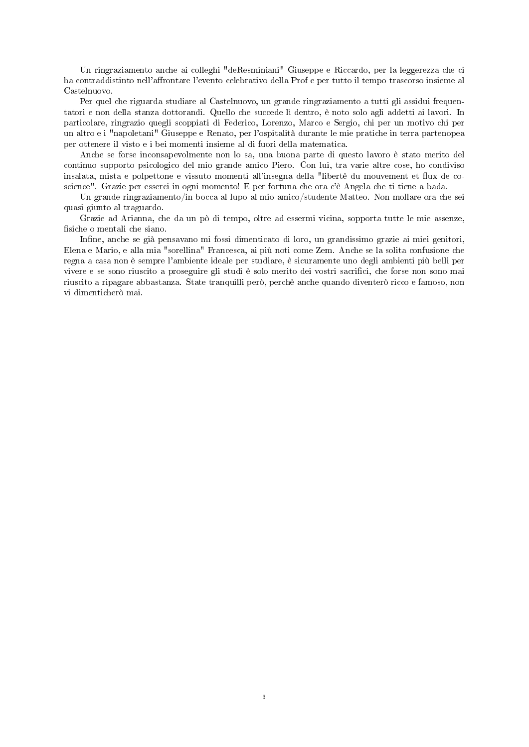Un ringraziamento anche ai colleghi "deResminiani" Giuseppe e Riccardo, per la leggerezza che ci ha contraddistinto nell'affrontare l'evento celebrativo della Prof e per tutto il tempo trascorso insieme al Castelnuovo.

Per quel che riguarda studiare al Castelnuovo, un grande ringraziamento a tutti gli assidui frequentatori e non della stanza dottorandi. Quello che succede lì dentro, è noto solo agli addetti ai lavori. In particolare, ringrazio quegli scoppiati di Federico, Lorenzo, Marco e Sergio, chi per un motivo chi per un altro e i "napoletani" Giuseppe e Renato, per l'ospitalità durante le mie pratiche in terra partenopea per ottenere il visto e i bei momenti insieme al di fuori della matematica.

Anche se forse inconsapevolmente non lo sa, una buona parte di questo lavoro è stato merito del continuo supporto psicologico del mio grande amico Piero. Con lui, tra varie altre cose, ho condiviso insalata, mista e polpettone e vissuto momenti all'insegna della "libertè du mouvement et flux de coscience". Grazie per esserci in ogni momento! E per fortuna che ora c'è Angela che ti tiene a bada.

Un grande ringraziamento/in bocca al lupo al mio amico/studente Matteo. Non mollare ora che sei quasi giunto al traguardo.

Grazie ad Arianna, che da un pò di tempo, oltre ad essermi vicina, sopporta tutte le mie assenze, siche o mentali che siano.

Inne, anche se già pensavano mi fossi dimenticato di loro, un grandissimo grazie ai miei genitori, Elena e Mario, e alla mia "sorellina" Francesca, ai più noti come Zem. Anche se la solita confusione che regna a casa non è sempre l'ambiente ideale per studiare, è sicuramente uno degli ambienti più belli per vivere e se sono riuscito a proseguire gli studi è solo merito dei vostri sacrifici, che forse non sono mai riuscito a ripagare abbastanza. State tranquilli però, perchè anche quando diventerò ricco e famoso, non vi dimenticherò mai.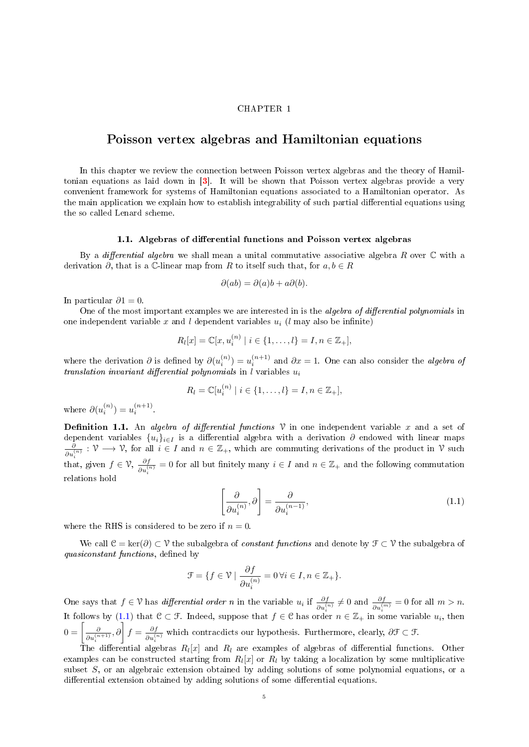#### CHAPTER 1

# <span id="page-8-0"></span>Poisson vertex algebras and Hamiltonian equations

In this chapter we review the connection between Poisson vertex algebras and the theory of Hamiltonian equations as laid down in [\[3\]](#page-88-9). It will be shown that Poisson vertex algebras provide a very convenient framework for systems of Hamiltonian equations associated to a Hamiltonian operator. As the main application we explain how to establish integrability of such partial differential equations using the so called Lenard scheme.

## 1.1. Algebras of differential functions and Poisson vertex algebras

<span id="page-8-1"></span>By a *differential algebra* we shall mean a unital commutative associative algebra R over  $\mathbb C$  with a derivation  $\partial$ , that is a C-linear map from R to itself such that, for  $a, b \in R$ 

$$
\partial(ab) = \partial(a)b + a\partial(b).
$$

In particular  $\partial 1 = 0$ .

One of the most important examples we are interested in is the *algebra of differential polynomials* in one independent variable x and l dependent variables  $u_i$  (l may also be infinite)

$$
R_l[x] = \mathbb{C}[x, u_i^{(n)} | i \in \{1, ..., l\} = I, n \in \mathbb{Z}_+],
$$

where the derivation  $\partial$  is defined by  $\partial(u_i^{(n)}) = u_i^{(n+1)}$  and  $\partial x = 1$ . One can also consider the *algebra of*  $translation$  invariant differential polynomials in l variables  $u_i$ 

$$
R_l = \mathbb{C}[u_i^{(n)} | i \in \{1, ..., l\} = I, n \in \mathbb{Z}_+],
$$

where  $\partial(u_i^{(n)}) = u_i^{(n+1)}$ .

**Definition 1.1.** An *algebra of differential functions*  $\mathcal V$  in one independent variable x and a set of dependent variables  $\{u_i\}_{i\in I}$  is a differential algebra with a derivation  $\partial$  endowed with linear maps  $\frac{\partial}{\partial u_i^{(n)}} : \mathcal{V} \longrightarrow \mathcal{V}$ , for all  $i \in I$  and  $n \in \mathbb{Z}_+$ , which are commuting derivations of the product i that, given  $f \in V$ ,  $\frac{\partial f}{\partial u_i^{(n)}} = 0$  for all but finitely many  $i \in I$  and  $n \in \mathbb{Z}_+$  and the following commutation relations hold

<span id="page-8-2"></span>
$$
\left[\frac{\partial}{\partial u_i^{(n)}}, \partial\right] = \frac{\partial}{\partial u_i^{(n-1)}},\tag{1.1}
$$

where the RHS is considered to be zero if  $n = 0$ .

We call  $\mathcal{C} = \text{ker}(\partial) \subset \mathcal{V}$  the subalgebra of constant functions and denote by  $\mathcal{F} \subset \mathcal{V}$  the subalgebra of quasiconstant functions, defined by

$$
\mathcal{F} = \{ f \in \mathcal{V} \mid \frac{\partial f}{\partial u_i^{(n)}} = 0 \,\forall i \in I, n \in \mathbb{Z}_+ \}.
$$

One says that  $f \in \mathcal{V}$  has *differential order n* in the variable  $u_i$  if  $\frac{\partial f}{\partial u_i^{(n)}} \neq 0$  and  $\frac{\partial f}{\partial u_i^{(m)}} = 0$  for all  $m > n$ . It follows by [\(1.1\)](#page-8-2) that  $C \subset \mathcal{F}$ . Indeed, suppose that  $f \in C$  has order  $n \in \mathbb{Z}_+$  in some variable  $u_i$ , then  $0 = \left[\frac{\partial}{\partial u_i^{(n+1)}}, \partial\right] f = \frac{\partial f}{\partial u_i^{(n)}}$  which contracdicts our hypothesis. Furthermore, clearly,  $\partial \mathcal{F} \subset \mathcal{F}$ .

The differential algebras  $R_l[x]$  and  $R_l$  are examples of algebras of differential functions. Other examples can be constructed starting from  $R_l[x]$  or  $R_l$  by taking a localization by some multiplicative subset S, or an algebraic extension obtained by adding solutions of some polynomial equations, or a differential extension obtained by adding solutions of some differential equations.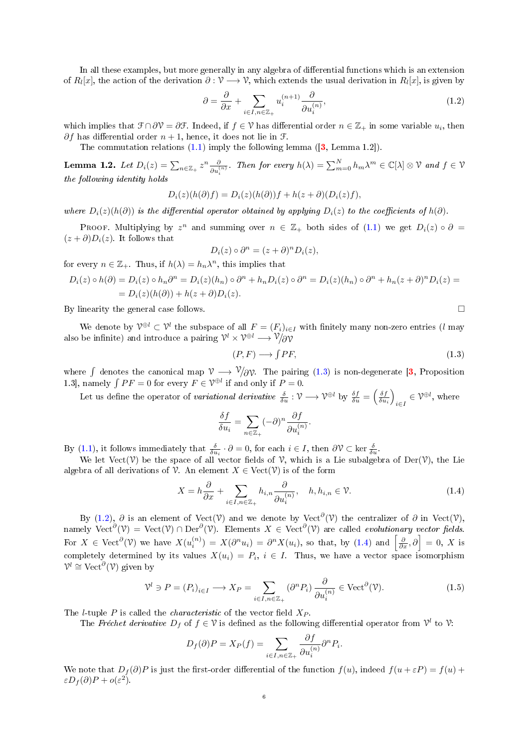In all these examples, but more generally in any algebra of differential functions which is an extension of  $R_l[x]$ , the action of the derivation  $\partial:\mathcal{V}\longrightarrow\mathcal{V}$ , which extends the usual derivation in  $R_l[x]$ , is given by

<span id="page-9-1"></span>
$$
\partial = \frac{\partial}{\partial x} + \sum_{i \in I, n \in \mathbb{Z}_+} u_i^{(n+1)} \frac{\partial}{\partial u_i^{(n)}},\tag{1.2}
$$

which implies that  $\mathcal{F} \cap \partial \mathcal{V} = \partial \mathcal{F}$ . Indeed, if  $f \in \mathcal{V}$  has differential order  $n \in \mathbb{Z}_+$  in some variable  $u_i$ , then  $\partial f$  has differential order  $n + 1$ , hence, it does not lie in  $\mathcal{F}$ .

The commutation relations  $(1.1)$  imply the following lemma  $([3, \text{Lemma } 1.2])$  $([3, \text{Lemma } 1.2])$  $([3, \text{Lemma } 1.2])$ .

<span id="page-9-3"></span>**Lemma 1.2.** Let  $D_i(z) = \sum_{n \in \mathbb{Z}_+} z^n \frac{\partial}{\partial u_i^{(n)}}$ . Then for every  $h(\lambda) = \sum_{m=0}^N h_m \lambda^m \in \mathbb{C}[\lambda] \otimes \mathcal{V}$  and  $f \in \mathcal{V}$ the following identity holds

$$
D_i(z)(h(\partial)f) = D_i(z)(h(\partial))f + h(z + \partial)(D_i(z)f),
$$

where  $D_i(z)(h(\partial))$  is the differential operator obtained by applying  $D_i(z)$  to the coefficients of  $h(\partial)$ .

PROOF. Multiplying by  $z^n$  and summing over  $n \in \mathbb{Z}_+$  both sides of  $(1.1)$  we get  $D_i(z) \circ \partial =$  $(z + \partial)D_i(z)$ . It follows that

$$
D_i(z) \circ \partial^n = (z + \partial)^n D_i(z),
$$

for every  $n \in \mathbb{Z}_+$ . Thus, if  $h(\lambda) = h_n \lambda^n$ , this implies that

$$
D_i(z) \circ h(\partial) = D_i(z) \circ h_n \partial^n = D_i(z)(h_n) \circ \partial^n + h_n D_i(z) \circ \partial^n = D_i(z)(h_n) \circ \partial^n + h_n(z + \partial)^n D_i(z) =
$$
  
= 
$$
D_i(z)(h(\partial)) + h(z + \partial)D_i(z).
$$

By linearity the general case follows.  $\Box$ 

We denote by  $\mathcal{V}^{\oplus l} \subset \mathcal{V}^l$  the subspace of all  $F = (F_i)_{i \in I}$  with finitely many non-zero entries (l may also be infinite) and introduce a pairing  $\mathcal{V}^l \times \mathcal{V}^{\oplus l} \longrightarrow \mathcal{V}/\!\!\partial \mathcal{V}$ 

<span id="page-9-0"></span>
$$
(P, F) \longrightarrow \int P F, \tag{1.3}
$$

where  $\int$  denotes the canonical map  $\mathcal{V} \longrightarrow \mathcal{V}/\partial \mathcal{V}$ . The pairing [\(1.3\)](#page-9-0) is non-degenerate [\[3,](#page-88-9) Proposition 1.3, namely  $\int PF = 0$  for every  $F \in \mathcal{V}^{\oplus l}$  if and only if  $P = 0$ .

Let us define the operator of variational derivative  $\frac{\delta}{\delta u} : \mathcal{V} \longrightarrow \mathcal{V}^{\oplus l}$  by  $\frac{\delta f}{\delta u} = \left(\frac{\delta f}{\delta u_i}\right)$  $i \in I \in \mathcal{V}^{\oplus l}$ , where

<span id="page-9-2"></span>
$$
\frac{\delta f}{\delta u_i} = \sum_{n \in \mathbb{Z}_+} (-\partial)^n \frac{\partial f}{\partial u_i^{(n)}}.
$$

By [\(1.1\)](#page-8-2), it follows immediately that  $\frac{\delta}{\delta u_i} \cdot \partial = 0$ , for each  $i \in I$ , then  $\partial \mathcal{V} \subset \text{ker } \frac{\delta}{\delta u}$ .

We let  $Vect(V)$  be the space of all vector fields of  $V$ , which is a Lie subalgebra of Der(V), the Lie algebra of all derivations of  $\mathcal V$ . An element  $X \in \text{Vect}(\mathcal V)$  is of the form

$$
X = h\frac{\partial}{\partial x} + \sum_{i \in I, n \in \mathbb{Z}_+} h_{i,n} \frac{\partial}{\partial u_i^{(n)}}, \quad h, h_{i,n} \in \mathcal{V}.
$$
 (1.4)

By [\(1.2\)](#page-9-1),  $\partial$  is an element of Vect(V) and we denote by Vect<sup> $\partial$ </sup>(V) the centralizer of  $\partial$  in Vect(V), namely Vect<sup>∂</sup>(V) = Vect(V) ∩ Der<sup>∂</sup>(V). Elements  $X \in \text{Vect}^{\partial}(\mathcal{V})$  are called *evolutionary vector fields*. For  $X \in \text{Vect}^{\partial}(\mathcal{V})$  we have  $X(u_i^{(n)}) = X(\partial^n u_i) = \partial^n X(u_i)$ , so that, by  $(1.4)$  and  $\left[\frac{\partial}{\partial x}, \partial\right] = 0$ , X is completely determined by its values  $X(u_i) = P_i$ ,  $i \in I$ . Thus, we have a vector space isomorphism  $\mathcal{V}^l \cong \text{Vect}^{\partial}(\mathcal{V})$  given by

$$
\mathcal{V}^l \ni P = (P_i)_{i \in I} \longrightarrow X_P = \sum_{i \in I, n \in \mathbb{Z}_+} (\partial^n P_i) \frac{\partial}{\partial u_i^{(n)}} \in \text{Vect}^{\partial}(\mathcal{V}).
$$
\n(1.5)

The *l*-tuple P is called the *characteristic* of the vector field  $X_P$ .

The Fréchet derivative  $D_f$  of  $f \in \mathcal{V}$  is defined as the following differential operator from  $\mathcal{V}^l$  to  $\mathcal{V}$ :

$$
D_f(\partial)P = X_P(f) = \sum_{i \in I, n \in \mathbb{Z}_+} \frac{\partial f}{\partial u_i^{(n)}} \partial^n P_i.
$$

We note that  $D_f(\partial)P$  is just the first-order differential of the function  $f(u)$ , indeed  $f(u+\varepsilon P) = f(u) + f(u)P$  $\varepsilon D_f(\partial)P + o(\varepsilon^2)$ .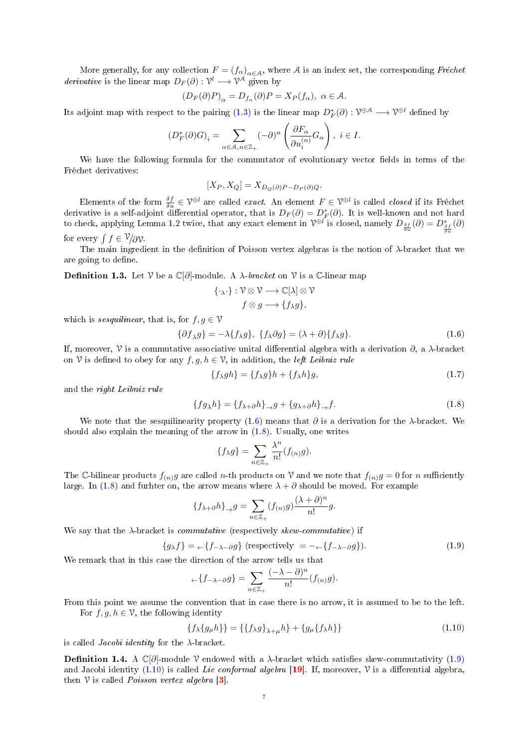More generally, for any collection  $F = (f_{\alpha})_{\alpha \in A}$ , where A is an index set, the corresponding Fréchet *derivative* is the linear map  $D_F(\partial) : \mathcal{V}^l \longrightarrow \mathcal{V}^{\mathcal{A}}$  given by

$$
(D_{F}(\partial)P)_{\alpha}=D_{f_{\alpha}}(\partial)P=X_{P}(f_{\alpha}),\ \alpha\in\mathcal{A}.
$$

Its adjoint map with respect to the pairing [\(1.3\)](#page-9-0) is the linear map  $D_F^*(\partial)$  :  $\mathcal{V}^{\oplus A} \longrightarrow \mathcal{V}^{\oplus l}$  defined by

$$
(D_F^*(\partial)G)_i = \sum_{\alpha \in \mathcal{A}, n \in \mathbb{Z}_+} (-\partial)^n \left( \frac{\partial F_{\alpha}}{\partial u_i^{(n)}} G_{\alpha} \right), \ i \in I.
$$

We have the following formula for the commutator of evolutionary vector fields in terms of the Fréchet derivatives:

$$
[X_P, X_Q] = X_{D_Q(\partial)P - D_P(\partial)Q}.
$$

Elements of the form  $\frac{\delta f}{\delta u} \in V^{\oplus l}$  are called *exact*. An element  $F \in V^{\oplus l}$  is called *closed* if its Fréchet derivative is a self-adjoint differential operator, that is  $D_F(\partial) = D_F^*(\partial)$ . It is well-known and not hard to check, applying Lemma [1.2](#page-9-3) twice, that any exact element in  $\mathcal{V}^{\oplus l}$  is closed, namely  $D_{\frac{\delta f}{\delta u}}(\partial) = D_{\frac{\delta f}{\delta u}}^*(\partial)$ for every  $\int f \in \mathcal{V}/\partial \mathcal{V}$ .

The main ingredient in the definition of Poisson vertex algebras is the notion of  $\lambda$ -bracket that we are going to define.

**Definition 1.3.** Let  $\mathcal V$  be a  $\mathbb C[\partial]$ -module. A *λ*-bracket on  $\mathcal V$  is a  $\mathbb C$ -linear map

<span id="page-10-0"></span>
$$
\{\cdot_{\lambda}\cdot\} : \mathcal{V} \otimes \mathcal{V} \longrightarrow \mathbb{C}[\lambda] \otimes \mathcal{V}
$$

$$
f \otimes g \longrightarrow \{f_{\lambda}g\},
$$

which is *sesquilinear*, that is, for  $f, g \in V$ 

$$
\{\partial f_{\lambda}g\} = -\lambda \{f_{\lambda}g\}, \ \{f_{\lambda}\partial g\} = (\lambda + \partial)\{f_{\lambda}g\}.
$$
 (1.6)

If, moreover,  $\gamma$  is a commutative associative unital differential algebra with a derivation  $\partial$ , a  $\lambda$ -bracket on V is defined to obey for any  $f, g, h \in \mathcal{V}$ , in addition, the *left Leibniz rule* 

<span id="page-10-4"></span>
$$
\{f_{\lambda}gh\} = \{f_{\lambda}g\}h + \{f_{\lambda}h\}g,\tag{1.7}
$$

and the right Leibniz rule

$$
\{fg_{\lambda}h\} = \{f_{\lambda+\partial}h\}_{\rightarrow}g + \{g_{\lambda+\partial}h\}_{\rightarrow}f.
$$
 (1.8)

We note that the sesquilinearity property [\(1.6\)](#page-10-0) means that  $\partial$  is a derivation for the  $\lambda$ -bracket. We should also explain the meaning of the arrow in  $(1.8)$ . Usually, one writes

<span id="page-10-2"></span><span id="page-10-1"></span>
$$
\{f_{\lambda}g\} = \sum_{n \in \mathbb{Z}_+} \frac{\lambda^n}{n!} (f_{(n)}g).
$$

The C-bilinear products  $f_{(n)}g$  are called n-th products on V and we note that  $f_{(n)}g = 0$  for n sufficiently large. In [\(1.8\)](#page-10-1) and furhter on, the arrow means where  $\lambda + \partial$  should be moved. For example

$$
\{f_{\lambda+\partial}h\}_{\to}g=\sum_{n\in\mathbb{Z}_+}(f_{(n)}g)\frac{(\lambda+\partial)^n}{n!}g.
$$

We say that the  $\lambda$ -bracket is *commutative* (respectively *skew-commutative*) if

$$
\{g_{\lambda}f\} = \text{H}\{f_{-\lambda-\partial}g\} \text{ (respectively } = -\text{H}\{f_{-\lambda-\partial}g\}).\tag{1.9}
$$

We remark that in this case the direction of the arrow tells us that

$$
\leftarrow \{f_{-\lambda-\partial}g\} = \sum_{n\in\mathbb{Z}_+} \frac{(-\lambda-\partial)^n}{n!} (f_{(n)}g).
$$

From this point we assume the convention that in case there is no arrow, it is assumed to be to the left.

For  $f, g, h \in V$ , the following identity

<span id="page-10-3"></span>
$$
\{f_{\lambda}\{g_{\mu}h\}\} = \{\{f_{\lambda}g\}_{\lambda+\mu}h\} + \{g_{\mu}\{f_{\lambda}h\}\}\tag{1.10}
$$

is called *Jacobi identity* for the  $\lambda$ -bracket.

**Definition 1.4.** A  $\mathbb{C}[\partial]$ -module V endowed with a  $\lambda$ -bracket which satisfies skew-commutativity [\(1.9\)](#page-10-2) and Jacobi identity [\(1.10\)](#page-10-3) is called Lie conformal algebra [\[19\]](#page-88-12). If, moreover,  $\mathcal V$  is a differential algebra, then  $\mathcal V$  is called *Poisson vertex algebra* [\[3\]](#page-88-9).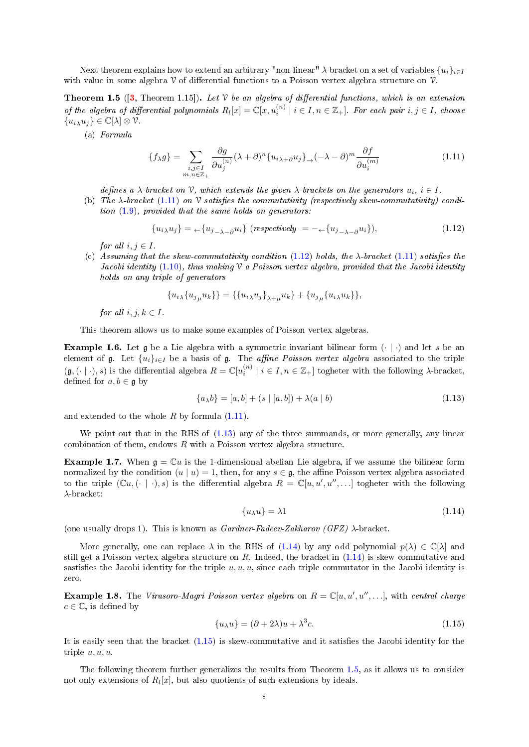Next theorem explains how to extend an arbitrary "non-linear"  $\lambda$ -bracket on a set of variables  $\{u_i\}_{i\in I}$ with value in some algebra  $\mathcal V$  of differential functions to a Poisson vertex algebra structure on  $\mathcal V$ .

<span id="page-11-6"></span>**Theorem 1.5** ([\[3,](#page-88-9) Theorem 1.15]). Let  $\mathcal V$  be an algebra of differential functions, which is an extension of the algebra of differential polynomials  $R_l[x] = \mathbb{C}[x, u_i^{(n)} \mid i \in I, n \in \mathbb{Z}_+]$ . For each pair  $i, j \in I$ , choose  ${u_i}_\lambda u_j \in \mathbb{C}[\lambda] \otimes \mathcal{V}.$ 

(a) Formula

<span id="page-11-1"></span>
$$
\{f_{\lambda}g\} = \sum_{\substack{i,j \in I \\ m,n \in \mathbb{Z}_+}} \frac{\partial g}{\partial u_j^{(n)}} (\lambda + \partial)^n \{u_{i\lambda + \partial u_j}\}_\to (-\lambda - \partial)^m \frac{\partial f}{\partial u_i^{(m)}} \tag{1.11}
$$

defines a  $\lambda$ -bracket on  $\mathcal{V}$ , which extends the given  $\lambda$ -brackets on the generators  $u_i, i \in I$ .

(b) The  $\lambda$ -bracket [\(1.11\)](#page-11-1) on V satisfies the commutativity (respectively skew-commutativity) condition  $(1.9)$ , provided that the same holds on generators:

$$
\{u_{i\lambda}u_j\} = \text{L}\{u_{j-\lambda-\partial}u_i\} \text{ (respectively } = -\text{L}\{u_{j-\lambda-\partial}u_i\}\text{)},\tag{1.12}
$$

for all  $i, j \in I$ .

(c) Assuming that the skew-commutativity condition  $(1.12)$  holds, the  $\lambda$ -bracket  $(1.11)$  satisfies the Jacobi identity  $(1.10)$ , thus making  $\mathcal V$  a Poisson vertex algebra, provided that the Jacobi identity holds on any triple of generators

<span id="page-11-2"></span>
$$
\{u_{i\lambda}\{u_{j\mu}u_k\}\} = \{\{u_{i\lambda}u_j\}_{\lambda+\mu}u_k\} + \{u_{j\mu}\{u_{i\lambda}u_k\}\},\
$$

for all  $i, j, k \in I$ .

This theorem allows us to make some examples of Poisson vertex algebras.

<span id="page-11-0"></span>**Example 1.6.** Let  $\mathfrak{g}$  be a Lie algebra with a symmetric invariant bilinear form  $\left(\cdot\right|\cdot\right)$  and let s be an element of  $\mathfrak g$ . Let  $\{u_i\}_{i\in I}$  be a basis of  $\mathfrak g$ . The *affine Poisson vertex algebra* associated to the triple  $(\mathfrak{g}, (\cdot | \cdot), s)$  is the differential algebra  $R = \mathbb{C}[u_i^{(n)} \mid i \in I, n \in \mathbb{Z}_+]$  togheter with the following  $\lambda$ -bracket, defined for  $a, b \in \mathfrak{g}$  by

$$
\{a_{\lambda}b\} = [a,b] + (s \mid [a,b]) + \lambda(a \mid b)
$$
\n(1.13)

and extended to the whole  $R$  by formula  $(1.11)$ .

We point out that in the RHS of  $(1.13)$  any of the three summands, or more generally, any linear combination of them, endows  $R$  with a Poisson vertex algebra structure.

<span id="page-11-7"></span>**Example 1.7.** When  $g = Cu$  is the 1-dimensional abelian Lie algebra, if we assume the bilinear form normalized by the condition  $(u | u) = 1$ , then, for any  $s \in \mathfrak{g}$ , the affine Poisson vertex algebra associated to the triple  $(Cu, (\cdot | \cdot), s)$  is the differential algebra  $R = \mathbb{C}[u, u', u'', \dots]$  togheter with the following  $\lambda$ -bracket:

<span id="page-11-4"></span><span id="page-11-3"></span>
$$
\{u_{\lambda}u\} = \lambda 1\tag{1.14}
$$

(one usually drops 1). This is known as  $Gardner-Fadeev-Zakharov (GFZ) \lambda-bracket.$ 

More generally, one can replace  $\lambda$  in the RHS of [\(1.14\)](#page-11-4) by any odd polynomial  $p(\lambda) \in \mathbb{C}[\lambda]$  and still get a Poisson vertex algebra structure on R. Indeed, the bracket in [\(1.14\)](#page-11-4) is skew-commutative and sastisfies the Jacobi identity for the triple  $u, u, u$ , since each triple commutator in the Jacobi identity is zero.

<span id="page-11-8"></span>**Example 1.8.** The Virasoro-Magri Poisson vertex algebra on  $R = \mathbb{C}[u, u', u'', \ldots]$ , with central charge  $c \in \mathbb{C}$ , is defined by

<span id="page-11-5"></span>
$$
\{u_{\lambda}u\} = (\partial + 2\lambda)u + \lambda^{3}c.
$$
\n(1.15)

It is easily seen that the bracket  $(1.15)$  is skew-commutative and it satisfies the Jacobi identity for the triple  $u, u, u$ .

The following theorem further generalizes the results from Theorem [1.5,](#page-11-6) as it allows us to consider not only extensions of  $R_l[x]$ , but also quotients of such extensions by ideals.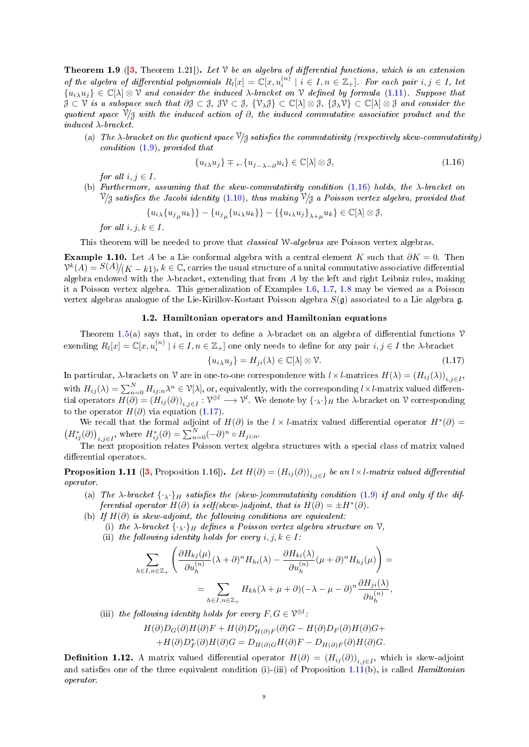<span id="page-12-4"></span>**Theorem 1.9** ([\[3,](#page-88-9) Theorem 1.21]). Let V be an algebra of differential functions, which is an extension of the algebra of differential polynomials  $R_l[x] = \mathbb{C}[x, u_i^{(n)} \mid i \in I, n \in \mathbb{Z}_+]$ . For each pair  $i, j \in I$ , let  ${u_i}_\lambda u_j$ }  $\in \mathbb{C}[\lambda] \otimes \mathcal{V}$  and consider the induced  $\lambda$ -bracket on  $\mathcal V$  defined by formula [\(1.11\)](#page-11-1). Suppose that  $\overline{\partial} \subset V$  is a subspace such that  $\partial \overline{\partial} \subset \overline{\partial}$ ,  $\{\overline{\partial} \vee \overline{\partial} \cup \overline{\partial} \cup \overline{\partial} \cup \overline{\partial} \cup \overline{\partial} \cup \overline{\partial} \cup \overline{\partial} \cup \overline{\partial} \cup \overline{\partial} \cup \overline{\partial} \cup \overline{\partial} \cup \overline{\partial} \cup \overline{\partial} \cup \overline{\partial} \cup \overline{\partial} \cup \overline{\partial} \cup \overline{\partial} \cup \overline{\partial} \cup \overline{\partial} \cup \over$ quotient space  $\mathcal{V}_{\beta}$  with the induced action of  $\partial$ , the induced commutative associative product and the  $induced \lambda-bracket.$ 

(a) The  $\lambda$ -bracket on the quotient space  $\mathcal{V}/\mathcal{J}$  satisfies the commutativity (respectively skew-commutativity) condition [\(1.9\)](#page-10-2), provided that

<span id="page-12-1"></span>
$$
\{u_i{}_{\lambda}u_j\} \mp \mathcal{L}\{u_j{}_{-\lambda-\partial}u_i\} \in \mathbb{C}[\lambda] \otimes \mathcal{J},\tag{1.16}
$$

for all  $i, j \in I$ .

(b) Furthermore, assuming that the skew-commutativity condition  $(1.16)$  holds, the  $\lambda$ -bracket on  $\mathcal{V}/\mathcal{J}$  satisfies the Jacobi identity [\(1.10\)](#page-10-3), thus making  $\mathcal{V}/\mathcal{J}$  a Poisson vertex algebra, provided that

$$
\{u_{i\lambda}\{u_{j\mu}u_k\}\}-\{u_{j\mu}\{u_{i\lambda}u_k\}\}-\{\{u_{i\lambda}u_j\}_{\lambda+\mu}u_k\}\in\mathbb{C}[\lambda]\otimes\mathcal{J},
$$

for all  $i, j, k \in I$ .

This theorem will be needed to prove that *classical* W-*algebras* are Poisson vertex algebras.

**Example 1.10.** Let A be a Lie conformal algebra with a central element K such that  $\partial K = 0$ . Then  $\mathcal{V}^k(A)=S(A)/(K-k1),$   $k\in\mathbb{C},$  carries the usual structure of a unital commutative associative differential algebra endowed with the  $\lambda$ -bracket, extending that from A by the left and right Leibniz rules, making it a Poisson vertex algebra. This generalization of Examples [1.6,](#page-11-0) [1.7,](#page-11-7) [1.8](#page-11-8) may be viewed as a Poisson vertex algebras analogue of the Lie-Kirillov-Kostant Poisson algebra  $S(\mathfrak{g})$  associated to a Lie algebra g.

#### 1.2. Hamiltonian operators and Hamiltonian equations

<span id="page-12-0"></span>Theorem [1.5\(](#page-11-6)a) says that, in order to define a  $\lambda$ -bracket on an algebra of differential functions  $\mathcal V$ exending  $R_l[x] = \mathbb{C}[x, u_i^{(n)} \mid i \in I, n \in \mathbb{Z}_+]$  one only needs to define for any pair  $i, j \in I$  the  $\lambda$ -bracket

<span id="page-12-2"></span>
$$
\{u_i{}_{\lambda}u_j\} = H_{ji}(\lambda) \in \mathbb{C}[\lambda] \otimes \mathcal{V}.
$$
\n(1.17)

In particular,  $\lambda$ -brackets on  $\mathcal V$  are in one-to-one correspondence with  $l\times l$ -matrices  $H(\lambda)=(H_{ij}(\lambda))_{i,j\in I},$ with  $H_{ij}(\lambda) = \sum_{n=0}^{N} H_{ij;n} \lambda^n \in \mathcal{V}[\lambda]$ , or, equivalently, with the corresponding  $l \times l$ -matrix valued differential operators  $H(\partial)=(H_{ij}(\partial))_{i,j\in I}:\mathcal{V}^{\oplus l}\longrightarrow\mathcal{V}^l.$  We denote by  $\{\cdot_\lambda\cdot\}_H$  the  $\lambda$ -bracket on  $\mathcal V$  corresponding to the operator  $H(\partial)$  via equation [\(1.17\)](#page-12-2).

We recall that the formal adjoint of  $H(\partial)$  is the  $l \times l$ -matrix valued differential operator  $H^*(\partial)$  $(H_{ij}^*(\partial))_{i,j\in I}$ , where  $H_{ij}^*(\partial) = \sum_{n=0}^N (-\partial)^n \circ H_{ji,n}$ .

The next proposition relates Poisson vertex algebra structures with a special class of matrix valued differential operators.

<span id="page-12-3"></span>**Proposition 1.11** ([\[3,](#page-88-9) Proposition 1.16]). Let  $H(\partial)=(H_{ij}(\partial))_{i,j\in I}$  be an  $l\times l$ -matrix valued differential operator.

- (a) The  $\lambda$ -bracket  $\{\cdot_\lambda\cdot\}_H$  satisfies the (skew-)commutativity condition [\(1.9\)](#page-10-2) if and only if the differential operator  $H(\partial)$  is self(skew-)adjoint, that is  $H(\partial) = \pm H^*(\partial)$ .
- (b) If  $H(\partial)$  is skew-adjoint, the following conditions are equivalent:
	- (i) the  $\lambda$ -bracket  $\{\cdot_{\lambda}\cdot\}_H$  defines a Poisson vertex algebra structure on  $\mathcal{V}$ ,
	- (ii) the following identity holds for every  $i, j, k \in I$ :

$$
\sum_{h \in I, n \in \mathbb{Z}_+} \left( \frac{\partial H_{kj}(\mu)}{\partial u_h^{(n)}} (\lambda + \partial)^n H_{hi}(\lambda) - \frac{\partial H_{ki}(\lambda)}{\partial u_h^{(n)}} (\mu + \partial)^n H_{hj}(\mu) \right) =
$$
  
= 
$$
\sum_{h \in I, n \in \mathbb{Z}_+} H_{kh}(\lambda + \mu + \partial)(-\lambda - \mu - \partial)^n \frac{\partial H_{ji}(\lambda)}{\partial u_h^{(n)}},
$$

(iii) the following identity holds for every  $F, G \in \mathcal{V}^{\oplus l}$ .

$$
H(\partial)D_G(\partial)H(\partial)F + H(\partial)D^*_{H(\partial)F}(\partial)G - H(\partial)D_F(\partial)H(\partial)G +
$$
  
+
$$
H(\partial)D^*_F(\partial)H(\partial)G = D_{H(\partial)G}H(\partial)F - D_{H(\partial)F}(\partial)H(\partial)G.
$$

**Definition 1.12.** A matrix valued differential operator  $H(\partial) = (H_{ij}(\partial))_{i,j\in I}$ , which is skew-adjoint and satisfies one of the three equivalent condition (i)-(iii) of Proposition [1.11\(](#page-12-3)b), is called Hamiltonian operator.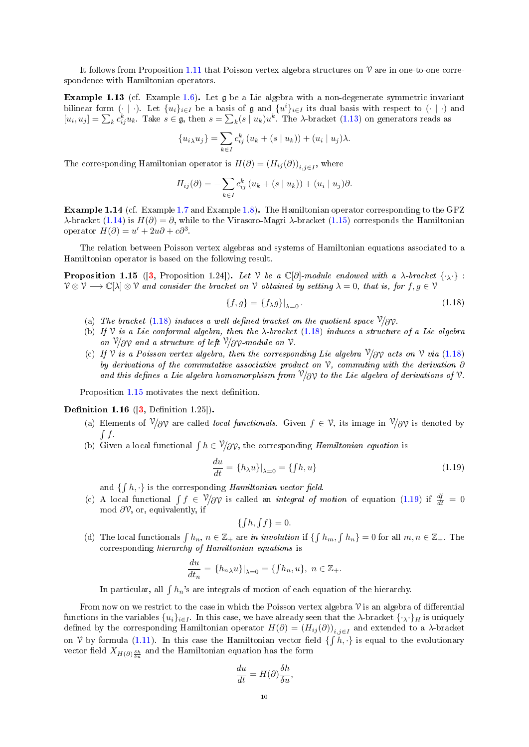It follows from Proposition [1.11](#page-12-3) that Poisson vertex algebra structures on  $\mathcal V$  are in one-to-one correspondence with Hamiltonian operators.

<span id="page-13-4"></span>Example 1.13 (cf. Example [1.6\)](#page-11-0). Let g be a Lie algebra with a non-degenerate symmetric invariant bilinear form  $(\cdot | \cdot)$ . Let  $\{u_i\}_{i\in I}$  be a basis of g and  $\{u^i\}_{i\in I}$  its dual basis with respect to  $(\cdot | \cdot)$  and  $[u_i, u_j] = \sum_k c_{ij}^k u_k$ . Take  $s \in \mathfrak{g}$ , then  $s = \sum_k (s \mid u_k) u^k$ . The  $\lambda$ -bracket  $(1.13)$  on generators reads as

$$
\{u_i{}_{\lambda} u_j\} = \sum_{k \in I} c_{ij}^k (u_k + (s \mid u_k)) + (u_i \mid u_j) \lambda.
$$

The corresponding Hamiltonian operator is  $H(\partial)=(H_{ij}(\partial))_{i,j\in I}$ , where

$$
H_{ij}(\partial) = -\sum_{k \in I} c_{ij}^k (u_k + (s \mid u_k)) + (u_i \mid u_j)\partial.
$$

<span id="page-13-3"></span>Example 1.14 (cf. Example [1.7](#page-11-7) and Example [1.8\)](#page-11-8). The Hamiltonian operator corresponding to the GFZ λ-bracket [\(1.14\)](#page-11-4) is  $H(\partial) = \partial$ , while to the Virasoro-Magri λ-bracket [\(1.15\)](#page-11-5) corresponds the Hamiltonian operator  $H(\partial) = u' + 2u\partial + c\partial^3$ .

The relation between Poisson vertex algebras and systems of Hamiltonian equations associated to a Hamiltonian operator is based on the following result.

<span id="page-13-1"></span>**Proposition 1.15** ([\[3,](#page-88-9) Proposition 1.24]). Let V be a  $\mathbb{C}[\partial]$ -module endowed with a  $\lambda$ -bracket  $\{\cdot_{\lambda}\cdot\}$ :  $\mathcal{V} \otimes \mathcal{V} \longrightarrow \mathbb{C}[\lambda] \otimes \mathcal{V}$  and consider the bracket on  $\mathcal{V}$  obtained by setting  $\lambda = 0$ , that is, for  $f, g \in \mathcal{V}$ 

<span id="page-13-0"></span>
$$
\{f, g\} = \{f_{\lambda}g\}\big|_{\lambda=0}.
$$
\n(1.18)

- (a) The bracket [\(1.18\)](#page-13-0) induces a well defined bracket on the quotient space  $\mathcal{V}/\partial \mathcal{V}$ .
- (b) If  $\mathcal V$  is a Lie conformal algebra, then the  $\lambda$ -bracket [\(1.18\)](#page-13-0) induces a structure of a Lie algebra on  $\mathcal{V}_{\partial \mathcal{V}}$  and a structure of left  $\mathcal{V}_{\partial \mathcal{V}}$ -module on  $\mathcal{V}$ .
- (c) If  $\mathcal V$  is a Poisson vertex algebra, then the corresponding Lie algebra  $\mathcal V_{\partial \mathcal V}$  acts on  $\mathcal V$  via [\(1.18\)](#page-13-0) by derivations of the commutative associative product on  $\mathcal{V}$ , commuting with the derivation  $\partial$ and this defines a Lie algebra homomorphism from  $\mathcal{V}_{\partial \mathcal{V}}$  to the Lie algebra of derivations of V.

Proposition [1.15](#page-13-1) motivates the next definition.

#### Definition 1.16  $([3, Definition 1.25]).$  $([3, Definition 1.25]).$  $([3, Definition 1.25]).$

- (a) Elements of  $\sqrt[1]{\partial V}$  are called *local functionals*. Given  $f \in V$ , its image in  $\sqrt[12]{\partial V}$  is denoted by  $\int f$ .
- (b) Given a local functional  $\int h \in \mathcal{V}/\partial \mathcal{V}$ , the corresponding Hamiltonian equation is

$$
\frac{du}{dt} = \{h_{\lambda}u\}\big|_{\lambda=0} = \{fh, u\} \tag{1.19}
$$

and  $\{\int h, \cdot\}$  is the corresponding Hamiltonian vector field.

(c) A local functional  $\int f \in \mathcal{V}/\partial \mathcal{V}$  is called an *integral of motion* of equation [\(1.19\)](#page-13-2) if  $\frac{df}{dt} = 0$ mod  $\partial \mathcal{V}$ , or, equivalently, if

<span id="page-13-2"></span>
$$
\{\int h, \int f\} = 0.
$$

(d) The local functionals  $\int h_n, n \in \mathbb{Z}_+$  are in involution if  $\{ \int h_m, \int h_n \} = 0$  for all  $m, n \in \mathbb{Z}_+$ . The corresponding hierarchy of Hamiltonian equations is

$$
\frac{du}{dt_n} = \{h_{n\lambda}u\}\big|_{\lambda=0} = \{fh_n, u\},\ n \in \mathbb{Z}_+.
$$

In particular, all  $\int h_n$ 's are integrals of motion of each equation of the hierarchy.

From now on we restrict to the case in which the Poisson vertex algebra  $\gamma$  is an algebra of differential functions in the variables  $\{u_i\}_{i\in I}$ . In this case, we have already seen that the  $\lambda$ -bracket  $\{\cdot_\lambda\cdot\}_H$  is uniquely defined by the corresponding Hamiltonian operator  $H(\partial)=(H_{ij}(\partial))_{i,j\in I}$  and extended to a  $\lambda$ -bracket on V by formula [\(1.11\)](#page-11-1). In this case the Hamiltonian vector field  $\{ \int h, \cdot \}$  is equal to the evolutionary vector field  $X_{H(\partial)\frac{\delta h}{\delta u}}$  and the Hamiltonian equation has the form

$$
\frac{du}{dt} = H(\partial)\frac{\delta h}{\delta u},
$$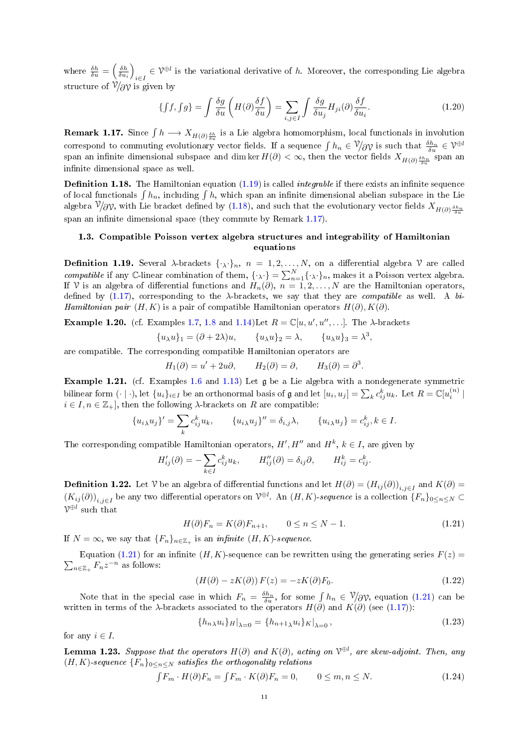where  $\frac{\delta h}{\delta u} = \left(\frac{\delta h}{\delta u_i}\right)$  $i ∈ I \in V^{\oplus l}$  is the variational derivative of h. Moreover, the corresponding Lie algebra structure of  $\mathcal{V}\!/\!\partial \mathcal{V}$  is given by

$$
\{f, fg\} = \int \frac{\delta g}{\delta u} \left( H(\partial) \frac{\delta f}{\delta u} \right) = \sum_{i,j \in I} \int \frac{\delta g}{\delta u_j} H_{ji}(\partial) \frac{\delta f}{\delta u_i}.
$$
 (1.20)

<span id="page-14-1"></span>**Remark 1.17.** Since  $\int h \to X_{H(\partial)\frac{\delta h}{\delta u}}$  is a Lie algebra homomorphism, local functionals in involution correspond to commuting evolutionary vector fields. If a sequence  $\int h_n \in \mathcal{V}(\partial \mathcal{V})$  is such that  $\frac{\delta h_n}{\delta u} \in \mathcal{V}^{\oplus k}$ span an infinite dimensional subspace and dim ker  $H(\partial)<\infty$ , then the vector fields  $X_{H(\partial)^{\delta h_n\over \delta u}}$  span an infinite dimensional space as well.

**Definition 1.18.** The Hamiltonian equation  $(1.19)$  is called *integrable* if there exists an infinite sequence of local functionals  $\int h_n$ , including  $\int h$ , which span an infinite dimensional abelian subspace in the Lie algebra  $\mathcal{V}/\partial\mathcal{V}$ , with Lie bracket defined by [\(1.18\)](#page-13-0), and such that the evolutionary vector fields  $X_{H(\partial)^{\delta h_n}_{\delta u}}$ span an infinite dimensional space (they commute by Remark  $1.17$ ).

# <span id="page-14-0"></span>1.3. Compatible Poisson vertex algebra structures and integrability of Hamiltonian equations

**Definition 1.19.** Several  $\lambda$ -brackets  $\{\cdot_{\lambda}\cdot\}_n$ ,  $n = 1, 2, ..., N$ , on a differential algebra  $\mathcal V$  are called compatible if any C-linear combination of them,  $\{\cdot_\lambda\cdot\} = \sum_{n=1}^N \{\cdot_\lambda\cdot\}_n$ , makes it a Poisson vertex algebra. If V is an algebra of differential functions and  $H_n(\partial)$ ,  $n = 1, 2, ..., N$  are the Hamiltonian operators, defined by [\(1.17\)](#page-12-2), corresponding to the  $\lambda$ -brackets, we say that they are *compatible* as well. A bi-Hamiltonian pair  $(H, K)$  is a pair of compatible Hamiltonian operators  $H(\partial), K(\partial)$ .

**Example 1.20.** (cf. Examples [1.7,](#page-11-7) [1.8](#page-11-8) and [1.14\)](#page-13-3) Let  $R = \mathbb{C}[u, u', u'', \dots]$ . The  $\lambda$ -brackets

$$
{u_{\lambda}u}_{1} = (\partial + 2\lambda)u, \qquad {u_{\lambda}u}_{2} = \lambda, \qquad {u_{\lambda}u}_{3} = \lambda^{3},
$$

are compatible. The corresponding compatible Hamiltonian operators are

$$
H_1(\partial) = u' + 2u\partial
$$
,  $H_2(\partial) = \partial$ ,  $H_3(\partial) = \partial^3$ .

Example 1.21. (cf. Examples [1.6](#page-11-0) and [1.13\)](#page-13-4) Let  $\mathfrak g$  be a Lie algebra with a nondegenerate symmetric bilinear form  $(\cdot | \cdot)$ , let  $\{u_i\}_{i\in I}$  be an orthonormal basis of  $\mathfrak g$  and let  $[u_i, u_j] = \sum_k c_{ij}^k u_k$ . Let  $R = \mathbb C[u_i^{(n)}]$  $i \in I, n \in \mathbb{Z}_+$ , then the following  $\lambda$ -brackets on R are compatible:

$$
\{u_i{}_{\lambda}u_j\}'=\sum_kc_{ij}^ku_k,\qquad \{u_i{}_{\lambda}u_j\}''=\delta_{i,j}\lambda,\qquad \{u_i{}_{\lambda}u_j\}=c_{ij}^k, k\in I.
$$

The corresponding compatible Hamiltonian operators,  $H', H''$  and  $H^k$ ,  $k \in I$ , are given by

$$
H'_{ij}(\partial) = -\sum_{k \in I} c_{ij}^k u_k, \qquad H''_{ij}(\partial) = \delta_{ij}\partial, \qquad H^k_{ij} = c_{ij}^k.
$$

**Definition 1.22.** Let V be an algebra of differential functions and let  $H(\partial) = (H_{ij}(\partial))_{i,j\in I}$  and  $K(\partial) =$  $(K_{ij}(\partial))_{i,j\in I}$  be any two differential operators on  $\mathcal{V}^{\oplus l}$ . An  $(H, K)$ -sequence is a collection  $\{F_n\}_{0\leq n\leq N}\subset$  $\mathcal{V}^{\oplus l}$  such that

$$
H(\partial)F_n = K(\partial)F_{n+1}, \qquad 0 \le n \le N-1. \tag{1.21}
$$

If  $N = \infty$ , we say that  ${F_n}_{n \in \mathbb{Z}_+}$  is an *infinite*  $(H, K)$ -sequence.

 $\sum_{n\in\mathbb{Z}_+} F_n z^{-n}$  as follows: Equation [\(1.21\)](#page-14-2) for an infinite  $(H, K)$ -sequence can be rewritten using the generating series  $F(z)$  =

<span id="page-14-2"></span>
$$
(H(\partial) - zK(\partial)) F(z) = -zK(\partial) F_0.
$$
\n(1.22)

Note that in the special case in which  $F_n = \frac{\delta h_n}{\delta u}$ , for some  $\int h_n \in \sqrt[1]{\partial \mathcal{V}}$ , equation [\(1.21\)](#page-14-2) can be written in terms of the  $\lambda$ -brackets associated to the operators  $H(\partial)$  and  $K(\partial)$  (see [\(1.17\)](#page-12-2)):

<span id="page-14-3"></span>
$$
\{h_{n\lambda}u_i\}_{H}\big|_{\lambda=0} = \{h_{n+1\lambda}u_i\}_{K}\big|_{\lambda=0},\tag{1.23}
$$

for any  $i \in I$ .

<span id="page-14-4"></span>**Lemma 1.23.** Suppose that the operators  $H(\partial)$  and  $K(\partial)$ , acting on  $\mathcal{V}^{\oplus l}$ , are skew-adjoint. Then, any  $(H, K)$ -sequence  ${F_n}_{0 \leq n \leq N}$  satisfies the orthogonality relations

$$
\int F_m \cdot H(\partial) F_n = \int F_m \cdot K(\partial) F_n = 0, \qquad 0 \le m, n \le N. \tag{1.24}
$$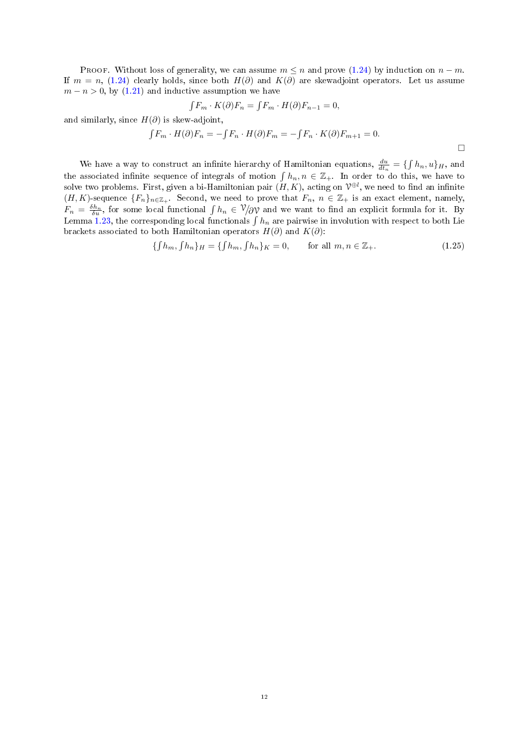PROOF. Without loss of generality, we can assume  $m \leq n$  and prove [\(1.24\)](#page-14-3) by induction on  $n - m$ . If  $m = n$ , [\(1.24\)](#page-14-3) clearly holds, since both  $H(\partial)$  and  $K(\partial)$  are skewadjoint operators. Let us assume  $m - n > 0$ , by [\(1.21\)](#page-14-2) and inductive assumption we have

$$
\int F_m \cdot K(\partial) F_n = \int F_m \cdot H(\partial) F_{n-1} = 0,
$$

and similarly, since  $H(\partial)$  is skew-adjoint,

$$
\int F_m \cdot H(\partial) F_n = -\int F_n \cdot H(\partial) F_m = -\int F_n \cdot K(\partial) F_{m+1} = 0.
$$

We have a way to construct an infinite hierarchy of Hamiltonian equations,  $\frac{du}{dt_n} = \{ \int h_n, u \}_H$ , and the associated infinite sequence of integrals of motion  $\int h_n, n \in \mathbb{Z}_+$ . In order to do this, we have to solve two problems. First, given a bi-Hamiltonian pair  $(H,K)$ , acting on  $\mathcal{V}^{\oplus l}$ , we need to find an infinite  $(H, K)$ -sequence  ${F_n}_{n \in \mathbb{Z}_+}$ . Second, we need to prove that  $F_n$ ,  $n \in \mathbb{Z}_+$  is an exact element, namely,  $F_n = \frac{\delta h_n}{\delta u}$ , for some local functional  $\int h_n \in V$  and we want to find an explicit formula for it. By Lemma [1.23,](#page-14-4) the corresponding local functionals  $\int h_n$  are pairwise in involution with respect to both Lie brackets associated to both Hamiltonian operators  $H(\partial)$  and  $K(\partial)$ :

$$
\{ \int h_m, \int h_n \} = \{ \int h_m, \int h_n \} = 0, \qquad \text{for all } m, n \in \mathbb{Z}_+.
$$
 (1.25)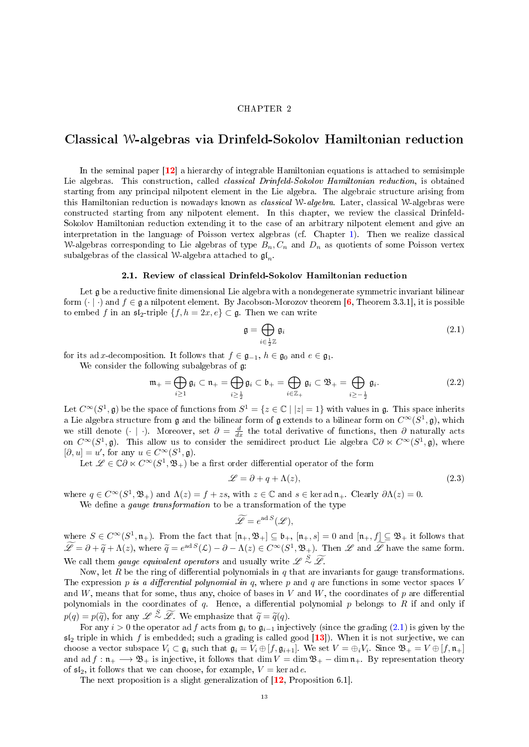#### CHAPTER 2

# <span id="page-16-0"></span>Classical W-algebras via Drinfeld-Sokolov Hamiltonian reduction

In the seminal paper [\[12\]](#page-88-8) a hierarchy of integrable Hamiltonian equations is attached to semisimple Lie algebras. This construction, called *classical Drinfeld-Sokolov Hamiltonian reduction*, is obtained starting from any principal nilpotent element in the Lie algebra. The algebraic structure arising from this Hamiltonian reduction is nowadays known as *classical* W-algebra. Later, classical W-algebras were constructed starting from any nilpotent element. In this chapter, we review the classical Drinfeld-Sokolov Hamiltonian reduction extending it to the case of an arbitrary nilpotent element and give an interpretation in the language of Poisson vertex algebras (cf. Chapter [1\)](#page-8-0). Then we realize classical W-algebras corresponding to Lie algebras of type  $B_n, C_n$  and  $D_n$  as quotients of some Poisson vertex subalgebras of the classical W-algebra attached to  $\mathfrak{gl}_n$ .

## 2.1. Review of classical Drinfeld-Sokolov Hamiltonian reduction

<span id="page-16-1"></span>Let g be a reductive finite dimensional Lie algebra with a nondegenerate symmetric invariant bilinear form  $(\cdot | \cdot)$  and  $f \in \mathfrak{g}$  a nilpotent element. By Jacobson-Morozov theorem [\[6,](#page-88-13) Theorem 3.3.1], it is possible to embed f in an  $\mathfrak{sl}_2$ -triple  $\{f, h = 2x, e\} \subset \mathfrak{g}$ . Then we can write

<span id="page-16-4"></span><span id="page-16-2"></span>
$$
\mathfrak{g} = \bigoplus_{i \in \frac{1}{2}\mathbb{Z}} \mathfrak{g}_i \tag{2.1}
$$

for its ad x-decomposition. It follows that  $f \in \mathfrak{g}_{-1}$ ,  $h \in \mathfrak{g}_0$  and  $e \in \mathfrak{g}_1$ .

We consider the following subalgebras of  $\mathfrak{g}$ :

$$
\mathfrak{m}_+ = \bigoplus_{i \geq 1} \mathfrak{g}_i \subset \mathfrak{n}_+ = \bigoplus_{i \geq \frac{1}{2}} \mathfrak{g}_i \subset \mathfrak{b}_+ = \bigoplus_{i \in \mathbb{Z}_+} \mathfrak{g}_i \subset \mathfrak{B}_+ = \bigoplus_{i \geq -\frac{1}{2}} \mathfrak{g}_i.
$$
 (2.2)

Let  $C^{\infty}(S^1, \mathfrak{g})$  be the space of functions from  $S^1 = \{z \in \mathbb{C} \mid |z| = 1\}$  with values in  $\mathfrak{g}$ . This space inherits a Lie algebra structure from  $\frak g$  and the bilinear form of  $\frak g$  extends to a bilinear form on  $C^\infty(S^1,\frak g),$  which we still denote  $(· | ·)$ . Moreover, set  $\partial = \frac{d}{dx}$  the total derivative of functions, then  $\partial$  naturally acts on  $C^{\infty}(S^1, \mathfrak{g})$ . This allow us to consider the semidirect product Lie algebra  $\mathbb{C}\partial \ltimes C^{\infty}(S^1, \mathfrak{g})$ , where  $[\partial, u] = u'$ , for any  $u \in C^{\infty}(S^1, \mathfrak{g})$ .

Let  $\mathscr{L} \in \mathbb{C} \partial \ltimes C^\infty(S^1,\mathfrak{B}_+)$  be a first order differential operator of the form

$$
\mathcal{L} = \partial + q + \Lambda(z),\tag{2.3}
$$

where  $q \in C^{\infty}(S^1, \mathfrak{B}_+)$  and  $\Lambda(z) = f + zs$ , with  $z \in \mathbb{C}$  and  $s \in \text{ker ad } \mathfrak{n}_+$ . Clearly  $\partial \Lambda(z) = 0$ .

We define a *gauge transformation* to be a transformation of the type

<span id="page-16-3"></span>
$$
\widetilde{\mathscr{L}} = e^{\operatorname{ad} S} (\mathscr{L}),
$$

where  $S \in C^{\infty}(S^1, \mathfrak{n}_+)$ . From the fact that  $[\mathfrak{n}_+, \mathfrak{B}_+] \subseteq \mathfrak{b}_+$ ,  $[\mathfrak{n}_+, s] = 0$  and  $[\mathfrak{n}_+, f] \subseteq \mathfrak{B}_+$  it follows that  $\mathscr{L} = \partial + \widetilde{q} + \Lambda(z)$ , where  $\widetilde{q} = e^{\text{ad }S}(\mathcal{L}) - \partial - \Lambda(z) \in C^{\infty}(S^1, \mathfrak{B}_+)$ . Then  $\mathscr{L}$  and  $\mathscr{\tilde{L}}$  have the same form. We call them *gauge equivalent operators* and usually write  $\mathscr{L} \stackrel{S}{\sim} \widetilde{\mathscr{L}}$ .

Now, let R be the ring of differential polynomials in  $q$  that are invariants for gauge transformations. The expression p is a differential polynomial in q, where p and q are functions in some vector spaces V and  $W$ , means that for some, thus any, choice of bases in  $V$  and  $W$ , the coordinates of  $p$  are differential polynomials in the coordinates of q. Hence, a differential polynomial  $p$  belongs to  $R$  if and only if  $p(q) = p(\tilde{q})$ , for any  $\mathscr{L} \stackrel{S}{\sim} \widetilde{\mathscr{L}}$ . We emphasize that  $\tilde{q} = \tilde{q}(q)$ .<br>For any  $i > 0$  the operator ad f acts from a to  $q_i$ , injoint

For any  $i > 0$  the operator ad f acts from  $\mathfrak{g}_i$  to  $\mathfrak{g}_{i-1}$  injectively (since the grading [\(2.1\)](#page-16-2) is given by the  $\mathfrak{sl}_2$  triple in which f is embedded; such a grading is called good [\[13\]](#page-88-14)). When it is not surjective, we can choose a vector subspace  $V_i\subset\mathfrak{g}_i$  such that  $\mathfrak{g}_i=V_i\oplus [f,\mathfrak{g}_{i+1}]$ . We set  $V=\oplus_iV_i$ . Since  $\mathfrak{B}_+=V\oplus [f,\mathfrak{n}_+]$ and ad  $f: \mathfrak{n}_+ \longrightarrow \mathfrak{B}_+$  is injective, it follows that  $\dim V = \dim \mathfrak{B}_+ - \dim \mathfrak{n}_+$ . By representation theory of  $\mathfrak{sl}_2$ , it follows that we can choose, for example,  $V = \text{ker ad }e$ .

The next proposition is a slight generalization of  $[12,$  Proposition 6.1].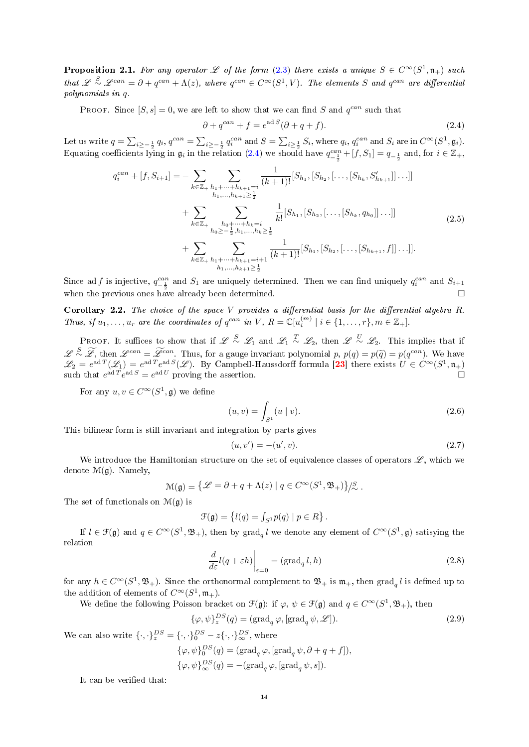<span id="page-17-5"></span>**Proposition 2.1.** For any operator L of the form [\(2.3\)](#page-16-3) there exists a unique  $S \in C^{\infty}(S^1, \mathfrak{n}_+)$  such that  $\mathscr{L} \stackrel{S}{\sim} \mathscr{L}^{can} = \partial + q^{can} + \Lambda(z)$ , where  $q^{can} \in C^{\infty}(S^1, V)$ . The elements S and  $q^{can}$  are differential polynomials in q.

PROOF. Since  $[S, s] = 0$ , we are left to show that we can find S and  $q^{can}$  such that

<span id="page-17-7"></span><span id="page-17-0"></span>
$$
\partial + q^{can} + f = e^{adS}(\partial + q + f). \tag{2.4}
$$

Let us write  $q = \sum_{i \geq -\frac{1}{2}} q_i$ ,  $q^{can} = \sum_{i \geq -\frac{1}{2}} q^{can}_i$  and  $S = \sum_{i \geq \frac{1}{2}} S_i$ , where  $q_i$ ,  $q^{can}_i$  and  $S_i$  are in  $C^{\infty}(S^1, \mathfrak{g}_i)$ . Equating coefficients lying in  $\mathfrak{g}_i$  in the relation [\(2.4\)](#page-17-0) we should have  $q_{-\frac{1}{2}}^{can} + [f, S_1] = q_{-\frac{1}{2}}$  and, for  $i \in \mathbb{Z}_+$ ,

$$
q_i^{can} + [f, S_{i+1}] = - \sum_{k \in \mathbb{Z}_+} \sum_{\substack{h_1 + \dots + h_{k+1} = i \\ h_1, \dots, h_{k+1} \ge \frac{1}{2} \\ \dots \\ k \in \mathbb{Z}_+}} \frac{1}{(k+1)!} [S_{h_1}, [S_{h_2}, [ \dots, [S_{h_k}, S'_{h_{k+1}}]] \dots ]]
$$
  
+ 
$$
\sum_{k \in \mathbb{Z}_+} \sum_{\substack{h_0 + \dots + h_k = i \\ h_0 \ge -\frac{1}{2}, h_1, \dots, h_k \ge \frac{1}{2} \\ \dots \\ k \in \mathbb{Z}_+}} \frac{1}{k!} [S_{h_1}, [S_{h_2}, [ \dots, [S_{h_k}, q_{h_0}]] \dots ]]
$$
  
+ 
$$
\sum_{k \in \mathbb{Z}_+} \sum_{\substack{h_1 + \dots + h_{k+1} = i+1 \\ h_1, \dots, h_{k+1} \ge \frac{1}{2} \\ \dots \\ h_1, \dots, h_{k+1} \ge \frac{1}{2}}} \frac{1}{(k+1)!} [S_{h_1}, [S_{h_2}, [ \dots, [S_{h_{k+1}}, f]] \dots ]].
$$
  
(2.5)

Since ad f is injective,  $q_{-\frac{1}{2}}^{can}$  and  $S_1$  are uniquely determined. Then we can find uniquely  $q_i^{can}$  and  $S_{i+1}$ when the previous ones have already been determined.

<span id="page-17-6"></span>Corollary 2.2. The choice of the space V provides a differential basis for the differential algebra  $R$ . Thus, if  $u_1, \ldots, u_r$  are the coordinates of  $q^{can}$  in V,  $R = \mathbb{C}[u_i^{(m)} \mid i \in \{1, \ldots, r\}, m \in \mathbb{Z}_+].$ 

PROOF. It suffices to show that if  $\mathscr{L} \stackrel{S}{\sim} \mathscr{L}_1$  and  $\mathscr{L}_1 \stackrel{T}{\sim} \mathscr{L}_2$ , then  $\mathscr{L} \stackrel{U}{\sim} \mathscr{L}_2$ . This implies that if  $\mathscr{L} \overset{S}{\sim} \widetilde{\mathscr{L}}$ , then  $\mathscr{L}^{can} = \widetilde{\mathscr{L}}^{can}$ . Thus, for a gauge invariant polynomial p,  $p(q) = p(\tilde{q}) = p(q^{can})$ . We have  $\mathscr{L}_{\mathscr{L}} = \rho^{ad}T(\mathscr{L}) = \rho^{ad}T \rho^{ad}S(\mathscr{L})$ . By Campbell Hausedorff formula [23] there  $\mathscr{L}_2 = e^{\mathrm{ad}T}(\mathscr{L}_1) = e^{\mathrm{ad}T}e^{\mathrm{ad}S}(\mathscr{L})$ . By Campbell-Haussdorff formula [\[23\]](#page-88-15) there exists  $U \in C^{\infty}(S^1, \mathfrak{n}_+)$ such that  $e^{ad T} e^{ad S} = e^{ad U}$  proving the assertion.

For any  $u, v \in C^{\infty}(S^1, \mathfrak{g})$  we define

<span id="page-17-2"></span>
$$
(u, v) = \int_{S^1} (u \mid v).
$$
 (2.6)

This bilinear form is still invariant and integration by parts gives

<span id="page-17-1"></span>
$$
(u, v') = -(u', v). \t\t(2.7)
$$

We introduce the Hamiltonian structure on the set of equivalence classes of operators  $\mathscr{L}$ , which we denote  $\mathcal{M}(\mathfrak{g})$ . Namely,

$$
\mathcal{M}(\mathfrak{g}) = \{ \mathcal{L} = \partial + q + \Lambda(z) \mid q \in C^{\infty}(S^1, \mathfrak{B}_+) \} / \mathcal{S}.
$$

The set of functionals on  $\mathcal{M}(\mathfrak{g})$  is

$$
\mathcal{F}(\mathfrak{g}) = \{ l(q) = \int_{S^1} p(q) \mid p \in R \}.
$$

If  $l \in \mathcal{F}(\mathfrak{g})$  and  $q \in C^{\infty}(S^1,\mathfrak{B}_+)$ , then by  $\operatorname{grad}_q l$  we denote any element of  $C^{\infty}(S^1,\mathfrak{g})$  satisying the relation

<span id="page-17-4"></span><span id="page-17-3"></span>
$$
\frac{d}{d\varepsilon}l(q+\varepsilon h)\bigg|_{\varepsilon=0} = (\text{grad}_q l, h) \tag{2.8}
$$

for any  $h\in C^{\infty}(S^1,\mathfrak{B}_+)$ . Since the orthonormal complement to  $\mathfrak{B}_+$  is  $\mathfrak{m}_+$ , then  $\mathrm{grad}_q\, l$  is defined up to the addition of elements of  $C^{\infty}(S^1, \mathfrak{m}_+).$ 

We define the following Poisson bracket on  $\mathcal{F}(\mathfrak{g})$ : if  $\varphi, \psi \in \mathcal{F}(\mathfrak{g})$  and  $q \in C^{\infty}(S^1, \mathfrak{B}_+)$ , then

$$
\{\varphi,\psi\}_{z}^{DS}(q) = (\text{grad}_q \varphi, [\text{grad}_q \psi, \mathscr{L}]).
$$
\n(2.9)

We can also write  $\{\cdot,\cdot\}_z^{DS} = \{\cdot,\cdot\}_0^{DS} - z\{\cdot,\cdot\}_\infty^{DS}$ , where

$$
\begin{aligned} & \{\varphi, \psi\}_0^{DS}(q) = (\operatorname{grad}_q \varphi, [\operatorname{grad}_q \psi, \partial + q + f]), \\ & \{\varphi, \psi\}_\infty^{DS}(q) = -(\operatorname{grad}_q \varphi, [\operatorname{grad}_q \psi, s]). \end{aligned}
$$

It can be verified that: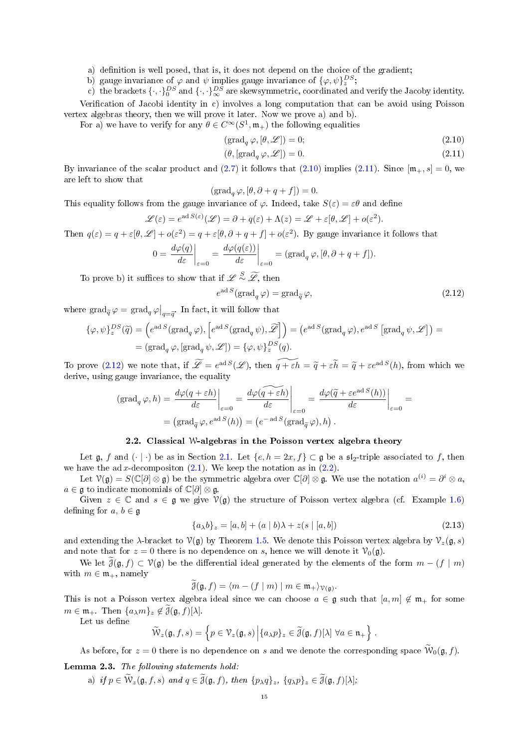a) definition is well posed, that is, it does not depend on the choice of the gradient;

b) gauge invariance of  $\varphi$  and  $\psi$  implies gauge invariance of  $\{\varphi, \psi\}_{z}^{DS}$ ;

c) the brackets  $\{\cdot,\cdot\}_0^{DS}$  and  $\{\cdot,\cdot\}_\infty^{DS}$  are skewsymmetric, coordinated and verify the Jacoby identity. Verification of Jacobi identity in c) involves a long computation that can be avoid using Poisson vertex algebras theory, then we will prove it later. Now we prove a) and b).

For a) we have to verify for any  $\theta \in C^{\infty}(S^1, \mathfrak{m}_+)$  the following equalities

<span id="page-18-1"></span>
$$
(\text{grad}_q \varphi, [\theta, \mathcal{L}]) = 0; \tag{2.10}
$$

<span id="page-18-2"></span>
$$
(\theta, [\text{grad}_q \varphi, \mathcal{L}]) = 0. \tag{2.11}
$$

By invariance of the scalar product and [\(2.7\)](#page-17-1) it follows that [\(2.10\)](#page-18-1) implies [\(2.11\)](#page-18-2). Since  $[\mathfrak{m}_+, s] = 0$ , we are left to show that

$$
(\operatorname{grad}_q \varphi, [\theta, \partial + q + f]) = 0.
$$

This equality follows from the gauge invariance of  $\varphi$ . Indeed, take  $S(\varepsilon) = \varepsilon \theta$  and define

e

$$
\mathscr{L}(\varepsilon) = e^{\mathrm{ad}\,S(\varepsilon)}(\mathscr{L}) = \partial + q(\varepsilon) + \Lambda(z) = \mathscr{L} + \varepsilon[\theta, \mathscr{L}] + o(\varepsilon^2).
$$

Then  $q(\varepsilon) = q + \varepsilon [\theta, \mathcal{L}] + o(\varepsilon^2) = q + \varepsilon [\theta, \partial + q + f] + o(\varepsilon^2)$ . By gauge invariance it follows that

$$
0 = \frac{d\varphi(q)}{d\varepsilon}\bigg|_{\varepsilon=0} = \frac{d\varphi(q(\varepsilon))}{d\varepsilon}\bigg|_{\varepsilon=0} = (\text{grad}_q \varphi, [\theta, \partial + q + f]).
$$

To prove b) it suffices to show that if  $\mathscr{L} \stackrel{S}{\sim} \widetilde{\mathscr{L}}$ , then

<span id="page-18-3"></span>
$$
^{ad\,S}(\text{grad}_q\,\varphi) = \text{grad}_{\widetilde{q}}\,\varphi,\tag{2.12}
$$

where  $\text{grad}_{\widetilde{q}} \varphi = \text{grad}_q \varphi \big|_{q = \widetilde{q}}$ . In fact, it will follow that

$$
\{\varphi, \psi\}^{DS}_{z}(\tilde{q}) = \left(e^{\operatorname{ad}S}(\operatorname{grad}_q \varphi), \left[e^{\operatorname{ad}S}(\operatorname{grad}_q \psi), \widetilde{\mathscr{L}}\right]\right) = \left(e^{\operatorname{ad}S}(\operatorname{grad}_q \varphi), e^{\operatorname{ad}S}[\operatorname{grad}_q \psi, \mathscr{L}]\right) = \
$$

$$
= (\operatorname{grad}_q \varphi, [\operatorname{grad}_q \psi, \mathscr{L}]) = \{\varphi, \psi\}^{DS}_{z}(q).
$$

To prove [\(2.12\)](#page-18-3) we note that, if  $\widetilde{\mathscr{L}}= e^{\operatorname{ad}S}(\mathscr{L})$ , then  $\widetilde{q+\varepsilon h} = \widetilde{q}+\varepsilon \widetilde{h} = \widetilde{q}+\varepsilon e^{\operatorname{ad}S}(h)$ , from which we derive using gauge invariance, the equality derive, using gauge invariance, the equality

$$
(\operatorname{grad}_q \varphi, h) = \frac{d\varphi(q + \varepsilon h)}{d\varepsilon} \bigg|_{\varepsilon=0} = \frac{d\varphi(\widetilde{q + \varepsilon h})}{d\varepsilon} \bigg|_{\varepsilon=0} = \frac{d\varphi(\widetilde{q} + \varepsilon e^{\operatorname{ad} S}(h))}{d\varepsilon} \bigg|_{\varepsilon=0} = \frac{\operatorname{d}\varphi(\widetilde{q} + \varepsilon e^{\operatorname{ad} S}(h))}{d\varepsilon} \bigg|_{\varepsilon=0} = \frac{\operatorname{d}\varphi(\widetilde{q} + \varepsilon e^{\operatorname{ad} S}(h))}{d\varepsilon} \bigg|_{\varepsilon=0} =
$$

### 2.2. Classical W-algebras in the Poisson vertex algebra theory

<span id="page-18-0"></span>Let  $\mathfrak{g}, f$  and  $(\cdot | \cdot)$  be as in Section [2.1.](#page-16-1) Let  $\{e, h = 2x, f\} \subset \mathfrak{g}$  be a  $\mathfrak{sl}_2$ -triple associated to f, then we have the ad x-decompositon  $(2.1)$ . We keep the notation as in  $(2.2)$ .

Let  $\mathcal{V}(\mathfrak{g}) = S(\mathbb{C}[\partial] \otimes \mathfrak{g})$  be the symmetric algebra over  $\mathbb{C}[\partial] \otimes \mathfrak{g}$ . We use the notation  $a^{(i)} = \partial^i \otimes a$ ,  $a \in \mathfrak{g}$  to indicate monomials of  $\mathbb{C}[\partial] \otimes \mathfrak{g}$ .

Given  $z \in \mathbb{C}$  and  $s \in \mathfrak{g}$  we give  $\mathcal{V}(\mathfrak{g})$  the structure of Poisson vertex algebra (cf. Example [1.6\)](#page-11-0) defining for  $a, b \in \mathfrak{a}$ 

<span id="page-18-4"></span>
$$
\{a_{\lambda}b\}_{z} = [a,b] + (a \mid b)\lambda + z(s \mid [a,b])
$$
\n(2.13)

and extending the  $\lambda$ -bracket to  $\mathcal{V}(\mathfrak{g})$  by Theorem [1.5.](#page-11-6) We denote this Poisson vertex algebra by  $\mathcal{V}_z(\mathfrak{g}, s)$ and note that for  $z = 0$  there is no dependence on s, hence we will denote it  $\mathcal{V}_0(\mathfrak{g})$ .

We let  $\widetilde{\mathcal{J}}(\mathfrak{g},f) \subset \mathcal{V}(\mathfrak{g})$  be the differential ideal generated by the elements of the form  $m - (f \mid m)$ with  $m \in \mathfrak{m}_+$ , namely

$$
\mathcal{J}(\mathfrak{g},f)=\langle m-(f\mid m)\mid m\in\mathfrak{m}_+\rangle_{\mathcal{V}(\mathfrak{g})}.
$$

This is not a Poisson vertex algebra ideal since we can choose  $a \in \mathfrak{g}$  such that  $[a, m] \notin \mathfrak{m}_+$  for some  $m \in \mathfrak{m}_+$ . Then  $\{a_{\lambda}m\}_{z} \notin \widetilde{\mathfrak{J}}(\mathfrak{g},f)[\lambda]$ .

Let us define  $% \left\vert \cdot \right\vert$ 

$$
\widetilde{\mathcal{W}}_z(\mathfrak{g},f,s)=\left\{p\in\mathcal{V}_z(\mathfrak{g},s)\,\Big|\,\{a_\lambda p\}_z\in\widetilde{\mathcal{J}}(\mathfrak{g},f)[\lambda]\,\,\forall a\in\mathfrak{n}_+\right\}\,.
$$

As before, for  $z = 0$  there is no dependence on s and we denote the corresponding space  $\mathcal{W}_0(\mathfrak{g}, f)$ .

<span id="page-18-5"></span>Lemma 2.3. The following statements hold:

a) if  $p \in \mathcal{W}_z(\mathfrak{g}, f, s)$  and  $q \in \mathcal{J}(\mathfrak{g}, f)$ , then  $\{p_\lambda q\}_z$ ,  $\{q_\lambda p\}_z \in \mathcal{J}(\mathfrak{g}, f)[\lambda]$ ;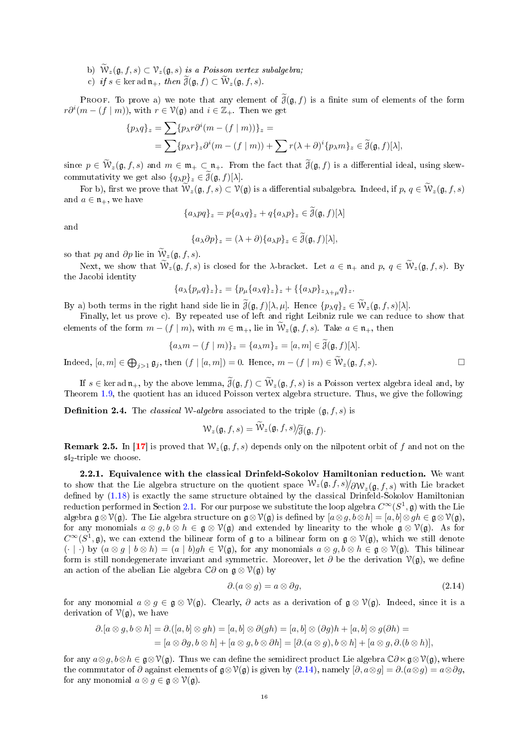- b)  $W_z(\mathfrak{g}, f, s) \subset \mathcal{V}_z(\mathfrak{g}, s)$  is a Poisson vertex subalgebra;
- c) if  $s \in \text{ker ad } \mathfrak{n}_+$ , then  $\mathfrak{J}(\mathfrak{g}, f) \subset \mathcal{W}_z(\mathfrak{g}, f, s)$ .

PROOF. To prove a) we note that any element of  $\tilde{\mathcal{J}}(\mathfrak{g}, f)$  is a finite sum of elements of the form  $r\partial^{i}(m-(f|m))$ , with  $r \in \mathcal{V}(\mathfrak{g})$  and  $i \in \mathbb{Z}_{+}$ . Then we get

$$
\{p_{\lambda}q\}_{z} = \sum \{p_{\lambda}r\partial^{i}(m - (f \mid m))\}_{z} =
$$
  
= 
$$
\sum \{p_{\lambda}r\}_{z}\partial^{i}(m - (f \mid m)) + \sum r(\lambda + \partial)^{i}\{p_{\lambda}m\}_{z} \in \widetilde{\partial}(\mathfrak{g}, f)[\lambda],
$$

since  $p \in \mathcal{W}_z(\mathfrak{g}, f, s)$  and  $m \in \mathfrak{m}_+ \subset \mathfrak{n}_+$ . From the fact that  $\mathcal{J}(\mathfrak{g}, f)$  is a differential ideal, using skewcommutativity we get also  $\{q_{\lambda}p\}_{z} \in \widetilde{\mathcal{J}}(\mathfrak{g},f)[\lambda].$ 

For b), first we prove that  $W_z(\mathfrak{g}, f, s) \subset \mathcal{V}(\mathfrak{g})$  is a differential subalgebra. Indeed, if  $p, q \in \mathcal{W}_z(\mathfrak{g}, f, s)$ and  $a \in \mathfrak{n}_+$ , we have

$$
\{a_{\lambda}pq\}_{z} = p\{a_{\lambda}q\}_{z} + q\{a_{\lambda}p\}_{z} \in \mathcal{J}(\mathfrak{g},f)[\lambda]
$$

and

 ${a_{\lambda} \partial p}_{z} = (\lambda + \partial){a_{\lambda} p}_{z} \in \tilde{\mathcal{J}}(\mathfrak{g}, f)[\lambda],$ 

so that pq and  $\partial p$  lie in  $\mathcal{W}_z(\mathfrak{g}, f, s)$ .

Next, we show that  $\mathcal{W}_z(\mathfrak{g}, f, s)$  is closed for the  $\lambda$ -bracket. Let  $a \in \mathfrak{n}_+$  and  $p, q \in \mathcal{W}_z(\mathfrak{g}, f, s)$ . By the Jacobi identity

$$
\{a_{\lambda}\{p_{\mu}q\}_{z}\}_{z} = \{p_{\mu}\{a_{\lambda}q\}_{z}\}_{z} + \{\{a_{\lambda}p\}_{z\lambda+\mu}q\}_{z}.
$$

By a) both terms in the right hand side lie in  $\mathcal{J}(\mathfrak{g}, f)[\lambda, \mu]$ . Hence  $\{p_{\lambda}q\}_z \in \mathcal{W}_z(\mathfrak{g}, f, s)[\lambda]$ .

Finally, let us prove c). By repeated use of left and right Leibniz rule we can reduce to show that elements of the form  $m - (f \mid m)$ , with  $m \in \mathfrak{m}_+$ , lie in  $\mathcal{W}_z(\mathfrak{g}, f, s)$ . Take  $a \in \mathfrak{n}_+$ , then

$$
\{a_{\lambda}m - (f \mid m)\}_z = \{a_{\lambda}m\}_z = [a, m] \in \widetilde{\partial}(\mathfrak{g}, f)[\lambda].
$$
  
Indeed,  $[a, m] \in \bigoplus_{j>1} \mathfrak{g}_j$ , then  $(f \mid [a, m]) = 0$ . Hence,  $m - (f \mid m) \in \widetilde{\mathcal{W}}_z(\mathfrak{g}, f, s)$ .

If  $s \in \text{ker ad } \mathfrak{n}_+$ , by the above lemma,  $\mathfrak{J}(\mathfrak{g}, f) \subset \mathcal{W}_z(\mathfrak{g}, f, s)$  is a Poisson vertex algebra ideal and, by Theorem [1.9,](#page-12-4) the quotient has an iduced Poisson vertex algebra structure. Thus, we give the following:

**Definition 2.4.** The *classical* W-algebra associated to the triple  $(g, f, s)$  is

$$
\mathcal{W}_z(\mathfrak{g},f,s)=\mathcal{W}_z(\mathfrak{g},f,s)/\widetilde{\mathfrak{J}}(\mathfrak{g},f).
$$

**Remark 2.5.** In [\[17\]](#page-88-16) is proved that  $W_z(\mathfrak{g}, f, s)$  depends only on the nilpotent orbit of f and not on the  $\mathfrak{sl}_2$ -triple we choose.

2.2.1. Equivalence with the classical Drinfeld-Sokolov Hamiltonian reduction. We want to show that the Lie algebra structure on the quotient space  $\mathcal{W}_z(\mathfrak{g}, f, s)/\partial \mathcal{W}_z(\mathfrak{g}, f, s)$  with Lie bracket defined by  $(1.18)$  is exactly the same structure obtained by the classical Drinfeld-Sokolov Hamiltonian reduction performed in Section [2.1.](#page-16-1) For our purpose we substitute the loop algebra  $C^\infty(S^1,\mathfrak{g})$  with the Lie algebra  $\mathfrak{g} \otimes \mathcal{V}(\mathfrak{g})$ . The Lie algebra structure on  $\mathfrak{g} \otimes \mathcal{V}(\mathfrak{g})$  is defined by  $[a \otimes g, b \otimes h] = [a, b] \otimes gh \in \mathfrak{g} \otimes \mathcal{V}(\mathfrak{g})$ , for any monomials  $a \otimes g, b \otimes h \in \mathfrak{g} \otimes \mathcal{V}(\mathfrak{g})$  and extended by linearity to the whole  $\mathfrak{g} \otimes \mathcal{V}(\mathfrak{g})$ . As for  $C^{\infty}(S^1, \mathfrak{g})$ , we can extend the bilinear form of  $\mathfrak{g}$  to a bilinear form on  $\mathfrak{g} \otimes \mathfrak{V}(\mathfrak{g})$ , which we still denote  $(\cdot | \cdot)$  by  $(a \otimes g | b \otimes h) = (a | b)gh \in V(g)$ , for any monomials  $a \otimes g, b \otimes h \in g \otimes V(g)$ . This bilinear form is still nondegenerate invariant and symmetric. Moreover, let  $\partial$  be the derivation  $\mathcal{V}(\mathfrak{g})$ , we define an action of the abelian Lie algebra  $\mathbb{C}\partial$  on  $\mathfrak{g} \otimes \mathcal{V}(\mathfrak{g})$  by

<span id="page-19-0"></span>
$$
\partial.(a \otimes g) = a \otimes \partial g,\tag{2.14}
$$

for any monomial  $a \otimes g \in \mathfrak{g} \otimes \mathcal{V}(\mathfrak{g})$ . Clearly,  $\partial$  acts as a derivation of  $\mathfrak{g} \otimes \mathcal{V}(\mathfrak{g})$ . Indeed, since it is a derivation of  $\mathcal{V}(\mathfrak{g})$ , we have

$$
\partial \cdot [a \otimes g, b \otimes h] = \partial \cdot ([a, b] \otimes gh) = [a, b] \otimes \partial(gh) = [a, b] \otimes (\partial g)h + [a, b] \otimes g(\partial h) =
$$
  
= 
$$
[a \otimes \partial g, b \otimes h] + [a \otimes g, b \otimes \partial h] = [\partial \cdot (a \otimes g), b \otimes h] + [a \otimes g, \partial \cdot (b \otimes h)],
$$

for any  $a\otimes g$ ,  $b\otimes h \in \mathfrak{g}\otimes\mathfrak{V}(\mathfrak{g})$ . Thus we can define the semidirect product Lie algebra  $\mathbb{C}\partial\ltimes\mathfrak{g}\otimes\mathfrak{V}(\mathfrak{g})$ , where the commutator of  $\partial$  against elements of  $\mathfrak{g} \otimes \mathcal{V}(\mathfrak{g})$  is given by  $(2.14)$ , namely  $[\partial, a \otimes g] = \partial \mathfrak{g}$ ,  $a \otimes g$ for any monomial  $a \otimes g \in \mathfrak{g} \otimes \mathcal{V}(\mathfrak{g})$ .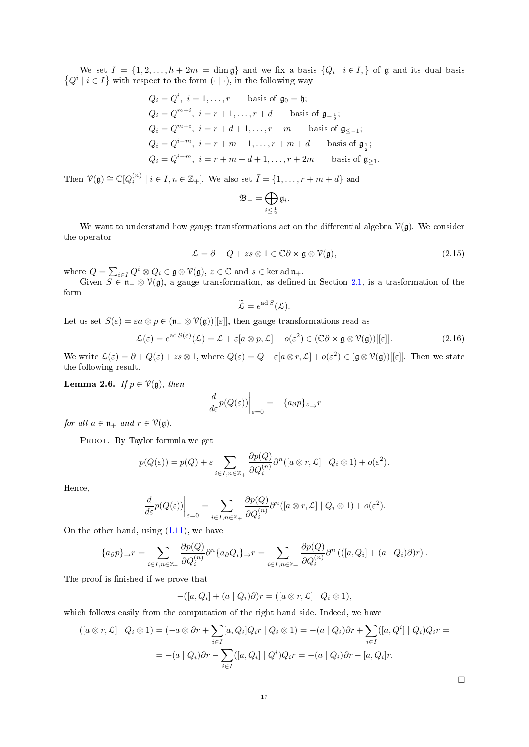We set  $I = \{1, 2, \ldots, h + 2m = \dim \mathfrak{g}\}\$  and we fix a basis  $\{Q_i \mid i \in I\}$  of  $\mathfrak g$  and its dual basis  $\{Q^i \mid i \in I\}$  with respect to the form  $(\cdot | \cdot)$ , in the following way

$$
Q_i = Q^i, \ i = 1, \dots, r
$$
 basis of  $\mathfrak{g}_0 = \mathfrak{h}$ ;  
\n
$$
Q_i = Q^{m+i}, \ i = r+1, \dots, r+d
$$
 basis of  $\mathfrak{g}_{-\frac{1}{2}}$ ;  
\n
$$
Q_i = Q^{m+i}, \ i = r+d+1, \dots, r+m
$$
 basis of  $\mathfrak{g}_{\le -1}$ ;  
\n
$$
Q_i = Q^{i-m}, \ i = r+m+1, \dots, r+m+d
$$
 basis of  $\mathfrak{g}_{\frac{1}{2}}$ ;  
\n
$$
Q_i = Q^{i-m}, \ i = r+m+d+1, \dots, r+2m
$$
 basis of  $\mathfrak{g}_{\ge 1}$ .

Then  $\mathcal{V}(\mathfrak{g}) \cong \mathbb{C}[Q_i^{(n)} \mid i \in I, n \in \mathbb{Z}_+]$ . We also set  $\overline{I} = \{1, \ldots, r + m + d\}$  and

<span id="page-20-0"></span>
$$
\mathfrak{B}_{-}=\bigoplus_{i\leq\frac{1}{2}}\mathfrak{g}_{i}.
$$

We want to understand how gauge transformations act on the differential algebra  $\mathcal{V}(\mathfrak{g})$ . We consider the operator

$$
\mathcal{L} = \partial + Q + zs \otimes 1 \in \mathbb{C}\partial \ltimes \mathfrak{g} \otimes \mathcal{V}(\mathfrak{g}),\tag{2.15}
$$

where  $Q = \sum_{i \in I} Q^i \otimes Q_i \in \mathfrak{g} \otimes \mathcal{V}(\mathfrak{g}), \ z \in \mathbb{C}$  and  $s \in \text{ker} \operatorname{ad} \mathfrak{n}_+$ .

Given  $S \in \mathfrak{n}_+ \otimes \mathcal{V}(\mathfrak{g})$ , a gauge transformation, as defined in Section [2.1,](#page-16-1) is a trasformation of the form

<span id="page-20-1"></span>
$$
\widetilde{\mathcal{L}} = e^{\operatorname{ad} S}(\mathcal{L}).
$$

Let us set  $S(\varepsilon) = \varepsilon a \otimes p \in (\mathfrak{n}_+ \otimes \mathcal{V}(\mathfrak{g}))[[\varepsilon]]$ , then gauge transformations read as

$$
\mathcal{L}(\varepsilon) = e^{\operatorname{ad} S(\varepsilon)}(\mathcal{L}) = \mathcal{L} + \varepsilon [a \otimes p, \mathcal{L}] + o(\varepsilon^2) \in (\mathbb{C}\partial \ltimes \mathfrak{g} \otimes \mathcal{V}(\mathfrak{g}))[[\varepsilon]].
$$
\n(2.16)

We write  $\mathcal{L}(\varepsilon) = \partial + Q(\varepsilon) + zs \otimes 1$ , where  $Q(\varepsilon) = Q + \varepsilon [a \otimes r, \mathcal{L}] + o(\varepsilon^2) \in (\mathfrak{g} \otimes \mathcal{V}(\mathfrak{g}))[[\varepsilon]]$ . Then we state the following result.

<span id="page-20-2"></span>Lemma 2.6. If  $p \in \mathcal{V}(\mathfrak{g})$ , then

$$
\left.\frac{d}{d\varepsilon}p(Q(\varepsilon))\right|_{\varepsilon=0}=-\{a_\partial p\}_{z\to}r
$$

for all  $a \in \mathfrak{n}_+$  and  $r \in \mathcal{V}(\mathfrak{g})$ .

PROOF. By Taylor formula we get

$$
p(Q(\varepsilon)) = p(Q) + \varepsilon \sum_{i \in I, n \in \mathbb{Z}_+} \frac{\partial p(Q)}{\partial Q_i^{(n)}} \partial^n ([a \otimes r, \mathcal{L}] \mid Q_i \otimes 1) + o(\varepsilon^2).
$$

Hence,

$$
\frac{d}{d\varepsilon}p(Q(\varepsilon))\bigg|_{\varepsilon=0} = \sum_{i\in I, n\in\mathbb{Z}_+} \frac{\partial p(Q)}{\partial Q_i^{(n)}} \partial^n([a\otimes r, \mathcal{L}] \mid Q_i\otimes 1) + o(\varepsilon^2).
$$

On the other hand, using [\(1.11\)](#page-11-1), we have

$$
\{a_{\partial}p\}_{\to}r=\sum_{i\in I,n\in\mathbb{Z}_+}\frac{\partial p(Q)}{\partial Q_i^{(n)}}\partial^n\{a_{\partial}Q_i\}_{\to}r=\sum_{i\in I,n\in\mathbb{Z}_+}\frac{\partial p(Q)}{\partial Q_i^{(n)}}\partial^n\left(\left([a,Q_i]+(a\mid Q_i)\partial\right)r\right).
$$

The proof is finished if we prove that

$$
-([a, Q_i] + (a | Q_i)\partial)r = ([a \otimes r, \mathcal{L}] | Q_i \otimes 1),
$$

which follows easily from the computation of the right hand side. Indeed, we have

$$
([a \otimes r, \mathcal{L}] \mid Q_i \otimes 1) = (-a \otimes \partial r + \sum_{i \in I} [a, Q_i] Q_i r \mid Q_i \otimes 1) = -(a \mid Q_i) \partial r + \sum_{i \in I} ([a, Q^i] \mid Q_i) Q_i r =
$$

$$
= -(a \mid Q_i) \partial r - \sum_{i \in I} ([a, Q_i] \mid Q^i) Q_i r = -(a \mid Q_i) \partial r - [a, Q_i] r.
$$

 $\Box$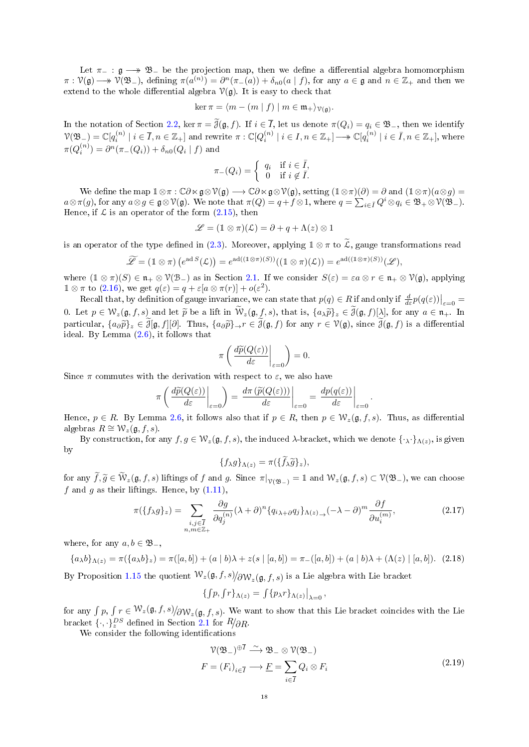Let  $π_$ :  $g \rightarrow ∗$  B be the projection map, then we define a differential algebra homomorphism  $\pi: \mathcal{V}(\mathfrak{g}) \longrightarrow \mathcal{V}(\mathfrak{B}_-)$ , defining  $\pi(a^{(n)}) = \partial^n(\pi_-(a)) + \delta_{n0}(a \mid f)$ , for any  $a \in \mathfrak{g}$  and  $n \in \mathbb{Z}_+$  and then we extend to the whole differential algebra  $\mathcal{V}(\mathfrak{g})$ . It is easy to check that

$$
\ker \pi = \langle m - (m | f) | m \in \mathfrak{m}_+ \rangle_{\mathcal{V}(\mathfrak{g})}.
$$

In the notation of Section [2.2,](#page-18-0) ker  $\pi = \mathcal{J}(\mathfrak{g}, f)$ . If  $i \in I$ , let us denote  $\pi(Q_i) = q_i \in \mathfrak{B}_{-}$ , then we identify  ${\mathcal V}({\mathfrak B}_-)={\mathbb C}[q_i^{(n)}\mid i\in \overline I, n\in {\mathbb Z}_+]$  and rewrite  $\pi:{\mathbb C}[Q_i^{(n)}\mid i\in I, n\in {\mathbb Z}_+]$   $\longrightarrow {\mathbb C}[q_i^{(n)}\mid i\in \bar I, n\in {\mathbb Z}_+]$ , where  $\pi(Q_i^{(n)}) = \partial^n(\pi_-(Q_i)) + \delta_{n0}(Q_i | f)$  and

$$
\pi_{-}(Q_{i}) = \begin{cases} q_{i} & \text{if } i \in \bar{I}, \\ 0 & \text{if } i \notin \bar{I}. \end{cases}
$$

We define the map  $1 \otimes \pi : \mathbb{C}\partial \times \mathfrak{g} \otimes \mathcal{V}(\mathfrak{g}) \longrightarrow \mathbb{C}\partial \times \mathfrak{g} \otimes \mathcal{V}(\mathfrak{g})$ , setting  $(1 \otimes \pi)(\partial) = \partial$  and  $(1 \otimes \pi)(a \otimes g) =$  $a\otimes \pi(g)$ , for any  $a\otimes g\in \mathfrak{g}\otimes \mathcal{V}(\mathfrak{g})$ . We note that  $\pi(Q)=q+f\otimes 1$ , where  $q=\sum_{i\in \bar{I}}Q^i\otimes q_i\in \mathfrak{B}_+\otimes \mathcal{V}(\mathfrak{B}_-)$ . Hence, if  $\mathcal L$  is an operator of the form [\(2.15\)](#page-20-0), then

$$
\mathscr{L} = (\mathbb{1} \otimes \pi)(\mathcal{L}) = \partial + q + \Lambda(z) \otimes 1
$$

is an operator of the type defined in [\(2.3\)](#page-16-3). Moreover, applying  $1 \otimes \pi$  to  $\widetilde{\mathcal{L}}$ , gauge transformations read

$$
\widetilde{\mathscr{L}} = (\mathbb{1} \otimes \pi) \left( e^{\mathrm{ad} S} (\mathcal{L}) \right) = e^{\mathrm{ad}((\mathbb{1} \otimes \pi)(S))} ((\mathbb{1} \otimes \pi)(\mathcal{L})) = e^{\mathrm{ad}((\mathbb{1} \otimes \pi)(S))} (\mathcal{L}),
$$

where  $(1 \otimes \pi)(S) \in \mathfrak{n}_+ \otimes \mathfrak{V}(\mathcal{B}_-)$  as in Section [2.1.](#page-16-1) If we consider  $S(\varepsilon) = \varepsilon a \otimes r \in \mathfrak{n}_+ \otimes \mathfrak{V}(\mathfrak{g})$ , applying  $1 \otimes \pi$  to [\(2.16\)](#page-20-1), we get  $q(\varepsilon) = q + \varepsilon [a \otimes \pi(r)] + o(\varepsilon^2)$ .

Recall that, by definition of gauge invariance, we can state that  $p(q) \in R$  if and only if  $\frac{d}{d\varepsilon} p(q(\varepsilon))|_{\varepsilon=0} =$ 0. Let  $p \in \mathcal{W}_z(\mathfrak{g}, f, s)$  and let  $\tilde{p}$  be a lift in  $\mathcal{W}_z(\mathfrak{g}, f, s)$ , that is,  $\{a_\lambda \tilde{p}\}_z \in \mathcal{J}(\mathfrak{g}, f)[\lambda]$ , for any  $a \in \mathfrak{n}_+$ . In continuous  $\{a \geq 0, a \in \tilde{\mathfrak{g}}(x, f)$  for any  $a \in \tilde{\mathfrak{g}}(x, f$ particular,  $\{a_{\partial}\tilde{p}\}_z \in \tilde{\mathcal{J}}[\mathfrak{g},f][\partial]$ . Thus,  $\{a_{\partial}\tilde{p}\}_r \in \tilde{\mathcal{J}}(\mathfrak{g},f)$  for any  $r \in \mathcal{V}(\mathfrak{g})$ , since  $\tilde{\mathcal{J}}(\mathfrak{g},f)$  is a differential ideal. By Lemma [\(2.6\)](#page-20-2), it follows that

$$
\pi \left( \left. \frac{d\widetilde{p}(Q(\varepsilon))}{d\varepsilon} \right|_{\varepsilon=0} \right) = 0.
$$

Since  $\pi$  commutes with the derivation with respect to  $\varepsilon$ , we also have

$$
\pi \left( \left. \frac{d\widetilde{p}(Q(\varepsilon))}{d\varepsilon} \right|_{\varepsilon=0} \right) = \left. \frac{d\pi \left( \widetilde{p}(Q(\varepsilon)) \right)}{d\varepsilon} \right|_{\varepsilon=0} = \left. \frac{dp(q(\varepsilon))}{d\varepsilon} \right|_{\varepsilon=0}.
$$

Hence,  $p \in R$ . By Lemma [2.6,](#page-20-2) it follows also that if  $p \in R$ , then  $p \in \mathcal{W}_z(\mathfrak{g}, f, s)$ . Thus, as differential algebras  $R \cong \mathcal{W}_z(\mathfrak{g}, f, s)$ .

By construction, for any  $f, g \in W_z(\mathfrak{g}, f, s)$ , the induced  $\lambda$ -bracket, which we denote  $\{\cdot_\lambda\cdot\}_{\Lambda(z)}$ , is given by

<span id="page-21-1"></span>
$$
\{f_{\lambda}g\}_{\Lambda(z)}=\pi(\{f_{\lambda}\widetilde{g}\}_{z}),
$$

for any  $\widetilde{f},\widetilde{g} \in \widetilde{W}_z(\mathfrak{g},f,s)$  liftings of f and g. Since  $\pi|_{\mathcal{V}(\mathfrak{B}_-)} = \mathbb{1}$  and  $\mathcal{W}_z(\mathfrak{g},f,s) \subset \mathcal{V}(\mathfrak{B}_-)$ , we can choose f and g as their liftings. Hence, by  $(1.11)$ ,

$$
\pi(\lbrace f_{\lambda}g\rbrace) = \sum_{\substack{i,j\in\overline{I}\\n,m\in\mathbb{Z}_+}} \frac{\partial g}{\partial q_j^{(n)}} (\lambda + \partial)^n \lbrace q_{i\lambda+\partial}q_j\rbrace_{\Lambda(z)_\to} (-\lambda - \partial)^m \frac{\partial f}{\partial u_i^{(m)}},\tag{2.17}
$$

where, for any  $a, b \in \mathfrak{B}_-,$ 

$$
\{a_{\lambda}b\}_{\Lambda(z)} = \pi(\{a_{\lambda}b\}_z) = \pi([a,b]) + (a \mid b)\lambda + z(s \mid [a,b]) = \pi_{-}([a,b]) + (a \mid b)\lambda + (\Lambda(z) \mid [a,b]). \tag{2.18}
$$

By Proposition [1.15](#page-13-1) the quotient  $\mathcal{W}_z(\mathfrak{g}, f, s) / \partial \mathcal{W}_z(\mathfrak{g}, f, s)$  is a Lie algebra with Lie bracket

$$
\{\int p, \int r\}_{\Lambda(z)} = \int \{p_{\lambda}r\}_{\Lambda(z)}\big|_{\lambda=0},
$$

for any  $\int p,~\int r\in \mathcal{W}_z(\mathfrak{g}, f, s)/\!\partial \mathcal{W}_z(\mathfrak{g}, f, s).$  We want to show that this Lie bracket coincides with the Lie bracket  $\{\cdot,\cdot\}_z^{DS}$  defined in Section [2.1](#page-16-1) for  $R_{\partial}R$ .

We consider the following identifications

<span id="page-21-0"></span>
$$
\mathcal{V}(\mathfrak{B}_{-})^{\oplus \bar{I}} \stackrel{\sim}{\longrightarrow} \mathfrak{B}_{-} \otimes \mathcal{V}(\mathfrak{B}_{-})
$$
  

$$
F = (F_{i})_{i \in \bar{I}} \longrightarrow \underline{F} = \sum_{i \in \bar{I}} Q_{i} \otimes F_{i}
$$
 (2.19)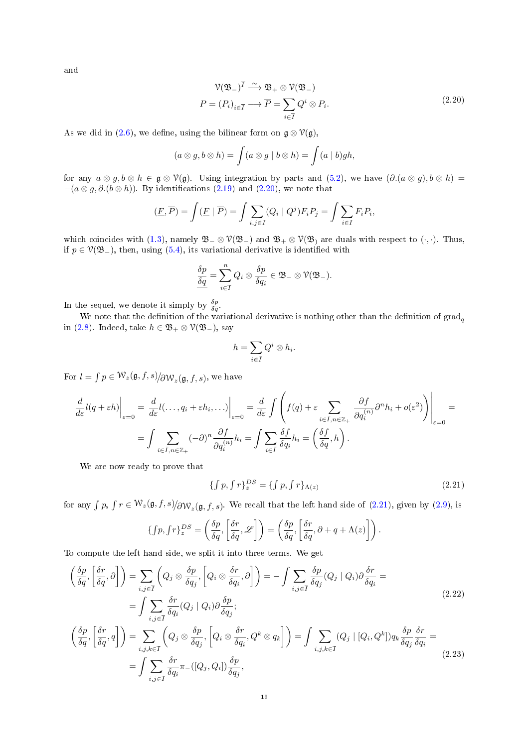and

<span id="page-22-0"></span>
$$
\mathcal{V}(\mathfrak{B}_{-})^{\overline{I}} \xrightarrow{\sim} \mathfrak{B}_{+} \otimes \mathcal{V}(\mathfrak{B}_{-})
$$
  
\n
$$
P = (P_{i})_{i \in \overline{I}} \longrightarrow \overline{P} = \sum_{i \in \overline{I}} Q^{i} \otimes P_{i}.
$$
\n(2.20)

As we did in [\(2.6\)](#page-17-2), we define, using the bilinear form on  $\mathfrak{g} \otimes \mathcal{V}(\mathfrak{g})$ ,

$$
(a\otimes g, b\otimes h)=\int (a\otimes g\mid b\otimes h)=\int (a\mid b)gh,
$$

for any  $a \otimes g, b \otimes h \in \mathfrak{g} \otimes \mathcal{V}(\mathfrak{g})$ . Using integration by parts and  $(5.2)$ , we have  $(\partial \mathfrak{g} \otimes (a \otimes g), b \otimes h) =$  $-(a \otimes g, \partial.(b \otimes h))$ . By identifications [\(2.19\)](#page-21-0) and [\(2.20\)](#page-22-0), we note that

$$
(\underline{F}, \overline{P}) = \int (\underline{F} | \overline{P}) = \int \sum_{i,j \in I} (Q_i | Q^j) F_i P_j = \int \sum_{i \in I} F_i P_i,
$$

which coincides with [\(1.3\)](#page-9-0), namely  $\mathfrak{B}_-\otimes \mathcal{V}(\mathfrak{B}_-)$  and  $\mathfrak{B}_+\otimes \mathcal{V}(\mathfrak{B}_+)$  are duals with respect to  $(\cdot, \cdot)$ . Thus, if  $p \in \mathcal{V}(\mathfrak{B}_-)$ , then, using [\(5.4\)](#page-67-0), its variational derivative is identified with

$$
\frac{\delta p}{\delta q} = \sum_{i \in \overline{I}}^n Q_i \otimes \frac{\delta p}{\delta q_i} \in \mathfrak{B}_- \otimes \mathcal{V}(\mathfrak{B}_-).
$$

In the sequel, we denote it simply by  $\frac{\delta p}{\delta q}$ .

We note that the definition of the variational derivative is nothing other than the definition of  $\text{grad}_q$ in [\(2.8\)](#page-17-3). Indeed, take  $h \in \mathfrak{B}_+ \otimes \mathcal{V}(\mathfrak{B}_-)$ , say

$$
h=\sum_{i\in\bar{I}}Q^i\otimes h_i.
$$

For  $l = \int p \in \mathcal{W}_z(\mathfrak{g}, f, s) / \partial \mathcal{W}_z(\mathfrak{g}, f, s)$ , we have

$$
\frac{d}{d\varepsilon}l(q+\varepsilon h)\Big|_{\varepsilon=0} = \frac{d}{d\varepsilon}l(\dots, q_i+\varepsilon h_i, \dots)\Big|_{\varepsilon=0} = \frac{d}{d\varepsilon}\int\left(f(q) + \varepsilon \sum_{i\in I, n\in\mathbb{Z}_+} \frac{\partial f}{\partial q_i^{(n)}}\partial^n h_i + o(\varepsilon^2)\right)\Big|_{\varepsilon=0} =
$$
\n
$$
= \int\sum_{i\in I, n\in\mathbb{Z}_+} (-\partial)^n \frac{\partial f}{\partial q_i^{(n)}} h_i = \int\sum_{i\in I} \frac{\delta f}{\delta q_i} h_i = \left(\frac{\delta f}{\delta q}, h\right).
$$

We are now ready to prove that

<span id="page-22-3"></span><span id="page-22-2"></span><span id="page-22-1"></span>
$$
\{\int p, \int r\}^{DS}_{z} = \{\int p, \int r\}_{\Lambda(z)}\tag{2.21}
$$

for any  $\int p$ ,  $\int r \in \mathcal{W}_z(\mathfrak{g}, f, s) / \partial \mathcal{W}_z(\mathfrak{g}, f, s)$ . We recall that the left hand side of  $(2.21)$ , given by  $(2.9)$ , is

$$
\{ \int p, \int r \}^{DS}_{z} = \left( \frac{\delta p}{\delta q}, \left[ \frac{\delta r}{\delta q}, \mathcal{L} \right] \right) = \left( \frac{\delta p}{\delta q}, \left[ \frac{\delta r}{\delta q}, \partial + q + \Lambda(z) \right] \right).
$$

To compute the left hand side, we split it into three terms. We get

$$
\begin{split}\n\left(\frac{\delta p}{\delta q}, \left[\frac{\delta r}{\delta q}, \partial\right]\right) &= \sum_{i,j \in \overline{I}} \left(Q_j \otimes \frac{\delta p}{\delta q_j}, \left[Q_i \otimes \frac{\delta r}{\delta q_i}, \partial\right]\right) = -\int \sum_{i,j \in \overline{I}} \frac{\delta p}{\delta q_j} (Q_j \mid Q_i) \partial \frac{\delta r}{\delta q_i} = \\
&= \int \sum_{i,j \in \overline{I}} \frac{\delta r}{\delta q_i} (Q_j \mid Q_i) \partial \frac{\delta p}{\delta q_j}; \\
\left(\frac{\delta p}{\delta q}, \left[\frac{\delta r}{\delta q}, q\right]\right) &= \sum_{i,j,k \in \overline{I}} \left(Q_j \otimes \frac{\delta p}{\delta q_j}, \left[Q_i \otimes \frac{\delta r}{\delta q_i}, Q^k \otimes q_k\right]\right) = \int \sum_{i,j,k \in \overline{I}} (Q_j \mid [Q_i, Q^k]) q_k \frac{\delta p}{\delta q_j} \frac{\delta r}{\delta q_i} = \\
&= \int \sum_{i,j \in \overline{I}} \frac{\delta r}{\delta q_i} \pi_{-}([Q_j, Q_i]) \frac{\delta p}{\delta q_j},\n\end{split} \tag{2.23}
$$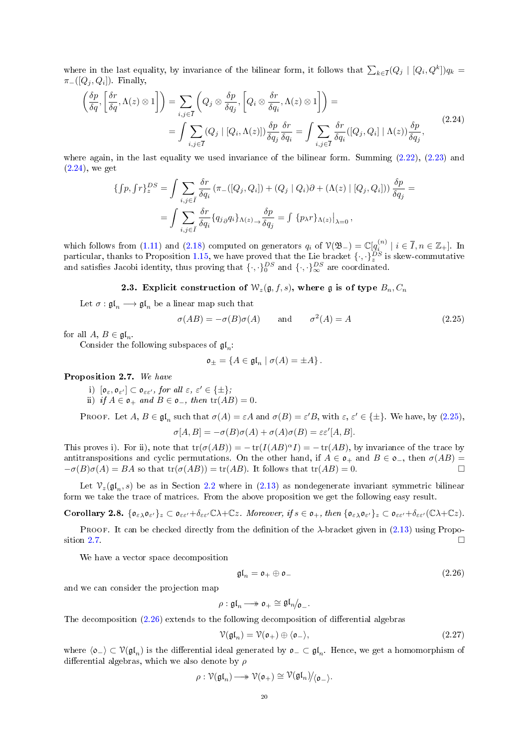where in the last equality, by invariance of the bilinear form, it follows that  $\sum_{k\in \overline{I}}(Q_j \mid [Q_i,Q^k])q_k =$  $\pi_{-}([Q_j,Q_i])$ . Finally,

$$
\begin{aligned}\n\left(\frac{\delta p}{\delta q}, \left[\frac{\delta r}{\delta q}, \Lambda(z) \otimes 1\right]\right) &= \sum_{i,j \in \overline{I}} \left(Q_j \otimes \frac{\delta p}{\delta q_j}, \left[Q_i \otimes \frac{\delta r}{\delta q_i}, \Lambda(z) \otimes 1\right]\right) = \\
&= \int \sum_{i,j \in \overline{I}} (Q_j \mid [Q_i, \Lambda(z)]) \frac{\delta p}{\delta q_j} \frac{\delta r}{\delta q_i} = \int \sum_{i,j \in \overline{I}} \frac{\delta r}{\delta q_i} ([Q_j, Q_i] \mid \Lambda(z)) \frac{\delta p}{\delta q_j},\n\end{aligned} \tag{2.24}
$$

where again, in the last equality we used invariance of the bilinear form. Summing  $(2.22)$ ,  $(2.23)$  and [\(2.24\)](#page-23-1), we get

<span id="page-23-1"></span>
$$
\{ \int p, \int r \}^{DS}_{z} = \int \sum_{i,j \in \bar{I}} \frac{\delta r}{\delta q_i} (\pi_{-}([Q_j, Q_i]) + (Q_j \mid Q_i) \partial + (\Lambda(z) \mid [Q_j, Q_i])) \frac{\delta p}{\delta q_j} =
$$

$$
= \int \sum_{i,j \in \bar{I}} \frac{\delta r}{\delta q_i} \{ q_{j\partial} q_i \}_{\Lambda(z) \to \frac{\delta p}{\delta q_j}} = \int \{ p_{\lambda} r \}_{\Lambda(z)} \Big|_{\lambda=0},
$$

which follows from [\(1.11\)](#page-11-1) and [\(2.18\)](#page-21-1) computed on generators  $q_i$  of  $\mathcal{V}(\mathfrak{B}_-) = \mathbb{C}[q_i^{(n)} \mid i \in \overline{I}, n \in \mathbb{Z}_+]$ . In particular, thanks to Proposition [1.15,](#page-13-1) we have proved that the Lie bracket  $\{\cdot,\cdot\}^{DS}_z$  is skew-commutative and satisfies Jacobi identity, thus proving that  $\{\cdot,\cdot\}_0^{DS}$  and  $\{\cdot,\cdot\}_\infty^{DS}$  are coordinated.

# 2.3. Explicit construction of  $W_z(\mathfrak{g}, f, s)$ , where g is of type  $B_n, C_n$

<span id="page-23-0"></span>Let  $\sigma : \mathfrak{gl}_n \longrightarrow \mathfrak{gl}_n$  be a linear map such that

$$
\sigma(AB) = -\sigma(B)\sigma(A) \quad \text{and} \quad \sigma^2(A) = A \tag{2.25}
$$

for all  $A, B \in \mathfrak{gl}_n$ .

Consider the following subspaces of  $\mathfrak{gl}_n$ :

<span id="page-23-2"></span>
$$
\mathfrak{o}_{\pm} = \{ A \in \mathfrak{gl}_n \mid \sigma(A) = \pm A \} \, .
$$

<span id="page-23-3"></span>Proposition 2.7. We have

- i)  $[\mathfrak{o}_{\varepsilon}, \mathfrak{o}_{\varepsilon'}] \subset \mathfrak{o}_{\varepsilon \varepsilon'}$ , for all  $\varepsilon, \varepsilon' \in \{\pm\}$ ;
- ii) if  $A \in \mathfrak{o}_+$  and  $B \in \mathfrak{o}_-,$  then  $\text{tr}(AB) = 0$ .

PROOF. Let  $A, B \in \mathfrak{gl}_n$  such that  $\sigma(A) = \varepsilon A$  and  $\sigma(B) = \varepsilon' B$ , with  $\varepsilon, \varepsilon' \in \{\pm\}$ . We have, by  $(2.25)$ ,

$$
\sigma[A, B] = -\sigma(B)\sigma(A) + \sigma(A)\sigma(B) = \varepsilon \varepsilon'[A, B].
$$

This proves i). For ii), note that  $tr(\sigma(AB)) = -tr(I(AB)^{\alpha}I) = -tr(AB)$ , by invariance of the trace by antitranspositions and cyclic permutations. On the other hand, if  $A \in \mathfrak{o}_+$  and  $B \in \mathfrak{o}_-$ , then  $\sigma(AB) =$  $-\sigma(B)\sigma(A) = BA$  so that  $\text{tr}(\sigma(AB)) = \text{tr}(AB)$ . It follows that  $\text{tr}(AB) = 0$ .

Let  $\mathcal{V}_z(\mathfrak{gl}_n, s)$  be as in Section [2.2](#page-18-0) where in [\(2.13\)](#page-18-4) as nondegenerate invariant symmetric bilinear form we take the trace of matrices. From the above proposition we get the following easy result.

<span id="page-23-6"></span>Corollary 2.8.  $\{o_{\varepsilon\lambda}o_{\varepsilon'}\}_z \subset o_{\varepsilon\varepsilon'} + \delta_{\varepsilon\varepsilon'}\mathbb{C}\lambda + \mathbb{C}z$ . Moreover, if  $s \in \mathfrak{o}_+$ , then  $\{o_{\varepsilon\lambda}o_{\varepsilon'}\}_z \subset o_{\varepsilon\varepsilon'} + \delta_{\varepsilon\varepsilon'}(\mathbb{C}\lambda + \mathbb{C}z)$ .

PROOF. It can be checked directly from the definition of the  $\lambda$ -bracket given in [\(2.13\)](#page-18-4) using Propo-sition [2.7.](#page-23-3)

We have a vector space decomposition

<span id="page-23-5"></span><span id="page-23-4"></span>
$$
\mathfrak{gl}_n = \mathfrak{o}_+ \oplus \mathfrak{o}_-\tag{2.26}
$$

and we can consider the projection map

$$
\rho: \mathfrak{gl}_n \longrightarrow \mathfrak{o}_+ \cong \mathfrak{gl}_n/_{mathfrak{o}_-}.
$$

The decomposition  $(2.26)$  extends to the following decomposition of differential algebras

$$
\mathcal{V}(\mathfrak{gl}_n) = \mathcal{V}(\mathfrak{o}_+) \oplus \langle \mathfrak{o}_-\rangle, \tag{2.27}
$$

where  $\langle \mathsf{o}_- \rangle \subset \mathcal{V}(\mathfrak{gl}_n)$  is the differential ideal generated by  $\mathsf{o}_- \subset \mathfrak{gl}_n$ . Hence, we get a homomorphism of differential algebras, which we also denote by  $\rho$ 

$$
\rho: \mathcal{V}(\mathfrak{gl}_n) \longrightarrow \mathcal{V}(\mathfrak{o}_+) \cong \mathcal{V}(\mathfrak{gl}_n)\big/\!\!\big/\mathfrak{o}_-\big>.
$$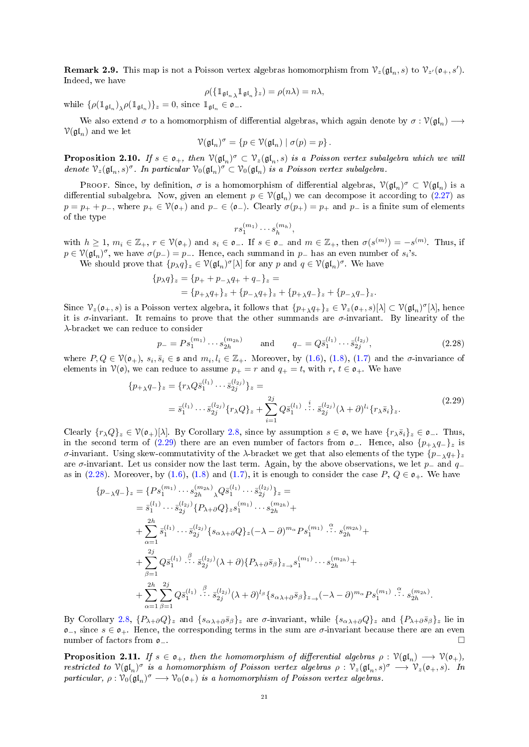<span id="page-24-3"></span>**Remark 2.9.** This map is not a Poisson vertex algebras homomorphism from  $\mathcal{V}_z(\mathfrak{gl}_n, s)$  to  $\mathcal{V}_{z'}(\mathfrak{o}_+, s')$ . Indeed, we have

$$
\rho\big(\{\mathbb{1}_{\mathfrak{gl}_{n\,\lambda}}\mathbb{1}_{\mathfrak{gl}_n}\}_z\big)=\rho(n\lambda)=n\lambda,
$$

while  $\{\rho(\mathbb{1}_{\mathfrak{gl}_n})_\lambda\rho(\mathbb{1}_{\mathfrak{gl}_n})\}_z=0$ , since  $\mathbb{1}_{\mathfrak{gl}_n}\in\mathfrak{o}_-$ .

We also extend  $\sigma$  to a homomorphism of differential algebras, which again denote by  $\sigma : \mathcal{V}(\mathfrak{gl}_n) \longrightarrow$  $V(\mathfrak{gl}_n)$  and we let

$$
\mathcal{V}(\mathfrak{gl}_n)^{\sigma}=\{p\in\mathcal{V}(\mathfrak{gl}_n)\mid \sigma(p)=p\}\,.
$$

<span id="page-24-2"></span>**Proposition 2.10.** If  $s \in \mathfrak{o}_+$ , then  $\mathcal{V}(\mathfrak{gl}_n)^\sigma \subset \mathcal{V}_z(\mathfrak{gl}_n, s)$  is a Poisson vertex subalgebra which we will denote  $\mathcal{V}_z(\mathfrak{gl}_n, s)^\sigma$ . In particular  $\mathcal{V}_0(\mathfrak{gl}_n)^\sigma \subset \mathcal{V}_0(\mathfrak{gl}_n)$  is a Poisson vertex subalgebra.

PROOF. Since, by definition,  $\sigma$  is a homomorphism of differential algebras,  $\mathcal{V}(\mathfrak{gl}_n)^\sigma \subset \mathcal{V}(\mathfrak{gl}_n)$  is a differential subalgebra. Now, given an element  $p \in \mathcal{V}(\mathfrak{gl}_n)$  we can decompose it according to [\(2.27\)](#page-23-5) as  $p = p_+ + p_-,$  where  $p_+ \in \mathcal{V}(\mathfrak{o}_+)$  and  $p_- \in \langle \mathfrak{o}_- \rangle$ . Clearly  $\sigma(p_+) = p_+$  and  $p_-$  is a finite sum of elements of the type

<span id="page-24-1"></span><span id="page-24-0"></span>
$$
rs_1^{(m_1)}\cdots s_h^{(m_h)},
$$

with  $h \geq 1$ ,  $m_i \in \mathbb{Z}_+$ ,  $r \in \mathcal{V}(\mathfrak{o}_+)$  and  $s_i \in \mathfrak{o}_-$ . If  $s \in \mathfrak{o}_-$  and  $m \in \mathbb{Z}_+$ , then  $\sigma(s^{(m)}) = -s^{(m)}$ . Thus, if  $p \in \mathcal{V}(\mathfrak{gl}_n)^{\sigma}$ , we have  $\sigma(p_-) = p_-$ . Hence, each summand in  $p_-$  has an even number of  $s_i$ 's.

We should prove that  $\{p_{\lambda}q\}_{z} \in \mathcal{V}(\mathfrak{gl}_n)^{\sigma}[\lambda]$  for any p and  $q \in \mathcal{V}(\mathfrak{gl}_n)^{\sigma}$ . We have

$$
\begin{aligned} \{p_{\lambda}q\}_{z} &= \{p_{+} + p_{-\lambda}q_{+} + q_{-}\}_{z} = \\ &= \{p_{+\lambda}q_{+}\}_{z} + \{p_{-\lambda}q_{+}\}_{z} + \{p_{+\lambda}q_{-}\}_{z} + \{p_{-\lambda}q_{-}\}_{z}. \end{aligned}
$$

Since  $\mathcal{V}_z(\mathfrak{o}_+,s)$  is a Poisson vertex algebra, it follows that  $\{p_{+\lambda}q_+\}_z \in \mathcal{V}_z(\mathfrak{o}_+,s)[\lambda] \subset \mathcal{V}(\mathfrak{gl}_n)^\sigma[\lambda]$ , hence it is  $\sigma$ -invariant. It remains to prove that the other summands are  $\sigma$ -invariant. By linearity of the λ-bracket we can reduce to consider

$$
p_{-} = Ps_1^{(m_1)} \cdots s_{2h}^{(m_{2h})} \quad \text{and} \quad q_{-} = Q\bar{s}_1^{(l_1)} \cdots \bar{s}_{2j}^{(l_{2j})}, \tag{2.28}
$$

where  $P, Q \in \mathcal{V}(\mathfrak{o}_+), s_i, \bar{s}_i \in \mathfrak{s}$  and  $m_i, l_i \in \mathbb{Z}_+$ . Moreover, by [\(1.6\)](#page-10-0), [\(1.8\)](#page-10-1), [\(1.7\)](#page-10-4) and the  $\sigma$ -invariance of elements in  $\mathcal{V}(\mathfrak{o})$ , we can reduce to assume  $p_+ = r$  and  $q_+ = t$ , with  $r, t \in \mathfrak{o}_+$ . We have

$$
\{p_{+\lambda}q_{-}\}_z = \{r_{\lambda}Q\bar{s}_1^{(l_1)}\cdots\bar{s}_{2j}^{(l_{2j})}\}_z =
$$
  

$$
= \bar{s}_1^{(l_1)}\cdots\bar{s}_{2j}^{(l_{2j})}\{r_{\lambda}Q\}_z + \sum_{i=1}^{2j}Q\bar{s}_1^{(l_1)}\cdots\bar{s}_{2j}^{(l_{2j})}(\lambda+\partial)^{l_i}\{r_{\lambda}\bar{s}_i\}_z.
$$
 (2.29)

Clearly  $\{r_{\lambda}Q\}_{z} \in \mathcal{V}(\mathfrak{o}_+)[\lambda]$ . By Corollary [2.8,](#page-23-6) since by assumption  $s \in \mathfrak{o}$ , we have  $\{r_{\lambda}\bar{s}_i\}_z \in \mathfrak{o}_-$ . Thus, in the second term of [\(2.29\)](#page-24-0) there are an even number of factors from  $\mathfrak{o}_-$ . Hence, also  $\{p_{+\lambda}q_-\}_z$  is σ-invariant. Using skew-commutativity of the  $\lambda$ -bracket we get that also elements of the type  $\{p_{-\lambda}q_+\}_z$ are  $\sigma$ -invariant. Let us consider now the last term. Again, by the above observations, we let  $p_-\,$  and  $q_-\,$ as in [\(2.28\)](#page-24-1). Moreover, by [\(1.6\)](#page-10-0), [\(1.8\)](#page-10-1) and [\(1.7\)](#page-10-4), it is enough to consider the case  $P, Q \in \mathfrak{o}_+$ . We have

$$
\{p_{-\lambda}q_{-}\}_z = \{Ps_1^{(m_1)}\cdots s_{2h}^{(m_{2h})}\}_Q\overline{s}_1^{(l_1)}\cdots \overline{s}_{2j}^{(l_{2j})}\}_z =
$$
\n
$$
= \overline{s}_1^{(l_1)}\cdots \overline{s}_{2j}^{(l_{2j})}\{P_{\lambda+\partial}Q\}_zs_1^{(m_1)}\cdots s_{2h}^{(m_{2h})} +
$$
\n
$$
+ \sum_{\alpha=1}^{2h} \overline{s}_1^{(l_1)}\cdots \overline{s}_{2j}^{(l_{2j})}\{s_{\alpha\lambda+\partial}Q\}_z(-\lambda-\partial)^{m_{\alpha}}Ps_1^{(m_1)}\cdots s_{2h}^{(m_{2h})} +
$$
\n
$$
+ \sum_{\beta=1}^{2j} Q\overline{s}_1^{(l_1)}\cdots S_{2j}^{(l_{2j})}(\lambda+\partial)\{P_{\lambda+\partial}\overline{s}_{\beta}\}_z \underset{\rightarrow}{s}_{1}^{(m_1)}\cdots s_{2h}^{(m_{2h})} +
$$
\n
$$
+ \sum_{\alpha=1}^{2h} \sum_{\beta=1}^{2j} Q\overline{s}_1^{(l_1)}\cdots \overline{s}_{2j}^{(l_{2j})}(\lambda+\partial)^{l_{\beta}}\{s_{\alpha\lambda+\partial}\overline{s}_{\beta}\}_z \underset{\rightarrow}{\rightarrow} (-\lambda-\partial)^{m_{\alpha}}Ps_1^{(m_1)}\cdots s_{2h}^{(m_{2h})}.
$$

By Corollary [2.8,](#page-23-6)  $\{P_{\lambda+\partial}Q\}_z$  and  $\{s_{\alpha\lambda+\partial}\bar{s}_{\beta}\}_z$  are  $\sigma$ -invariant, while  $\{s_{\alpha\lambda+\partial}Q\}_z$  and  $\{P_{\lambda+\partial}\bar{s}_{\beta}\}_z$  lie in  $\mathfrak{o}_-,$  since  $s \in \mathfrak{o}_+$ . Hence, the corresponding terms in the sum are  $\sigma$ -invariant because there are an even number of factors from  $\mathfrak{o}_-$ .

<span id="page-24-4"></span>**Proposition 2.11.** If  $s \in \mathfrak{o}_+$ , then the homomorphism of differential algebras  $\rho : \mathcal{V}(\mathfrak{gl}_n) \longrightarrow \mathcal{V}(\mathfrak{o}_+),$ restricted to  $\mathcal{V}(\mathfrak{gl}_n)^\sigma$  is a homomorphism of Poisson vertex algebras  $\rho: \mathcal{V}_z(\mathfrak{gl}_n, s)^\sigma \longrightarrow \mathcal{V}_z(\mathfrak{o}_+, s)$ . In particular,  $\rho: {\cal V}_0({\frak g}{\frak l}_n)^\sigma \longrightarrow {\cal V}_0({\frak o}_+)$  is a homomorphism of Poisson vertex algebras.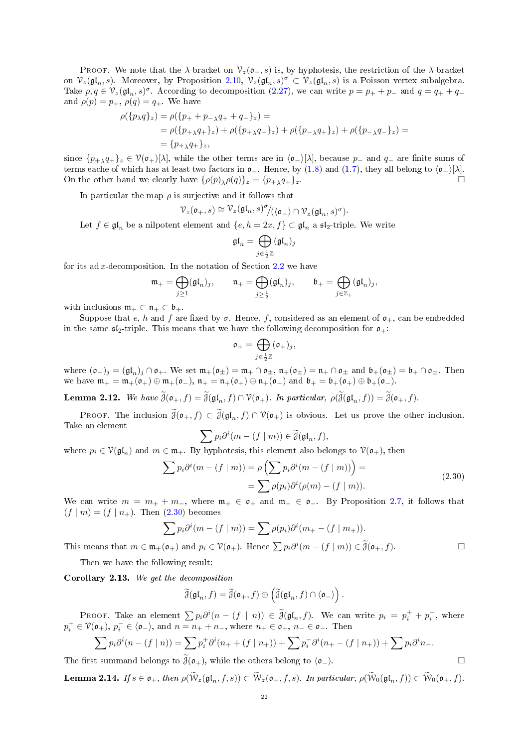PROOF. We note that the  $\lambda$ -bracket on  $\mathcal{V}_z(\mathfrak{o}_+, s)$  is, by hyphotesis, the restriction of the  $\lambda$ -bracket on  $\mathcal{V}_z(\mathfrak{gl}_n, s)$ . Moreover, by Proposition [2.10,](#page-24-2)  $\mathcal{V}_z(\mathfrak{gl}_n, s)^\sigma \subset \mathcal{V}_z(\mathfrak{gl}_n, s)$  is a Poisson vertex subalgebra. Take  $p, q \in \mathcal{V}_z(\mathfrak{gl}_n, s)^\sigma$ . According to decomposition [\(2.27\)](#page-23-5), we can write  $p = p_+ + p_-$  and  $q = q_+ + q_$ and  $\rho(p) = p_+, \rho(q) = q_+$ . We have

$$
\rho(\{p_{\lambda}q\}_{z}) = \rho(\{p_{+} + p_{-\lambda}q_{+} + q_{-}\}_{z}) =
$$
  
=  $\rho(\{p_{+}\}_{z}) + \rho(\{p_{+}\}_{z}) + \rho(\{p_{-}\}_{z}) + \rho(\{p_{-}\}_{z}) + \rho(\{p_{-}\}_{z}) =$   
=  $\{p_{+}\}_{z}$ ,

since  $\{p_{+}\overline{\lambda}q_{+}\}_{z} \in \mathcal{V}(\mathfrak{o}_+)[\lambda],$  while the other terms are in  $\langle \mathfrak{o}_- \rangle[\lambda],$  because  $p_-$  and  $q_-$  are finite sums of terms eache of which has at least two factors in  $\mathfrak{o}_-$ . Hence, by [\(1.8\)](#page-10-1) and [\(1.7\)](#page-10-4), they all belong to  $\langle \mathfrak{o}_- \rangle[\lambda]$ . On the other hand we clearly have  $\{\rho(p)_{\lambda}\rho(q)\}_z = \{p_{+\lambda}q_{+}\}_z$ .

In particular the map  $\rho$  is surjective and it follows that

$$
\mathcal{V}_z(\mathfrak{o}_+,s) \cong \mathcal{V}_z(\mathfrak{gl}_n,s)^\sigma\big/(\langle \mathfrak{o}_- \rangle \cap \mathcal{V}_z(\mathfrak{gl}_n,s)^\sigma).
$$

Let  $f \in \mathfrak{gl}_n$  be a nilpotent element and  $\{e, h = 2x, f\} \subset \mathfrak{gl}_n$  a  $\mathfrak{sl}_2$ -triple. We write

$$
\mathfrak{gl}_n=\bigoplus_{j\in\frac{1}{2}\mathbb{Z}}(\mathfrak{gl}_n)_j
$$

for its ad x-decomposition. In the notation of Section  $2.2$  we have

$$
\mathfrak{m}_+ = \bigoplus_{j \geq 1} (\mathfrak{gl}_n)_j, \qquad \mathfrak{n}_+ = \bigoplus_{j \geq \frac{1}{2}} (\mathfrak{gl}_n)_j, \qquad \mathfrak{b}_+ = \bigoplus_{j \in \mathbb{Z}_+} (\mathfrak{gl}_n)_j,
$$

with inclusions  $\mathfrak{m}_+ \subset \mathfrak{n}_+ \subset \mathfrak{b}_+$ .

Suppose that e, h and f are fixed by  $\sigma$ . Hence, f, considered as an element of  $\mathfrak{o}_+$ , can be embedded in the same  $\mathfrak{sl}_2$ -triple. This means that we have the following decomposition for  $\mathfrak{o}_+$ :

$$
\mathfrak{o}_+ = \bigoplus_{j \in \frac{1}{2}\mathbb{Z}} (\mathfrak{o}_+)_j,
$$

where  $(\mathfrak{o}_+)_j = (\mathfrak{gl}_n)_j \cap \mathfrak{o}_+$ . We set  $\mathfrak{m}_+(\mathfrak{o}_\pm) = \mathfrak{m}_+ \cap \mathfrak{o}_\pm$ ,  $\mathfrak{n}_+(\mathfrak{o}_\pm) = \mathfrak{n}_+ \cap \mathfrak{o}_\pm$  and  $\mathfrak{b}_+(\mathfrak{o}_\pm) = \mathfrak{b}_+ \cap \mathfrak{o}_\pm$ . Then we have  $\mathfrak{m}_+ = \mathfrak{m}_+(\mathfrak{o}_+) \oplus \mathfrak{m}_+(\mathfrak{o}_-), \mathfrak{n}_+ = \mathfrak{n}_+(\mathfrak{o}_+) \oplus \mathfrak{n}_+(\mathfrak{o}_-)$  and  $\mathfrak{b}_+ = \mathfrak{b}_+(\mathfrak{o}_+) \oplus \mathfrak{b}_+(\mathfrak{o}_-).$ 

<span id="page-25-1"></span>**Lemma 2.12.** We have  $\widetilde{\theta}(\mathfrak{o}_+, f) = \widetilde{\theta}(\mathfrak{gl}_n, f) \cap \mathcal{V}(\mathfrak{o}_+).$  In particular,  $\rho(\widetilde{\theta}(\mathfrak{gl}_n, f)) = \widetilde{\theta}(\mathfrak{o}_+, f).$ 

PROOF. The inclusion  $\widetilde{\mathfrak{J}}(\mathfrak{g}_{+}, f) \subset \widetilde{\mathfrak{J}}(\mathfrak{gl}_{n}, f) \cap \mathcal{V}(\mathfrak{o}_{+})$  is obvious. Let us prove the other inclusion. Take an element

<span id="page-25-0"></span>
$$
\sum p_i \partial^i (m - (f \mid m)) \in \widetilde{\mathfrak{J}}(\mathfrak{gl}_n, f),
$$

where  $p_i \in \mathcal{V}(\mathfrak{gl}_n)$  and  $m \in \mathfrak{m}_+$ . By hyphotesis, this element also belongs to  $\mathcal{V}(\mathfrak{o}_+)$ , then

$$
\sum p_i \partial^i (m - (f \mid m)) = \rho \left( \sum p_i \partial^i (m - (f \mid m)) \right) =
$$
  
= 
$$
\sum \rho(p_i) \partial^i (\rho(m) - (f \mid m)).
$$
 (2.30)

We can write  $m = m_+ + m_-$ , where  $m_+ \in \mathfrak{o}_+$  and  $m_- \in \mathfrak{o}_-$ . By Proposition [2.7,](#page-23-3) it follows that  $(f | m) = (f | n_+).$  Then  $(2.30)$  becomes

$$
\sum p_i \partial^i (m - (f \mid m)) = \sum \rho(p_i) \partial^i (m_+ - (f \mid m_+)).
$$

This means that  $m \in \mathfrak{m}_+(\mathfrak{o}_+)$  and  $p_i \in \mathcal{V}(\mathfrak{o}_+$ . Hence  $\sum p_i \partial^i (m - (f \mid m)) \in \widetilde{\mathcal{J}}(\mathfrak{o}_+, f)$ .

Then we have the following result:

Corollary 2.13. We get the decomposition

$$
\widetilde{\mathcal{J}}(\mathfrak{gl}_n,f)=\widetilde{\mathcal{J}}(\mathfrak{o}_+,f)\oplus\left(\widetilde{\mathcal{J}}(\mathfrak{gl}_n,f)\cap\langle\mathfrak{o}_-\rangle\right).
$$

PROOF. Take an element  $\sum p_i \partial^i (n - (f \mid n)) \in \tilde{\mathcal{J}}(\mathfrak{gl}_n, f)$ . We can write  $p_i = p_i^+ + p_i^-$ , where  $p_i^+ \in \mathcal{V}(\mathfrak{o}_+), p_i^- \in \langle \mathfrak{o}_-\rangle$ , and  $n = n_+ + n_-$ , where  $n_+ \in \mathfrak{o}_+$ ,  $n_- \in \mathfrak{o}_-$ . Then

$$
\sum p_i \partial^i (n - (f \mid n)) = \sum p_i^+ \partial^i (n_+ + (f \mid n_+)) + \sum p_i^- \partial^i (n_+ - (f \mid n_+)) + \sum p_i \partial^i n_-.
$$
  
The first summand belongs to  $\widetilde{\mathcal{J}}(\mathfrak{o}_+)$ , while the others belong to  $\langle \mathfrak{o}_- \rangle$ .

<span id="page-25-2"></span>**Lemma 2.14.** If  $s \in \mathfrak{o}_+$ , then  $\rho(\mathcal{W}_z(\mathfrak{gl}_n, f, s)) \subset \mathcal{W}_z(\mathfrak{o}_+, f, s)$ . In particular,  $\rho(\mathcal{W}_0(\mathfrak{gl}_n, f)) \subset \mathcal{W}_0(\mathfrak{o}_+, f)$ .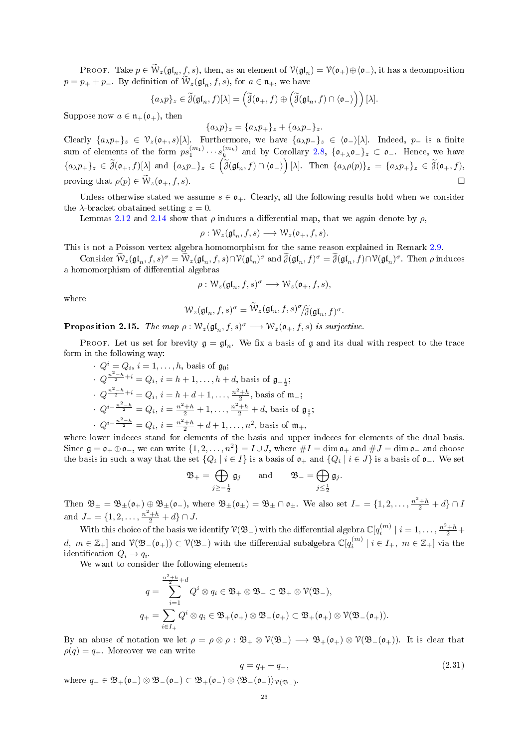PROOF. Take  $p \in \widetilde{\mathcal{W}}_z(\mathfrak{gl}_n, f, s)$ , then, as an element of  $\mathcal{V}(\mathfrak{gl}_n) = \mathcal{V}(\mathfrak{o}_+) \oplus \langle \mathfrak{o}_- \rangle$ , it has a decomposition  $p = p_+ + p_-.$  By definition of  $\mathcal{W}_z(\mathfrak{gl}_n, f, s)$ , for  $a \in \mathfrak{n}_+$ , we have

$$
\{a_{\lambda}p\}_{z}\in\widetilde{\mathcal{J}}(\mathfrak{gl}_n,f)[\lambda]=\left(\widetilde{\mathcal{J}}(\mathfrak{o}_+,f)\oplus\left(\widetilde{\mathcal{J}}(\mathfrak{gl}_n,f)\cap\langle\mathfrak{o}_-\rangle\right)\right)[\lambda].
$$

Suppose now  $a \in \mathfrak{n}_+(\mathfrak{o}_+)$ , then

$$
\{a_{\lambda}p\}_{z} = \{a_{\lambda}p_{+}\}_{z} + \{a_{\lambda}p_{-}\}_{z}.
$$

Clearly  $\{a_{\lambda}p_{+}\}_z \in \mathcal{V}_z(\mathfrak{o}_+, s)[\lambda]$ . Furthermore, we have  $\{a_{\lambda}p_{-}\}_z \in \langle \mathfrak{o}_-\rangle[\lambda]$ . Indeed,  $p_{-}$  is a finite sum of elements of the form  $ps_1^{(m_1)} \cdots s_k^{(m_k)}$  and by Corollary [2.8,](#page-23-6)  $\{\mathfrak{o}_{+,\lambda}\mathfrak{o}_{-}\}_z \subset \mathfrak{o}_{-}$ . Hence, we have  ${a_{\lambda}p_{+}}_{z} \in \tilde{\mathcal{J}}(\mathfrak{o}_{+},f)[\lambda]$  and  ${a_{\lambda}p_{-}}_{z} \in (\tilde{\mathcal{J}}(\mathfrak{gl}_n,f)\cap \langle \mathfrak{o}_{-}\rangle)[\lambda]$ . Then  ${a_{\lambda}\rho(p)}_{z} = {a_{\lambda}p_{+}}_{z} \in \tilde{\mathcal{J}}(\mathfrak{o}_{+},f)$ , proving that  $\rho(p) \in \widetilde{\mathcal{W}}_z(\mathfrak{o}_+, f, s)$ .

Unless otherwise stated we assume  $s \in \mathfrak{o}_+$ . Clearly, all the following results hold when we consider the  $\lambda$ -bracket obatained setting  $z = 0$ .

Lemmas [2.12](#page-25-1) and [2.14](#page-25-2) show that  $\rho$  induces a differential map, that we again denote by  $\rho$ ,

$$
\rho: \mathcal{W}_z(\mathfrak{gl}_n, f, s) \longrightarrow \mathcal{W}_z(\mathfrak{o}_+, f, s).
$$

This is not a Poisson vertex algebra homomorphism for the same reason explained in Remark [2.9.](#page-24-3)

Consider  $\mathcal{W}_z(\mathfrak{gl}_n, f, s)^\sigma = \mathcal{W}_z(\mathfrak{gl}_n, f, s) \cap \mathcal{V}(\mathfrak{gl}_n)^\sigma$  and  $\mathcal{J}(\mathfrak{gl}_n, f)^\sigma = \mathcal{J}(\mathfrak{gl}_n, f) \cap \mathcal{V}(\mathfrak{gl}_n)^\sigma$ . Then  $\rho$  induces a homomorphism of differential algebras

$$
\rho: \mathcal{W}_z(\mathfrak{gl}_n, f, s)^\sigma \longrightarrow \mathcal{W}_z(\mathfrak{o}_+, f, s),
$$

where

$$
W_z(\mathfrak{gl}_n, f, s)^\sigma = \tilde{W}_z(\mathfrak{gl}_n, f, s)^\sigma / \tilde{\mathfrak{J}}(\mathfrak{gl}_n, f)^\sigma.
$$

**Proposition 2.15.** The map  $\rho : \mathcal{W}_z(\mathfrak{gl}_n, f, s)^\sigma \longrightarrow \mathcal{W}_z(\mathfrak{o}_+, f, s)$  is surjective.

**PROOF.** Let us set for brevity  $g = gI_n$ . We fix a basis of g and its dual with respect to the trace form in the following way:

$$
Q^{i} = Q_{i}, i = 1, ..., h, \text{ basis of } \mathfrak{g}_{0};
$$
  
\n
$$
Q^{\frac{n^{2}-h}{2}+i} = Q_{i}, i = h+1, ..., h+d, \text{ basis of } \mathfrak{g}_{-\frac{1}{2}};
$$
  
\n
$$
Q^{\frac{n^{2}-h}{2}+i} = Q_{i}, i = h+d+1, ..., \frac{n^{2}+h}{2}, \text{ basis of } \mathfrak{m}_{-};
$$
  
\n
$$
Q^{i-\frac{n^{2}-h}{2}} = Q_{i}, i = \frac{n^{2}+h}{2}+1, ..., \frac{n^{2}+h}{2}+d, \text{ basis of } \mathfrak{g}_{\frac{1}{2}};
$$
  
\n
$$
Q^{i-\frac{n^{2}-h}{2}} = Q_{i}, i = \frac{n^{2}+h}{2}+d+1, ..., n^{2}, \text{ basis of } \mathfrak{m}_{+},
$$

where lower indeces stand for elements of the basis and upper indeces for elements of the dual basis. Since  $\mathfrak{g} = \mathfrak{o}_+ \oplus \mathfrak{o}_-,$  we can write  $\{1, 2, \ldots, n^2\} = I \cup J$ , where  $\#I = \dim \mathfrak{o}_+$  and  $\#J = \dim \mathfrak{o}_-$  and choose the basis in such a way that the set  $\{Q_i \mid i \in I\}$  is a basis of  $\mathfrak{o}_+$  and  $\{Q_i \mid i \in J\}$  is a basis of  $\mathfrak{o}_-$ . We set

$$
\mathfrak{B}_+ = \bigoplus_{j \geq -\frac{1}{2}} \mathfrak{g}_j \quad \text{and} \quad \mathfrak{B}_- = \bigoplus_{j \leq \frac{1}{2}} \mathfrak{g}_j.
$$

Then  $\mathfrak{B}_{\pm} = \mathfrak{B}_{\pm}(\mathfrak{o}_{+}) \oplus \mathfrak{B}_{\pm}(\mathfrak{o}_{-}),$  where  $\mathfrak{B}_{\pm}(\mathfrak{o}_{\pm}) = \mathfrak{B}_{\pm} \cap \mathfrak{o}_{\pm}$ . We also set  $I_{-} = \{1, 2, \ldots, \frac{n^2 + h}{2} + d\} \cap I$ and  $J_- = \{1, 2, \ldots, \frac{n^2 + h}{2} + d\} \cap J$ .

With this choice of the basis we identify  $\mathcal{V}(\mathfrak{B}_-)$  with the differential algebra  $\mathbb{C}[q_i^{(m)} \mid i = 1, \ldots, \frac{n^2+h}{2} + \cdots]$  $d, m \in \mathbb{Z}_+]$  and  $\mathcal{V}(\mathfrak{B}_-(\mathfrak{o}_+)) \subset \mathcal{V}(\mathfrak{B}_-)$  with the differential subalgebra  $\mathbb{C}[q_i^{(m)} \mid i \in I_+, \ m \in \mathbb{Z}_+]$  via the identification  $Q_i \rightarrow q_i$ .

We want to consider the following elements

$$
q = \sum_{i=1}^{\frac{n^2+h}{2}+d} Q^i \otimes q_i \in \mathfrak{B}_+ \otimes \mathfrak{B}_- \subset \mathfrak{B}_+ \otimes \mathfrak{V}(\mathfrak{B}_-),
$$
  

$$
q_+ = \sum_{i \in I_+} Q^i \otimes q_i \in \mathfrak{B}_+(\mathfrak{o}_+) \otimes \mathfrak{B}_-(\mathfrak{o}_+) \subset \mathfrak{B}_+(\mathfrak{o}_+) \otimes \mathfrak{V}(\mathfrak{B}_-(\mathfrak{o}_+)).
$$

By an abuse of notation we let  $\rho = \rho \otimes \rho : \mathfrak{B}_+ \otimes \mathcal{V}(\mathfrak{B}_-) \longrightarrow \mathfrak{B}_+(\mathfrak{o}_+) \otimes \mathcal{V}(\mathfrak{B}_-(\mathfrak{o}_+))$ . It is clear that  $\rho(q) = q_+$ . Moreover we can write

<span id="page-26-0"></span>
$$
q = q_+ + q_-, \tag{2.31}
$$

where  $q_-\in \mathfrak{B}_+(\mathfrak{o}_-) \otimes \mathfrak{B}_-(\mathfrak{o}_-) \subset \mathfrak{B}_+(\mathfrak{o}_-) \otimes \langle \mathfrak{B}_-(\mathfrak{o}_-) \rangle_{\mathcal{V}(\mathfrak{B}_-)}.$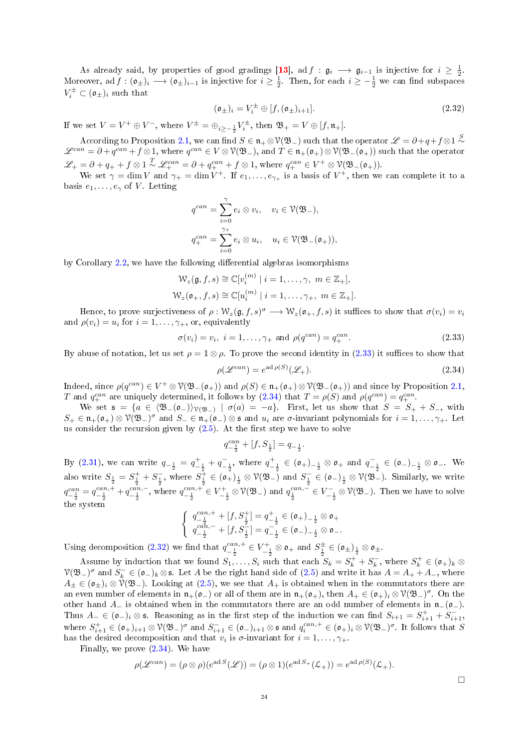As already said, by properties of good gradings [\[13\]](#page-88-14), ad  $f : \mathfrak{g}_i \longrightarrow \mathfrak{g}_{i-1}$  is injective for  $i \geq \frac{1}{2}$ . Moreover, ad  $f: (\mathfrak{o}_{\pm})_i \longrightarrow (\mathfrak{o}_{\pm})_{i-1}$  is injective for  $i \geq \frac{1}{2}$ . Then, for each  $i \geq -\frac{1}{2}$  we can find subspaces  $V_i^{\pm} \subset (\mathfrak{o}_{\pm})_i$  such that

<span id="page-27-2"></span>
$$
(\mathfrak{o}_{\pm})_i = V_i^{\pm} \oplus [f, (\mathfrak{o}_{\pm})_{i+1}]. \tag{2.32}
$$

If we set  $V = V^+ \oplus V^-$ , where  $V^{\pm} = \oplus_{i \geq -\frac{1}{2}} V_i^{\pm}$ , then  $\mathfrak{B}_+ = V \oplus [f, \mathfrak{n}_+]$ .

According to Proposition [2.1,](#page-17-5) we can find  $S\in \mathfrak{n}_+\otimes \mathcal{V}(\mathfrak{B}_-)$  such that the operator  $\mathscr{L}=\partial+q+f\otimes 1$   $\overset{S}{\sim}$  $\mathscr{L}^{can} = \partial + q^{can} + f \otimes 1$ , where  $q^{can} \in V \otimes V(\mathfrak{B}_-),$  and  $T \in \mathfrak{n}_+(\mathfrak{o}_+) \otimes V(\mathfrak{B}_-(\mathfrak{o}_+))$  such that the operator  $\mathscr{L}_+ = \partial + q_+ + f \otimes 1 \stackrel{T}{\sim} \mathscr{L}_+^{can} = \partial + q_+^{can} + f \otimes 1$ , where  $q_+^{can} \in V^+ \otimes \mathcal{V}(\mathfrak{B}_-(\mathfrak{o}_+)).$ 

We set  $\gamma = \dim V$  and  $\gamma_+ = \dim V^+$ . If  $e_1, \ldots, e_{\gamma_+}$  is a basis of  $V^+$ , then we can complete it to a basis  $e_1, \ldots, e_{\gamma}$  of V. Letting

$$
q^{can} = \sum_{i=0}^{\gamma} e_i \otimes v_i, \quad v_i \in \mathcal{V}(\mathfrak{B}_-),
$$
  

$$
q_+^{can} = \sum_{i=0}^{\gamma_+} e_i \otimes u_i, \quad u_i \in \mathcal{V}(\mathfrak{B}_-(\mathfrak{o}_+)),
$$

by Corollary  $2.2$ , we have the following differential algebras isomorphisms

$$
\mathcal{W}_z(\mathfrak{g}, f, s) \cong \mathbb{C}[v_i^{(m)} \mid i = 1, \dots, \gamma, m \in \mathbb{Z}_+],
$$
  

$$
\mathcal{W}_z(\mathfrak{o}_+, f, s) \cong \mathbb{C}[u_i^{(m)} \mid i = 1, \dots, \gamma_+, m \in \mathbb{Z}_+].
$$

Hence, to prove surjectiveness of  $\rho: \mathcal{W}_z(\mathfrak{g},f,s)^\sigma \longrightarrow \mathcal{W}_z(\mathfrak{o}_+,f,s)$  it suffices to show that  $\sigma(v_i) = v_i$ and  $\rho(v_i) = u_i$  for  $i = 1, \ldots, \gamma_+$ , or, equivalently

$$
\sigma(v_i) = v_i, \ i = 1, \dots, \gamma_+ \text{ and } \rho(q^{can}) = q_+^{can}.
$$
\n(2.33)

By abuse of notation, let us set  $\rho = \mathbb{1} \otimes \rho$ . To prove the second identity in [\(2.33\)](#page-27-0) it suffices to show that

<span id="page-27-1"></span><span id="page-27-0"></span>
$$
\rho(\mathcal{L}^{can}) = e^{\mathrm{ad}\,\rho(S)}(\mathcal{L}_+). \tag{2.34}
$$

Indeed, since  $\rho(q^{can}) \in V^+ \otimes \mathcal{V}(\mathfrak{B}_{-}(\mathfrak{o}_+))$  and  $\rho(S) \in \mathfrak{n}_+(\mathfrak{o}_+) \otimes \mathcal{V}(\mathfrak{B}_{-}(\mathfrak{o}_+))$  and since by Proposition [2.1,](#page-17-5) T and  $q_{+}^{can}$  are uniquely determined, it follows by [\(2.34\)](#page-27-1) that  $T = \rho(S)$  and  $\rho(q_{-}^{can}) = q_{+}^{can}$ .

We set  $\mathfrak{s} = \{a \in \langle \mathfrak{B}_{-}(\mathfrak{o}_{-}) \rangle_{\mathcal{V}(\mathfrak{B}_{-})} \mid \sigma(a) = -a\}.$  First, let us show that  $S = S_{+} + S_{-}$ , with  $S_+ \in \mathfrak{n}_+(\mathfrak{o}_+) \otimes \mathfrak{V}(\mathfrak{B}_-)^\sigma$  and  $S_- \in \mathfrak{n}_+(\mathfrak{o}_-) \otimes \mathfrak{s}$  and  $u_i$  are  $\sigma$ -invariant polynomials for  $i = 1, \ldots, \gamma_+$ . Let us consider the recursion given by  $(2.5)$ . At the first step we have to solve

$$
q^{can}_{-\frac{1}{2}}+[f,S_{\frac{1}{2}}]=q_{-\frac{1}{2}}.
$$

By [\(2.31\)](#page-26-0), we can write  $q_{-\frac{1}{2}} = q_{-\frac{1}{2}}^{+} + q_{-\frac{1}{2}}^{-}$ , where  $q_{-\frac{1}{2}}^{+} \in (\mathfrak{o}_{+})_{-\frac{1}{2}} \otimes \mathfrak{o}_{+}$  and  $q_{-\frac{1}{2}}^{-} \in (\mathfrak{o}_{-})_{-\frac{1}{2}} \otimes \mathfrak{o}_{-}$ . We also write  $S_{\frac{1}{2}} = S_{\frac{1}{2}}^+ + S_{\frac{1}{2}}^-$ , where  $S_{\frac{1}{2}}^+ \in (\mathfrak{o}_+)_{\frac{1}{2}} \otimes \mathcal{V}(\mathfrak{B}_-)$  and  $S_{\frac{1}{2}}^- \in (\mathfrak{o}_-)_{\frac{1}{2}} \otimes \mathcal{V}(\mathfrak{B}_-)$ . Similarly, we write  $q_{-\frac{1}{2}}^{can} = q_{-\frac{1}{2}}^{can,+} + q_{-\frac{1}{2}}^{can,-}$ , where  $q_{-\frac{1}{2}}^{can,+} \in V_{-\frac{1}{2}}^{+} \otimes \mathcal{V}(\mathfrak{B}_{-})$  and  $q_{\frac{1}{2}}^{can,-} \in V_{-\frac{1}{2}}^{-} \otimes \mathcal{V}(\mathfrak{B}_{-})$ . Then we have to solve the system

$$
\left\{\begin{array}{l} q_{-\frac{1}{2}}^{can, +} + [f, S_{\frac{1}{2}}^+] = q_{-\frac{1}{2}}^+ \in (\mathfrak{o}_+)_{-\frac{1}{2}} \otimes \mathfrak{o}_+ \\ q_{-\frac{1}{2}}^{can, -} + [f, S_{\frac{1}{2}}^-] = q_{-\frac{1}{2}}^- \in (\mathfrak{o}_-)_{-\frac{1}{2}} \otimes \mathfrak{o}_-.\end{array}\right.
$$

Using decomposition [\(2.32\)](#page-27-2) we find that  $q_{-\frac{1}{2}}^{can,+} \in V_{-\frac{1}{2}}^+ \otimes \mathfrak{o}_+$  and  $S_{\frac{1}{2}}^+ \in (\mathfrak{o}_\pm)_{\frac{1}{2}} \otimes \mathfrak{o}_\pm$ .

Assume by induction that we found  $S_1, \ldots, S_i$  such that each  $S_k = S_k^+ + S_k^-$ , where  $S_k^+ \in (\mathfrak{o}_+)_k \otimes$  $\mathcal{V}(\mathfrak{B}_{-})^{\sigma}$  and  $S_{k}^{-} \in (\mathfrak{o}_{-})_{k} \otimes \mathfrak{s}$ . Let A be the right hand side of  $(2.5)$  and write it has  $A = A_{+} + A_{-}$ , where  $A_{\pm} \in (\mathfrak{o}_{\pm})_i \otimes \mathfrak{V}(\mathfrak{B}_-)$ . Looking at  $(2.5)$ , we see that  $A_+$  is obtained when in the commutators there are an even number of elements in  $\mathfrak{n}_+(\mathfrak{o}_-)$  or all of them are in  $\mathfrak{n}_+(\mathfrak{o}_+)$ , then  $A_+ \in (\mathfrak{o}_+)_i \otimes \mathcal{V}(\mathfrak{B}_-)^\sigma$ . On the other hand  $A_-\neq 0$  is obtained when in the commutators there are an odd number of elements in  $\mathfrak{n}_-(\mathfrak{o}_-)$ . Thus  $A_-\in(\mathfrak{o}_-)_i\otimes\mathfrak{s}$ . Reasoning as in the first step of the induction we can find  $S_{i+1}=S_{i+1}^++S_{i+1}^$ where  $S_{i+1}^+ \in (\mathfrak{o}_{+})_{i+1} \otimes \mathcal{V}(\mathfrak{B}_{-})^{\sigma}$  and  $S_{i+1}^- \in (\mathfrak{o}_{-})_{i+1} \otimes \mathfrak{s}$  and  $q_i^{can,+} \in (\mathfrak{o}_{+})_i \otimes \mathcal{V}(\mathfrak{B}_{-})^{\sigma}$ . It follows that S has the desired decomposition and that  $v_i$  is  $\sigma$ -invariant for  $i = 1, \ldots, \gamma_+$ .

Finally, we prove [\(2.34\)](#page-27-1). We have

$$
\rho(\mathscr{L}^{can}) = (\rho \otimes \rho)(e^{\mathrm{ad}\,S}(\mathscr{L})) = (\rho \otimes 1)(e^{\mathrm{ad}\,S_+}(\mathcal{L}_+)) = e^{\mathrm{ad}\,\rho(S)}(\mathcal{L}_+).
$$

 $\Box$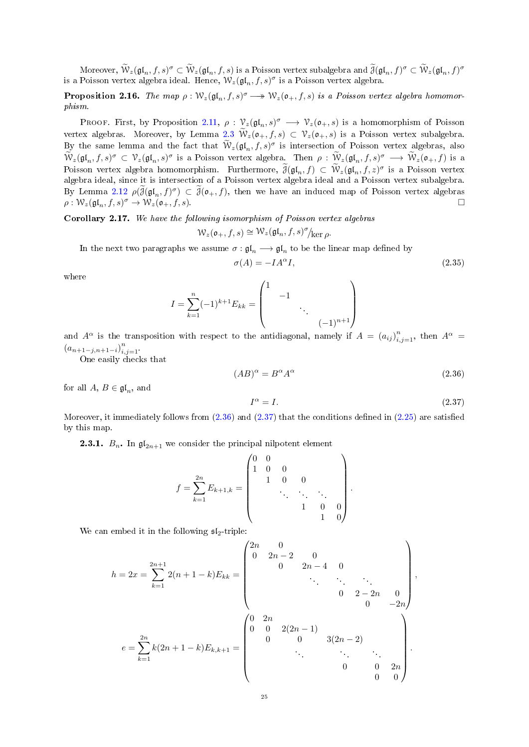Moreover,  $\mathcal{W}_z(\mathfrak{gl}_n, f, s)^\sigma \subset \mathcal{W}_z(\mathfrak{gl}_n, f, s)$  is a Poisson vertex subalgebra and  $\mathcal{J}(\mathfrak{gl}_n, f)^\sigma \subset \mathcal{W}_z(\mathfrak{gl}_n, f)^\sigma$ is a Poisson vertex algebra ideal. Hence,  $\mathcal{W}_z(\mathfrak{gl}_n, f, s)^\sigma$  is a Poisson vertex algebra.

<span id="page-28-2"></span>**Proposition 2.16.** The map  $\rho : \mathcal{W}_z(\mathfrak{gl}_n, f, s) \to \mathcal{W}_z(\mathfrak{o}_+, f, s)$  is a Poisson vertex algebra homomorphism.

PROOF. First, by Proposition [2.11,](#page-24-4)  $\rho: \mathcal{V}_z(\mathfrak{gl}_n, s)^\sigma \longrightarrow \mathcal{V}_z(\mathfrak{o}_+, s)$  is a homomorphism of Poisson vertex algebras. Moreover, by Lemma [2.3](#page-18-5)  $W_z(\mathfrak{o}_+, f, s) \subset \mathcal{V}_z(\mathfrak{o}_+, s)$  is a Poisson vertex subalgebra. By the same lemma and the fact that  $\widetilde{W}_z(\mathfrak{gl}_n, f, s)^\sigma$  is intersection of Poisson vertex algebras, also  $\widetilde{W}_z(\mathfrak{gl}_n, f, s)^\sigma \subset \mathcal{V}_z(\mathfrak{gl}_n, s)^\sigma$  is a Poisson vertex algebra. Then  $\rho: \widetilde{W}_z(\mathfrak{gl}_n, f, s)^\sigma \longrightarrow \widetilde{W}_z(\mathfrak{o}_+, f)$  is a Poisson vertex algebra homomorphism. Furthermore,  $\mathcal{J}(\mathfrak{gl}_n, f) \subset W_z(\mathfrak{gl}_n, f, z)^\sigma$  is a Poisson vertex algebra ideal, since it is intersection of a Poisson vertex algebra ideal and a Poisson vertex subalgebra. By Lemma [2.12](#page-25-1)  $\rho(\tilde{\theta}(\mathfrak{gl}_n, f)^{\sigma}) \subset \tilde{\theta}(\mathfrak{o}_+, f)$ , then we have an induced map of Poisson vertex algebras  $\rho: \mathcal{W}_z(\mathfrak{gl}_n, f, s)^\sigma \to \mathcal{W}_z(\mathfrak{o}_+, f, s).$ 

<span id="page-28-3"></span>Corollary 2.17. We have the following isomorphism of Poisson vertex algebras

 $\mathcal{W}_z(\mathfrak{o}_+, f, s) \cong \mathcal{W}_z(\mathfrak{gl}_n, f, s)^\sigma / \text{ker } \rho.$ 

In the next two paragraphs we assume  $\sigma : \mathfrak{gl}_n \longrightarrow \mathfrak{gl}_n$  to be the linear map defined by

<span id="page-28-4"></span>
$$
\sigma(A) = -IA^{\alpha}I,\tag{2.35}
$$

where

$$
I = \sum_{k=1}^{n} (-1)^{k+1} E_{kk} = \begin{pmatrix} 1 & & & \\ & -1 & & \\ & & \ddots & \\ & & & (-1)^{n+1} \end{pmatrix}
$$

and  $A^{\alpha}$  is the transposition with respect to the antidiagonal, namely if  $A = (a_{ij})_{i,j=1}^n$ , then  $A^{\alpha} =$  $(a_{n+1-j,n+1-i})_{i,j=1}^n$ .

One easily checks that

$$
(AB)^{\alpha} = B^{\alpha} A^{\alpha} \tag{2.36}
$$

for all  $A, B \in \mathfrak{gl}_n$ , and

<span id="page-28-1"></span><span id="page-28-0"></span>
$$
I^{\alpha} = I. \tag{2.37}
$$

Moreover, it immediately follows from  $(2.36)$  and  $(2.37)$  that the conditions defined in  $(2.25)$  are satisfied by this map.

**2.3.1.**  $B_n$ . In  $\mathfrak{gl}_{2n+1}$  we consider the principal nilpotent element

$$
f = \sum_{k=1}^{2n} E_{k+1,k} = \begin{pmatrix} 0 & 0 & & & & \\ 1 & 0 & 0 & & & \\ & 1 & 0 & 0 & & \\ & & & & 1 & 0 & 0 \\ & & & & & 1 & 0 \end{pmatrix}.
$$

We can embed it in the following  $\mathfrak{sl}_2$ -triple:

$$
h = 2x = \sum_{k=1}^{2n+1} 2(n+1-k)E_{kk} = \begin{pmatrix} 2n & 0 & & & & & & \\ 0 & 2n-2 & 0 & & & & & \\ & 0 & 2n-4 & 0 & & & & \\ & & & 0 & 2-2n & 0 & \\ & & & & 0 & 2-2n & 0 \\ & & & & & 0 & -2n \end{pmatrix},
$$

$$
e = \sum_{k=1}^{2n} k(2n+1-k)E_{k,k+1} = \begin{pmatrix} 0 & 2n & & & & & \\ 0 & 0 & 2(2n-1) & & & & \\ & 0 & 0 & 3(2n-2) & & & \\ & & & & 0 & 0 & 2n \\ & & & & & 0 & 0 \end{pmatrix}.
$$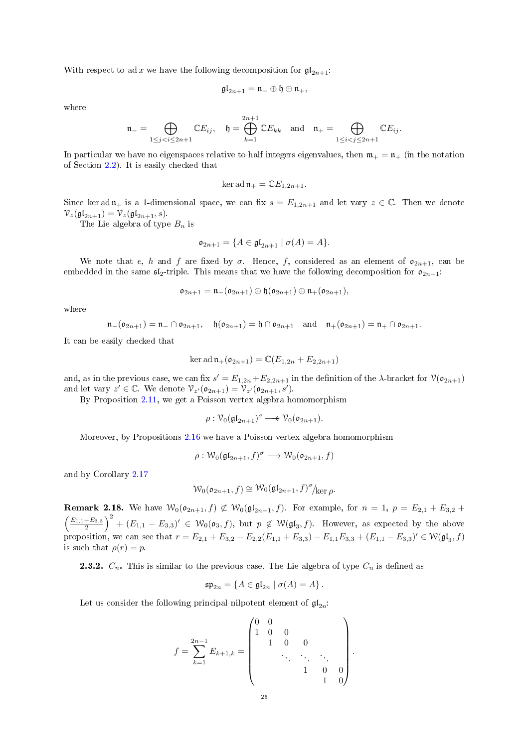With respect to ad x we have the following decomposition for  $\mathfrak{gl}_{2n+1}$ :

$$
\mathfrak{gl}_{2n+1}=\mathfrak{n}_-\oplus\mathfrak{h}\oplus\mathfrak{n}_+,
$$

where

$$
\mathfrak{n}_{-}=\bigoplus_{1\leq j
$$

In particular we have no eigenspaces relative to half integers eigenvalues, then  $m_+ = n_+$  (in the notation of Section [2.2\)](#page-18-0). It is easily checked that

$$
\ker \operatorname{ad} \mathfrak{n}_+ = \mathbb{C} E_{1,2n+1}.
$$

Since ker ad  $\mathfrak{n}_+$  is a 1-dimensional space, we can fix  $s = E_{1,2n+1}$  and let vary  $z \in \mathbb{C}$ . Then we denote  $V_z(\mathfrak{gl}_{2n+1}) = V_z(\mathfrak{gl}_{2n+1}, s).$ 

The Lie algebra of type  $B_n$  is

$$
\mathfrak{o}_{2n+1} = \{ A \in \mathfrak{gl}_{2n+1} \mid \sigma(A) = A \}.
$$

We note that e, h and f are fixed by  $\sigma$ . Hence, f, considered as an element of  $\mathfrak{o}_{2n+1}$ , can be embedded in the same  $\mathfrak{sl}_2$ -triple. This means that we have the following decomposition for  $\mathfrak{o}_{2n+1}$ :

$$
\mathfrak{o}_{2n+1}=\mathfrak{n}_-(\mathfrak{o}_{2n+1})\oplus\mathfrak{h}(\mathfrak{o}_{2n+1})\oplus\mathfrak{n}_+(\mathfrak{o}_{2n+1}),
$$

where

$$
\mathfrak{n}_-(\mathfrak{o}_{2n+1})=\mathfrak{n}_-\cap\mathfrak{o}_{2n+1},\quad\mathfrak{h}(\mathfrak{o}_{2n+1})=\mathfrak{h}\cap\mathfrak{o}_{2n+1}\quad\text{and}\quad\mathfrak{n}_+(\mathfrak{o}_{2n+1})=\mathfrak{n}_+\cap\mathfrak{o}_{2n+1}.
$$

It can be easily checked that

$$
\ker \operatorname{ad} \mathfrak{n}_{+}(\mathfrak{o}_{2n+1}) = \mathbb{C}(E_{1,2n} + E_{2,2n+1})
$$

and, as in the previous case, we can fix  $s' = E_{1,2n} + E_{2,2n+1}$  in the definition of the  $\lambda$ -bracket for  $\mathcal{V}(\mathfrak{o}_{2n+1})$ and let vary  $z' \in \mathbb{C}$ . We denote  $\mathcal{V}_{z'}(\mathfrak{o}_{2n+1}) = \mathcal{V}_{z'}(\mathfrak{o}_{2n+1}, s')$ .

By Proposition [2.11,](#page-24-4) we get a Poisson vertex algebra homomorphism

$$
\rho: \mathcal{V}_0(\mathfrak{gl}_{2n+1})^{\sigma} \longrightarrow \mathcal{V}_0(\mathfrak{o}_{2n+1}).
$$

Moreover, by Propositions [2.16](#page-28-2) we have a Poisson vertex algebra homomorphism

$$
\rho: \mathcal{W}_0(\mathfrak{gl}_{2n+1}, f)^\sigma \longrightarrow \mathcal{W}_0(\mathfrak{o}_{2n+1}, f)
$$

and by Corollary [2.17](#page-28-3)

$$
\mathcal{W}_0(\mathfrak{o}_{2n+1}, f) \cong \mathcal{W}_0(\mathfrak{gl}_{2n+1}, f)^\sigma /_{\text{ker }\rho}.
$$

**Remark 2.18.** We have  $W_0(\mathfrak{o}_{2n+1}, f) \not\subset W_0(\mathfrak{gl}_{2n+1}, f)$ . For example, for  $n = 1, p = E_{2,1} + E_{3,2} + E_{4,3}$  $\left(\frac{E_{1,1}-E_{3,3}}{2}\right)^2+(E_{1,1}-E_{3,3})' \in \mathcal{W}_0(\mathfrak{o}_3,f)$ , but  $p \notin \mathcal{W}(\mathfrak{gl}_3,f)$ . However, as expected by the above proposition, we can see that  $r = E_{2,1} + E_{3,2} - E_{2,2}(E_{1,1} + E_{3,3}) - E_{1,1}E_{3,3} + (E_{1,1} - E_{3,3})' \in W(\mathfrak{gl}_3, f)$ is such that  $\rho(r) = p$ .

**2.3.2.**  $C_n$ . This is similar to the previous case. The Lie algebra of type  $C_n$  is defined as

$$
\mathfrak{sp}_{2n} = \{ A \in \mathfrak{gl}_{2n} \mid \sigma(A) = A \} \, .
$$

Let us consider the following principal nilpotent element of  $\mathfrak{gl}_{2n}$ :

$$
f = \sum_{k=1}^{2n-1} E_{k+1,k} = \begin{pmatrix} 0 & 0 & & & & \\ 1 & 0 & 0 & & & \\ & & 1 & 0 & 0 & \\ & & & & \ddots & & \\ & & & & & 1 & 0 \\ & & & & & 1 & 0 \end{pmatrix}.
$$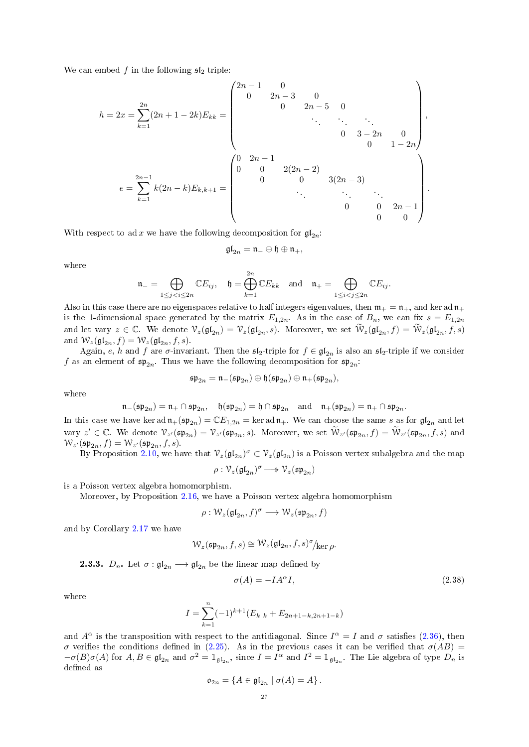We can embed f in the following  $\mathfrak{sl}_2$  triple:

h = 2x = X 2n k=1 (2n + 1 − 2k)Ekk = 2n − 1 0 0 2n − 3 0 0 2n − 5 0 . . . . . . . . . 0 3 − 2n 0 0 1 − 2n , e = 2 Xn−1 k=1 k(2n − k)Ek,k+1 = 0 2n − 1 0 0 2(2n − 2) 0 0 3(2n − 3) . . . . . . . . . 0 0 2n − 1 0 0 .

With respect to ad x we have the following decomposition for  $\mathfrak{gl}_{2n}$ .

$$
\mathfrak{gl}_{2n}=\mathfrak{n}_-\oplus\mathfrak{h}\oplus\mathfrak{n}_+,
$$

where

$$
\mathfrak{n}_{-}=\bigoplus_{1\leq j
$$

Also in this case there are no eigenspaces relative to half integers eigenvalues, then  $m_+ = n_+$ , and ker ad  $n_+$ is the 1-dimensional space generated by the matrix  $E_{1,2n}$ . As in the case of  $B_n$ , we can fix  $s = E_{1,2n}$ and let vary  $z \in \mathbb{C}$ . We denote  $\mathcal{V}_z(\mathfrak{gl}_{2n}) = \mathcal{V}_z(\mathfrak{gl}_{2n}, s)$ . Moreover, we set  $\widetilde{\mathcal{W}}_z(\mathfrak{gl}_{2n}, f) = \widetilde{\mathcal{W}}_z(\mathfrak{gl}_{2n}, f, s)$ and  $\mathcal{W}_z(\mathfrak{gl}_{2n}, f) = \mathcal{W}_z(\mathfrak{gl}_{2n}, f, s).$ 

Again, e, h and f are  $\sigma$ -invariant. Then the  $\mathfrak{sl}_2$ -triple for  $f \in \mathfrak{gl}_{2n}$  is also an  $\mathfrak{sl}_2$ -triple if we consider f as an element of  $\mathfrak{sp}_{2n}$ . Thus we have the following decomposition for  $\mathfrak{sp}_{2n}$ .

$$
\mathfrak{sp}_{2n}=\mathfrak{n}_-(\mathfrak{sp}_{2n})\oplus\mathfrak{h}(\mathfrak{sp}_{2n})\oplus\mathfrak{n}_+(\mathfrak{sp}_{2n}),
$$

where

$$
\mathfrak{n}_-(\mathfrak{sp}_{2n})=\mathfrak{n}_+\cap \mathfrak{sp}_{2n},\quad \mathfrak{h}(\mathfrak{sp}_{2n})=\mathfrak{h}\cap \mathfrak{sp}_{2n}\quad \text{and}\quad \mathfrak{n}_+(\mathfrak{sp}_{2n})=\mathfrak{n}_+\cap \mathfrak{sp}_{2n}.
$$

In this case we have ker ad  $\mathfrak{n}_+(\mathfrak{sp}_{2n}) = \mathbb{C}E_{1,2n} = \ker \mathrm{ad}\,\mathfrak{n}_+$ . We can choose the same s as for  $\mathfrak{gl}_{2n}$  and let vary  $z' \in \mathbb{C}$ . We denote  $\mathcal{V}_{z'}(\mathfrak{sp}_{2n}) = \mathcal{V}_{z'}(\mathfrak{sp}_{2n}, s)$ . Moreover, we set  $\widetilde{\mathcal{W}}_{z'}(\mathfrak{sp}_{2n}, f) = \widetilde{\mathcal{W}}_{z'}(\mathfrak{sp}_{2n}, f, s)$  and  $\mathcal{W}_{z'}(\mathfrak{sp}_{2n},f)=\mathcal{W}_{z'}(\mathfrak{sp}_{2n},f,s).$ 

By Proposition [2.10,](#page-24-2) we have that  $\mathcal{V}_z(\mathfrak{gl}_{2n})^{\sigma} \subset \mathcal{V}_z(\mathfrak{gl}_{2n})$  is a Poisson vertex subalgebra and the map

$$
\rho: \mathcal{V}_z(\mathfrak{gl}_{2n})^\sigma \longrightarrow \mathcal{V}_z(\mathfrak{sp}_{2n})
$$

is a Poisson vertex algebra homomorphism.

Moreover, by Proposition [2.16,](#page-28-2) we have a Poisson vertex algebra homomorphism

$$
\rho: \mathcal{W}_z(\mathfrak{gl}_{2n}, f)^\sigma \longrightarrow \mathcal{W}_z(\mathfrak{sp}_{2n}, f)
$$

and by Corollary [2.17](#page-28-3) we have

$$
\mathcal{W}_z(\mathfrak{sp}_{2n}, f, s) \cong \mathcal{W}_z(\mathfrak{gl}_{2n}, f, s)^\sigma/_{\text{ker }\rho}.
$$

**2.3.3.**  $D_n$ . Let  $\sigma : \mathfrak{gl}_{2n} \longrightarrow \mathfrak{gl}_{2n}$  be the linear map defined by

<span id="page-30-0"></span>
$$
\sigma(A) = -IA^{\alpha}I,\tag{2.38}
$$

where

$$
I = \sum_{k=1}^{n} (-1)^{k+1} (E_{k,k} + E_{2n+1-k,2n+1-k})
$$

and  $A^{\alpha}$  is the transposition with respect to the antidiagonal. Since  $I^{\alpha} = I$  and  $\sigma$  satisfies [\(2.36\)](#page-28-0), then  $\sigma$  verifies the conditions defined in [\(2.25\)](#page-23-2). As in the previous cases it can be verified that  $\sigma(AB)$  $-\sigma(B)\sigma(A)$  for  $A, B \in \mathfrak{gl}_{2n}$  and  $\sigma^2 = \mathbb{1}_{\mathfrak{gl}_{2n}}$ , since  $I = I^{\alpha}$  and  $I^2 = \mathbb{1}_{\mathfrak{gl}_{2n}}$ . The Lie algebra of type  $D_n$  is defined as

$$
\mathfrak{o}_{2n} = \{ A \in \mathfrak{gl}_{2n} \mid \sigma(A) = A \}.
$$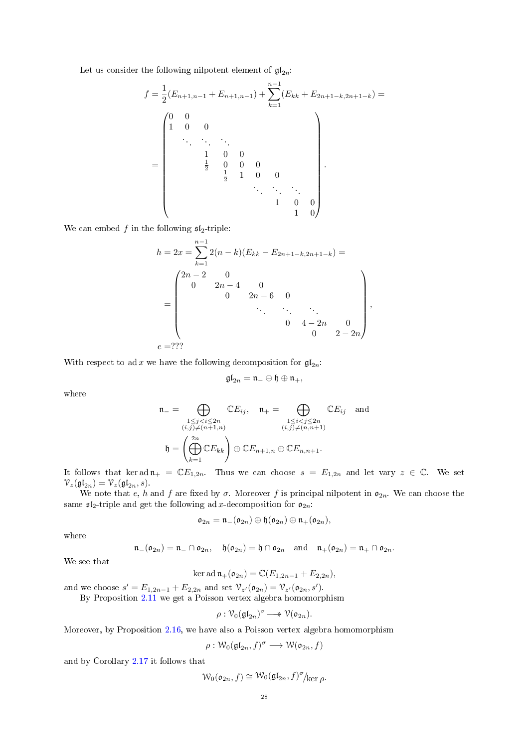Let us consider the following nilpotent element of  $\mathfrak{gl}_{2n}.$ 

$$
f = \frac{1}{2}(E_{n+1,n-1} + E_{n+1,n-1}) + \sum_{k=1}^{n-1} (E_{kk} + E_{2n+1-k,2n+1-k}) =
$$
  

$$
\begin{pmatrix} 0 & 0 & & & \\ 1 & 0 & 0 & & \\ & & \ddots & & \\ & & & 1 & 0 & 0 \\ & & & \frac{1}{2} & 1 & 0 & 0 \\ & & & & \ddots & \\ & & & & & 1 & 0 \end{pmatrix}
$$

We can embed f in the following  $\mathfrak{sl}_2$ -triple:

$$
h = 2x = \sum_{k=1}^{n-1} 2(n-k)(E_{kk} - E_{2n+1-k,2n+1-k}) =
$$
  
= 
$$
\begin{pmatrix} 2n-2 & 0 & 0 & 0 & 0\\ 0 & 2n-4 & 0 & 0 & 0\\ 0 & 0 & 2n-6 & 0 & 0\\ 0 & 0 & 4-2n & 0\\ 0 & 2-2n & 2-2n & 0 \end{pmatrix},
$$
  
 $e = ? ? ?$ 

With respect to ad x we have the following decomposition for  $\mathfrak{gl}_{2n}$ :

$$
\mathfrak{gl}_{2n}=\mathfrak{n}_-\oplus\mathfrak{h}\oplus\mathfrak{n}_+,
$$

where

$$
\mathfrak{n}_{-} = \bigoplus_{\substack{1 \leq j < i \leq 2n \\ (i,j) \neq (n+1,n)}} \mathbb{C}E_{ij}, \quad \mathfrak{n}_{+} = \bigoplus_{\substack{1 \leq i < j \leq 2n \\ (i,j) \neq (n,n+1)}} \mathbb{C}E_{ij} \quad \text{and}
$$
\n
$$
\mathfrak{h} = \left(\bigoplus_{k=1}^{2n} \mathbb{C}E_{kk}\right) \oplus \mathbb{C}E_{n+1,n} \oplus \mathbb{C}E_{n,n+1}.
$$

It follows that ker ad  $\mathfrak{n}_+ = \mathbb{C}E_{1,2n}$ . Thus we can choose  $s = E_{1,2n}$  and let vary  $z \in \mathbb{C}$ . We set  $V_z(\mathfrak{gl}_{2n}) = V_z(\mathfrak{gl}_{2n}, s).$ 

We note that e, h and f are fixed by  $\sigma$ . Moreover f is principal nilpotent in  $\mathfrak{o}_{2n}$ . We can choose the same  $\mathfrak{sl}_2$ -triple and get the following ad x-decomposition for  $\mathfrak{o}_{2n}$ :

$$
\mathfrak{o}_{2n}=\mathfrak{n}_-(\mathfrak{o}_{2n})\oplus\mathfrak{h}(\mathfrak{o}_{2n})\oplus\mathfrak{n}_+(\mathfrak{o}_{2n}),
$$

where

$$
\mathfrak{n}_-(\mathfrak{o}_{2n})=\mathfrak{n}_-\cap\mathfrak{o}_{2n},\quad \mathfrak{h}(\mathfrak{o}_{2n})=\mathfrak{h}\cap\mathfrak{o}_{2n}\quad\text{and}\quad \mathfrak{n}_+(\mathfrak{o}_{2n})=\mathfrak{n}_+\cap\mathfrak{o}_{2n}.
$$

We see that

$$
\ker \operatorname{ad} \mathfrak{n}_+(\mathfrak{o}_{2n}) = \mathbb{C}(E_{1,2n-1} + E_{2,2n}),
$$

and we choose  $s' = E_{1,2n-1} + E_{2,2n}$  and set  $\mathcal{V}_{z'}(\mathfrak{o}_{2n}) = \mathcal{V}_{z'}(\mathfrak{o}_{2n}, s')$ .

By Proposition [2.11](#page-24-4) we get a Poisson vertex algebra homomorphism

$$
\rho: {\mathcal V}_0({\mathfrak g}{\mathfrak l}_{2n})^\sigma \longrightarrow {\mathcal V}({\mathfrak o}_{2n}).
$$

Moreover, by Proposition [2.16,](#page-28-2) we have also a Poisson vertex algebra homomorphism

$$
\rho: \mathsf{W}_0(\mathfrak{gl}_{2n}, f)^\sigma \longrightarrow \mathsf{W}(\mathfrak{o}_{2n}, f)
$$

and by Corollary [2.17](#page-28-3) it follows that

$$
\mathcal{W}_0(\mathfrak{o}_{2n}, f) \cong \mathcal{W}_0(\mathfrak{gl}_{2n}, f)^\sigma / \ker \rho.
$$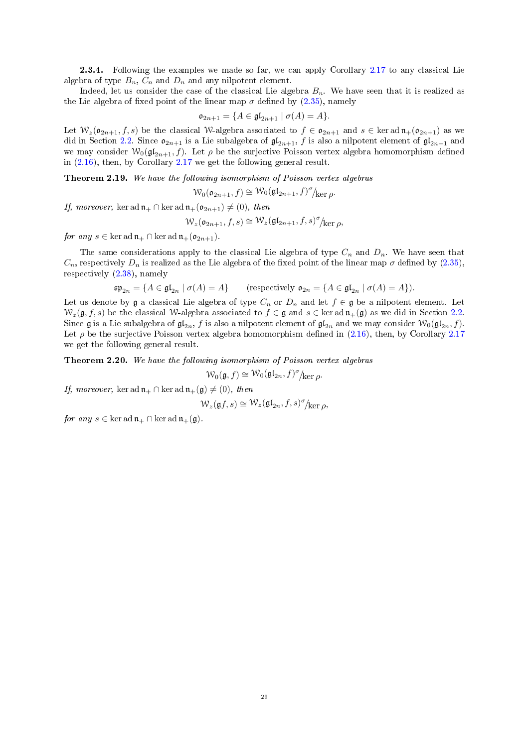2.3.4. Following the examples we made so far, we can apply Corollary [2.17](#page-28-3) to any classical Lie algebra of type  $B_n$ ,  $C_n$  and  $D_n$  and any nilpotent element.

Indeed, let us consider the case of the classical Lie algebra  $B_n$ . We have seen that it is realized as the Lie algebra of fixed point of the linear map  $\sigma$  defined by [\(2.35\)](#page-28-4), namely

$$
\mathfrak{o}_{2n+1} = \{ A \in \mathfrak{gl}_{2n+1} \mid \sigma(A) = A \}.
$$

Let  $\mathcal{W}_z(\mathfrak{o}_{2n+1}, f, s)$  be the classical W-algebra associated to  $f \in \mathfrak{o}_{2n+1}$  and  $s \in \text{ker ad } \mathfrak{n}_+(\mathfrak{o}_{2n+1})$  as we did in Section [2.2.](#page-18-0) Since  $\mathfrak{o}_{2n+1}$  is a Lie subalgebra of  $\mathfrak{gl}_{2n+1}$ , f is also a nilpotent element of  $\mathfrak{gl}_{2n+1}$  and we may consider  $W_0(\mathfrak{gl}_{2n+1}, f)$ . Let  $\rho$  be the surjective Poisson vertex algebra homomorphism defined in [\(2.16\)](#page-28-2), then, by Corollary [2.17](#page-28-3) we get the following general result.

Theorem 2.19. We have the following isomorphism of Poisson vertex algebras

 $\mathcal{W}_0(\mathfrak{o}_{2n+1}, f) \cong \mathcal{W}_0(\mathfrak{gl}_{2n+1}, f)^\sigma/_{\text{ker }\rho}.$ 

If, moreover, ker ad  $n_+ \cap \text{ker ad } n_+(\mathfrak{o}_{2n+1}) \neq (0)$ , then

 $\mathcal{W}_z(\mathfrak{o}_{2n+1}, f, s) \cong \mathcal{W}_z(\mathfrak{gl}_{2n+1}, f, s)^\sigma /_{\text{ker }\rho},$ 

for any  $s \in \ker \operatorname{ad} \mathfrak{n}_+ \cap \ker \operatorname{ad} \mathfrak{n}_+(\mathfrak{o}_{2n+1}).$ 

The same considerations apply to the classical Lie algebra of type  $C_n$  and  $D_n$ . We have seen that  $C_n$ , respectively  $D_n$  is realized as the Lie algebra of the fixed point of the linear map  $\sigma$  defined by [\(2.35\)](#page-28-4), respectively [\(2.38\)](#page-30-0), namely

$$
\mathfrak{sp}_{2n} = \{ A \in \mathfrak{gl}_{2n} \mid \sigma(A) = A \} \qquad \text{(respectively } \mathfrak{o}_{2n} = \{ A \in \mathfrak{gl}_{2n} \mid \sigma(A) = A \} \text{)}.
$$

Let us denote by g a classical Lie algebra of type  $C_n$  or  $D_n$  and let  $f \in \mathfrak{g}$  be a nilpotent element. Let  $W_z(\mathfrak{g}, f, s)$  be the classical W-algebra associated to  $f \in \mathfrak{g}$  and  $s \in \text{ker ad } \mathfrak{n}_+(\mathfrak{g})$  as we did in Section [2.2.](#page-18-0) Since g is a Lie subalgebra of  $\mathfrak{gl}_{2n}$ , f is also a nilpotent element of  $\mathfrak{gl}_{2n}$  and we may consider  $\mathcal{W}_0(\mathfrak{gl}_{2n}, f)$ . Let  $\rho$  be the surjective Poisson vertex algebra homomorphism defined in [\(2.16\)](#page-28-2), then, by Corollary [2.17](#page-28-3) we get the following general result.

Theorem 2.20. We have the following isomorphism of Poisson vertex algebras

$$
\mathcal{W}_0(\mathfrak{g}, f) \cong \mathcal{W}_0(\mathfrak{gl}_{2n}, f)^\sigma / \ker \rho.
$$

If, moreover, ker ad  $\mathfrak{n}_+ \cap$  ker ad  $\mathfrak{n}_+(\mathfrak{g}) \neq (0)$ , then

$$
\mathcal{W}_z(\mathfrak{g} f, s) \cong \mathcal{W}_z(\mathfrak{gl}_{2n}, f, s)^\sigma / \text{ker }\rho,
$$

for any  $s \in \ker ad \mathfrak{n}_+ \cap \ker ad \mathfrak{n}_+(\mathfrak{g}).$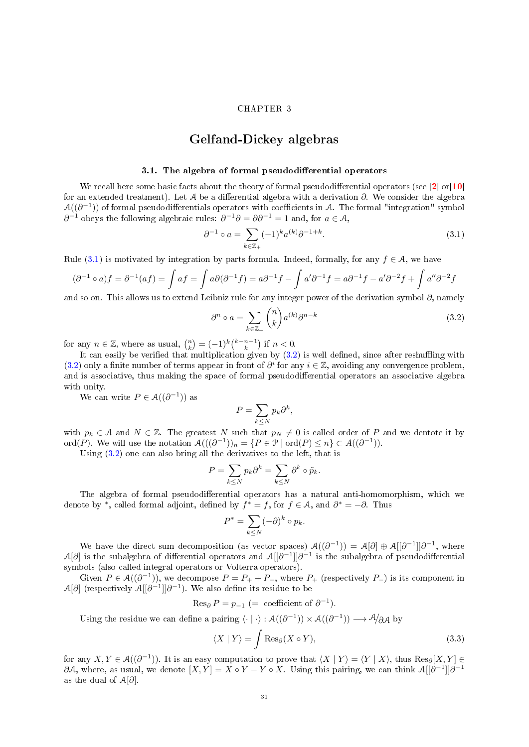#### <span id="page-34-2"></span>CHAPTER 3

# Gelfand-Dickey algebras

#### 3.1. The algebra of formal pseudodifferential operators

<span id="page-34-1"></span><span id="page-34-0"></span>We recall here some basic facts about the theory of formal pseudodifferential operators (see  $\lceil 2 \rceil$  or  $\lceil 10 \rceil$ for an extended treatment). Let A be a differential algebra with a derivation  $\partial$ . We consider the algebra  $\mathcal{A}((\partial^{-1}))$  of formal pseudodifferentials operators with coefficients in  $\mathcal{A}$ . The formal "integration" symbol  $\partial^{-1}$  obeys the following algebraic rules:  $\partial^{-1}\partial = \partial \partial^{-1} = 1$  and, for  $a \in \mathcal{A}$ ,

$$
\partial^{-1} \circ a = \sum_{k \in \mathbb{Z}_+} (-1)^k a^{(k)} \partial^{-1+k}.
$$
\n(3.1)

Rule [\(3.1\)](#page-34-2) is motivated by integration by parts formula. Indeed, formally, for any  $f \in \mathcal{A}$ , we have

$$
(\partial^{-1} \circ a)f = \partial^{-1}(af) = \int af = \int a\partial(\partial^{-1}f) = a\partial^{-1}f - \int a'\partial^{-1}f = a\partial^{-1}f - a'\partial^{-2}f + \int a''\partial^{-2}f
$$

and so on. This allows us to extend Leibniz rule for any integer power of the derivation symbol ∂, namely

$$
\partial^n \circ a = \sum_{k \in \mathbb{Z}_+} \binom{n}{k} a^{(k)} \partial^{n-k} \tag{3.2}
$$

for any  $n \in \mathbb{Z}$ , where as usual,  $\binom{n}{k} = (-1)^k \binom{k-n-1}{k}$  if  $n < 0$ .

It can easily be verified that multiplication given by  $(3.2)$  is well defined, since after reshuffling with [\(3.2\)](#page-34-3) only a finite number of terms appear in front of  $\partial^i$  for any  $i \in \mathbb{Z}$ , avoiding any convergence problem, and is associative, thus making the space of formal pseudodifferential operators an associative algebra with unity.

We can write  $P \in \mathcal{A}((\partial^{-1}))$  as

<span id="page-34-3"></span>
$$
P = \sum_{k \le N} p_k \partial^k,
$$

with  $p_k \in A$  and  $N \in \mathbb{Z}$ . The greatest N such that  $p_N \neq 0$  is called order of P and we dentote it by ord(P). We will use the notation  $\mathcal{A}((\partial^{-1}))_n = \{P \in \mathcal{P} \mid \text{ord}(P) \leq n\} \subset \mathcal{A}((\partial^{-1}))$ .

Using [\(3.2\)](#page-34-3) one can also bring all the derivatives to the left, that is

$$
P = \sum_{k \le N} p_k \partial^k = \sum_{k \le N} \partial^k \circ \tilde{p}_k.
$$

The algebra of formal pseudodifferential operators has a natural anti-homomorphism, which we denote by \*, called formal adjoint, defined by  $f^* = f$ , for  $f \in A$ , and  $\partial^* = -\partial$ . Thus

$$
P^* = \sum_{k \le N} (-\partial)^k \circ p_k.
$$

We have the direct sum decomposition (as vector spaces)  $\mathcal{A}((\partial^{-1})) = \mathcal{A}[\partial] \oplus \mathcal{A}[[\partial^{-1}]]\partial^{-1}$ , where  $\mathcal{A}[\partial]$  is the subalgebra of differential operators and  $\mathcal{A}[[\partial^{-1}]]\partial^{-1}$  is the subalgebra of pseudodifferential symbols (also called integral operators or Volterra operators).

Given  $P \in \mathcal{A}((\partial^{-1}))$ , we decompose  $P = P_+ + P_-$ , where  $P_+$  (respectively  $P_-$ ) is its component in  $\mathcal{A}[\partial]$  (respectively  $\mathcal{A}[[\partial^{-1}]]\partial^{-1})$ . We also define its residue to be

$$
\operatorname{Res}_{\partial} P = p_{-1} \; (= \; \text{coefficient of } \partial^{-1}).
$$

Using the residue we can define a pairing  $\langle \cdot | \cdot \rangle : \mathcal{A}((\partial^{-1})) \times \mathcal{A}((\partial^{-1})) \longrightarrow \mathcal{A}/\partial \mathcal{A}$  by

<span id="page-34-4"></span>
$$
\langle X | Y \rangle = \int \text{Res}_{\partial} (X \circ Y), \tag{3.3}
$$

for any  $X, Y \in \mathcal{A}((\partial^{-1}))$ . It is an easy computation to prove that  $\langle X | Y \rangle = \langle Y | X \rangle$ , thus  $\text{Res}_{\partial}[X, Y] \in$  $\partial A$ , where, as usual, we denote  $[X, Y] = X \circ Y - Y \circ X$ . Using this pairing, we can think  $\mathcal{A}[[\partial^{-1}]]\partial^{-1}$ as the dual of  $\mathcal{A}[\partial]$ .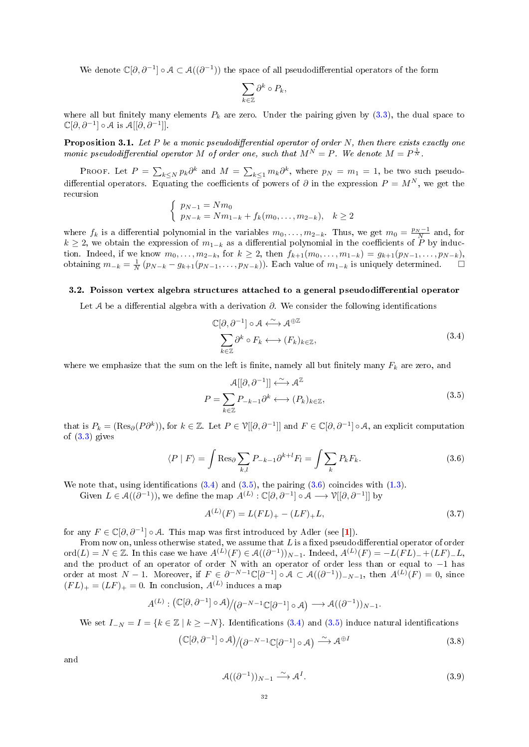We denote  $\mathbb{C}[\partial,\partial^{-1}] \circ \mathcal{A} \subset \mathcal{A}((\partial^{-1}))$  the space of all pseudodifferential operators of the form

$$
\sum_{k\in\mathbb{Z}}\partial^k\circ P_k,
$$

where all but finitely many elements  $P_k$  are zero. Under the pairing given by [\(3.3\)](#page-34-4), the dual space to  $\mathbb{C}[\partial,\partial^{-1}] \circ \mathcal{A}$  is  $\mathcal{A}[[\partial,\partial^{-1}]].$ 

**Proposition 3.1.** Let P be a monic pseudodifferential operator of order N, then there exists exactly one monic pseudodifferential operator M of order one, such that  $M^N = P$ . We denote  $M = P^{\frac{1}{N}}$ .

PROOF. Let  $P = \sum_{k \le N} p_k \partial^k$  and  $M = \sum_{k \le 1} m_k \partial^k$ , where  $p_N = m_1 = 1$ , be two such pseudodifferential operators. Equating the coefficients of powers of  $\partial$  in the expression  $P = M^N$ , we get the recursion

$$
\begin{cases} p_{N-1} = Nm_0 \\ p_{N-k} = Nm_{1-k} + f_k(m_0, \dots, m_{2-k}), \quad k \ge 2 \end{cases}
$$

where  $f_k$  is a differential polynomial in the variables  $m_0, \ldots, m_{2-k}$ . Thus, we get  $m_0 = \frac{p_N - 1}{N}$  and, for  $k \geq 2$ , we obtain the expression of  $m_{1-k}$  as a differential polynomial in the coefficients of P by induction. Indeed, if we know  $m_0, \ldots, m_{2-k}$ , for  $k \geq 2$ , then  $f_{k+1}(m_0, \ldots, m_{1-k}) = g_{k+1}(p_{N-1}, \ldots, p_{N-k}),$ obtaining  $m_{-k} = \frac{1}{N} (p_{N-k} - g_{k+1}(p_{N-1}, \ldots, p_{N-k}))$ . Each value of  $m_{1-k}$  is uniquely determined. □

#### <span id="page-35-0"></span>3.2. Poisson vertex algebra structures attached to a general pseudodifferential operator

Let A be a differential algebra with a derivation  $\partial$ . We consider the following identifications

<span id="page-35-1"></span>
$$
\mathbb{C}[\partial, \partial^{-1}] \circ \mathcal{A} \longleftrightarrow \mathcal{A}^{\oplus \mathbb{Z}}
$$
  

$$
\sum_{k \in \mathbb{Z}} \partial^k \circ F_k \longleftrightarrow (F_k)_{k \in \mathbb{Z}},
$$
  
(3.4)

where we emphasize that the sum on the left is finite, namely all but finitely many  $F_k$  are zero, and

<span id="page-35-2"></span>
$$
\mathcal{A}[[\partial,\partial^{-1}]] \xleftarrow{\sim} \mathcal{A}^{\mathbb{Z}}
$$

$$
P = \sum_{k \in \mathbb{Z}} P_{-k-1} \partial^{k} \longleftrightarrow (P_{k})_{k \in \mathbb{Z}},
$$
(3.5)

that is  $P_k = (\text{Res}_{\partial}(P\partial^k))$ , for  $k \in \mathbb{Z}$ . Let  $P \in \mathcal{V}[[\partial, \partial^{-1}]]$  and  $F \in \mathbb{C}[\partial, \partial^{-1}] \circ \mathcal{A}$ , an explicit computation of  $(3.3)$  gives

$$
\langle P | F \rangle = \int \text{Res}_{\partial} \sum_{k,l} P_{-k-1} \partial^{k+l} F_l = \int \sum_k P_k F_k. \tag{3.6}
$$

We note that, using identifications  $(3.4)$  and  $(3.5)$ , the pairing  $(3.6)$  coincides with  $(1.3)$ .

Given  $L \in \mathcal{A}((\partial^{-1}))$ , we define the map  $A^{(L)} : \mathbb{C}[\partial, \partial^{-1}] \circ \mathcal{A} \longrightarrow \mathcal{V}[[\partial, \partial^{-1}]]$  by

<span id="page-35-3"></span>
$$
A^{(L)}(F) = L(FL)_{+} - (LF)_{+}L, \tag{3.7}
$$

for any  $F \in \mathbb{C}[\partial, \partial^{-1}] \circ \mathcal{A}$ . This map was first introduced by Adler (see [\[1\]](#page-88-10)).

From now on, unless otherwise stated, we assume that  $L$  is a fixed pseudodifferential operator of order  $\text{ord}(L) = N \in \mathbb{Z}$ . In this case we have  $A^{(L)}(F) \in \mathcal{A}((\partial^{-1}))_{N-1}$ . Indeed,  $A^{(L)}(F) = -L(FL)_{-} + (LF)_{-}L$ , and the product of an operator of order N with an operator of order less than or equal to −1 has order at most  $N-1$ . Moreover, if  $F \in \partial^{-N-1} \mathbb{C}[\partial^{-1}] \circ \mathcal{A} \subset \mathcal{A}((\partial^{-1}))_{-N-1}$ , then  $A^{(L)}(F) = 0$ , since  $(FL)_+ = (LF)_+ = 0$ . In conclusion,  $A^{(L)}$  induces a map

$$
A^{(L)}: (\mathbb{C}[\partial, \partial^{-1}] \circ A) / (\partial^{-N-1} \mathbb{C}[\partial^{-1}] \circ A) \longrightarrow A((\partial^{-1}))_{N-1}.
$$

We set  $I_{-N} = I = \{k \in \mathbb{Z} \mid k \geq -N\}$ . Identifications [\(3.4\)](#page-35-1) and [\(3.5\)](#page-35-2) induce natural identifications

$$
(\mathbb{C}[\partial,\partial^{-1}]\circ\mathcal{A})/(\partial^{-N-1}\mathbb{C}[\partial^{-1}]\circ\mathcal{A}) \stackrel{\sim}{\longrightarrow} \mathcal{A}^{\oplus I}
$$
 (3.8)

and

$$
\mathcal{A}((\partial^{-1}))_{N-1} \xrightarrow{\sim} \mathcal{A}^I. \tag{3.9}
$$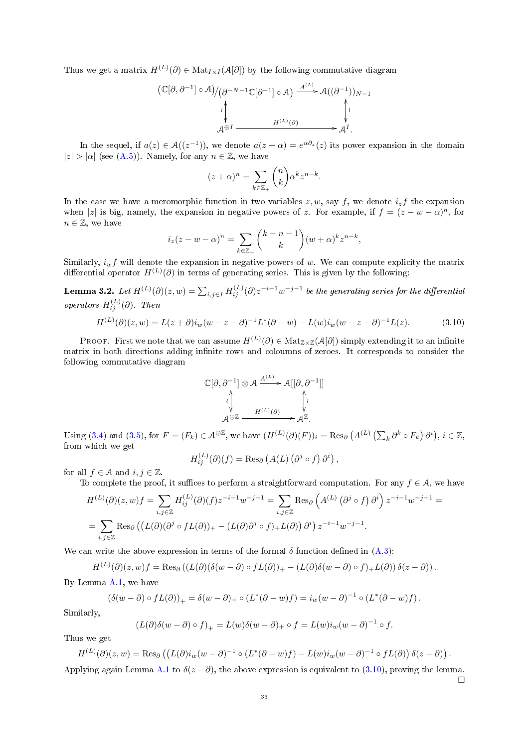Thus we get a matrix  $H^{(L)}(\partial) \in Mat_{I \times I}(\mathcal{A}[\partial])$  by the following commutative diagram

$$
(\mathbb{C}[\partial,\partial^{-1}]\circ\mathcal{A})/(\partial^{-N-1}\mathbb{C}[\partial^{-1}]\circ\mathcal{A}) \xrightarrow{A^{(L)}} \mathcal{A}((\partial^{-1}))_{N-1}
$$
\n
$$
\downarrow^{\wedge}
$$
\n
$$
\mathcal{A}^{\oplus I} \xrightarrow{H^{(L)}(\partial)} \mathcal{A}^{I}.
$$

In the sequel, if  $a(z) \in \mathcal{A}((z^{-1}))$ , we denote  $a(z+\alpha) = e^{\alpha \partial_z}(z)$  its power expansion in the domain  $|z| > |\alpha|$  (see [\(A.5\)](#page-81-0)). Namely, for any  $n \in \mathbb{Z}$ , we have

$$
(z+\alpha)^n = \sum_{k \in \mathbb{Z}_+} \binom{n}{k} \alpha^k z^{n-k}.
$$

In the case we have a meromorphic function in two variables  $z, w$ , say f, we denote  $i, f$  the expansion when |z| is big, namely, the expansion in negative powers of z. For example, if  $f = (z - w - \alpha)^n$ , for  $n \in \mathbb{Z}$ , we have

$$
i_z(z - w - \alpha)^n = \sum_{k \in \mathbb{Z}_+} {k - n - 1 \choose k} (w + \alpha)^k z^{n-k},
$$

Similarly,  $i_w f$  will denote the expansion in negative powers of w. We can compute explicity the matrix differential operator  $H^{(L)}(\partial)$  in terms of generating series. This is given by the following:

<span id="page-36-1"></span>**Lemma 3.2.** Let  $H^{(L)}(\partial)(z,w)=\sum_{i,j\in I}H^{(L)}_{ij}(\partial)z^{-i-1}w^{-j-1}$  be the generating series for the differential operators  $H_{ij}^{(L)}(\partial)$ . Then

$$
H^{(L)}(\partial)(z,w) = L(z+\partial)i_w(w-z-\partial)^{-1}L^*(\partial - w) - L(w)i_w(w-z-\partial)^{-1}L(z).
$$
 (3.10)

PROOF. First we note that we can assume  $H^{(L)}(\partial)\in\text{Mat}_{\mathbb{Z}\times\mathbb{Z}}(\mathcal{A}[\partial])$  simply extending it to an infinite matrix in both directions adding infinite rows and coloumns of zeroes. It corresponds to consider the following commutative diagram

<span id="page-36-0"></span>
$$
\mathbb{C}[\partial, \partial^{-1}] \otimes \mathcal{A} \xrightarrow{A^{(L)}} \mathcal{A}[[\partial, \partial^{-1}]]
$$

$$
\downarrow^{\uparrow} \qquad \qquad \downarrow^{\uparrow} \qquad \qquad \downarrow^{\uparrow} \qquad \qquad \downarrow^{\uparrow}
$$

$$
\mathcal{A}^{\oplus \mathbb{Z}} \xrightarrow{H^{(L)}(\partial)} \mathcal{A}^{\mathbb{Z}}.
$$

Using [\(3.4\)](#page-35-0) and [\(3.5\)](#page-35-1), for  $F = (F_k) \in \mathcal{A}^{\oplus \mathbb{Z}}$ , we have  $(H^{(L)}(\partial)(F))_i = \text{Res}_{\partial} (A^{(L)}(\sum_k \partial^k \circ F_k) \partial^i), i \in \mathbb{Z}$ , from which we get

$$
H_{ij}^{(L)}(\partial)(f) = \text{Res}_{\partial} (A(L) (\partial^{j} \circ f) \partial^{i}),
$$

for all  $f \in \mathcal{A}$  and  $i, j \in \mathbb{Z}$ .

To complete the proof, it suffices to perform a straightforward computation. For any  $f \in \mathcal{A}$ , we have

$$
H^{(L)}(\partial)(z,w)f = \sum_{i,j\in\mathbb{Z}} H_{ij}^{(L)}(\partial)(f)z^{-i-1}w^{-j-1} = \sum_{i,j\in\mathbb{Z}} \text{Res}_{\partial} \left( A^{(L)}(\partial^j \circ f) \partial^i \right) z^{-i-1}w^{-j-1} =
$$
  
= 
$$
\sum_{i,j\in\mathbb{Z}} \text{Res}_{\partial} \left( \left( L(\partial)(\partial^j \circ f L(\partial))_+ - \left( L(\partial)\partial^j \circ f \right)_+ L(\partial) \right) \partial^i \right) z^{-i-1}w^{-j-1}.
$$

We can write the above expression in terms of the formal  $\delta$ -function defined in  $(A.3)$ :

$$
H^{(L)}(\partial)(z,w)f = \text{Res}_{\partial} ((L(\partial)(\delta(w-\partial) \circ fL(\partial)))_{+} - (L(\partial)\delta(w-\partial) \circ f)_{+}L(\partial)) \delta(z-\partial)).
$$

By Lemma [A.1,](#page-81-2) we have

$$
(\delta(w-\partial) \circ fL(\partial))_+ = \delta(w-\partial)_+ \circ (L^*(\partial - w)f) = i_w(w-\partial)^{-1} \circ (L^*(\partial - w)f).
$$

Similarly,

$$
(L(\partial)\delta(w-\partial)\circ f)_+ = L(w)\delta(w-\partial)_+ \circ f = L(w)i_w(w-\partial)^{-1} \circ f.
$$

Thus we get

 $H^{(L)}(\partial)(z,w) = \text{Res}_{\partial}\left( \left( L(\partial)i_{w}(w-\partial)^{-1} \circ (L^{*}(\partial - w)f) - L(w)i_{w}(w-\partial)^{-1} \circ fL(\partial)\right)\delta(z-\partial) \right).$ Applying again Lemma [A.1](#page-81-2) to  $\delta(z-\partial)$ , the above expression is equivalent to [\(3.10\)](#page-36-0), proving the lemma.

 $\Box$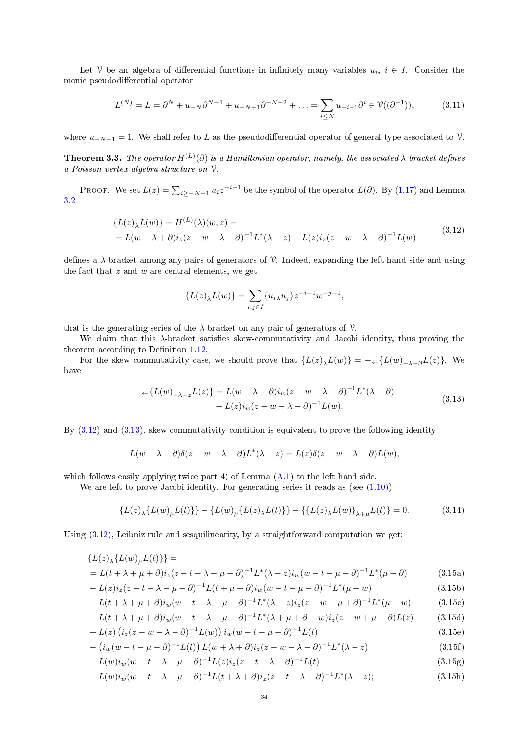Let V be an algebra of differential functions in infinitely many variables  $u_i, i \in I$ . Consider the monic pseudodifferential operator

$$
L^{(N)} = L = \partial^N + u_{-N}\partial^{N-1} + u_{-N+1}\partial^{-N-2} + \dots = \sum_{i \le N} u_{-i-1}\partial^i \in \mathcal{V}((\partial^{-1})),\tag{3.11}
$$

where  $u_{-N-1} = 1$ . We shall refer to L as the pseudodifferential operator of general type associated to V.

<span id="page-37-11"></span>**Theorem 3.3.** The operator  $H^{(L)}(\partial)$  is a Hamiltonian operator, namely, the associated  $\lambda$ -bracket defines a Poisson vertex algebra structure on V.

PROOF. We set  $L(z) = \sum_{i \geq -N-1} u_i z^{-i-1}$  be the symbol of the operator  $L(\partial)$ . By [\(1.17\)](#page-12-0) and Lemma [3.2](#page-36-1)

$$
\{L(z)_{\lambda}L(w)\} = H^{(L)}(\lambda)(w, z) =
$$
  
= L(w + \lambda + \partial)i<sub>z</sub>(z - w - \lambda - \partial)^{-1}L^\*(\lambda - z) - L(z)i<sub>z</sub>(z - w - \lambda - \partial)^{-1}L(w) (3.12)

defines a  $\lambda$ -bracket among any pairs of generators of  $\mathcal V$ . Indeed, expanding the left hand side and using the fact that  $z$  and  $w$  are central elements, we get

<span id="page-37-12"></span><span id="page-37-1"></span><span id="page-37-0"></span>
$$
\{L(z)_{\lambda}L(w)\} = \sum_{i,j \in I} \{u_{i\lambda}u_j\} z^{-i-1}w^{-j-1},
$$

that is the generating series of the  $\lambda$ -bracket on any pair of generators of  $\mathcal V$ .

We claim that this  $\lambda$ -bracket satisfies skew-commutativity and Jacobi identity, thus proving the theorem according to Definition  $1.12$ .

For the skew-commutativity case, we should prove that  ${L(z)_\lambda L(w)} = -\leftarrow {L(w)_{-\lambda-\partial}L(z)}$ . We have

$$
-\leftarrow \{L(w)_{-\lambda-z}L(z)\} = L(w+\lambda+\partial)i_w(z-w-\lambda-\partial)^{-1}L^*(\lambda-\partial) -L(z)i_w(z-w-\lambda-\partial)^{-1}L(w).
$$
\n(3.13)

By [\(3.12\)](#page-37-0) and [\(3.13\)](#page-37-1), skew-commutativity condition is equivalent to prove the following identity

<span id="page-37-6"></span>
$$
L(w+\lambda+\partial)\delta(z-w-\lambda-\partial)L^*(\lambda-z)=L(z)\delta(z-w-\lambda-\partial)L(w),
$$

which follows easily applying twice part 4) of Lemma  $(A.1)$  to the left hand side.

We are left to prove Jacobi identity. For generating series it reads as (see  $(1.10)$ )

<span id="page-37-9"></span><span id="page-37-8"></span><span id="page-37-7"></span><span id="page-37-4"></span><span id="page-37-3"></span><span id="page-37-2"></span>
$$
\{L(z)_{\lambda}\{L(w)_{\mu}L(t)\}\} - \{L(w)_{\mu}\{L(z)_{\lambda}L(t)\}\} - \{\{L(z)_{\lambda}L(w)\}_{\lambda+\mu}L(t)\} = 0.
$$
 (3.14)

Using  $(3.12)$ , Leibniz rule and sesquilinearity, by a straightforward computation we get:

$$
\{L(z)_\lambda\{L(w)_\mu L(t)\}\} =
$$

$$
= L(t + \lambda + \mu + \partial)i_z(z - t - \lambda - \mu - \partial)^{-1}L^*(\lambda - z)i_w(w - t - \mu - \partial)^{-1}L^*(\mu - \partial)
$$
(3.15a)  

$$
- L(z)i_z(z - t - \lambda - \mu - \partial)^{-1}L(t + \mu + \partial)i_w(w - t - \mu - \partial)^{-1}L^*(\mu - w)
$$
(3.15b)

$$
- L(z) i_z (z - t - \lambda - \mu - \partial)^{-1} L(t + \mu + \partial) i_w (w - t - \mu - \partial)^{-1} L^*(\mu - w)
$$
(3.15b)  
+ L(t + \lambda + \mu + \partial) i\_w (w - t - \lambda - \mu - \partial)^{-1} L^\*(\lambda - z) i\_z (z - w + \mu + \partial)^{-1} L^\*(\mu - w)(3.15c)

$$
-L(t + \lambda + \mu + \partial) i_w (w - t - \lambda - \mu - \partial)^{-1} L^*(\lambda + \mu + \partial - w) i_z (z - w + \mu + \partial) L(z)
$$
(3.15d)

+ 
$$
L(z) (i_z(z - w - \lambda - \partial)^{-1} L(w)) i_w(w - t - \mu - \partial)^{-1} L(t)
$$
 (3.15e)

$$
- (i_w(w - t - \mu - \partial)^{-1}L(t)) L(w + \lambda + \partial)i_z(z - w - \lambda - \partial)^{-1}L^*(\lambda - z)
$$
\n(3.15f)

$$
+ L(w)i_w(w-t-\lambda-\mu-\partial)^{-1}L(z)i_z(z-t-\lambda-\partial)^{-1}L(t)
$$
\n(3.15g)

<span id="page-37-10"></span><span id="page-37-5"></span>
$$
- L(w)i_w(w - t - \lambda - \mu - \partial)^{-1}L(t + \lambda + \partial)i_z(z - t - \lambda - \partial)^{-1}L^*(\lambda - z); \tag{3.15h}
$$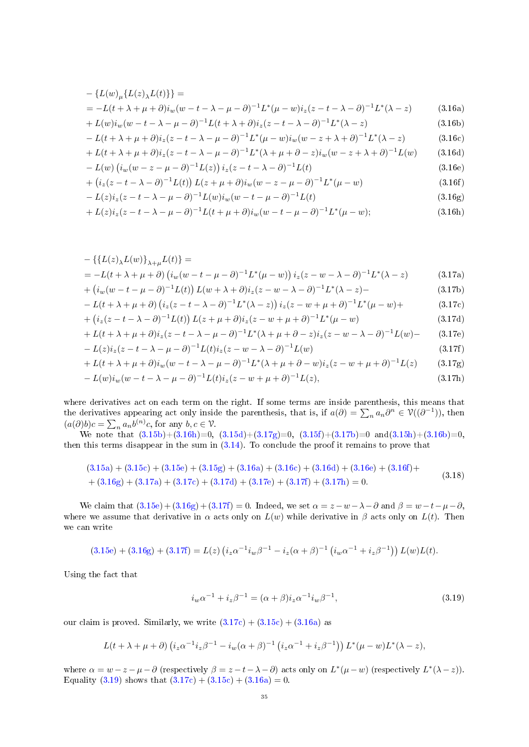<span id="page-38-4"></span><span id="page-38-3"></span>
$$
- \{L(w)_{\mu} \{L(z)_{\lambda} L(t)\}\} =
$$
  
=  $-L(t + \lambda + \mu + \partial)i_w(w - t - \lambda - \mu - \partial)^{-1}L^*(\mu - w)i_z(z - t - \lambda - \partial)^{-1}L^*(\lambda - z)$  (3.16a)

$$
+ L(w)i_w(w - t - \lambda - \mu - \partial)^{-1}L(t + \lambda + \partial)i_z(z - t - \lambda - \partial)^{-1}L^*(\lambda - z)
$$
\n(3.16b)

<span id="page-38-6"></span><span id="page-38-5"></span>
$$
-L(t+\lambda+\mu+\partial)i_z(z-t-\lambda-\mu-\partial)^{-1}L^*(\mu-w)i_w(w-z+\lambda+\partial)^{-1}L^*(\lambda-z)
$$
(3.16c)  
+L(t+\lambda+\mu+\partial)i\_v(w-t-\lambda-w-\partial)^{-1}L^\*(\lambda+w+\partial^2-w)i\_v(w-w+\lambda+\partial)^{-1}L^\*(\omega)(3.16d)

$$
+ L(t + \lambda + \mu + \partial)i_z(z - t - \lambda - \mu - \partial)^{-1}L^*(\lambda + \mu + \partial - z)i_w(w - z + \lambda + \partial)^{-1}L(w)
$$
 (3.16d)

<span id="page-38-8"></span><span id="page-38-7"></span>
$$
- L(w) \left( i_w (w - z - \mu - \partial)^{-1} L(z) \right) i_z (z - t - \lambda - \partial)^{-1} L(t)
$$
\n
$$
(3.16e)
$$

<span id="page-38-9"></span>+ 
$$
(i_z(z - t - \lambda - \partial)^{-1}L(t)) L(z + \mu + \partial)i_w(w - z - \mu - \partial)^{-1}L^*(\mu - w)
$$
 (3.16f)

$$
-L(z)i_z(z-t-\lambda-\mu-\partial)^{-1}L(w)i_w(w-t-\mu-\partial)^{-1}L(t)
$$
\n(3.16g)

<span id="page-38-0"></span>
$$
+ L(z)i_z(z - t - \lambda - \mu - \partial)^{-1}L(t + \mu + \partial)i_w(w - t - \mu - \partial)^{-1}L^*(\mu - w); \tag{3.16h}
$$

<span id="page-38-10"></span><span id="page-38-2"></span>
$$
-\left\{\{L(z)_{\lambda}L(w)\}_{\lambda+\mu}L(t)\right\} =
$$
  
=  $-L(t + \lambda + \mu + \partial) (i_w(w - t - \mu - \partial)^{-1}L^*(\mu - w)) i_z(z - w - \lambda - \partial)^{-1}L^*(\lambda - z)$  (3.17a)

+ 
$$
(i_w(w-t-\mu-\partial)^{-1}L(t)) L(w+\lambda+\partial)i_z(z-w-\lambda-\partial)^{-1}L^*(\lambda-z)
$$
 (3.17b)

$$
- L(t + \lambda + \mu + \partial) \left( i_z(z - t - \lambda - \partial)^{-1} L^*(\lambda - z) \right) i_z(z - w + \mu + \partial)^{-1} L^*(\mu - w) + \tag{3.17c}
$$

<span id="page-38-13"></span><span id="page-38-12"></span><span id="page-38-11"></span>+ 
$$
(i_z(z - t - \lambda - \partial)^{-1}L(t)) L(z + \mu + \partial)i_z(z - w + \mu + \partial)^{-1}L^*(\mu - w)
$$
 (3.17d)

$$
+ L(t + \lambda + \mu + \partial)i_z(z - t - \lambda - \mu - \partial)^{-1}L^*(\lambda + \mu + \partial - z)i_z(z - w - \lambda - \partial)^{-1}L(w) - (3.17e)
$$

<span id="page-38-14"></span>
$$
-L(z)i_z(z-t-\lambda-\mu-\partial)^{-1}L(t)i_z(z-w-\lambda-\partial)^{-1}L(w)
$$
\n(3.17f)  
\n
$$
+L(t+\lambda+\mu+\partial)^{2}i_z(\mu-\mu+\lambda-\mu-\partial)^{-1}L^{*}(\lambda+\mu+\partial-\mu)^{2}i_z(z-\mu+\mu+\partial-\partial)^{-1}L(z)
$$
\n(3.17f)

$$
+ L(t + \lambda + \mu + \partial) i_w (w - t - \lambda - \mu - \partial)^{-1} L^*(\lambda + \mu + \partial - w) i_z (z - w + \mu + \partial)^{-1} L(z)
$$
(3.17g)

$$
- L(w)i_w(w - t - \lambda - \mu - \partial)^{-1}L(t)i_z(z - w + \mu + \partial)^{-1}L(z),
$$
\n(3.17b)

where derivatives act on each term on the right. If some terms are inside parenthesis, this means that the derivatives appearing act only inside the parenthesis, that is, if  $a(\partial) = \sum_n a_n \partial^n \in \mathcal{V}((\partial^{-1}))$ , then  $(a(\partial)b)c = \sum_n a_n b^{(n)}c$ , for any  $b, c \in \mathcal{V}$ .

We note that  $(3.15b)+(3.16h)=0$  $(3.15b)+(3.16h)=0$  $(3.15b)+(3.16h)=0$  $(3.15b)+(3.16h)=0$ ,  $(3.15d)+(3.17g)=0$  $(3.15d)+(3.17g)=0$  $(3.15d)+(3.17g)=0$  $(3.15d)+(3.17g)=0$ ,  $(3.15f)+(3.17b)=0$  $(3.15f)+(3.17b)=0$  $(3.15f)+(3.17b)=0$  $(3.15f)+(3.17b)=0$  and  $(3.15h)+(3.16b)=0$  $(3.15h)+(3.16b)=0$  $(3.15h)+(3.16b)=0$  $(3.15h)+(3.16b)=0$ , then this terms disappear in the sum in [\(3.14\)](#page-37-6). To conclude the proof it remains to prove that

$$
(3.15a) + (3.15c) + (3.15e) + (3.15g) + (3.16a) + (3.16c) + (3.16d) + (3.16e) + (3.16f) + (3.16g) + (3.17a) + (3.17c) + (3.17d) + (3.17e) + (3.17f) + (3.17h) = 0.
$$
\n
$$
(3.18)
$$

We claim that  $(3.15e) + (3.16g) + (3.17f) = 0$  $(3.15e) + (3.16g) + (3.17f) = 0$  $(3.15e) + (3.16g) + (3.17f) = 0$  $(3.15e) + (3.16g) + (3.17f) = 0$  $(3.15e) + (3.16g) + (3.17f) = 0$  $(3.15e) + (3.16g) + (3.17f) = 0$ . Indeed, we set  $\alpha = z - w - \lambda - \partial$  and  $\beta = w - t - \mu - \partial$ , where we assume that derivative in  $\alpha$  acts only on  $L(w)$  while derivative in  $\beta$  acts only on  $L(t)$ . Then we can write

$$
(3.15e) + (3.16g) + (3.17f) = L(z) \left( i_z \alpha^{-1} i_w \beta^{-1} - i_z (\alpha + \beta)^{-1} \left( i_w \alpha^{-1} + i_z \beta^{-1} \right) \right) L(w) L(t).
$$

Using the fact that

<span id="page-38-17"></span><span id="page-38-16"></span><span id="page-38-15"></span><span id="page-38-1"></span>
$$
i_w \alpha^{-1} + i_z \beta^{-1} = (\alpha + \beta) i_z \alpha^{-1} i_w \beta^{-1},
$$
\n(3.19)

our claim is proved. Similarly, we write  $(3.17c) + (3.15c) + (3.16a)$  $(3.17c) + (3.15c) + (3.16a)$  $(3.17c) + (3.15c) + (3.16a)$  $(3.17c) + (3.15c) + (3.16a)$  $(3.17c) + (3.15c) + (3.16a)$  as

$$
L(t+\lambda+\mu+\partial)\left(i_z\alpha^{-1}i_z\beta^{-1}-i_w(\alpha+\beta)^{-1}\left(i_z\alpha^{-1}+i_z\beta^{-1}\right)\right)L^*(\mu-w)L^*(\lambda-z),
$$

where  $\alpha = w - z - \mu - \partial$  (respectively  $\beta = z - t - \lambda - \partial$ ) acts only on  $L^*(\mu - w)$  (respectively  $L^*(\lambda - z)$ ). Equality [\(3.19\)](#page-38-16) shows that  $(3.17c) + (3.15c) + (3.16a) = 0$  $(3.17c) + (3.15c) + (3.16a) = 0$  $(3.17c) + (3.15c) + (3.16a) = 0$  $(3.17c) + (3.15c) + (3.16a) = 0$  $(3.17c) + (3.15c) + (3.16a) = 0$  $(3.17c) + (3.15c) + (3.16a) = 0$ .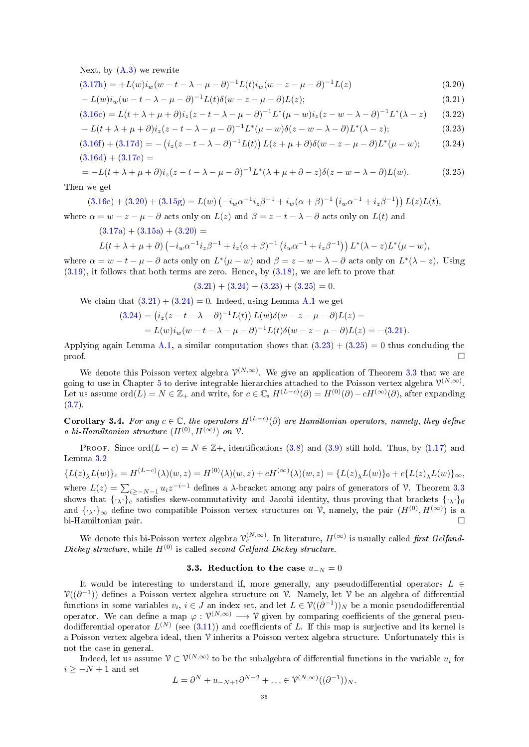Next, by  $(A.3)$  we rewrite

$$
(3.17h) = +L(w)i_w(w - t - \lambda - \mu - \partial)^{-1}L(t)i_w(w - z - \mu - \partial)^{-1}L(z)
$$
\n(3.20)

$$
-L(w)i_w(w-t-\lambda-\mu-\partial)^{-1}L(t)\delta(w-z-\mu-\partial)L(z);
$$
\n(3.21)

$$
(3.16c) = L(t + \lambda + \mu + \partial)i_z(z - t - \lambda - \mu - \partial)^{-1}L^*(\mu - w)i_z(z - w - \lambda - \partial)^{-1}L^*(\lambda - z)
$$
(3.22)

$$
-L(t+\lambda+\mu+\partial)i_z(z-t-\lambda-\mu-\partial)^{-1}L^*(\mu-w)\delta(z-w-\lambda-\partial)L^*(\lambda-z); \qquad (3.23)
$$

$$
(3.16f) + (3.17d) = -(i_z(z - t - \lambda - \partial)^{-1}L(t)) L(z + \mu + \partial)\delta(w - z - \mu - \partial)L^*(\mu - w); \qquad (3.24)
$$
  

$$
(3.16d) + (3.17e) =
$$

$$
= -L(t + \lambda + \mu + \partial)i_z(z - t - \lambda - \mu - \partial)^{-1}L^*(\lambda + \mu + \partial - z)\delta(z - w - \lambda - \partial)L(w).
$$
 (3.25)

Then we get

$$
(3.16e) + (3.20) + (3.15g) = L(w) \left( -i_w \alpha^{-1} i_z \beta^{-1} + i_w (\alpha + \beta)^{-1} \left( i_w \alpha^{-1} + i_z \beta^{-1} \right) \right) L(z) L(t),
$$
  
where  $\alpha = w - z - u - \partial$  acts only on  $L(z)$  and  $\beta = z - t - \lambda - \partial$  acts only on  $L(t)$  and

$$
(3.17a) + (3.15a) + (3.20) =
$$
  

$$
I(t+1) + u + \partial (u - u^2) =
$$

$$
L(t + \lambda + \mu + \partial) \left( -i_w \alpha^{-1} i_z \beta^{-1} + i_z (\alpha + \beta)^{-1} \left( i_w \alpha^{-1} + i_z \beta^{-1} \right) \right) L^*(\lambda - z) L^*(\mu - w),
$$
  
where  $\alpha = w - t - \mu - \partial$  acts only on  $L^*(\mu - w)$  and  $\beta = z - w - \lambda - \partial$  acts only on  $L^*(\lambda - z)$ . Using

[\(3.19\)](#page-38-16), it follows that both terms are zero. Hence, by [\(3.18\)](#page-38-17), we are left to prove that

<span id="page-39-4"></span><span id="page-39-3"></span><span id="page-39-2"></span><span id="page-39-1"></span><span id="page-39-0"></span>
$$
(3.21) + (3.24) + (3.23) + (3.25) = 0.
$$

We claim that  $(3.21) + (3.24) = 0$  $(3.21) + (3.24) = 0$  $(3.21) + (3.24) = 0$  $(3.21) + (3.24) = 0$ . Indeed, using Lemma [A.1](#page-81-2) we get

$$
(3.24) = (i_z(z - t - \lambda - \partial)^{-1}L(t)) L(w)\delta(w - z - \mu - \partial)L(z) =
$$
  
= L(w)i<sub>w</sub>(w - t - \lambda - \mu - \partial)^{-1}L(t)\delta(w - z - \mu - \partial)L(z) = -(3.21).

Applying again Lemma [A.1,](#page-81-2) a similar computation shows that  $(3.23) + (3.25) = 0$  $(3.23) + (3.25) = 0$  $(3.23) + (3.25) = 0$  $(3.23) + (3.25) = 0$  thus concluding the  $\Box$ 

We denote this Poisson vertex algebra  $\mathcal{V}^{(N,\infty)}$ . We give an application of Theorem [3.3](#page-37-11) that we are going to use in Chapter [5](#page-66-0) to derive integrable hierarchies attached to the Poisson vertex algebra  $\mathcal{V}^{(N,\infty)}$ . Let us assume  $\text{ord}(L) = N \in \mathbb{Z}_+$  and write, for  $c \in \mathbb{C}$ ,  $H^{(L-c)}(\partial) = H^{(0)}(\partial) - cH^{(\infty)}(\partial)$ , after expanding  $(3.7)$ .

<span id="page-39-5"></span>**Corollary 3.4.** For any  $c \in \mathbb{C}$ , the operators  $H^{(L-c)}(\partial)$  are Hamiltonian operators, namely, they define a bi-Hamiltonian structure  $(H^{(0)}, H^{(\infty)})$  on  $\mathcal V$ .

PROOF. Since  $\text{ord}(L - c) = N \in \mathbb{Z}$ , identifications [\(3.8\)](#page-35-3) and [\(3.9\)](#page-35-4) still hold. Thus, by [\(1.17\)](#page-12-0) and Lemma [3.2](#page-36-1)

 ${L(z)_\lambda L(w)}_c = H^{(L-c)}(\lambda)(w, z) = H^{(0)}(\lambda)(w, z) + cH^{(\infty)}(\lambda)(w, z) = {L(z)_\lambda L(w)}_0 + c{L(z)_\lambda L(w)}_{\infty},$ where  $L(z) = \sum_{i \ge -N-1} u_i z^{-i-1}$  defines a  $\lambda$ -bracket among any pairs of generators of  $\mathcal V$ . Theorem [3.3](#page-37-11) shows that  $\{\cdot_\lambda\cdot\}_c$  satisfies skew-commutativity and Jacobi identity, thus proving that brackets  $\{\cdot_\lambda\cdot\}_0$ and  $\{\cdot_\lambda\cdot\}_\infty$  define two compatible Poisson vertex structures on V, namely, the pair  $(H^{(0)}, H^{(\infty)})$  is a bi-Hamiltonian pair.

We denote this bi-Poisson vertex algebra  $\mathcal{V}_c^{(N,\infty)}$ . In literature,  $H^{(\infty)}$  is usually called first Gelfand-Dickey structure, while  $H^{(0)}$  is called second Gelfand-Dickey structure.

## 3.3. Reduction to the case  $u_{-N} = 0$

It would be interesting to understand if, more generally, any pseudodifferential operators  $L \in \mathbb{C}$  $\mathcal{V}((\partial^{-1}))$  defines a Poisson vertex algebra structure on V. Namely, let V be an algebra of differential functions in some variables  $v_i, i \in J$  an index set, and let  $L \in \mathcal{V}((\partial^{-1}))_N$  be a monic pseudodifferential operator. We can define a map  $\varphi: \mathcal{V}^{(N,\infty)} \longrightarrow \mathcal{V}$  given by comparing coefficients of the general pseudodifferential operator  $L^{(N)}$  (see [\(3.11\)](#page-37-12)) and coefficients of L. If this map is surjective and its kernel is a Poisson vertex algebra ideal, then V inherits a Poisson vertex algebra structure. Unfortunately this is not the case in general.

Indeed, let us assume  $\mathcal{V} \subset \mathcal{V}^{(N,\infty)}$  to be the subalgebra of differential functions in the variable  $u_i$  for  $i \geq -N+1$  and set

$$
L = \partial^N + u_{-N+1}\partial^{N-2} + \ldots \in \mathcal{V}^{(N,\infty)}((\partial^{-1}))_N.
$$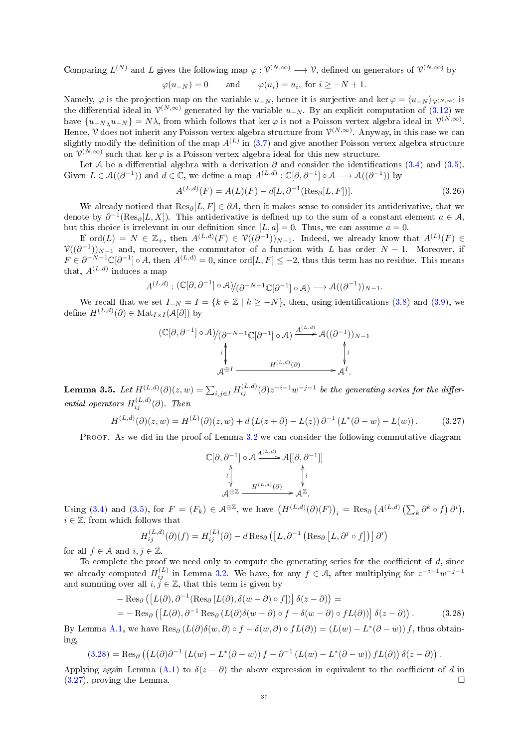Comparing  $L^{(N)}$  and L gives the following map  $\varphi: \mathcal{V}^{(N,\infty)} \longrightarrow \mathcal{V}$ , defined on generators of  $\mathcal{V}^{(N,\infty)}$  by

$$
\varphi(u_{-N}) = 0
$$
 and  $\varphi(u_i) = u_i$ , for  $i \ge -N + 1$ .

Namely,  $\varphi$  is the projection map on the variable  $u_{-N}$ , hence it is surjective and ker  $\varphi = \langle u_{-N} \rangle_{\mathcal{V}^{(N,\infty)}}$  is the differential ideal in  $\mathcal{V}^{(N,\infty)}$  generated by the variable  $u_{-N}$ . By an explicit computation of  $(3.12)$  we have  $\{u_{-N_{\lambda}}u_{-N}\}=N\lambda$ , from which follows that ker  $\varphi$  is not a Poisson vertex algebra ideal in  $\mathcal{V}^{(N,\infty)}$ . Hence,  $\mathcal V$  does not inherit any Poisson vertex algebra structure from  $\mathcal V^{(N,\infty)}.$  Anyway, in this case we can slightly modify the definition of the map  $A^{(L)}$  in  $(3.7)$  and give another Poisson vertex algebra structure on  $\mathcal{V}^{(N,\infty)}$  such that ker  $\varphi$  is a Poisson vertex algebra ideal for this new structure.

Let A be a differential algebra with a derivation  $\partial$  and consider the identifications [\(3.4\)](#page-35-0) and [\(3.5\)](#page-35-1). Given  $L \in \mathcal{A}((\partial^{-1}))$  and  $d \in \mathbb{C}$ , we define a map  $A^{(L,d)} : \mathbb{C}[\partial, \partial^{-1}] \circ \mathcal{A} \longrightarrow \mathcal{A}((\partial^{-1}))$  by

<span id="page-40-3"></span>
$$
A^{(L,d)}(F) = A(L)(F) - d[L, \partial^{-1}(\text{Res}_{\partial}[L, F])].
$$
\n(3.26)

We already noticed that  $\text{Res}_{\partial}[L, F] \in \partial \mathcal{A}$ , then it makes sense to consider its antiderivative, that we denote by  $\partial^{-1}(\text{Res}_{\partial}[L,X])$ . This antiderivative is defined up to the sum of a constant element  $a \in \mathcal{A}$ , but this choice is irrelevant in our definition since  $[L, a] = 0$ . Thus, we can assume  $a = 0$ .

If  $\mathrm{ord}(L) = N \in \mathbb{Z}_+$ , then  $A^{(L,d)}(F) \in \mathcal{V}((\partial^{-1}))_{N-1}$ . Indeed, we already know that  $A^{(L)}(F) \in$  $\mathcal{V}((\partial^{-1}))_{N-1}$  and, moreover, the commutator of a function with L has order  $N-1$ . Moreover, if  $F \in \partial^{-N-1} \mathbb{C}[\partial^{-1}] \circ A$ , then  $A^{(L,d)} = 0$ , since ord $[L, F] \leq -2$ , thus this term has no residue. This means that,  $A^{(L,d)}$  induces a map

$$
A^{(L,d)}: (\mathbb{C}[\partial, \partial^{-1}] \circ A) / (\partial^{-N-1} \mathbb{C}[\partial^{-1}] \circ A) \longrightarrow A((\partial^{-1}))_{N-1}.
$$

We recall that we set  $I_{-N} = I = \{k \in \mathbb{Z} \mid k \geq -N\}$ , then, using identifications [\(3.8\)](#page-35-3) and [\(3.9\)](#page-35-4), we define  $H^{(L,d)}(\partial) \in \text{Mat}_{I \times I}(\mathcal{A}[\partial])$  by

$$
(\mathbb{C}[\partial,\partial^{-1}] \circ \mathcal{A})/(\partial^{-N-1}\mathbb{C}[\partial^{-1}] \circ \mathcal{A}) \xrightarrow{A^{(L,d)}} \mathcal{A}((\partial^{-1}))_{N-1}
$$
\n
$$
\downarrow^{\uparrow}
$$
\n
$$
\mathcal{A}^{\oplus I} \xrightarrow{H^{(L,d)}(\partial)} \mathcal{A}^{I}.
$$

<span id="page-40-2"></span>**Lemma 3.5.** Let  $H^{(L,d)}(\partial)(z,w) = \sum_{i,j \in I} H^{(L,d)}_{ij}(\partial) z^{-i-1} w^{-j-1}$  be the generating series for the differential operators  $H_{ij}^{(L,d)}(\partial)$ . Then

$$
H^{(L,d)}(\partial)(z,w) = H^{(L)}(\partial)(z,w) + d(L(z+\partial) - L(z))\partial^{-1}(L^*(\partial - w) - L(w)).
$$
 (3.27)

PROOF. As we did in the proof of Lemma [3.2](#page-36-1) we can consider the following commutative diagram  $\mathcal{L}$  and  $\mathcal{L}$ 

<span id="page-40-1"></span><span id="page-40-0"></span>
$$
\mathbb{C}[\partial, \partial^{-1}] \circ \mathcal{A} \xrightarrow{A^{(L,a)}} \mathcal{A}[[\partial, \partial^{-1}]]
$$
\n
$$
\downarrow \qquad \qquad \downarrow \qquad \qquad \downarrow
$$
\n
$$
\mathcal{A}^{\oplus \mathbb{Z}} \xrightarrow{H^{(L,a)}(\partial)} \mathcal{A}^{\mathbb{Z}}.
$$

Using [\(3.4\)](#page-35-0) and [\(3.5\)](#page-35-1), for  $F = (F_k) \in \mathcal{A}^{\oplus \mathbb{Z}}$ , we have  $(H^{(L,d)}(\partial)(F))_i = \text{Res}_{\partial} (A^{(L,d)}(\sum_k \partial^k \circ f) \partial^i)$ ,  $i \in \mathbb{Z}$ , from which follows that

$$
H_{ij}^{(L,d)}(\partial)(f) = H_{ij}^{(L)}(\partial) - d \operatorname{Res}_{\partial} ([L, \partial^{-1} (\operatorname{Res}_{\partial} [L, \partial^{j} \circ f])] \partial^{i})
$$

for all  $f \in \mathcal{A}$  and  $i, j \in \mathbb{Z}$ .

To complete the proof we need only to compute the generating series for the coefficient of  $d$ , since we already computed  $H_{ij}^{(L)}$  in Lemma [3.2.](#page-36-1) We have, for any  $f \in \mathcal{A}$ , after multiplying for  $z^{-i-1}w^{-j-1}$ and summing over all  $i, j \in \mathbb{Z}$ , that this term is given by

$$
- \operatorname{Res}_{\partial} ([L(\partial), \partial^{-1} (\operatorname{Res}_{\partial} [L(\partial), \delta(w - \partial) \circ f])] \delta(z - \partial)) =
$$
  
= - \operatorname{Res}\_{\partial} ([L(\partial), \partial^{-1} \operatorname{Res}\_{\partial} (L(\partial) \delta(w - \partial) \circ f - \delta(w - \partial) \circ f L(\partial))] \delta(z - \partial)). \t(3.28)

By Lemma [A.1,](#page-81-2) we have  $\operatorname{Res}_{\partial} (L(\partial)\delta(w,\partial) \circ f - \delta(w,\partial) \circ fL(\partial)) = (L(w) - L^*(\partial - w)) f$ , thus obtaining,

$$
(3.28) = \text{Res}_{\partial} \left( \left( L(\partial) \partial^{-1} \left( L(w) - L^*(\partial - w) \right) f - \partial^{-1} \left( L(w) - L^*(\partial - w) \right) f L(\partial \right) \right) \delta(z - \partial) \right).
$$

Applying again Lemma [\(A.1\)](#page-81-2) to  $\delta(z - \partial)$  the above expression in equivalent to the coefficient of d in  $(3.27)$ , proving the Lemma.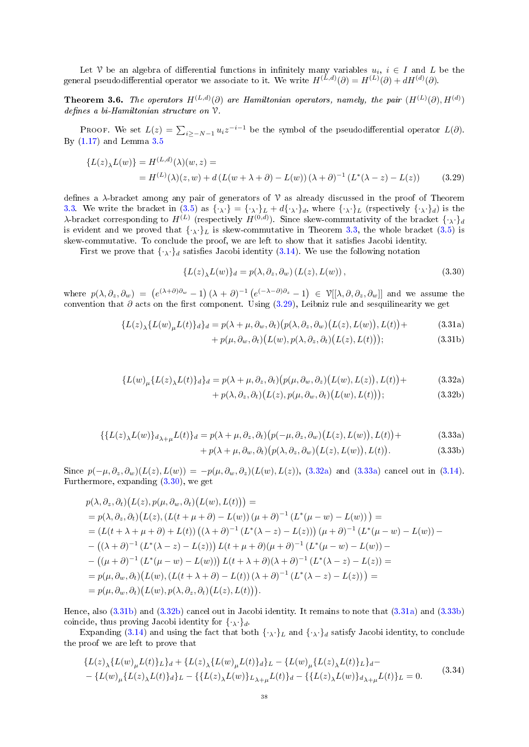Let V be an algebra of differential functions in infinitely many variables  $u_i, i \in I$  and L be the general pseudodifferential operator we associate to it. We write  $H^{(L,d)}(\partial) = H^{(L)}(\partial) + dH^{(d)}(\partial)$ .

<span id="page-41-9"></span>**Theorem 3.6.** The operators  $H^{(L,d)}(\partial)$  are Hamiltonian operators, namely, the pair  $(H^{(L)}(\partial), H^{(d)})$ defines a bi-Hamiltonian structure on  $\mathcal{V}$ .

PROOF. We set  $L(z) = \sum_{i \geq -N-1} u_i z^{-i-1}$  be the symbol of the pseudodifferential operator  $L(\partial)$ . By  $(1.17)$  and Lemma  $3.5$ 

$$
\{L(z)_{\lambda}L(w)\} = H^{(L,d)}(\lambda)(w, z) =
$$
  
=  $H^{(L)}(\lambda)(z, w) + d(L(w + \lambda + \partial) - L(w))(\lambda + \partial)^{-1}(L^*(\lambda - z) - L(z))$  (3.29)

defines a  $\lambda$ -bracket among any pair of generators of  $\mathcal V$  as already discussed in the proof of Theorem [3.3.](#page-37-11) We write the bracket in [\(3.5\)](#page-40-2) as  $\{\cdot_\lambda\cdot\} = \{\cdot_\lambda\cdot\}_L + d\{\cdot_\lambda\cdot\}_d$ , where  $\{\cdot_\lambda\cdot\}_L$  (rspectively  $\{\cdot_\lambda\cdot\}_d$ ) is the λ-bracket corresponding to  $H^{(L)}$  (respectively  $H^{(0,d)}$ ). Since skew-commutativity of the bracket  $\{\cdot_\lambda\cdot\}_d$ is evident and we proved that  $\{\cdot_{\lambda}\cdot\}_L$  is skew-commutative in Theorem [3.3,](#page-37-11) the whole bracket [\(3.5\)](#page-40-2) is skew-commutative. To conclude the proof, we are left to show that it satisfies Jacobi identity.

First we prove that  $\{\cdot_{\lambda}\cdot\}_d$  satisfies Jacobi identity [\(3.14\)](#page-37-6). We use the following notation

<span id="page-41-0"></span>
$$
\{L(z)_{\lambda}L(w)\}_{d} = p(\lambda, \partial_z, \partial_w) (L(z), L(w)),
$$
\n(3.30)

where  $p(\lambda, \partial_z, \partial_w) = (e^{(\lambda+\partial)\partial_w} - 1)(\lambda + \partial)^{-1} (e^{(-\lambda-\partial)\partial_z} - 1) \in \mathcal{V}[[\lambda, \partial, \partial_z, \partial_w]]$  and we assume the convention that  $\partial$  acts on the first component. Using [\(3.29\)](#page-41-0), Leibniz rule and sesquilinearity we get

$$
\{L(z)_{\lambda}\{L(w)_{\mu}L(t)\}_{d}\}_{d} = p(\lambda + \mu, \partial_{w}, \partial_{t})\big(p(\lambda, \partial_{z}, \partial_{w})\big(L(z), L(w)\big), L(t)\big) +
$$
\n(3.31a)

<span id="page-41-6"></span><span id="page-41-4"></span><span id="page-41-3"></span><span id="page-41-1"></span>
$$
+ p(\mu, \partial_w, \partial_t) \big( L(w), p(\lambda, \partial_z, \partial_t) \big( L(z), L(t) \big) \big); \tag{3.31b}
$$

$$
\{L(w)_{\mu}\{L(z)_{\lambda}L(t)\}_{d}\}_{d} = p(\lambda + \mu, \partial_z, \partial_t)(p(\mu, \partial_w, \partial_z)(L(w), L(z)), L(t)) +
$$
\n(3.32a)

<span id="page-41-7"></span><span id="page-41-5"></span><span id="page-41-2"></span>+ 
$$
p(\lambda, \partial_z, \partial_t) (L(z), p(\mu, \partial_w, \partial_t) (L(w), L(t))),
$$
 (3.32b)

$$
\{ \{L(z)_{\lambda}L(w)\}_{d_{\lambda+\mu}}L(t) \}_d = p(\lambda+\mu,\partial_z,\partial_t) \big( p(-\mu,\partial_z,\partial_w) \big( L(z),L(w) \big),L(t) \big) + \tag{3.33a}
$$

<span id="page-41-8"></span>
$$
+ p(\lambda + \mu, \partial_w, \partial_t) \big( p(\lambda, \partial_z, \partial_w) \big( L(z), L(w) \big), L(t) \big). \tag{3.33b}
$$

Since  $p(-\mu, \partial_z, \partial_w)(L(z), L(w)) = -p(\mu, \partial_w, \partial_z)(L(w), L(z))$ , [\(3.32a\)](#page-41-1) and [\(3.33a\)](#page-41-2) cancel out in [\(3.14\)](#page-37-6). Furthermore, expanding [\(3.30\)](#page-41-3), we get

$$
p(\lambda, \partial_z, \partial_t) (L(z), p(\mu, \partial_w, \partial_t) (L(w), L(t))) =
$$
  
=  $p(\lambda, \partial_z, \partial_t) (L(z), (L(t + \mu + \partial) - L(w)) (\mu + \partial)^{-1} (L^*(\mu - w) - L(w))) =$   
=  $(L(t + \lambda + \mu + \partial) + L(t)) ((\lambda + \partial)^{-1} (L^*(\lambda - z) - L(z))) (\mu + \partial)^{-1} (L^*(\mu - w) - L(w)) -$   
 $- ((\lambda + \partial)^{-1} (L^*(\lambda - z) - L(z))) L(t + \mu + \partial) (\mu + \partial)^{-1} (L^*(\mu - w) - L(w)) -$   
 $- ((\mu + \partial)^{-1} (L^*(\mu - w) - L(w))) L(t + \lambda + \partial) (\lambda + \partial)^{-1} (L^*(\lambda - z) - L(z)) =$   
=  $p(\mu, \partial_w, \partial_t) (L(w), (L(t + \lambda + \partial) - L(t)) (\lambda + \partial)^{-1} (L^*(\lambda - z) - L(z))) =$   
=  $p(\mu, \partial_w, \partial_t) (L(w), p(\lambda, \partial_z, \partial_t) (L(z), L(t))).$ 

Hence, also [\(3.31b\)](#page-41-4) and [\(3.32b\)](#page-41-5) cancel out in Jacobi identity. It remains to note that [\(3.31a\)](#page-41-6) and [\(3.33b\)](#page-41-7) coincide, thus proving Jacobi identity for  $\{\cdot_\lambda\cdot\}_d$ .

Expanding [\(3.14\)](#page-37-6) and using the fact that both  $\{\cdot_\lambda\cdot\}_L$  and  $\{\cdot_\lambda\cdot\}_d$  satisfy Jacobi identity, to conclude the proof we are left to prove that

$$
\{L(z)_{\lambda}\{L(w)_{\mu}L(t)\}_{L}\}_{d} + \{L(z)_{\lambda}\{L(w)_{\mu}L(t)\}_{d}\}_{L} - \{L(w)_{\mu}\{L(z)_{\lambda}L(t)\}_{L}\}_{d} - \{L(w)_{\mu}\{L(z)_{\lambda}L(t)\}_{d}\}_{L} - \{L(z)_{\mu}\{L(z)_{\lambda}L(w)\}_{L\lambda+\mu}L(t)\}_{d} - \{\{L(z)_{\lambda}L(w)\}_{d\lambda+\mu}L(t)\}_{L} = 0.
$$
\n(3.34)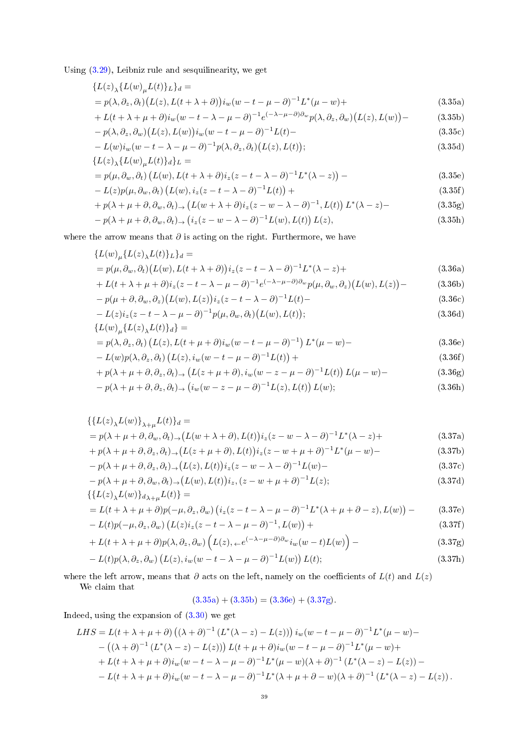Using [\(3.29\)](#page-41-0), Leibniz rule and sesquilinearity, we get

$$
\{L(z)_{\lambda}\{L(w)_{\mu}L(t)\}_{L}\}_{d} =
$$
  
=  $p(\lambda, \partial_{z}, \partial_{t})(L(z), L(t + \lambda + \partial))i_{w}(w - t - \mu - \partial)^{-1}L^{*}(\mu - w) +$  (3.35a)

<span id="page-42-0"></span>+ 
$$
L(t + \lambda + \mu + \partial) i_w (w - t - \lambda - \mu - \partial)^{-1} e^{(-\lambda - \mu - \partial) \partial_w} p(\lambda, \partial_z, \partial_w) (L(z), L(w)) -
$$
 (3.35b)

<span id="page-42-5"></span><span id="page-42-4"></span><span id="page-42-1"></span>
$$
-p(\lambda,\partial_z,\partial_w)(L(z),L(w))i_w(w-t-\mu-\partial)^{-1}L(t)-\tag{3.35c}
$$

$$
- L(w)i_w(w - t - \lambda - \mu - \partial)^{-1} p(\lambda, \partial_z, \partial_t) (L(z), L(t)); \qquad (3.35d)
$$

$$
\{L(z)_\lambda\{L(w)_\mu L(t)\}_d\}_L =
$$

<span id="page-42-8"></span>
$$
= p(\mu, \partial_w, \partial_t) \left( L(w), L(t + \lambda + \partial) i_z(z - t - \lambda - \partial)^{-1} L^*(\lambda - z) \right) -
$$
\n(3.35e)

<span id="page-42-12"></span>
$$
- L(z)p(\mu, \partial_w, \partial_t) \left( L(w), i_z(z - t - \lambda - \partial)^{-1} L(t) \right) + \tag{3.35f}
$$

<span id="page-42-16"></span>
$$
+ p(\lambda + \mu + \partial, \partial_w, \partial_t) \rightarrow (L(w + \lambda + \partial)i_z(z - w - \lambda - \partial)^{-1}, L(t)) L^*(\lambda - z) -
$$
\n(3.35g)

<span id="page-42-20"></span>
$$
-p(\lambda + \mu + \partial, \partial_w, \partial_t) \to (i_z(z - w - \lambda - \partial)^{-1}L(w), L(t)) L(z),
$$
\n(3.35h)

where the arrow means that  $\partial$  is acting on the right. Furthermore, we have

$$
\{L(w)_{\mu}\{L(z)_{\lambda}L(t)\}_{L}\}_d =
$$
  
=  $p(\mu, \partial_w, \partial_t)(L(w), L(t + \lambda + \partial))i_z(z - t - \lambda - \partial)^{-1}L^*(\lambda - z) +$  (3.36a)

<span id="page-42-10"></span><span id="page-42-9"></span>
$$
+ L(t + \lambda + \mu + \partial)i_z(z - t - \lambda - \mu - \partial)^{-1} e^{(-\lambda - \mu - \partial)\partial_w} p(\mu, \partial_w, \partial_z) (L(w), L(z)) - (3.36b)
$$

<span id="page-42-14"></span><span id="page-42-13"></span>
$$
-p(\mu+\partial,\partial_w,\partial_z)(L(w),L(z))i_z(z-t-\lambda-\partial)^{-1}L(t)-\tag{3.36c}
$$

$$
-L(z)i_z(z-t-\lambda-\mu-\partial)^{-1}p(\mu,\partial_w,\partial_t)\big(L(w),L(t)\big);
$$
\n(3.36d)

$$
\{L(w)_{\mu}\{L(z)_{\lambda}L(t)\}_{d}\} =
$$
  
=  $p(\lambda, \partial_z, \partial_t) (L(z), L(t + \mu + \partial)i_w(w - t - \mu - \partial)^{-1}) L^*(\mu - w)$  (3.36e)

<span id="page-42-6"></span><span id="page-42-2"></span>
$$
- L(w)p(\lambda, \partial_z, \partial_t) \left( L(z), i_w(w - t - \mu - \partial)^{-1} L(t) \right) + \tag{3.36f}
$$

<span id="page-42-17"></span>
$$
+ p(\lambda + \mu + \partial, \partial_z, \partial_t) \rightarrow (L(z + \mu + \partial), i_w(w - z - \mu - \partial)^{-1}L(t)) L(\mu - w) -
$$
\n(3.36g)

$$
-p(\lambda + \mu + \partial, \partial_z, \partial_t) \rightarrow (i_w(w - z - \mu - \partial)^{-1}L(z), L(t)) L(w); \tag{3.36h}
$$

$$
\{L(z)_{\lambda}L(w)\}_{\lambda+\mu}L(t)\}_d =
$$

$$
= p(\lambda + \mu + \partial, \partial_w, \partial_t) \rightarrow (L(w + \lambda + \partial), L(t)) i_z(z - w - \lambda - \partial)^{-1} L^*(\lambda - z) +
$$
\n(3.37a)

$$
+ p(\lambda + \mu + \partial, \partial_z, \partial_t) \rightarrow (L(z + \mu + \partial), L(t)) i_z (z - w + \mu + \partial)^{-1} L^*(\mu - w) -
$$
\n(3.37b)

$$
-p(\lambda + \mu + \partial, \partial_z, \partial_t) \rightarrow (L(z), L(t)) i_z(z - w - \lambda - \partial)^{-1} L(w) -
$$
\n(3.37c)

$$
-p(\lambda + \mu + \partial, \partial_w, \partial_t) \to (L(w), L(t))i_z, (z - w + \mu + \partial)^{-1}L(z);
$$
\n
$$
\{L(z)_\lambda L(w)\}_{d_{\lambda}+\mu}L(t)\} =
$$
\n(3.37d)

$$
= L(t + \lambda + \mu + \partial)p(-\mu, \partial_z, \partial_w) \left( i_z(z - t - \lambda - \mu - \partial)^{-1} L^*(\lambda + \mu + \partial - z), L(w) \right) - \tag{3.37e}
$$
  
- L(t)g(-\mu, \partial\_z \partial\_x) (L(z) i\_z(z - t - \lambda - \mu - \partial)^{-1} L(w)) + \tag{3.37f}

$$
- L(t)p(-\mu, \partial_z, \partial_w) \left( L(z)i_z(z-t-\lambda-\mu-\partial)^{-1}, L(w) \right) + \tag{3.37f}
$$

+ 
$$
L(t + \lambda + \mu + \partial)p(\lambda, \partial_z, \partial_w) \left( L(z), L(e^{(-\lambda - \mu - \partial)\partial_w}i_w(w - t)L(w)) \right)
$$
 - (3.37g)

$$
- L(t)p(\lambda, \partial_z, \partial_w) \left( L(z), i_w(w - t - \lambda - \mu - \partial)^{-1} L(w) \right) L(t); \tag{3.37h}
$$

where the left arrow, means that  $\partial$  acts on the left, namely on the coefficients of  $L(t)$  and  $L(z)$ We claim that

<span id="page-42-23"></span><span id="page-42-22"></span><span id="page-42-21"></span><span id="page-42-19"></span><span id="page-42-18"></span><span id="page-42-15"></span><span id="page-42-11"></span><span id="page-42-7"></span><span id="page-42-3"></span>
$$
(3.35a) + (3.35b) = (3.36e) + (3.37g).
$$

Indeed, using the expansion of  $(3.30)$  we get

$$
LHS = L(t + \lambda + \mu + \partial) ((\lambda + \partial)^{-1} (L^*(\lambda - z) - L(z))) i_w(w - t - \mu - \partial)^{-1} L^*(\mu - w) -
$$
  
\n
$$
- ((\lambda + \partial)^{-1} (L^*(\lambda - z) - L(z))) L(t + \mu + \partial) i_w(w - t - \mu - \partial)^{-1} L^*(\mu - w) +
$$
  
\n
$$
+ L(t + \lambda + \mu + \partial) i_w(w - t - \lambda - \mu - \partial)^{-1} L^*(\mu - w) (\lambda + \partial)^{-1} (L^*(\lambda - z) - L(z)) -
$$
  
\n
$$
- L(t + \lambda + \mu + \partial) i_w(w - t - \lambda - \mu - \partial)^{-1} L^*(\lambda + \mu + \partial - w) (\lambda + \partial)^{-1} (L^*(\lambda - z) - L(z)).
$$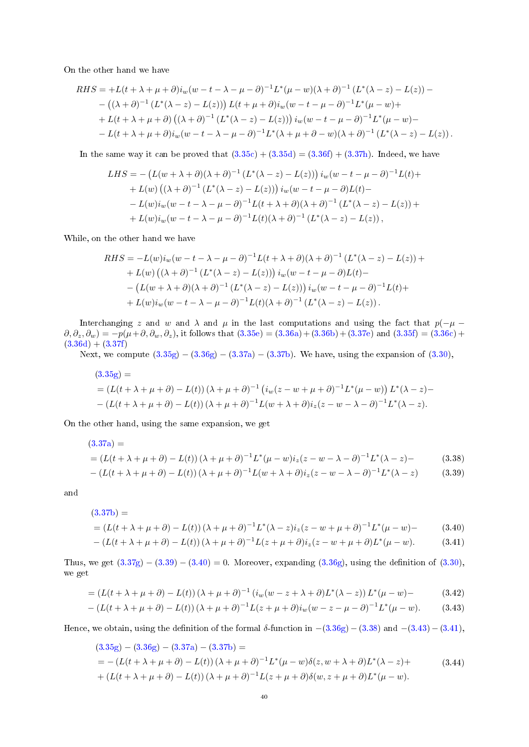On the other hand we have

$$
RHS = +L(t + \lambda + \mu + \partial)i_w(w - t - \lambda - \mu - \partial)^{-1}L^*(\mu - w)(\lambda + \partial)^{-1}(L^*(\lambda - z) - L(z)) -
$$
  
-( $(\lambda + \partial)^{-1}(L^*(\lambda - z) - L(z))) L(t + \mu + \partial)i_w(w - t - \mu - \partial)^{-1}L^*(\mu - w) +$   
+ $L(t + \lambda + \mu + \partial)((\lambda + \partial)^{-1}(L^*(\lambda - z) - L(z))) i_w(w - t - \mu - \partial)^{-1}L^*(\mu - w) -$   
- $L(t + \lambda + \mu + \partial)i_w(w - t - \lambda - \mu - \partial)^{-1}L^*(\lambda + \mu + \partial - w)(\lambda + \partial)^{-1}(L^*(\lambda - z) - L(z)).$ 

In the same way it can be proved that  $(3.35c) + (3.35d) = (3.36f) + (3.37h)$  $(3.35c) + (3.35d) = (3.36f) + (3.37h)$  $(3.35c) + (3.35d) = (3.36f) + (3.37h)$  $(3.35c) + (3.35d) = (3.36f) + (3.37h)$  $(3.35c) + (3.35d) = (3.36f) + (3.37h)$  $(3.35c) + (3.35d) = (3.36f) + (3.37h)$  $(3.35c) + (3.35d) = (3.36f) + (3.37h)$ . Indeed, we have

$$
LHS = -\left(L(w + \lambda + \partial)(\lambda + \partial)^{-1} \left(L^*(\lambda - z) - L(z)\right)\right) i_w(w - t - \mu - \partial)^{-1} L(t) +
$$
  
+  $L(w) \left((\lambda + \partial)^{-1} \left(L^*(\lambda - z) - L(z)\right)\right) i_w(w - t - \mu - \partial) L(t) -$   
-  $L(w) i_w (w - t - \lambda - \mu - \partial)^{-1} L(t + \lambda + \partial)(\lambda + \partial)^{-1} \left(L^*(\lambda - z) - L(z)\right) +$   
+  $L(w) i_w (w - t - \lambda - \mu - \partial)^{-1} L(t) (\lambda + \partial)^{-1} \left(L^*(\lambda - z) - L(z)\right),$ 

While, on the other hand we have

$$
RHS = -L(w)i_w(w - t - \lambda - \mu - \partial)^{-1}L(t + \lambda + \partial)(\lambda + \partial)^{-1}(L^*(\lambda - z) - L(z)) +
$$
  
+  $L(w) ((\lambda + \partial)^{-1} (L^*(\lambda - z) - L(z))) i_w(w - t - \mu - \partial)L(t) -$   
-  $(L(w + \lambda + \partial)(\lambda + \partial)^{-1} (L^*(\lambda - z) - L(z))) i_w(w - t - \mu - \partial)^{-1}L(t) +$   
+  $L(w)i_w(w - t - \lambda - \mu - \partial)^{-1}L(t)(\lambda + \partial)^{-1} (L^*(\lambda - z) - L(z)).$ 

Interchanging z and w and  $\lambda$  and  $\mu$  in the last computations and using the fact that  $p(-\mu \partial$ ,  $\partial_z$ ,  $\partial_w$ ) =  $-p(\mu + \partial, \partial_w, \partial_z)$ , it follows that  $(3.35e) = (3.36a) + (3.36b) + (3.37e)$  $(3.35e) = (3.36a) + (3.36b) + (3.37e)$  $(3.35e) = (3.36a) + (3.36b) + (3.37e)$  $(3.35e) = (3.36a) + (3.36b) + (3.37e)$  $(3.35e) = (3.36a) + (3.36b) + (3.37e)$  $(3.35e) = (3.36a) + (3.36b) + (3.37e)$  $(3.35e) = (3.36a) + (3.36b) + (3.37e)$  and  $(3.35f) = (3.36c) +$  $(3.35f) = (3.36c) +$  $(3.35f) = (3.36c) +$  $(3.35f) = (3.36c) +$  $(3.36d) + (3.37f)$  $(3.36d) + (3.37f)$  $(3.36d) + (3.37f)$ 

Next, we compute  $(3.35g) - (3.36g) - (3.37a) - (3.37b)$  $(3.35g) - (3.36g) - (3.37a) - (3.37b)$  $(3.35g) - (3.36g) - (3.37a) - (3.37b)$  $(3.35g) - (3.36g) - (3.37a) - (3.37b)$  $(3.35g) - (3.36g) - (3.37a) - (3.37b)$  $(3.35g) - (3.36g) - (3.37a) - (3.37b)$  $(3.35g) - (3.36g) - (3.37a) - (3.37b)$ . We have, using the expansion of  $(3.30)$ ,

$$
(3.35g) =
$$
  
=  $(L(t + \lambda + \mu + \partial) - L(t)) (\lambda + \mu + \partial)^{-1} (i_w(z - w + \mu + \partial)^{-1} L^*(\mu - w)) L^*(\lambda - z) -$   
 $- (L(t + \lambda + \mu + \partial) - L(t)) (\lambda + \mu + \partial)^{-1} L(w + \lambda + \partial) i_z(z - w - \lambda - \partial)^{-1} L^*(\lambda - z).$ 

On the other hand, using the same expansion, we get

<span id="page-43-2"></span>
$$
(3.37a) = = (L(t + \lambda + \mu + \partial) - L(t)) (\lambda + \mu + \partial)^{-1} L^*(\mu - w) i_z (z - w - \lambda - \partial)^{-1} L^*(\lambda - z) -
$$
(3.38)  
 - (L(t + \lambda + \mu + \partial) - L(t)) (\lambda + \mu + \partial)^{-1} L(w + \lambda + \partial) i\_z (z - w - \lambda - \partial)^{-1} L^\*(\lambda - z) (3.39)

and

<span id="page-43-4"></span><span id="page-43-1"></span><span id="page-43-0"></span>
$$
(3.37b) =
$$
  
=  $(L(t + \lambda + \mu + \partial) - L(t)) (\lambda + \mu + \partial)^{-1} L^*(\lambda - z) i_z (z - w + \mu + \partial)^{-1} L^*(\mu - w) -$   
=  $(L(t + \lambda + \mu + \partial) - L(t)) (\lambda + \mu + \partial)^{-1} L^*(\lambda + \mu + \partial) i_z (z - w + \mu + \partial) L^*(\mu - w)$  (3.40)

$$
- (L(t + \lambda + \mu + \partial) - L(t)) (\lambda + \mu + \partial)^{-1} L(z + \mu + \partial) i_z (z - w + \mu + \partial) L^*(\mu - w).
$$
 (3.41)

Thus, we get  $(3.37g) - (3.39) - (3.40) = 0$  $(3.37g) - (3.39) - (3.40) = 0$  $(3.37g) - (3.39) - (3.40) = 0$  $(3.37g) - (3.39) - (3.40) = 0$  $(3.37g) - (3.39) - (3.40) = 0$  $(3.37g) - (3.39) - (3.40) = 0$ . Moreover, expanding  $(3.36g)$ , using the definition of  $(3.30)$ , we get

$$
= (L(t + \lambda + \mu + \partial) - L(t))(\lambda + \mu + \partial)^{-1} (i_w(w - z + \lambda + \partial)L^*(\lambda - z))L^*(\mu - w) - \tag{3.42}
$$

$$
- (L(t + \lambda + \mu + \partial) - L(t)) (\lambda + \mu + \partial)^{-1} L(z + \mu + \partial) i_w (w - z - \mu - \partial)^{-1} L^*(\mu - w).
$$
 (3.43)

Hence, we obtain, using the definition of the formal  $\delta$ -function in  $-(3.36g)-(3.38)$  $-(3.36g)-(3.38)$  $-(3.36g)-(3.38)$  $-(3.36g)-(3.38)$  and  $-(3.43)-(3.41)$  $-(3.43)-(3.41)$  $-(3.43)-(3.41)$  $-(3.43)-(3.41)$ ,

<span id="page-43-5"></span><span id="page-43-3"></span>
$$
(3.35g) - (3.36g) - (3.37a) - (3.37b) =
$$
  
= - (L(t + \lambda + \mu + \partial) - L(t))(\lambda + \mu + \partial)^{-1}L^\*(\mu - w)\delta(z, w + \lambda + \partial)L^\*(\lambda - z) +  
+ (L(t + \lambda + \mu + \partial) - L(t))(\lambda + \mu + \partial)^{-1}L(z + \mu + \partial)\delta(w, z + \mu + \partial)L^\*(\mu - w). (3.44)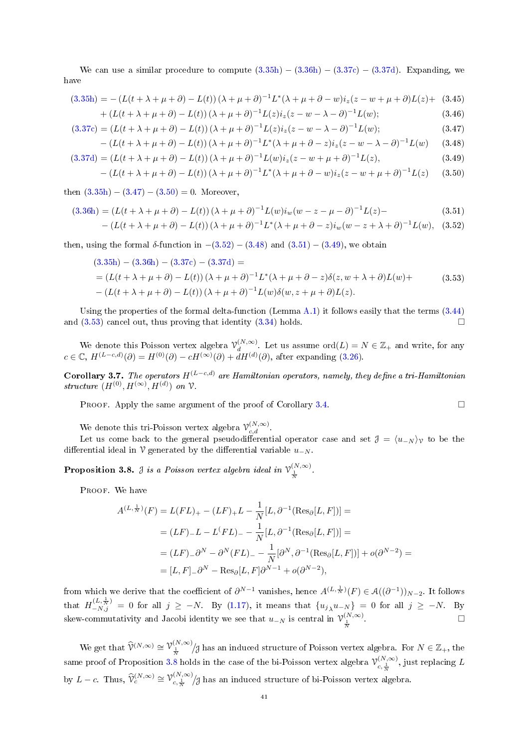We can use a similar procedure to compute  $(3.35h) - (3.36h) - (3.37c) - (3.37d)$  $(3.35h) - (3.36h) - (3.37c) - (3.37d)$  $(3.35h) - (3.36h) - (3.37c) - (3.37d)$  $(3.35h) - (3.36h) - (3.37c) - (3.37d)$  $(3.35h) - (3.36h) - (3.37c) - (3.37d)$  $(3.35h) - (3.36h) - (3.37c) - (3.37d)$  $(3.35h) - (3.36h) - (3.37c) - (3.37d)$ . Expanding, we have

$$
(3.35h) = - (L(t + \lambda + \mu + \partial) - L(t)) (\lambda + \mu + \partial)^{-1} L^*(\lambda + \mu + \partial - w) i_z (z - w + \mu + \partial) L(z) + (3.45)
$$

$$
+ (L(t + \lambda + \mu + \partial) - L(t)) (\lambda + \mu + \partial)^{-1} L(z) i_z (z - w - \lambda - \partial)^{-1} L(w); \tag{3.46}
$$

$$
(3.37c) = (L(t + \lambda + \mu + \partial) - L(t))(\lambda + \mu + \partial)^{-1}L(z)i_z(z - w - \lambda - \partial)^{-1}L(w);
$$
  
 
$$
- (L(t + \lambda + \mu + \partial) - L(t))(\lambda + \mu + \partial)^{-1}L^*(\lambda + \mu + \partial - z)i_z(z - w - \lambda - \partial)^{-1}L(w)
$$
(3.48)

$$
(3.37d) = (L(t + \lambda + \mu + \partial) - L(t))(\lambda + \mu + \partial)^{-1}L(w)i_z(z - w + \mu + \partial)^{-1}L(z),
$$
\n(3.49)

$$
- (L(t + \lambda + \mu + \partial) - L(t)) (\lambda + \mu + \partial)^{-1} L^*(\lambda + \mu + \partial - w) i_z (z - w + \mu + \partial)^{-1} L(z)
$$
 (3.50)

then  $(3.35h) - (3.47) - (3.50) = 0$  $(3.35h) - (3.47) - (3.50) = 0$  $(3.35h) - (3.47) - (3.50) = 0$  $(3.35h) - (3.47) - (3.50) = 0$  $(3.35h) - (3.47) - (3.50) = 0$  $(3.35h) - (3.47) - (3.50) = 0$ . Moreover,

$$
(3.36h) = (L(t + \lambda + \mu + \partial) - L(t))(\lambda + \mu + \partial)^{-1}L(w)i_w(w - z - \mu - \partial)^{-1}L(z) -
$$
\n(3.51)

<span id="page-44-6"></span><span id="page-44-5"></span><span id="page-44-4"></span><span id="page-44-3"></span><span id="page-44-2"></span><span id="page-44-1"></span><span id="page-44-0"></span>
$$
- (L(t + \lambda + \mu + \partial) - L(t)) (\lambda + \mu + \partial)^{-1} L^*(\lambda + \mu + \partial - z) i_w (w - z + \lambda + \partial)^{-1} L(w), \quad (3.52)
$$

then, using the formal  $\delta$ -function in  $-(3.52) - (3.48)$  $-(3.52) - (3.48)$  $-(3.52) - (3.48)$  $-(3.52) - (3.48)$  and  $(3.51) - (3.49)$  $(3.51) - (3.49)$  $(3.51) - (3.49)$ , we obtain

$$
(3.35h) - (3.36h) - (3.37c) - (3.37d) =
$$
  
=  $(L(t + \lambda + \mu + \partial) - L(t))(\lambda + \mu + \partial)^{-1}L^*(\lambda + \mu + \partial - z)\delta(z, w + \lambda + \partial)L(w) +$   
-  $(L(t + \lambda + \mu + \partial) - L(t))(\lambda + \mu + \partial)^{-1}L(w)\delta(w, z + \mu + \partial)L(z).$  (3.53)

Using the properties of the formal delta-function (Lemma [A.1\)](#page-81-2) it follows easily that the terms  $(3.44)$ and  $(3.53)$  cancel out, thus proving that identity  $(3.34)$  holds.

We denote this Poisson vertex algebra  $\mathcal{V}_d^{(N,\infty)}$  $\mathcal{L}^{(N,\infty)}_d$ . Let us assume  $\text{ord}(L) = N \in \mathbb{Z}_+$  and write, for any  $c \in \mathbb{C}, H^{(L-c,d)}(\partial) = H^{(0)}(\partial) - cH^{(\infty)}(\partial) + dH^{(d)}(\partial)$ , after expanding [\(3.26\)](#page-40-3).

Corollary 3.7. The operators  $H^{(L-c,d)}$  are Hamiltonian operators, namely, they define a tri-Hamiltonian structure  $(H^{(0)}, H^{(\infty)}, H^{(d)})$  on  $\mathcal V$ .

PROOF. Apply the same argument of the proof of Corollary [3.4.](#page-39-5)

We denote this tri-Poisson vertex algebra  $\mathcal{V}_{c,d}^{(N,\infty)}$ .

Let us come back to the general pseudodifferential operator case and set  $\mathcal{J} = \langle u_{-N} \rangle_{\mathcal{V}}$  to be the differential ideal in V generated by the differential variable  $u_{-N}$ .

<span id="page-44-7"></span>**Proposition 3.8.** *J* is a Poisson vertex algebra ideal in  $\mathcal{V}_{\frac{1}{N}}^{(N,\infty)}$ .

PROOF. We have

$$
A^{(L, \frac{1}{N})}(F) = L(FL)_{+} - (LF)_{+}L - \frac{1}{N}[L, \partial^{-1}(\text{Res}_{\partial}[L, F])] =
$$
  

$$
= (LF)_{-}L - L(FL)_{-} - \frac{1}{N}[L, \partial^{-1}(\text{Res}_{\partial}[L, F])] =
$$
  

$$
= (LF)_{-}\partial^{N} - \partial^{N}(FL)_{-} - \frac{1}{N}[\partial^{N}, \partial^{-1}(\text{Res}_{\partial}[L, F])] + o(\partial^{N-2}) =
$$
  

$$
= [L, F]_{-}\partial^{N} - \text{Res}_{\partial}[L, F]\partial^{N-1} + o(\partial^{N-2}),
$$

from which we derive that the coefficient of  $\partial^{N-1}$  vanishes, hence  $A^{(L, \frac{1}{N})}(F) \in \mathcal{A}((\partial^{-1}))_{N-2}$ . It follows that  $H_{-N,j}^{(L,\frac{1}{N})} = 0$  for all  $j \ge -N$ . By [\(1.17\)](#page-12-0), it means that  $\{u_{j\lambda}u_{-N}\} = 0$  for all  $j \ge -N$ . By skew-commutativity and Jacobi identity we see that  $u_{-N}$  is central in  $\mathcal{V}_\frac{1}{N}^{(N,\infty)}$ .

We get that  $\widehat{V}^{(N,\infty)} \cong \frac{\mathcal{V}^{(N,\infty)}_+}{N}$  has an induced structure of Poisson vertex algebra. For  $N \in \mathbb{Z}_+$ , the same proof of Proposition [3.8](#page-44-7) holds in the case of the bi-Poisson vertex algebra  $\mathcal{V}_{\alpha}^{(N,\infty)}$  $\frac{c(N,\infty)}{c, \frac{1}{N}}$ , just replacing L by  $L - c$ . Thus,  $\widehat{\mathcal{V}}_c^{(N,\infty)} \cong \widehat{\mathcal{V}}_{c,\frac{1}{N}}^{(N,\infty)}/\widehat{\mathcal{J}}$  has an induced structure of bi-Poisson vertex all  $\frac{c(x,\infty)}{c,\frac{1}{N}}$  has an induced structure of bi-Poisson vertex algebra.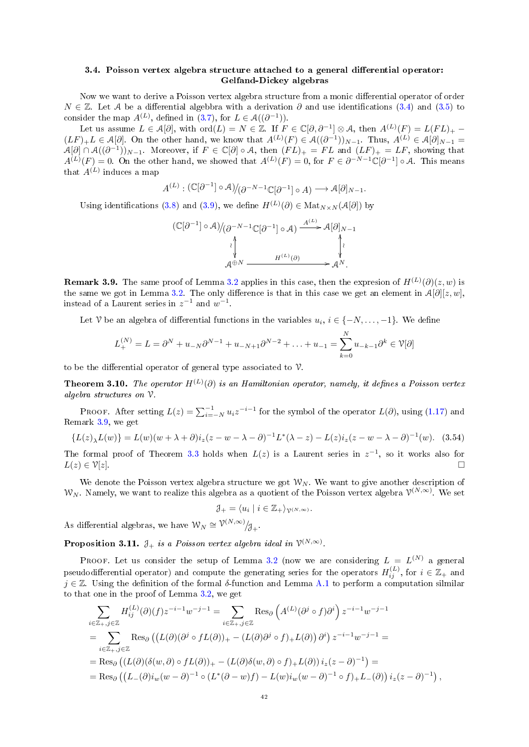## 3.4. Poisson vertex algebra structure attached to a general differential operator: Gelfand-Dickey algebras

Now we want to derive a Poisson vertex algebra structure from a monic differential operator of order  $N \in \mathbb{Z}$ . Let A be a differential algebbra with a derivation  $\partial$  and use identifications [\(3.4\)](#page-35-0) and [\(3.5\)](#page-35-1) to consider the map  $A^{(L)}$ , defined in [\(3.7\)](#page-35-2), for  $L \in \mathcal{A}((\partial^{-1}))$ .

Let us assume  $L \in \mathcal{A}[\partial],$  with  $\text{ord}(L) = N \in \mathbb{Z}$ . If  $F \in \mathbb{C}[\partial, \partial^{-1}] \otimes A$ , then  $A^{(L)}(F) = L(FL)_+ (LF)_+L \in \mathcal{A}[\partial]$ . On the other hand, we know that  $A^{(L)}(F) \in \mathcal{A}((\partial^{-1}))_{N-1}$ . Thus,  $A^{(L)} \in \mathcal{A}[\partial]_{N-1}$  $\mathcal{A}[\partial] \cap \mathcal{A}((\partial^{-1}))_{N-1}$ . Moreover, if  $F \in \mathbb{C}[\partial] \circ \mathcal{A}$ , then  $(FL)_+ = FL$  and  $(LF)_+ = LF$ , showing that  $A^{(L)}(F) = 0$ . On the other hand, we showed that  $A^{(L)}(F) = 0$ , for  $F \in \partial^{-N-1} \mathbb{C}[\partial^{-1}] \circ A$ . This means that  $A^{(L)}$  induces a map

$$
A^{(L)}: (\mathbb{C}[\partial^{-1}] \circ A) / (\partial^{-N-1} \mathbb{C}[\partial^{-1}] \circ A) \longrightarrow A[\partial]_{N-1}.
$$

Using identifications [\(3.8\)](#page-35-3) and [\(3.9\)](#page-35-4), we define  $H^{(L)}(\partial) \in \text{Mat}_{N \times N}(\mathcal{A}[\partial])$  by

$$
\begin{array}{ccc}\n(\mathbb{C}[\partial^{-1}] \circ \mathcal{A})/(\partial^{-N-1} \mathbb{C}[\partial^{-1}] \circ \mathcal{A}) & \xrightarrow{A^{(L)}} \mathcal{A}[\partial]_{N-1} \\
& & \wedge & \wedge \\
& & \mathcal{A}^{\oplus N} & \xrightarrow{H^{(L)}(\partial)} & \mathcal{A}^N.\n\end{array}
$$

<span id="page-45-0"></span>**Remark 3.9.** The same proof of Lemma [3.2](#page-36-1) applies in this case, then the expresion of  $H^{(L)}(\partial)(z, w)$  is the same we got in Lemma [3.2.](#page-36-1) The only difference is that in this case we get an element in  $\mathcal{A}[\partial][z, w],$ instead of a Laurent series in  $z^{-1}$  and  $w^{-1}$ .

Let V be an algebra of differential functions in the variables  $u_i, i \in \{-N, \ldots, -1\}$ . We define

$$
L_+^{(N)} = L = \partial^N + u_{-N}\partial^{N-1} + u_{-N+1}\partial^{N-2} + \ldots + u_{-1} = \sum_{k=0}^N u_{-k-1}\partial^k \in \mathcal{V}[\partial]
$$

to be the differential operator of general type associated to  $V$ .

<span id="page-45-1"></span>**Theorem 3.10.** The operator  $H^{(L)}(\partial)$  is an Hamiltonian operator, namely, it defines a Poisson vertex algebra structures on V.

PROOF. After setting  $L(z) = \sum_{i=-N}^{-1} u_i z^{-i-1}$  for the symbol of the operator  $L(\partial)$ , using [\(1.17\)](#page-12-0) and Remark [3.9,](#page-45-0) we get

$$
\{L(z)_{\lambda}L(w)\} = L(w)(w + \lambda + \partial)i_z(z - w - \lambda - \partial)^{-1}L^*(\lambda - z) - L(z)i_z(z - w - \lambda - \partial)^{-1}(w). \tag{3.54}
$$

The formal proof of Theorem [3.3](#page-37-11) holds when  $L(z)$  is a Laurent series in  $z^{-1}$ , so it works also for  $L(z) \in \mathcal{V}[z].$ 

We denote the Poisson vertex algebra structure we got  $W_N$ . We want to give another description of  $\mathcal{W}_N$ . Namely, we want to realize this algebra as a quotient of the Poisson vertex algebra  $\mathcal{V}^{(N,\infty)}$ . We set

<span id="page-45-3"></span>
$$
\mathcal{J}_+ = \langle u_i \mid i \in \mathbb{Z}_+ \rangle_{\mathcal{V}^{(N,\infty)}}.
$$

As differential algebras, we have  $\mathcal{W}_N \cong \mathcal{V}^{(N,\infty)}/\mathcal{J}_+$ .

<span id="page-45-2"></span>**Proposition 3.11.**  $\mathcal{J}_+$  is a Poisson vertex algebra ideal in  $\mathcal{V}^{(N,\infty)}$ .

PROOF. Let us consider the setup of Lemma [3.2](#page-36-1) (now we are considering  $L = L<sup>(N)</sup>$  a general pseudodifferential operator) and compute the generating series for the operators  $H_{ij}^{(L)}$ , for  $i \in \mathbb{Z}_+$  and  $j \in \mathbb{Z}$ . Using the definition of the formal  $\delta$ -function and Lemma [A.1](#page-81-2) to perform a computation silmilar to that one in the proof of Lemma [3.2,](#page-36-1) we get

$$
\sum_{i\in\mathbb{Z}_+,j\in\mathbb{Z}} H_{ij}^{(L)}(\partial)(f) z^{-i-1} w^{-j-1} = \sum_{i\in\mathbb{Z}_+,j\in\mathbb{Z}} \text{Res}_{\partial} \left( A^{(L)}(\partial^j \circ f) \partial^i \right) z^{-i-1} w^{-j-1}
$$
\n
$$
= \sum_{i\in\mathbb{Z}_+,j\in\mathbb{Z}} \text{Res}_{\partial} \left( \left( L(\partial)(\partial^j \circ f L(\partial))_+ - (L(\partial)\partial^j \circ f)_+ L(\partial) \right) \partial^i \right) z^{-i-1} w^{-j-1} =
$$
\n
$$
= \text{Res}_{\partial} \left( (L(\partial)(\delta(w,\partial) \circ f L(\partial))_+ - (L(\partial)\delta(w,\partial) \circ f)_+ L(\partial) \right) i_z (z-\partial)^{-1} \right) =
$$
\n
$$
= \text{Res}_{\partial} \left( \left( L_-(\partial)i_w(w-\partial)^{-1} \circ (L^*(\partial - w)f) - L(w)i_w(w-\partial)^{-1} \circ f \right)_+ L_-(\partial) \right) i_z (z-\partial)^{-1} \right),
$$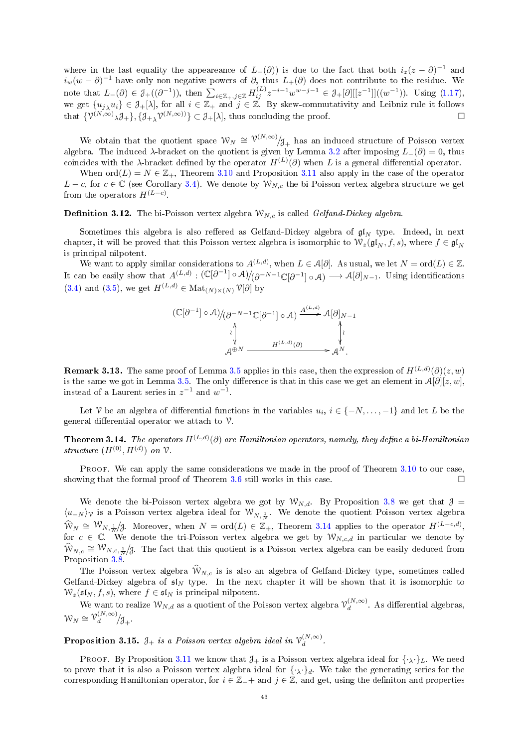where in the last equality the appeareance of  $L_-(\partial)$  is due to the fact that both  $i_z(z - \partial)^{-1}$  and  $i_w(w - \partial)^{-1}$  have only non negative powers of  $\partial$ , thus  $L_{+}(\partial)$  does not contribute to the residue. We note that  $L_{-}(\partial) \in \mathcal{J}_{+}((\partial^{-1}))$ , then  $\sum_{i\in\mathbb{Z}_{+},j\in\mathbb{Z}} H_{ij}^{(L)} z^{-i-1} w^{w-j-1} \in \mathcal{J}_{+}[\partial][[z^{-1}]](w^{-1})$ ). Using  $(1.17)$ , we get  $\{u_{j\lambda}u_i\}\in\mathcal{J}_+[\lambda]$ , for all  $i\in\mathbb{Z}_+$  and  $j\in\mathbb{Z}$ . By skew-commutativity and Leibniz rule it follows that  $\{\mathcal{V}^{(N,\infty)}, \mathcal{J}_+\}, \{\mathcal{J}_+\lambda\mathcal{V}^{(N,\infty)}\}\subset \mathcal{J}_+[\lambda]$ , thus concluding the proof.

We obtain that the quotient space  $W_N \cong \frac{\mathcal{V}^{(N,\infty)}}{\mathcal{J}_+}$  has an induced structure of Poisson vertex algebra. The induced  $\lambda$ -bracket on the quotient is given by Lemma [3.2](#page-36-1) after imposing  $L_-(\partial) = 0$ , thus coincides with the  $\lambda$ -bracket defined by the operator  $H^{(L)}(\partial)$  when L is a general differential operator.

When  $ord(L) = N \in \mathbb{Z}_+$ , Theorem [3.10](#page-45-1) and Proposition [3.11](#page-45-2) also apply in the case of the operator  $L - c$ , for  $c \in \mathbb{C}$  (see Corollary [3.4\)](#page-39-5). We denote by  $\mathcal{W}_{N,c}$  the bi-Poisson vertex algebra structure we get from the operators  $H^{(L-c)}$ .

**Definition 3.12.** The bi-Poisson vertex algebra  $W_{N,c}$  is called Gelfand-Dickey algebra.

Sometimes this algebra is also reffered as Gelfand-Dickey algebra of  $\mathfrak{gl}_N$  type. Indeed, in next chapter, it will be proved that this Poisson vertex algebra is isomorphic to  $W_z(\mathfrak{gl}_N, f, s)$ , where  $f \in \mathfrak{gl}_N$ is principal nilpotent.

We want to apply similar considerations to  $A^{(L,d)}$ , when  $L \in \mathcal{A}[\partial]$ . As usual, we let  $N = \text{ord}(L) \in \mathbb{Z}$ . It can be easily show that  $A^{(L,d)} : (\mathbb{C}[\partial^{-1}] \circ A)/(\partial^{-N-1} \mathbb{C}[\partial^{-1}] \circ A) \longrightarrow A[\partial]_{N-1}$ . Using identifications [\(3.4\)](#page-35-0) and [\(3.5\)](#page-35-1), we get  $H^{(L,d)} \in Mat_{(N) \times (N)} \mathcal{V}[\hat{\partial}]$  by

$$
(\mathbb{C}[\partial^{-1}] \circ \mathcal{A})/(\partial^{-N-1} \mathbb{C}[\partial^{-1}] \circ \mathcal{A}) \xrightarrow{A^{(L,d)}} \mathcal{A}[\partial]_{N-1}
$$
  

$$
\downarrow^{\wedge}
$$
  

$$
\mathcal{A}^{\oplus N} \xrightarrow{H^{(L,d)}(\partial)} \mathcal{A}^N.
$$

**Remark 3.13.** The same proof of Lemma [3.5](#page-40-2) applies in this case, then the expression of  $H^{(L,d)}(\partial)(z,w)$ is the same we got in Lemma [3.5.](#page-40-2) The only difference is that in this case we get an element in  $\mathcal{A}[\partial][z, w],$ instead of a Laurent series in  $z^{-1}$  and  $w^{-1}$ .

Let V be an algebra of differential functions in the variables  $u_i, i \in \{-N, \ldots, -1\}$  and let L be the general differential operator we attach to  $\nu$ .

<span id="page-46-0"></span>**Theorem 3.14.** The operators  $H^{(L,d)}(\partial)$  are Hamiltonian operators, namely, they define a bi-Hamiltonian structure  $(H^{(0)}, H^{(d)})$  on  $\mathcal V$ .

PROOF. We can apply the same considerations we made in the proof of Theorem [3.10](#page-45-1) to our case, showing that the formal proof of Theorem [3.6](#page-41-9) still works in this case.

We denote the bi-Poisson vertex algebra we got by  $W_{N,d}$ . By Proposition [3.8](#page-44-7) we get that  $\mathcal{J} =$  $\langle u_{-N} \rangle$  is a Poisson vertex algebra ideal for  $W_{N, \frac{1}{N}}$ . We denote the quotient Poisson vertex algebra  $\widehat{W}_N \cong W_{N,\frac{1}{N}}/3$ . Moreover, when  $N = \text{ord}(L) \in \mathbb{Z}_+$ , Theorem [3.14](#page-46-0) applies to the operator  $H^{(L-c,d)}$ , for  $c \in \mathbb{C}$ . We denote the tri-Poisson vertex algebra we get by  $\mathcal{W}_{N,c,d}$  in particular we denote by  $\widehat{W}_{N,c} \cong \mathcal{W}_{N,c,\frac{1}{N}}/3$ . The fact that this quotient is a Poisson vertex algebra can be easily deduced from Proposition [3.8.](#page-44-7)

The Poisson vertex algebra  $\widehat{W}_{N,c}$  is is also an algebra of Gelfand-Dickey type, sometimes called Gelfand-Dickey algebra of  $\mathfrak{sl}_N$  type. In the next chapter it will be shown that it is isomorphic to  $W_z(\mathfrak{sl}_N, f, s)$ , where  $f \in \mathfrak{sl}_N$  is principal nilpotent.

We want to realize  $W_{N,d}$  as a quotient of the Poisson vertex algebra  $\mathcal{V}_d^{(N,\infty)}$  $\frac{d}{d}$ . As differential algebras,  $\mathcal{W}_N \cong \mathcal{V}_d^{(N,\infty)}$  $\frac{d}{d}$   $\frac{d}{d}$   $\frac{d}{d}$   $\frac{d}{d}$ 

<span id="page-46-1"></span>**Proposition 3.15.**  $\mathcal{J}_+$  is a Poisson vertex algebra ideal in  $\mathcal{V}_d^{(N,\infty)}$  $\frac{d^{(N,\infty)}}{d}$ .

PROOF. By Proposition [3.11](#page-45-2) we know that  $\mathcal{J}_+$  is a Poisson vertex algebra ideal for  $\{\cdot_\lambda\cdot\}_L$ . We need to prove that it is also a Poisson vertex algebra ideal for  $\{\cdot_\lambda\cdot\}_d$ . We take the generating series for the corresponding Hamiltonian operator, for  $i \in \mathbb{Z}_+$  and  $j \in \mathbb{Z}$ , and get, using the definiton and properties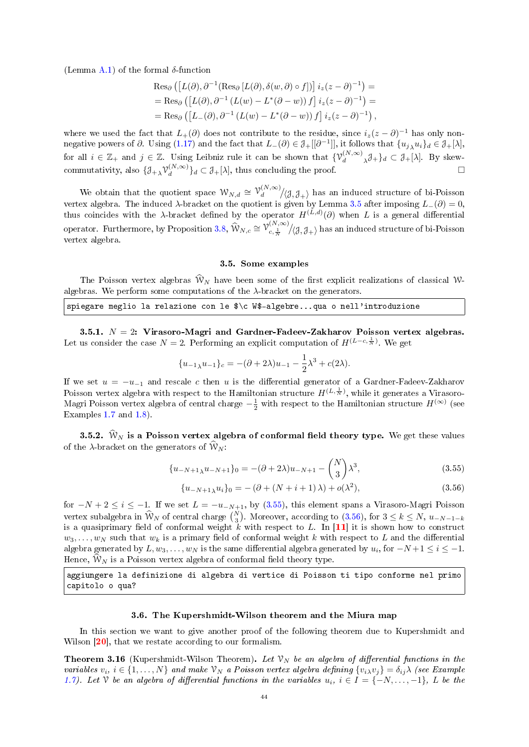(Lemma [A.1\)](#page-81-2) of the formal  $\delta$ -function

$$
\operatorname{Res}_{\partial} ([L(\partial), \partial^{-1} (\operatorname{Res}_{\partial} [L(\partial), \delta(w, \partial) \circ f])] i_z(z - \partial)^{-1}) =
$$
  
= 
$$
\operatorname{Res}_{\partial} ([L(\partial), \partial^{-1} (L(w) - L^*(\partial - w)) f] i_z(z - \partial)^{-1}) =
$$
  
= 
$$
\operatorname{Res}_{\partial} ([L_{-}(\partial), \partial^{-1} (L(w) - L^*(\partial - w)) f] i_z(z - \partial)^{-1}),
$$

where we used the fact that  $L_{+}(\partial)$  does not contribute to the residue, since  $i_z(z-\partial)^{-1}$  has only nonnegative powers of  $\partial$ . Using [\(1.17\)](#page-12-0) and the fact that  $L_-(\partial) \in \mathcal{J}_+[[\partial^{-1}]],$  it follows that  $\{u_j{}_{\lambda}u_i\}_d \in \mathcal{J}_+[\lambda],$ for all  $i \in \mathbb{Z}_+$  and  $j \in \mathbb{Z}$ . Using Leibniz rule it can be shown that  $\{ \mathcal{V}_{d}^{(N,\infty)} \}$  $\{\mathcal{J}_d^{(N,\infty)}\}_{d}$   $\mathcal{J}_+\}_{d}$   $\subset$   $\mathcal{J}_+[\lambda]$ . By skewcommutativity, also  $\{\partial_{+\lambda} \mathcal{V}_d^{(N,\infty)}\}$  $\{d^{(N,\infty)}_d\}_d \subset \mathcal{J}_+[\lambda]$ , thus concluding the proof.

We obtain that the quotient space  $\mathcal{W}_{N,d} \cong \mathcal{V}_d^{(N,\infty)}$  $\frac{d}{d} \sqrt{3}, \frac{d}{d+1}$  has an induced structure of bi-Poisson vertex algebra. The induced  $\lambda$ -bracket on the quotient is given by Lemma [3.5](#page-40-2) after imposing  $L_-(\partial) = 0$ , thus coincides with the  $\lambda$ -bracket defined by the operator  $H^{(L,d)}(\partial)$  when L is a general differential operator. Furthermore, by Proposition [3.8,](#page-44-7)  $\widehat{W}_{N,c} \cong \mathcal{V}^{(N,\infty)}_{c,\frac{1}{N}}$  $\langle c, \frac{1}{N} \rangle$  /(3,  $\mathcal{J}_+$ ) has an induced structure of bi-Poisson vertex algebra.

### 3.5. Some examples

The Poisson vertex algebras  $\widehat{W}_N$  have been some of the first explicit realizations of classical Walgebras. We perform some computations of the  $\lambda$ -bracket on the generators.

| spiegare meglio la relazione con le $\csc \sqrt{3}$ w\$-algebrequa o nell'introduzione |  |
|----------------------------------------------------------------------------------------|--|
|----------------------------------------------------------------------------------------|--|

3.5.1.  $N = 2$ : Virasoro-Magri and Gardner-Fadeev-Zakharov Poisson vertex algebras. Let us consider the case  $N = 2$ . Performing an explicit computation of  $H^{(L-c, \frac{1}{N})}$ . We get

$$
\{u_{-1\lambda}u_{-1}\}_c = -(\partial + 2\lambda)u_{-1} - \frac{1}{2}\lambda^3 + c(2\lambda).
$$

If we set  $u = -u_{-1}$  and rescale c then u is the differential generator of a Gardner-Fadeev-Zakharov Poisson vertex algebra with respect to the Hamiltonian structure  $H^{(L, \frac{1}{N})}$ , while it generates a Virasoro-Magri Poisson vertex algebra of central charge  $-\frac{1}{2}$  with respect to the Hamiltonian structure  $H^{(\infty)}$  (see Examples [1.7](#page-11-0) and [1.8\)](#page-11-1).

3.5.2.  $\hat{W}_N$  is a Poisson vertex algebra of conformal field theory type. We get these values of the  $\lambda$ -bracket on the generators of  $\hat{W}_N$ :

$$
\{u_{-N+1}\lambda u_{-N+1}\}_0 = -(\partial + 2\lambda)u_{-N+1} - \binom{N}{3}\lambda^3,
$$
\n(3.55)

<span id="page-47-1"></span><span id="page-47-0"></span>
$$
\{u_{-N+1\lambda}u_i\}_0 = -(\partial + (N+i+1)\lambda) + o(\lambda^2),\tag{3.56}
$$

for  $-N+2 \leq i \leq -1$ . If we set  $L = -u_{-N+1}$ , by [\(3.55\)](#page-47-0), this element spans a Virasoro-Magri Poisson vertex subalgebra in  $\widehat{W}_N$  of central charge  $\binom{N}{3}$ . Moreover, according to  $(3.56)$ , for  $3 \leq k \leq N$ ,  $u_{-N-1-k}$ is a quasiprimary field of conformal weight k with respect to L. In  $[11]$  it is shown how to construct  $w_3, \ldots, w_N$  such that  $w_k$  is a primary field of conformal weight k with respect to L and the differential algebra generated by  $L, w_3, \ldots, w_N$  is the same differential algebra generated by  $u_i$ , for  $-N+1 \leq i \leq -1$ . Hence,  $\mathcal{W}_N$  is a Poisson vertex algebra of conformal field theory type.

aggiungere la definizione di algebra di vertice di Poisson ti tipo conforme nel primo capitolo o qua?

## 3.6. The Kupershmidt-Wilson theorem and the Miura map

In this section we want to give another proof of the following theorem due to Kupershmidt and Wilson [\[20\]](#page-88-1), that we restate according to our formalism.

<span id="page-47-2"></span>**Theorem 3.16** (Kupershmidt-Wilson Theorem). Let  $\mathcal{V}_N$  be an algebra of differential functions in the variables  $v_i, i \in \{1, \ldots, N\}$  and make  $\mathcal{V}_N$  a Poisson vertex algebra defining  $\{v_i, v_j\} = \delta_{ij} \lambda$  (see Example [1.7\)](#page-11-0). Let V be an algebra of differential functions in the variables  $u_i, i \in I = \{-N, \ldots, -1\}, L$  be the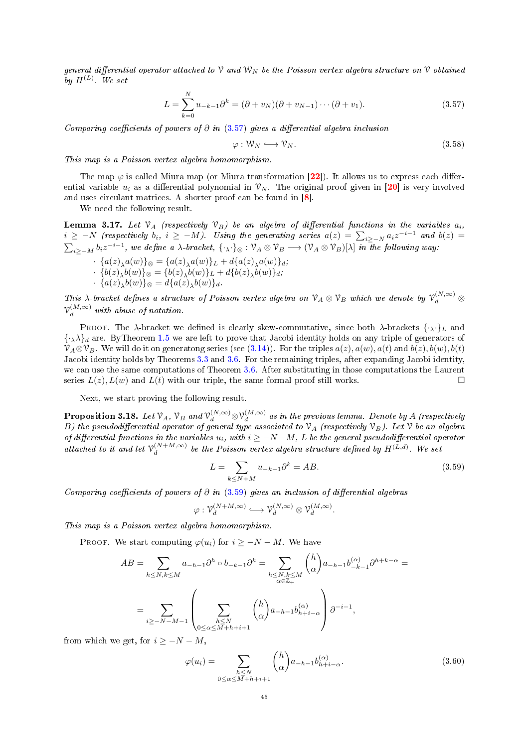general differential operator attached to V and  $W_N$  be the Poisson vertex algebra structure on V obtained by  $H^{(L)}$ . We set

$$
L = \sum_{k=0}^{N} u_{-k-1} \partial^{k} = (\partial + v_{N})(\partial + v_{N-1}) \cdots (\partial + v_{1}).
$$
\n(3.57)

Comparing coefficients of powers of  $\partial$  in [\(3.57\)](#page-48-0) gives a differential algebra inclusion

<span id="page-48-0"></span>
$$
\varphi: \mathcal{W}_N \longrightarrow \mathcal{V}_N. \tag{3.58}
$$

This map is a Poisson vertex algebra homomorphism.

The map  $\varphi$  is called Miura map (or Miura transformation [\[22\]](#page-88-2)). It allows us to express each differential variable  $u_i$  as a differential polynomial in  $\mathcal{V}_N$ . The original proof given in [\[20\]](#page-88-1) is very involved and uses circulant matrices. A shorter proof can be found in [\[8\]](#page-88-3).

We need the following result.

**Lemma 3.17.** Let  $\mathcal{V}_A$  (respectively  $\mathcal{V}_B$ ) be an algebra of differential functions in the variables  $a_i$ ,  $i \geq -N$  (respectively  $b_i$ ,  $i \geq -M$ ). Using the generating series  $a(z) = \sum_{i \geq -N} a_i z^{-i-1}$  and  $b(z) =$  $\sum_{i\geq -M}b_iz^{-i-1}$ , we define a  $\lambda$ -bracket,  $\{\cdot_\lambda\cdot\}_\otimes:\mathcal{V}_A\otimes\mathcal{V}_B\longrightarrow (\mathcal{V}_A\otimes\mathcal{V}_B)[\lambda]$  in the following way:

 $\cdot \{a(z)_\lambda a(w)\}_\otimes = \{a(z)_\lambda a(w)\}_L + d\{a(z)_\lambda a(w)\}_d;$  $\cdot \{b(z)_\lambda b(w)\}_\otimes = \{b(z)_\lambda b(w)\}_L + d\{b(z)_\lambda b(w)\}_d;$ 

 $\cdot \{a(z)_\lambda b(w)\}_\otimes = d\{a(z)_\lambda b(w)\}_d.$ 

This  $\lambda$ -bracket defines a structure of Poisson vertex algebra on  $\mathcal{V}_A \otimes \mathcal{V}_B$  which we denote by  $\mathcal{V}_d^{(N,\infty)}$  ${\mathcal V}_d^{(M,\infty)}$  with abuse of notation.

PROOF. The  $\lambda$ -bracket we defined is clearly skew-commutative, since both  $\lambda$ -brackets  $\{\cdot_{\lambda}\cdot\}_L$  and  $\{\cdot_\lambda\lambda\}_d$  are. By Theorem [1.5](#page-11-2) we are left to prove that Jacobi identity holds on any triple of generators of  $V_A \otimes V_B$ . We will do it on generatong series (see [\(3.14\)](#page-37-6)). For the triples  $a(z)$ ,  $a(w)$ ,  $a(t)$  and  $b(z)$ ,  $b(w)$ ,  $b(t)$ Jacobi identity holds by Theorems [3.3](#page-37-11) and [3.6.](#page-41-9) For the remaining triples, after expanding Jacobi identity, we can use the same computations of Theorem [3.6.](#page-41-9) After substituting in those computations the Laurent series  $L(z)$ ,  $L(w)$  and  $L(t)$  with our triple, the same formal proof still works.

Next, we start proving the following result.

<span id="page-48-3"></span>Proposition 3.18. Let  $\mathcal{V}_A$ ,  $\mathcal{V}_B$  and  $\mathcal{V}_d^{(N,\infty)}$   $\otimes \mathcal{V}_d^{(M,\infty)}$  $\frac{d^{(M,\infty)}}{d}$  as in the previous lemma. Denote by A (respectively B) the pseudodifferential operator of general type associated to  $\mathcal{V}_A$  (respectively  $\mathcal{V}_B$ ). Let  $\mathcal V$  be an algebra of differential functions in the variables  $u_i$ , with  $i \geq -N-M$ , L be the general pseudodifferential operator attached to it and let  $\mathcal{V}_d^{(N+M,\infty)}$  $\frac{d^{(N+M,\infty)}}{d}$  be the Poisson vertex algebra structure defined by  $H^{(L,d)}$ . We set

<span id="page-48-1"></span>
$$
L = \sum_{k \le N+M} u_{-k-1} \partial^k = AB.
$$
\n(3.59)

Comparing coefficients of powers of  $\partial$  in [\(3.59\)](#page-48-1) gives an inclusion of differential algebras

$$
\varphi: \mathcal{V}_d^{(N+M,\infty)} \longrightarrow \mathcal{V}_d^{(N,\infty)} \otimes \mathcal{V}_d^{(M,\infty)}.
$$

This map is a Poisson vertex algebra homomorphism.

PROOF. We start computing  $\varphi(u_i)$  for  $i \geq -N-M$ . We have

$$
AB = \sum_{h \le N, k \le M} a_{-h-1} \partial^h \circ b_{-k-1} \partial^k = \sum_{h \le N, k \le M} \binom{h}{\alpha} a_{-h-1} b_{-k-1}^{(\alpha)} \partial^{h+k-\alpha} =
$$
  

$$
= \sum_{i \ge -N-M-1} \left( \sum_{\substack{h \le N \\ 0 \le \alpha \le M+h+i+1}} \binom{h}{\alpha} a_{-h-1} b_{h+i-\alpha}^{(\alpha)} \right) \partial^{-i-1},
$$

from which we get, for  $i\geq -N-M,$ 

<span id="page-48-2"></span>
$$
\varphi(u_i) = \sum_{\substack{h \le N \\ 0 \le \alpha \le M + h + i + 1}} \binom{h}{\alpha} a_{-h-1} b_{h+i-\alpha}^{(\alpha)}.
$$
\n(3.60)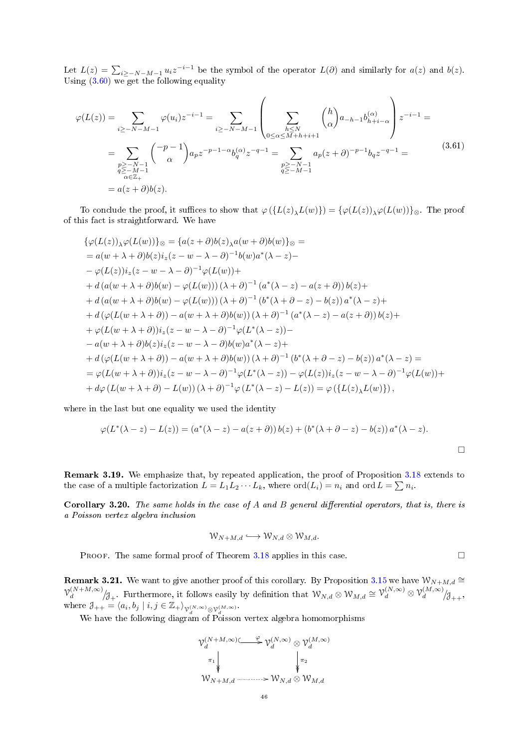Let  $L(z) = \sum_{i \ge -N-M-1} u_i z^{-i-1}$  be the symbol of the operator  $L(\partial)$  and similarly for  $a(z)$  and  $b(z)$ . Using  $(3.60)$  we get the following equality

$$
\varphi(L(z)) = \sum_{i \ge -N-M-1} \varphi(u_i) z^{-i-1} = \sum_{i \ge -N-M-1} \left( \sum_{\substack{h \le N \\ 0 \le \alpha \le M+h+i+1}} \binom{h}{\alpha} a_{-h-1} b_{h+i-\alpha}^{(\alpha)} \right) z^{-i-1} =
$$
  
\n
$$
= \sum_{\substack{p \ge -N-1 \\ q \ge -M-1}} {\binom{-p-1}{\alpha}} a_p z^{-p-1-\alpha} b_q^{(\alpha)} z^{-q-1} = \sum_{\substack{p \ge -N-1 \\ q \ge -M-1}} a_p (z+\partial)^{-p-1} b_q z^{-q-1} =
$$
  
\n
$$
= a(z+\partial) b(z).
$$
\n(3.61)

To conclude the proof, it suffices to show that  $\varphi(\{L(z)_{\lambda}L(w)\}) = \{\varphi(L(z))_{\lambda}\varphi(L(w))\}_{\otimes}$ . The proof of this fact is straightforward. We have

$$
\{\varphi(L(z))_{\lambda}\varphi(L(w))\}_{\otimes} = \{a(z+\partial)b(z)_{\lambda}a(w+\partial)b(w)\}_{\otimes} =
$$
  
\n
$$
= a(w+\lambda+\partial)b(z)i_z(z-w-\lambda-\partial)^{-1}b(w)a^*(\lambda-z)-
$$
  
\n
$$
-\varphi(L(z))i_z(z-w-\lambda-\partial)^{-1}\varphi(L(w))+
$$
  
\n
$$
+ d(a(w+\lambda+\partial)b(w)-\varphi(L(w)))(\lambda+\partial)^{-1}(a^*(\lambda-z)-a(z+\partial))b(z)+
$$
  
\n
$$
+ d(a(w+\lambda+\partial)b(w)-\varphi(L(w)))(\lambda+\partial)^{-1}(b^*(\lambda+\partial-z)-b(z))a^*(\lambda-z)+
$$
  
\n
$$
+ d(\varphi(L(w+\lambda+\partial)) - a(w+\lambda+\partial)b(w))(\lambda+\partial)^{-1}(a^*(\lambda-z)-a(z+\partial))b(z)+
$$
  
\n
$$
+ \varphi(L(w+\lambda+\partial))i_z(z-w-\lambda-\partial)^{-1}\varphi(L^*(\lambda-z))-
$$
  
\n
$$
- a(w+\lambda+\partial)b(z)i_z(z-w-\lambda-\partial)b(w)a^*(\lambda-z)+
$$
  
\n
$$
+ d(\varphi(L(w+\lambda+\partial)) - a(w+\lambda+\partial)b(w))(\lambda+\partial)^{-1}(b^*(\lambda+\partial-z)-b(z))a^*(\lambda-z)=
$$
  
\n
$$
= \varphi(L(w+\lambda+\partial))i_z(z-w-\lambda-\partial)^{-1}\varphi(L^*(\lambda-z)) - \varphi(L(z))i_z(z-w-\lambda-\partial)^{-1}\varphi(L(w))+
$$
  
\n
$$
+ d\varphi(L(w+\lambda+\partial)-L(w))(\lambda+\partial)^{-1}\varphi(L^*(\lambda-z)-L(z)) = \varphi(\{L(z)_{\lambda}L(w)\}),
$$

where in the last but one equality we used the identity

$$
\varphi(L^*(\lambda - z) - L(z)) = (a^*(\lambda - z) - a(z + \partial))b(z) + (b^*(\lambda + \partial - z) - b(z))a^*(\lambda - z).
$$

<span id="page-49-0"></span>Remark 3.19. We emphasize that, by repeated application, the proof of Proposition [3.18](#page-48-3) extends to the case of a multiple factorization  $L = L_1 L_2 \cdots L_k$ , where  $\text{ord}(L_i) = n_i$  and  $\text{ord } L = \sum n_i$ .

<span id="page-49-1"></span>Corollary 3.20. The same holds in the case of  $A$  and  $B$  general differential operators, that is, there is a Poisson vertex algebra inclusion

$$
\mathcal{W}_{N+M,d} \hookrightarrow \mathcal{W}_{N,d} \otimes \mathcal{W}_{M,d}.
$$

**PROOF.** The same formal proof of Theorem [3.18](#page-48-3) applies in this case.

Remark 3.21. We want to give another proof of this corollary. By Proposition [3.15](#page-46-1) we have  $W_{N+M,d} \cong$  ${\mathcal{V}}_d^{(N+M,\infty)}$  $\mathcal{O}^{(N+M,\infty)}_{d}/\mathcal{J}_+$ . Furthermore, it follows easily by definition that  $\mathcal{W}_{N,d}\otimes \mathcal{W}_{M,d}\cong \mathcal{V}_d^{(N,\infty)}\otimes \mathcal{V}_d^{(M,\infty)}$  $\int_{d}^{(M,\infty)}$   $\left/ \mathcal{J}_{++},\right.$ where  $\mathcal{J}_{++} = \langle a_i, b_j \mid i, j \in \mathbb{Z}_+ \rangle_{\mathcal{V}_d^{(N,\infty)} \otimes \mathcal{V}_d^{(M,\infty)}}$ .

We have the following diagram of Poisson vertex algebra homomorphisms

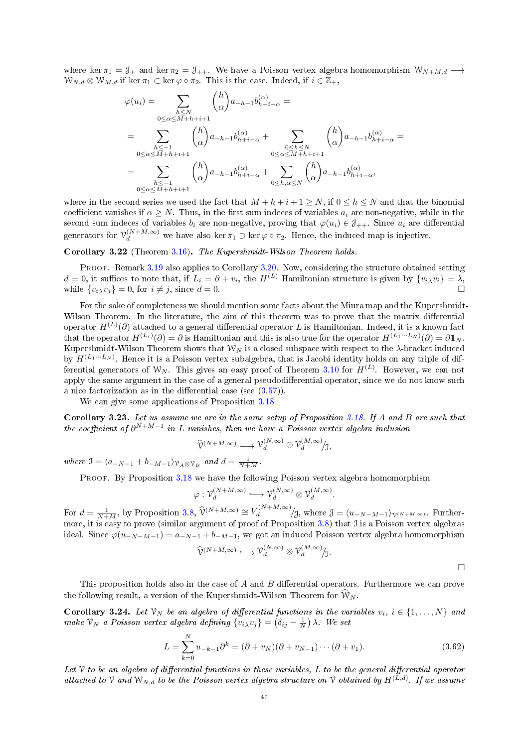where ker  $\pi_1 = \mathcal{J}_+$  and ker  $\pi_2 = \mathcal{J}_{++}$ . We have a Poisson vertex algebra homomorphism  $\mathcal{W}_{N+M,d} \longrightarrow$  $W_{N,d} \otimes W_{M,d}$  if ker  $\pi_1 \subset \ker \varphi \circ \pi_2$ . This is the case. Indeed, if  $i \in \mathbb{Z}_+$ ,

$$
\varphi(u_i) = \sum_{\substack{h \le N \\ 0 \le \alpha \le M+h+i+1}} {h \choose \alpha} a_{-h-1} b_{h+i-\alpha}^{(\alpha)} =
$$
\n
$$
= \sum_{\substack{h \le -1 \\ 0 \le \alpha \le M+h+i+1}} {h \choose \alpha} a_{-h-1} b_{h+i-\alpha}^{(\alpha)} + \sum_{\substack{0 \le h \le N \\ 0 \le \alpha \le M+h+i+1}} {h \choose \alpha} a_{-h-1} b_{h+i-\alpha}^{(\alpha)} =
$$
\n
$$
= \sum_{\substack{h \le -1 \\ 0 \le \alpha \le M+h+i+1}} {h \choose \alpha} a_{-h-1} b_{h+i-\alpha}^{(\alpha)} + \sum_{0 \le h, \alpha \le N} {h \choose \alpha} a_{-h-1} b_{h+i-\alpha}^{(\alpha)},
$$

where in the second series we used the fact that  $M + h + i + 1 \geq N$ , if  $0 \leq h \leq N$  and that the binomial coefficient vanishes if  $\alpha \geq N$ . Thus, in the first sum indeces of variables  $a_i$  are non-negative, while in the second sum indeces of variables  $b_i$  are non-negative, proving that  $\varphi(u_i) \in \mathcal{J}_{++}$ . Since  $u_i$  are differential generators for  $\mathcal{V}_d^{(N+M,\infty)}$  we have also ker  $\pi_1 \supset \ker \varphi \circ \pi_2$ . Hence, the induced map is injective.

Corollary 3.22 (Theorem [3.16\)](#page-47-2). The Kupershmidt-Wilson Theorem holds.

PROOF. Remark [3.19](#page-49-0) also applies to Corollary [3.20.](#page-49-1) Now, considering the structure obtained setting  $d = 0$ , it suffices to note that, if  $L_i = \partial + v_i$ , the  $H^{(L)}$  Hamiltonian structure is given by  $\{v_i{}_{\lambda}v_i\} = \lambda$ , while  $\{v_i\}_{i\in \mathbb{N}}=0$ , for  $i\neq j$ , since  $d=0$ .

For the sake of completeness we should mention some facts about the Miura map and the Kupershmidt-Wilson Theorem. In the literature, the aim of this theorem was to prove that the matrix differential operator  $H^{(L)}(\partial)$  attached to a general differential operator  $L$  is Hamiltonian. Indeed, it is a known fact that the operator  $H^{(L_i)}(\partial)=\partial$  is Hamiltonian and this is also true for the operator  $H^{(L_1\cdots L_N)}(\partial)=\partial 1\hskip-2.5pt{\rm l}_N$ . Kupershmidt-Wilson Theorem shows that  $W_N$  is a closed subspace with respect to the  $\lambda$ -bracket induced by  $H^{(L_1...L_N)}$ . Hence it is a Poisson vertex subalgebra, that is Jacobi identity holds on any triple of differential generators of  $\mathcal{W}_N$ . This gives an easy proof of Theorem [3.10](#page-45-1) for  $H^{(L)}$ . However, we can not apply the same argument in the case of a general pseudodifferential operator, since we do not know such a nice factorization as in the differential case (see  $(3.57)$ ).

We can give some applications of Proposition  $3.18$ 

<span id="page-50-1"></span>Corollary 3.23. Let us assume we are in the same setup of Proposition [3.18.](#page-48-3) If A and B are such that the coefficient of  $\partial^{N+M-1}$  in L vanishes, then we have a Poisson vertex algebra inclusion

$$
\widehat{\mathcal{V}}^{(N+M,\infty)}\longrightarrow \mathcal{V}_d^{(N,\infty)}\otimes \mathcal{V}_d^{(M,\infty)}/\!\!{\mathfrak{I}},
$$

where  $\mathfrak{I} = \langle a_{-N-1} + b_{-M-1} \rangle_{\mathcal{V}_A \otimes \mathcal{V}_B}$  and  $d = \frac{1}{N+M}$ .

PROOF. By Proposition [3.18](#page-48-3) we have the following Poisson vertex algebra homomorphism

$$
\varphi: \mathcal{V}_d^{(N+M,\infty)} \longrightarrow \mathcal{V}_d^{(N,\infty)} \otimes \mathcal{V}_d^{(M,\infty)}.
$$

For  $d = \frac{1}{N+M}$ , by Proposition [3.8,](#page-44-7)  $\widehat{\mathcal{V}}^{(N+M,\infty)} \cong V_d^{(N+M,\infty)}$  $\int_{d}^{(N+M,\infty)}$  /g, where  $\partial = \langle u_{-N-M-1} \rangle_{\mathcal{V}^{(N+M,\infty)}}$ . Further-more, it is easy to prove (similar argument of proof of Proposition [3.8\)](#page-44-7) that J is a Poisson vertex algebras ideal. Since  $\varphi(u_{-N-M-1}) = a_{-N-1} + b_{-M-1}$ , we got an induced Poisson vertex algebra homomorphism

<span id="page-50-0"></span>
$$
\widehat{\mathcal{V}}^{(N+M,\infty)} \hookrightarrow \mathcal{V}_d^{(N,\infty)} \otimes \mathcal{V}_d^{(M,\infty)}/j.
$$

This proposition holds also in the case of A and B differential operators. Furthermore we can prove the following result, a version of the Kupershmidt-Wilson Theorem for  $\hat{W}_N$ .

Corollary 3.24. Let  $\mathcal{V}_N$  be an algebra of differential functions in the variables  $v_i, i \in \{1, ..., N\}$  and make  $\mathcal{V}_N$  a Poisson vertex algebra defining  $\{v_{i\lambda}v_j\} = (\delta_{ij} - \frac{1}{N})\lambda$ . We set

$$
L = \sum_{k=0}^{N} u_{-k-1} \partial^k = (\partial + v_N)(\partial + v_{N-1}) \cdots (\partial + v_1).
$$
 (3.62)

Let  $\mathcal V$  to be an algebra of differential functions in these variables, L to be the general differential operator attached to  $\mathcal V$  and  $\mathcal W_{N,d}$  to be the Poisson vertex algebra structure on  $\mathcal V$  obtained by  $H^{(L,d)}$ . If we assume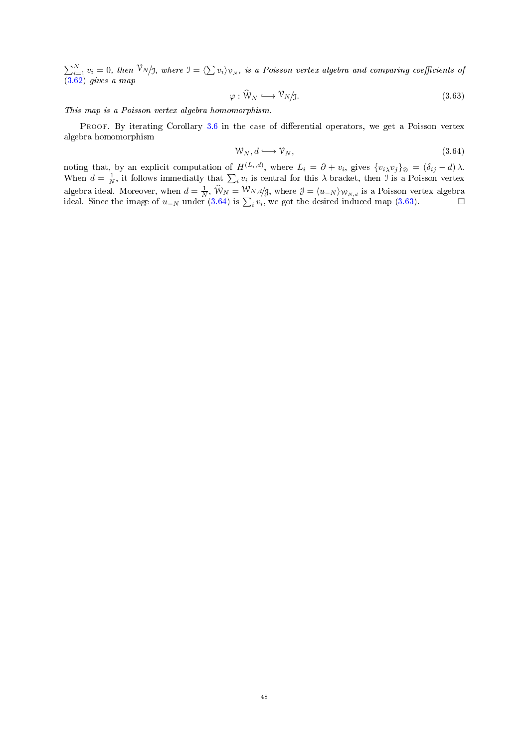$\sum_{i=1}^N v_i = 0$ , then  $\mathcal{V}_N/\mathcal{I}$ , where  $\mathcal{I} = \langle \sum v_i \rangle_{\mathcal{V}_N}$ , is a Poisson vertex algebra and comparing coefficients of [\(3.62\)](#page-50-0) gives a map

<span id="page-51-1"></span>
$$
\varphi : \widehat{\mathcal{W}}_N \longrightarrow \mathcal{V}_N/\mathfrak{Z}.\tag{3.63}
$$

This map is a Poisson vertex algebra homomorphism.

PROOF. By iterating Corollary [3.6](#page-50-1) in the case of differential operators, we get a Poisson vertex algebra homomorphism

<span id="page-51-0"></span>
$$
\mathcal{W}_N, d \longrightarrow \mathcal{V}_N,\tag{3.64}
$$

noting that, by an explicit computation of  $H^{(L_i,d)}$ , where  $L_i = \partial + v_i$ , gives  $\{v_i{}_{\lambda}v_j\}_{\otimes} = (\delta_{ij} - d)\lambda$ . When  $d = \frac{1}{N}$ , it follows immediatly that  $\sum_i v_i$  is central for this  $\lambda$ -bracket, then J is a Poisson vertex algebra ideal. Moreover, when  $d = \frac{1}{N}$ ,  $\hat{W}_N = \mathcal{W}_{N,d} / \mathcal{J}$ , where  $\mathcal{J} = \langle u_{-N} \rangle_{\mathcal{W}_{N,d}}$  is a Poisson vertex algebra ideal. Since the image of  $u_{-N}$  under [\(3.64\)](#page-51-0) is  $\sum_i v_i$ , we got the desired induced map [\(3.63\)](#page-51-1).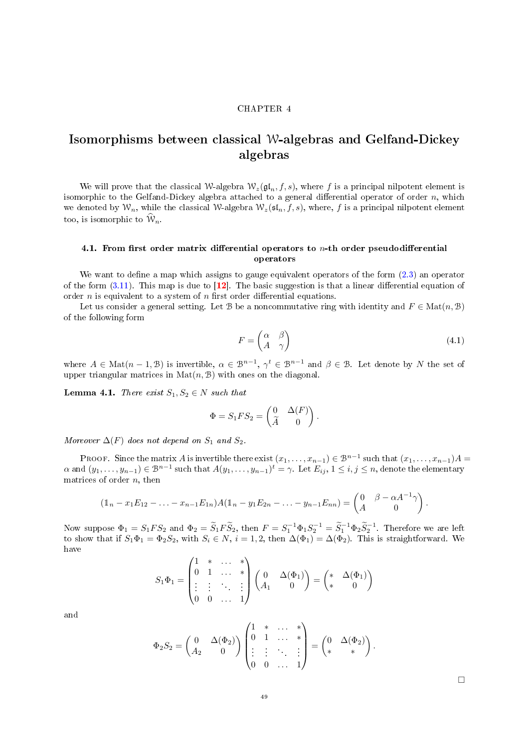#### CHAPTER 4

# Isomorphisms between classical W-algebras and Gelfand-Dickey algebras

We will prove that the classical W-algebra  $W_z(\mathfrak{gl}_n, f, s)$ , where f is a principal nilpotent element is isomorphic to the Gelfand-Dickey algebra attached to a general differential operator of order  $n$ , which we denoted by  $W_n$ , while the classical W-algebra  $W_z(\mathfrak{sl}_n, f, s)$ , where, f is a principal nilpotent element too, is isomorphic to  $\mathcal{W}_n$ .

# 4.1. From first order matrix differential operators to  $n$ -th order pseudodifferential operators

We want to define a map which assigns to gauge equivalent operators of the form  $(2.3)$  an operator of the form  $(3.11)$ . This map is due to  $\boxed{12}$ . The basic suggestion is that a linear differential equation of order  $n$  is equivalent to a system of  $n$  first order differential equations.

Let us consider a general setting. Let B be a noncommutative ring with identity and  $F \in \text{Mat}(n, \mathcal{B})$ of the following form

$$
F = \begin{pmatrix} \alpha & \beta \\ A & \gamma \end{pmatrix} \tag{4.1}
$$

where  $A \in \text{Mat}(n-1, \mathcal{B})$  is invertible,  $\alpha \in \mathcal{B}^{n-1}$ ,  $\gamma^t \in \mathcal{B}^{n-1}$  and  $\beta \in \mathcal{B}$ . Let denote by N the set of upper triangular matrices in  $\text{Mat}(n, \mathcal{B})$  with ones on the diagonal.

<span id="page-52-0"></span>**Lemma 4.1.** There exist  $S_1, S_2 \in N$  such that

$$
\Phi = S_1 F S_2 = \begin{pmatrix} 0 & \Delta(F) \\ \widetilde{A} & 0 \end{pmatrix}.
$$

Moreover  $\Delta(F)$  does not depend on  $S_1$  and  $S_2$ .

PROOF. Since the matrix A is invertible there exist  $(x_1, \ldots, x_{n-1}) \in \mathcal{B}^{n-1}$  such that  $(x_1, \ldots, x_{n-1})A =$  $\alpha$  and  $(y_1,\ldots,y_{n-1})\in\mathcal{B}^{n-1}$  such that  $A(y_1,\ldots,y_{n-1})^t=\gamma$ . Let  $E_{ij}, 1\leq i,j\leq n$ , denote the elementary matrices of order  $n$ , then

$$
(\mathbb{1}_n - x_1 E_{12} - \ldots - x_{n-1} E_{1n}) A (\mathbb{1}_n - y_1 E_{2n} - \ldots - y_{n-1} E_{nn}) = \begin{pmatrix} 0 & \beta - \alpha A^{-1} \gamma \\ A & 0 \end{pmatrix}.
$$

Now suppose  $\Phi_1 = S_1 F S_2$  and  $\Phi_2 = \widetilde{S}_1 F \widetilde{S}_2$ , then  $F = S_1^{-1} \Phi_1 S_2^{-1} = \widetilde{S}_1^{-1} \Phi_2 \widetilde{S}_2^{-1}$ . Therefore we are left to show that if  $S_1\Phi_1 = \Phi_2S_2$ , with  $S_i \in N$ ,  $i = 1, 2$ , then  $\Delta(\Phi_1) = \Delta(\Phi_2)$ . This is straightforward. We have

$$
S_1\Phi_1 = \begin{pmatrix} 1 & * & \dots & * \\ 0 & 1 & \dots & * \\ \vdots & \vdots & \ddots & \vdots \\ 0 & 0 & \dots & 1 \end{pmatrix} \begin{pmatrix} 0 & \Delta(\Phi_1) \\ A_1 & 0 \end{pmatrix} = \begin{pmatrix} * & \Delta(\Phi_1) \\ * & 0 \end{pmatrix}
$$

and

$$
\Phi_2 S_2 = \begin{pmatrix} 0 & \Delta(\Phi_2) \\ A_2 & 0 \end{pmatrix} \begin{pmatrix} 1 & * & \dots & * \\ 0 & 1 & \dots & * \\ \vdots & \vdots & \ddots & \vdots \\ 0 & 0 & \dots & 1 \end{pmatrix} = \begin{pmatrix} 0 & \Delta(\Phi_2) \\ * & * \end{pmatrix}.
$$

 $\Box$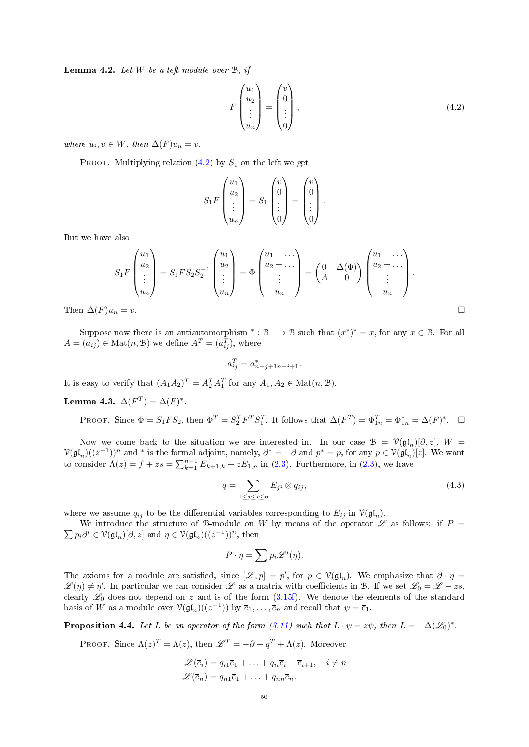<span id="page-53-1"></span>**Lemma 4.2.** Let  $W$  be a left module over  $B$ , if

<span id="page-53-0"></span>
$$
F\begin{pmatrix} u_1 \\ u_2 \\ \vdots \\ u_n \end{pmatrix} = \begin{pmatrix} v \\ 0 \\ \vdots \\ 0 \end{pmatrix}, \tag{4.2}
$$

where  $u_i, v \in W$ , then  $\Delta(F)u_n = v$ .

PROOF. Multiplying relation  $(4.2)$  by  $S_1$  on the left we get

$$
S_1F\begin{pmatrix}u_1\\u_2\\ \vdots\\u_n\end{pmatrix}=S_1\begin{pmatrix}v\\0\\ \vdots\\0\end{pmatrix}=\begin{pmatrix}v\\0\\ \vdots\\0\end{pmatrix}.
$$

But we have also

$$
S_1F\begin{pmatrix}u_1\\u_2\\ \vdots\\u_n\end{pmatrix} = S_1FS_2S_2^{-1}\begin{pmatrix}u_1\\u_2\\ \vdots\\u_n\end{pmatrix} = \Phi\begin{pmatrix}u_1+\dots\\u_2+\dots\\ \vdots\\u_n\end{pmatrix} = \begin{pmatrix}0 & \Delta(\Phi) \\ A & 0\end{pmatrix}\begin{pmatrix}u_1+\dots\\u_2+\dots\\ \vdots\\u_n\end{pmatrix}.
$$
  
Then  $\Delta(F)u_n = v$ .

Suppose now there is an antiautomorphism  $* : \mathcal{B} \longrightarrow \mathcal{B}$  such that  $(x^*)^* = x$ , for any  $x \in \mathcal{B}$ . For all  $A = (a_{ij}) \in Mat(n, \mathcal{B})$  we define  $A<sup>T</sup> = (a<sub>ij</sub><sup>T</sup>)$ , where

$$
a_{ij}^T = a_{n-j+1n-i+1}^*.
$$

It is easy to verify that  $(A_1A_2)^T = A_2^T A_1^T$  for any  $A_1, A_2 \in \text{Mat}(n, \mathcal{B})$ .

<span id="page-53-2"></span>Lemma 4.3.  $\Delta(F^T) = \Delta(F)^*$ .

PROOF. Since 
$$
\Phi = S_1 F S_2
$$
, then  $\Phi^T = S_2^T F^T S_1^T$ . It follows that  $\Delta(F^T) = \Phi_{1n}^T = \Phi_{1n}^* = \Delta(F)^*$ .  $\square$ 

Now we come back to the situation we are interested in. In our case  $\mathcal{B} = \mathcal{V}(\mathfrak{gl}_n)[\partial, z]$ ,  $W =$  $\mathcal{V}(\mathfrak{gl}_n)((z^{-1}))^n$  and \* is the formal adjoint, namely,  $\partial^* = -\partial$  and  $p^* = p$ , for any  $p \in \mathcal{V}(\mathfrak{gl}_n)[z]$ . We want to consider  $\Lambda(z) = f + zs = \sum_{k=1}^{n-1} E_{k+1,k} + zE_{1,n}$  in [\(2.3\)](#page-16-0). Furthermore, in (2.3), we have

<span id="page-53-3"></span>
$$
q = \sum_{1 \le j \le i \le n} E_{ji} \otimes q_{ij}, \qquad (4.3)
$$

where we assume  $q_{ij}$  to be the differential variables corresponding to  $E_{ij}$  in  $\mathcal{V}(\mathfrak{gl}_n)$ .

 $\sum p_i \partial^i \in \mathcal{V}(\mathfrak{gl}_n)[\partial, z]$  and  $\eta \in \mathcal{V}(\mathfrak{gl}_n)((z^{-1}))^n$ , then We introduce the structure of B-module on W by means of the operator  $\mathscr L$  as follows: if  $P =$ 

$$
P \cdot \eta = \sum p_i \mathscr{L}^i(\eta).
$$

The axioms for a module are satisfied, since  $[\mathscr{L}, p] = p'$ , for  $p \in \mathcal{V}(\mathfrak{gl}_n)$ . We emphasize that  $\partial \cdot \eta =$  $\mathscr{L}(\eta) \neq \eta'$ . In particular we can consider  $\mathscr{L}$  as a matrix with coefficients in B. If we set  $\mathscr{L}_0 = \mathscr{L} - zs$ , clearly  $\mathscr{L}_0$  does not depend on z and is of the form  $(3.15f)$ . We denote the elements of the standard basis of W as a module over  $\mathcal{V}(\mathfrak{gl}_n)((z^{-1}))$  by  $\overline{e}_1,\ldots,\overline{e}_n$  and recall that  $\psi=\overline{e}_1$ .

<span id="page-53-4"></span>**Proposition 4.4.** Let L be an operator of the form  $(3.11)$  such that  $L \cdot \psi = z\psi$ , then  $L = -\Delta(\mathscr{L}_0)^*$ .

PROOF. Since  $\Lambda(z)^T = \Lambda(z)$ , then  $\mathscr{L}^T = -\partial + q^T + \Lambda(z)$ . Moreover

$$
\mathcal{L}(\overline{e}_i) = q_{i1}\overline{e}_1 + \ldots + q_{ii}\overline{e}_i + \overline{e}_{i+1}, \quad i \neq n
$$
  

$$
\mathcal{L}(\overline{e}_n) = q_{n1}\overline{e}_1 + \ldots + q_{nn}\overline{e}_n.
$$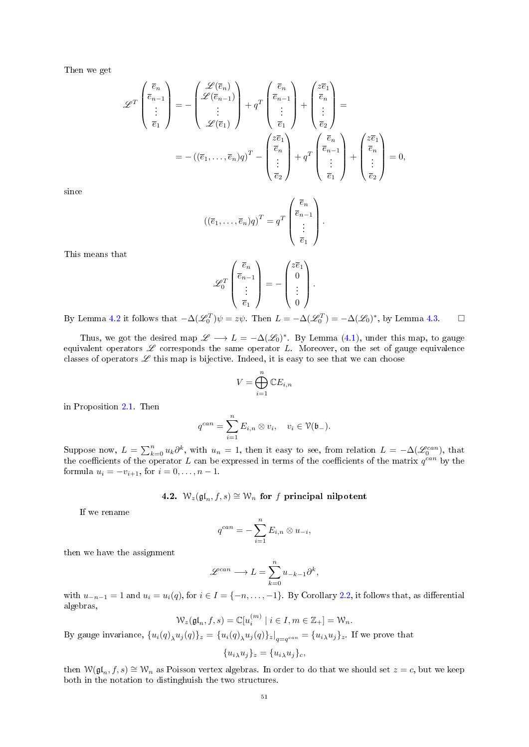Then we get

$$
\mathscr{L}^{T}\begin{pmatrix} \overline{e}_{n} \\ \overline{e}_{n-1} \\ \vdots \\ \overline{e}_{1} \end{pmatrix} = -\begin{pmatrix} \mathscr{L}(\overline{e}_{n}) \\ \mathscr{L}(\overline{e}_{n-1}) \\ \vdots \\ \mathscr{L}(\overline{e}_{1}) \end{pmatrix} + q^{T} \begin{pmatrix} \overline{e}_{n} \\ \overline{e}_{n-1} \\ \vdots \\ \overline{e}_{1} \end{pmatrix} + \begin{pmatrix} z\overline{e}_{1} \\ \overline{e}_{n} \\ \vdots \\ \overline{e}_{2} \end{pmatrix} = -((\overline{e}_{1}, \dots, \overline{e}_{n})q)^{T} - \begin{pmatrix} z\overline{e}_{1} \\ \overline{e}_{n} \\ \vdots \\ \overline{e}_{2} \end{pmatrix} + q^{T} \begin{pmatrix} \overline{e}_{n} \\ \overline{e}_{n-1} \\ \vdots \\ \overline{e}_{1} \end{pmatrix} + \begin{pmatrix} z\overline{e}_{1} \\ \overline{e}_{n} \\ \vdots \\ \overline{e}_{2} \end{pmatrix} = 0,
$$

since

$$
((\overline{e}_1,\ldots,\overline{e}_n)q)^T = q^T \begin{pmatrix} \overline{e}_n \\ \overline{e}_{n-1} \\ \vdots \\ \overline{e}_1 \end{pmatrix}.
$$

This means that

$$
\mathscr{L}_0^T \begin{pmatrix} \overline{e}_n \\ \overline{e}_{n-1} \\ \vdots \\ \overline{e}_1 \end{pmatrix} = - \begin{pmatrix} z\overline{e}_1 \\ 0 \\ \vdots \\ 0 \end{pmatrix}.
$$

By Lemma [4.2](#page-53-1) it follows that  $-\Delta(\mathscr{L}_0^T)\psi = z\psi$ . Then  $L = -\Delta(\mathscr{L}_0^T) = -\Delta(\mathscr{L}_0)^*$ , by Lemma [4.3.](#page-53-2)

Thus, we got the desired map  $\mathscr{L} \longrightarrow L = -\Delta(\mathscr{L}_0)^*$ . By Lemma [\(4.1\)](#page-52-0), under this map, to gauge equivalent operators  $\mathscr L$  corresponds the same operator L. Moreover, on the set of gauge equivalence classes of operators  $\mathscr L$  this map is bijective. Indeed, it is easy to see that we can choose

$$
V = \bigoplus_{i=1}^{n} \mathbb{C}E_{i,n}
$$

in Proposition [2.1.](#page-17-0) Then

$$
q^{can} = \sum_{i=1}^n E_{i,n} \otimes v_i, \quad v_i \in \mathcal{V}(\mathfrak{b}_-).
$$

Suppose now,  $L = \sum_{k=0}^{n} u_k \partial^k$ , with  $u_n = 1$ , then it easy to see, from relation  $L = -\Delta(\mathscr{L}_0^{can})$ , that the coefficients of the operator L can be expressed in terms of the coefficients of the matrix  $q^{can}$  by the formula  $u_i = -v_{i+1}$ , for  $i = 0, ..., n-1$ .

4.2. 
$$
\mathcal{W}_z(\mathfrak{gl}_n, f, s) \cong \mathcal{W}_n
$$
 for  $f$  principal nilpotent

If we rename

$$
q^{can} = -\sum_{i=1}^{n} E_{i,n} \otimes u_{-i},
$$

then we have the assignment

$$
\mathscr{L}^{can}\longrightarrow L=\sum_{k=0}^n u_{-k-1}\partial^k,
$$

with  $u_{-n-1} = 1$  and  $u_i = u_i(q)$ , for  $i \in I = \{-n, \ldots, -1\}$ . By Corollary [2.2,](#page-17-1) it follows that, as differential algebras,

$$
\mathcal{W}_z(\mathfrak{gl}_n, f, s) = \mathbb{C}[u_i^{(m)} \mid i \in I, m \in \mathbb{Z}_+] = \mathcal{W}_n.
$$

By gauge invariance,  ${u_i(q)_{\lambda}}u_j(q)$ ,  $=\{u_i(q)_{\lambda}u_j(q)\}_z|_{q=q^{can}} = {u_i}_\lambda u_j$ , If we prove that

$$
\{u_i{}_{\lambda}u_j\}_z=\{u_i{}_{\lambda}u_j\}_c,
$$

then  $W(\mathfrak{gl}_n, f, s) \cong W_n$  as Poisson vertex algebras. In order to do that we should set  $z = c$ , but we keep both in the notation to distinghuish the two structures.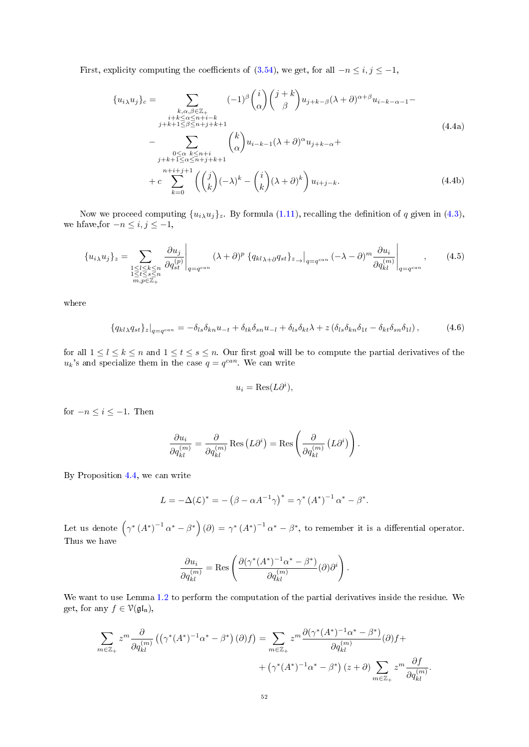First, explicity computing the coefficients of [\(3.54\)](#page-45-3), we get, for all  $-n \le i, j \le -1$ ,

<span id="page-55-4"></span><span id="page-55-3"></span>
$$
\{u_{i\lambda}u_{j}\}_{c} = \sum_{\substack{k,\alpha,\beta \in \mathbb{Z}_{+} \\ j+k+1 \leq \beta \leq n+i-k \\ j+k+1 \leq \beta \leq n+j+k+1}} (-1)^{\beta} {i \choose \alpha} {j+k \choose \beta} u_{j+k-\beta} (\lambda + \partial)^{\alpha+\beta} u_{i-k-\alpha-1} - \sum_{\substack{0 \leq \alpha \ k \leq n+i \\ j+k+1 \leq \alpha \leq n+j+k+1}} {k \choose \alpha} u_{i-k-1} (\lambda + \partial)^{\alpha} u_{j+k-\alpha} + \sum_{\substack{n+i+j+1 \\ k=0}}^{n+i+j+1} {k \choose k} (-\lambda)^{k} - {i \choose k} (\lambda + \partial)^{k} u_{i+j-k}.
$$
\n(4.4b)

Now we proceed computing  $\{u_i{}_{\lambda}u_j\}_z$ . By formula [\(1.11\)](#page-11-3), recalling the definition of q given in [\(4.3\)](#page-53-3), we hfave,<br>for  $-n \leq i, j \leq -1$ ,

$$
\{u_i\}_{z} = \sum_{\substack{1 \le l \le k \le n \\ 1 \le t \le s \le n \\ m, p \in \mathbb{Z}_+}} \left. \frac{\partial u_j}{\partial q_{st}^{(p)}} \right|_{q = q^{can}} (\lambda + \partial)^p \left\{ q_{kl} \lambda + \partial q_{st} \right\}_{z \to \left| q = q^{can}} (-\lambda - \partial)^m \frac{\partial u_i}{\partial q_{kl}^{(m)}} \right|_{q = q^{can}}, \tag{4.5}
$$

where

$$
\{q_{kl\lambda}q_{st}\}_z\big|_{q=q^{can}} = -\delta_{ls}\delta_{kn}u_{-t} + \delta_{tk}\delta_{sn}u_{-l} + \delta_{ls}\delta_{kt}\lambda + z(\delta_{ls}\delta_{kn}\delta_{1t} - \delta_{kt}\delta_{sn}\delta_{1l}),\tag{4.6}
$$

for all  $1 \leq l \leq k \leq n$  and  $1 \leq t \leq s \leq n$ . Our first goal will be to compute the partial derivatives of the  $u_k$ 's and specialize them in the case  $q = q^{can}$ . We can write

<span id="page-55-2"></span><span id="page-55-1"></span><span id="page-55-0"></span>
$$
u_i = \text{Res}(L\partial^i),
$$

for  $-n \leq i \leq -1$ . Then

$$
\frac{\partial u_i}{\partial q_{kl}^{(m)}} = \frac{\partial}{\partial q_{kl}^{(m)}} \operatorname{Res} (L \partial^i) = \operatorname{Res} \left( \frac{\partial}{\partial q_{kl}^{(m)}} (L \partial^i) \right).
$$

By Proposition [4.4,](#page-53-4) we can write

$$
L = -\Delta(\mathcal{L})^* = -(\beta - \alpha A^{-1} \gamma)^* = \gamma^* (A^*)^{-1} \alpha^* - \beta^*.
$$

Let us denote  $(\gamma^*(A^*)^{-1}\alpha^* - \beta^*) (\partial) = \gamma^*(A^*)^{-1}\alpha^* - \beta^*$ , to remember it is a differential operator. Thus we have

$$
\frac{\partial u_i}{\partial q_{kl}^{(m)}} = \text{Res}\left(\frac{\partial (\gamma^*(A^*)^{-1}\alpha^* - \beta^*)}{\partial q_{kl}^{(m)}}(\partial)\partial^i\right).
$$

We want to use Lemma [1.2](#page-9-0) to perform the computation of the partial derivatives inside the residue. We get, for any  $f \in \mathcal{V}(\mathfrak{gl}_n)$ ,

$$
\sum_{m\in\mathbb{Z}_+} z^m \frac{\partial}{\partial q_{kl}^{(m)}} \left( \left( \gamma^*(A^*)^{-1} \alpha^* - \beta^* \right) (\partial) f \right) = \sum_{m\in\mathbb{Z}_+} z^m \frac{\partial (\gamma^*(A^*)^{-1} \alpha^* - \beta^*)}{\partial q_{kl}^{(m)}} (\partial) f +
$$
  
+ 
$$
\left( \gamma^*(A^*)^{-1} \alpha^* - \beta^* \right) (z + \partial) \sum_{m\in\mathbb{Z}_+} z^m \frac{\partial f}{\partial q_{kl}^{(m)}}.
$$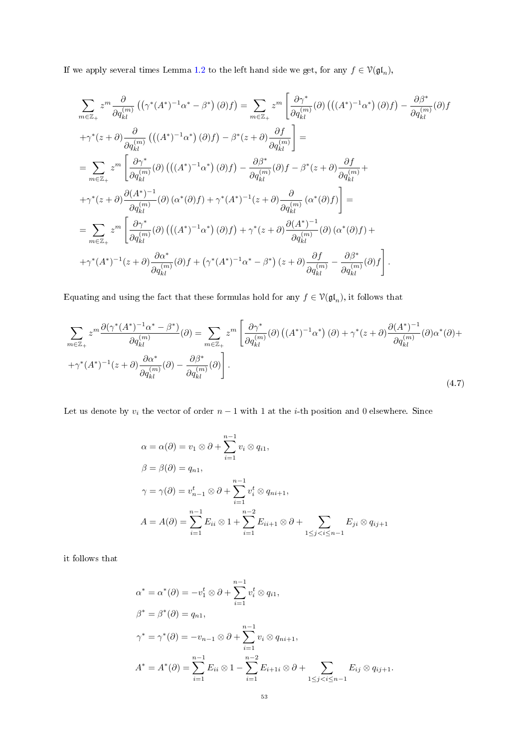If we apply several times Lemma [1.2](#page-9-0) to the left hand side we get, for any  $f \in \mathcal{V}(\mathfrak{gl}_n)$ ,

$$
\sum_{m\in\mathbb{Z}_{+}} z^{m} \frac{\partial}{\partial q_{kl}^{(m)}} \left( \left( \gamma^{*}(A^{*})^{-1}\alpha^{*} - \beta^{*} \right) (\partial f \right) = \sum_{m\in\mathbb{Z}_{+}} z^{m} \left[ \frac{\partial \gamma^{*}}{\partial q_{kl}^{(m)}} (\partial) \left( \left( (A^{*})^{-1}\alpha^{*} \right) (\partial f \right) - \frac{\partial \beta^{*}}{\partial q_{kl}^{(m)}} (\partial f \right) \right]
$$
\n
$$
+ \gamma^{*}(z+\partial) \frac{\partial}{\partial q_{kl}^{(m)}} \left( \left( (A^{*})^{-1}\alpha^{*} \right) (\partial f) - \beta^{*}(z+\partial) \frac{\partial f}{\partial q_{kl}^{(m)}} \right] =
$$
\n
$$
= \sum_{m\in\mathbb{Z}_{+}} z^{m} \left[ \frac{\partial \gamma^{*}}{\partial q_{kl}^{(m)}} (\partial) \left( \left( (A^{*})^{-1}\alpha^{*} \right) (\partial f) - \frac{\partial \beta^{*}}{\partial q_{kl}^{(m)}} (\partial f - \beta^{*}(z+\partial) \frac{\partial f}{\partial q_{kl}^{(m)}} + \right. \right.
$$
\n
$$
+ \gamma^{*}(z+\partial) \frac{\partial (A^{*})^{-1}}{\partial q_{kl}^{(m)}} (\partial) \left( \alpha^{*}(\partial f) + \gamma^{*}(A^{*})^{-1}(z+\partial) \frac{\partial}{\partial q_{kl}^{(m)}} (\alpha^{*}(\partial f) \right) \right] =
$$
\n
$$
= \sum_{m\in\mathbb{Z}_{+}} z^{m} \left[ \frac{\partial \gamma^{*}}{\partial q_{kl}^{(m)}} (\partial) \left( \left( (A^{*})^{-1}\alpha^{*} \right) (\partial f) + \gamma^{*}(z+\partial) \frac{\partial (A^{*})^{-1}}{\partial q_{kl}^{(m)}} (\partial) \left( \alpha^{*}(\partial f) \right) + \right. \right.
$$
\n
$$
+ \gamma^{*}(A^{*})^{-1}(z+\partial) \frac{\partial \alpha^{*}}{\partial q_{kl}^{(m)}} (\partial f + \left( \gamma^{*}(A^{*})^{-1}\alpha^{*} - \beta^{*} \right) (z+\partial) \frac{\partial f}{\partial q_{kl}^{(m)}} - \frac{\partial \beta^{*}}{\partial q_{kl}^{(m)}} (\partial f \right).
$$

Equating and using the fact that these formulas hold for any  $f \in \mathcal{V}(\mathfrak{gl}_n)$ , it follows that

$$
\sum_{m\in\mathbb{Z}_{+}} z^{m} \frac{\partial(\gamma^{*}(A^{*})^{-1}\alpha^{*}-\beta^{*})}{\partial q_{kl}^{(m)}}(\partial) = \sum_{m\in\mathbb{Z}_{+}} z^{m} \left[ \frac{\partial\gamma^{*}}{\partial q_{kl}^{(m)}}(\partial) \left( (A^{*})^{-1}\alpha^{*} \right) (\partial) + \gamma^{*}(z+\partial) \frac{\partial(A^{*})^{-1}}{\partial q_{kl}^{(m)}}(\partial) \alpha^{*}(\partial) + \right. \\
\left. + \gamma^{*}(A^{*})^{-1}(z+\partial) \frac{\partial\alpha^{*}}{\partial q_{kl}^{(m)}}(\partial) - \frac{\partial\beta^{*}}{\partial q_{kl}^{(m)}}(\partial) \right].\n\tag{4.7}
$$

Let us denote by  $v_i$  the vector of order  $n-1$  with 1 at the *i*-th position and 0 elsewhere. Since

<span id="page-56-0"></span>
$$
\alpha = \alpha(\partial) = v_1 \otimes \partial + \sum_{i=1}^{n-1} v_i \otimes q_{i1},
$$
  
\n
$$
\beta = \beta(\partial) = q_{n1},
$$
  
\n
$$
\gamma = \gamma(\partial) = v_{n-1}^t \otimes \partial + \sum_{i=1}^{n-1} v_i^t \otimes q_{ni+1},
$$
  
\n
$$
A = A(\partial) = \sum_{i=1}^{n-1} E_{ii} \otimes 1 + \sum_{i=1}^{n-2} E_{ii+1} \otimes \partial + \sum_{1 \le j < i \le n-1} E_{ji} \otimes q_{ij+1}
$$

it follows that

$$
\alpha^* = \alpha^*(\partial) = -v_1^t \otimes \partial + \sum_{i=1}^{n-1} v_i^t \otimes q_{i1},
$$
  
\n
$$
\beta^* = \beta^*(\partial) = q_{n1},
$$
  
\n
$$
\gamma^* = \gamma^*(\partial) = -v_{n-1} \otimes \partial + \sum_{i=1}^{n-1} v_i \otimes q_{ni+1},
$$
  
\n
$$
A^* = A^*(\partial) = \sum_{i=1}^{n-1} E_{ii} \otimes 1 - \sum_{i=1}^{n-2} E_{i+1} \otimes \partial + \sum_{1 \le j < i \le n-1} E_{ij} \otimes q_{ij+1}.
$$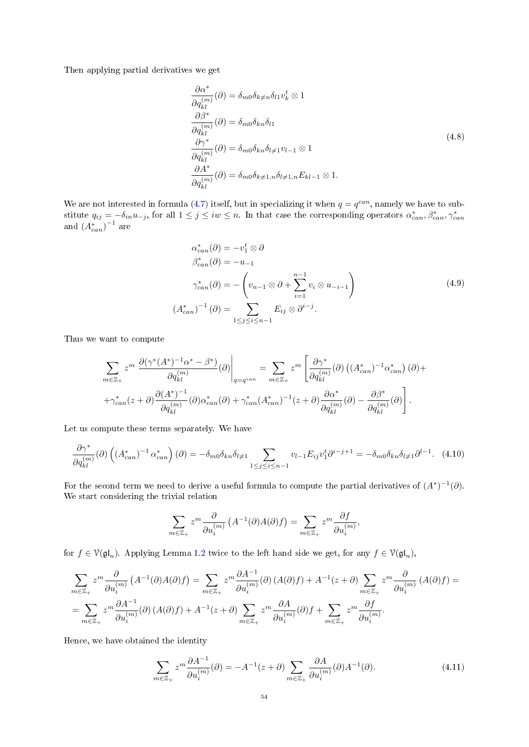Then applying partial derivatives we get

<span id="page-57-1"></span>
$$
\frac{\partial \alpha^*}{\partial q_{kl}^{(m)}}(\partial) = \delta_{m0} \delta_{k \neq n} \delta_{l1} v_k^t \otimes 1
$$
\n
$$
\frac{\partial \beta^*}{\partial q_{kl}^{(m)}}(\partial) = \delta_{m0} \delta_{kn} \delta_{l1}
$$
\n
$$
\frac{\partial \gamma^*}{\partial q_{kl}^{(m)}}(\partial) = \delta_{m0} \delta_{kn} \delta_{l \neq 1} v_{l-1} \otimes 1
$$
\n
$$
\frac{\partial A^*}{\partial q_{kl}^{(m)}}(\partial) = \delta_{m0} \delta_{k \neq 1,n} \delta_{l \neq 1,n} E_{kl-1} \otimes 1.
$$
\n(4.8)

We are not interested in formula [\(4.7\)](#page-56-0) itself, but in specializing it when  $q = q^{can}$ , namely we have to substitute  $q_{ij} = -\delta_{in} u_{-j}$ , for all  $1 \le j \le iw \le n$ . In that case the corresponding operators  $\alpha_{can}^*, \beta_{can}^*, \gamma_{can}^*$ <br>and  $(A_{can}^*)^{-1}$  are

$$
\alpha_{can}^*(\partial) = -v_1^t \otimes \partial
$$
  
\n
$$
\beta_{can}^*(\partial) = -u_{-1}
$$
  
\n
$$
\gamma_{can}^*(\partial) = -\left(v_{n-1} \otimes \partial + \sum_{i=1}^{n-1} v_i \otimes u_{-i-1}\right)
$$
  
\n
$$
(A_{can}^*)^{-1}(\partial) = \sum_{1 \le j \le i \le n-1} E_{ij} \otimes \partial^{i-j}.
$$
\n(4.9)

Thus we want to compute

$$
\sum_{m\in\mathbb{Z}_+} z^m \left. \frac{\partial (\gamma^*(A^*)^{-1}\alpha^* - \beta^*)}{\partial q_{kl}^{(m)}} (\partial) \right|_{q=q^{can}} = \sum_{m\in\mathbb{Z}_+} z^m \left[ \frac{\partial \gamma^*}{\partial q_{kl}^{(m)}} (\partial) \left( (A^*_{can})^{-1} \alpha^*_{can} \right) (\partial) +
$$
  
+  $\gamma^*_{can}(z+\partial) \frac{\partial (A^*)^{-1}}{\partial q_{kl}^{(m)}} (\partial) \alpha^*_{can} (\partial) + \gamma^*_{can}(A^*_{can})^{-1} (z+\partial) \frac{\partial \alpha^*}{\partial q_{kl}^{(m)}} (\partial) - \frac{\partial \beta^*}{\partial q_{kl}^{(m)}} (\partial) \right].$ 

Let us compute these terms separately. We have

$$
\frac{\partial \gamma^*}{\partial q_{kl}^{(m)}}(\partial) \left( \left( A_{can}^* \right)^{-1} \alpha^*_{can} \right) (\partial) = -\delta_{m0} \delta_{kn} \delta_{l \neq 1} \sum_{1 \leq j \leq i \leq n-1} v_{l-1} E_{ij} v_1^t \partial^{i-j+1} = -\delta_{m0} \delta_{kn} \delta_{l \neq 1} \partial^{l-1}.
$$
 (4.10)

For the second term we need to derive a useful formula to compute the partial derivatives of  $(A^*)^{-1}(\partial)$ . We start considering the trivial relation

<span id="page-57-2"></span>
$$
\sum_{m\in\mathbb{Z}_+} z^m \frac{\partial}{\partial u_i^{(m)}} \left( A^{-1}(\partial) A(\partial) f \right) = \sum_{m\in\mathbb{Z}_+} z^m \frac{\partial f}{\partial u_i^{(m)}},
$$

for  $f \in \mathcal{V}(\mathfrak{gl}_n)$ . Applying Lemma [1.2](#page-9-0) twice to the left hand side we get, for any  $f \in \mathcal{V}(\mathfrak{gl}_n)$ ,

$$
\sum_{m\in\mathbb{Z}_{+}}z^{m}\frac{\partial}{\partial u_{i}^{(m)}}\left(A^{-1}(\partial)A(\partial)f\right) = \sum_{m\in\mathbb{Z}_{+}}z^{m}\frac{\partial A^{-1}}{\partial u_{i}^{(m)}}(\partial)\left(A(\partial)f\right) + A^{-1}(z+\partial)\sum_{m\in\mathbb{Z}_{+}}z^{m}\frac{\partial}{\partial u_{i}^{(m)}}\left(A(\partial)f\right) =
$$
\n
$$
= \sum_{m\in\mathbb{Z}_{+}}z^{m}\frac{\partial A^{-1}}{\partial u_{i}^{(m)}}(\partial)\left(A(\partial)f\right) + A^{-1}(z+\partial)\sum_{m\in\mathbb{Z}_{+}}z^{m}\frac{\partial A}{\partial u_{i}^{(m)}}(\partial)f + \sum_{m\in\mathbb{Z}_{+}}z^{m}\frac{\partial f}{\partial u_{i}^{(m)}}.
$$

Hence, we have obtained the identity

<span id="page-57-0"></span>
$$
\sum_{m \in \mathbb{Z}_+} z^m \frac{\partial A^{-1}}{\partial u_i^{(m)}}(\partial) = -A^{-1}(z+\partial) \sum_{m \in \mathbb{Z}_+} \frac{\partial A}{\partial u_i^{(m)}}(\partial) A^{-1}(\partial). \tag{4.11}
$$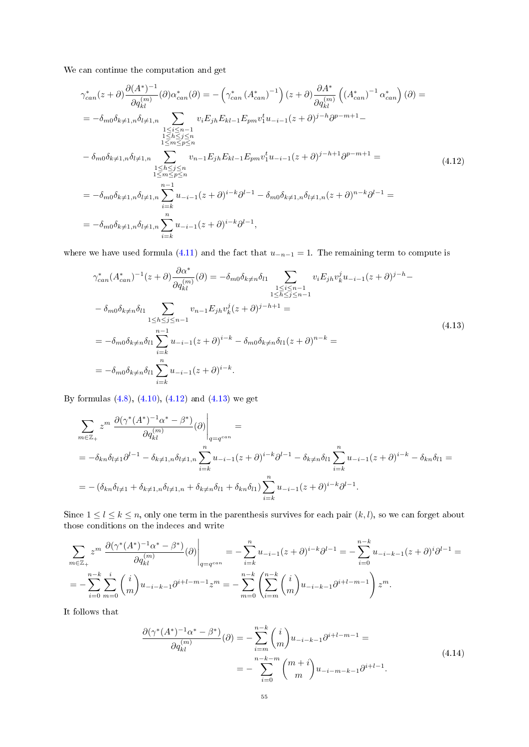We can continue the computation and get

$$
\gamma_{can}^{*}(z+\partial)\frac{\partial(A^{*})^{-1}}{\partial q_{kl}^{(m)}}(\partial)\alpha_{can}^{*}(\partial) = -\left(\gamma_{can}^{*}(A_{can}^{*})^{-1}\right)(z+\partial)\frac{\partial A^{*}}{\partial q_{kl}^{(m)}}\left((A_{can}^{*})^{-1}\alpha_{can}^{*}\right)(\partial) =
$$
\n
$$
= -\delta_{m0}\delta_{k\neq1,n}\delta_{l\neq1,n} \sum_{\substack{1 \leq i \leq n-1 \\ 1 \leq h \leq j \leq n \\ 1 \leq m \leq p \leq n}} v_{i}E_{jh}E_{kl-1}E_{pm}v_{1}^{*}u_{-i-1}(z+\partial)^{j-h}\partial^{p-m+1} -
$$
\n
$$
\sum_{\substack{1 \leq h \leq j \leq n \\ 1 \leq m \leq p \leq n}} v_{n-1}E_{jh}E_{kl-1}E_{pm}v_{1}^{*}u_{-i-1}(z+\partial)^{j-h+1}\partial^{p-m+1} =
$$
\n
$$
\sum_{\substack{1 \leq h \leq j \leq n \\ 1 \leq m \leq p \leq n}} v_{n-1}E_{jh}E_{kl-1}E_{pm}v_{1}^{*}u_{-i-1}(z+\partial)^{j-h+1}\partial^{p-m+1} =
$$
\n
$$
= -\delta_{m0}\delta_{k\neq1,n}\delta_{l\neq1,n} \sum_{i=k}^{n} u_{-i-1}(z+\partial)^{i-k}\partial^{l-1} - \delta_{m0}\delta_{k\neq1,n}\delta_{l\neq1,n}(z+\partial)^{n-k}\partial^{l-1} =
$$
\n
$$
= -\delta_{m0}\delta_{k\neq1,n}\delta_{l\neq1,n} \sum_{i=k}^{n} u_{-i-1}(z+\partial)^{i-k}\partial^{l-1},
$$
\n(4.12)

where we have used formula [\(4.11\)](#page-57-0) and the fact that  $u_{-n-1} = 1$ . The remaining term to compute is

<span id="page-58-1"></span><span id="page-58-0"></span>
$$
\gamma_{can}^*(A_{can}^*)^{-1}(z+\partial)\frac{\partial\alpha^*}{\partial q_{kl}^{(m)}}(\partial) = -\delta_{m0}\delta_{k\neq n}\delta_{l1} \sum_{\substack{1 \le i \le n-1 \\ 1 \le k \le j \le n-1}} v_i E_{jh} v_k^j u_{-i-1}(z+\partial)^{j-h} - \delta_{m0}\delta_{k\neq n}\delta_{l1} \sum_{\substack{1 \le k \le j \le n-1 \\ n-1}} v_{n-1} E_{jh} v_k^j (z+\partial)^{j-h+1} =
$$
\n
$$
= -\delta_{m0}\delta_{k\neq n}\delta_{l1} \sum_{\substack{i=k \\ i=k}}^n u_{-i-1}(z+\partial)^{i-k} - \delta_{m0}\delta_{k\neq n}\delta_{l1}(z+\partial)^{n-k} =
$$
\n
$$
= -\delta_{m0}\delta_{k\neq n}\delta_{l1} \sum_{\substack{i=k \\ i=k}}^n u_{-i-1}(z+\partial)^{i-k}.
$$
\n(4.13)

By formulas [\(4.8\)](#page-57-1), [\(4.10\)](#page-57-2), [\(4.12\)](#page-58-0) and [\(4.13\)](#page-58-1) we get

$$
\sum_{m\in\mathbb{Z}_{+}} z^{m} \frac{\partial(\gamma^{*}(A^{*})^{-1}\alpha^{*} - \beta^{*})}{\partial q_{kl}^{(m)}}(\partial)\Big|_{q=q^{can}} =
$$
\n
$$
= -\delta_{kn}\delta_{l\neq1}\partial^{l-1} - \delta_{k\neq1,n}\delta_{l\neq1,n} \sum_{i=k}^{n} u_{-i-1}(z+\partial)^{i-k}\partial^{l-1} - \delta_{k\neq n}\delta_{l1} \sum_{i=k}^{n} u_{-i-1}(z+\partial)^{i-k} - \delta_{kn}\delta_{l1} =
$$
\n
$$
= -(\delta_{kn}\delta_{l\neq1} + \delta_{k\neq1,n}\delta_{l\neq1,n} + \delta_{k\neq n}\delta_{l1} + \delta_{kn}\delta_{l1}) \sum_{i=k}^{n} u_{-i-1}(z+\partial)^{i-k}\partial^{l-1}.
$$

Since  $1 \leq l \leq k \leq n$ , only one term in the parenthesis survives for each pair  $(k, l)$ , so we can forget about those conditions on the indeces and write

$$
\sum_{m\in\mathbb{Z}_+} z^m \left. \frac{\partial (\gamma^*(A^*)^{-1} \alpha^* - \beta^*)}{\partial q_{kl}^{(m)}} (\partial) \right|_{q=q^{can}} = -\sum_{i=k}^n u_{-i-1}(z+\partial)^{i-k} \partial^{l-1} = -\sum_{i=0}^{n-k} u_{-i-k-1}(z+\partial)^i \partial^{l-1} =
$$
  
= 
$$
-\sum_{i=0}^{n-k} \sum_{m=0}^i \binom{i}{m} u_{-i-k-1} \partial^{i+l-m-1} z^m = -\sum_{m=0}^{n-k} \left( \sum_{i=m}^{n-k} \binom{i}{m} u_{-i-k-1} \partial^{i+l-m-1} \right) z^m.
$$

It follows that

<span id="page-58-2"></span>
$$
\frac{\partial(\gamma^*(A^*)^{-1}\alpha^* - \beta^*)}{\partial q_{kl}^{(m)}}(\partial) = -\sum_{i=m}^{n-k} {i \choose m} u_{-i-k-1} \partial^{i+l-m-1} = -\sum_{i=0}^{n-k-m} {m+i \choose m} u_{-i-m-k-1} \partial^{i+l-1}.
$$
\n(4.14)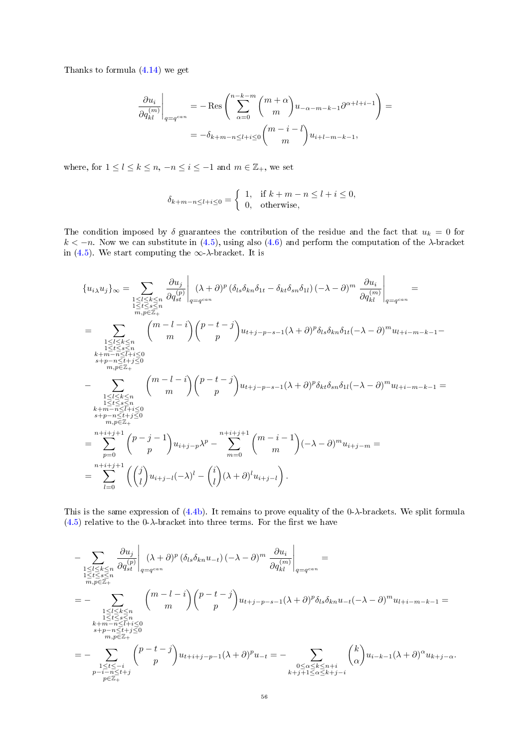Thanks to formula [\(4.14\)](#page-58-2) we get

$$
\frac{\partial u_i}{\partial q_{kl}^{(m)}}\Big|_{q=q^{can}} = -\operatorname{Res}\left(\sum_{\alpha=0}^{n-k-m} \binom{m+\alpha}{m} u_{-\alpha-m-k-1} \partial^{\alpha+l+i-1}\right) =
$$
  

$$
= -\delta_{k+m-n \le l+i \le 0} \binom{m-i-l}{m} u_{i+l-m-k-1},
$$

where, for  $1\leq l\leq k\leq n,$   $-n\leq i\leq -1$  and  $m\in\mathbb{Z}_{+},$  we set

$$
\delta_{k+m-n \le l+i \le 0} = \begin{cases} 1, & \text{if } k+m-n \le l+i \le 0, \\ 0, & \text{otherwise,} \end{cases}
$$

The condition imposed by  $\delta$  guarantees the contribution of the residue and the fact that  $u_k = 0$  for  $k < -n$ . Now we can substitute in [\(4.5\)](#page-55-0), using also [\(4.6\)](#page-55-1) and perform the computation of the  $\lambda$ -bracket in [\(4.5\)](#page-55-0). We start computing the  $\infty$ - $\lambda$ -bracket. It is

$$
\{u_{i\lambda}u_{j}\}_{\infty} = \sum_{\substack{1\leq l\leq k\leq n\\ 1\leq t\leq s\leq n\\ m,p\in\mathbb{Z}_{+}}} \frac{\partial u_{j}}{\partial q_{st}^{(p)}}\Bigg|_{q=q^{can}}(\lambda+\partial)^{p}\left(\delta_{ls}\delta_{kn}\delta_{1t}-\delta_{kt}\delta_{sn}\delta_{1l}\right)(-\lambda-\partial)^{m}\left.\frac{\partial u_{i}}{\partial q_{kl}^{(m)}}\right|_{q=q^{can}}=\\=\sum_{\substack{1\leq l\leq k\leq n\\ 1\leq t\leq s\leq n\\ k+m-n\leq l+j\leq 0\\ m,p\in\mathbb{Z}_{+}}} \binom{m-l-i}{m}\binom{p-t-j}{p}u_{t+j-p-s-1}(\lambda+\partial)^{p}\delta_{ls}\delta_{kn}\delta_{1t}(-\lambda-\partial)^{m}u_{l+i-m-k-1}-\\ \sum_{\substack{1\leq l\leq k\leq n\\ m,p\in\mathbb{Z}_{+}}} \binom{m-l-i}{m}\binom{p-t-j}{p}u_{t+j-p-s-1}(\lambda+\partial)^{p}\delta_{kt}\delta_{sn}\delta_{1l}(-\lambda-\partial)^{m}u_{l+i-m-k-1}=\\ \sum_{\substack{1\leq l\leq k\leq n\\ m,p\in\mathbb{Z}_{+}}} \binom{m-l-i}{m}u_{i+j-p}\lambda^{p}-\sum_{m=0}^{n+i+j+1}\binom{m-i-1}{m}(-\lambda-\partial)^{m}u_{i+j-m}=\\=\sum_{l=0}^{n+i+j+1}\binom{p-j-1}{l}u_{i+j-l}(-\lambda)^{l}-\binom{i}{l}(\lambda+\partial)^{l}u_{i+j-l}.
$$

This is the same expression of  $(4.4b)$ . It remains to prove equality of the 0- $\lambda$ -brackets. We split formula  $(4.5)$  relative to the 0- $\lambda$ -bracket into three terms. For the first we have

$$
-\sum_{\substack{1 \le l \le k \le n \\ 1 \le l \le s \le n \\ m, p \in \mathbb{Z}_+}} \frac{\partial u_j}{\partial q_{st}^{(p)}} \Big|_{q = q^{can}} (\lambda + \partial)^p (\delta_{ls} \delta_{kn} u_{-t}) (-\lambda - \partial)^m \frac{\partial u_i}{\partial q_{kl}^{(m)}} \Big|_{q = q^{can}} =
$$
  
\n
$$
= - \sum_{\substack{1 \le l \le k \le n \\ 1 \le l \le s \le n \\ k+m-n \le l+i \le 0 \\ m, p \in \mathbb{Z}_+}} {m-1 \choose m} {p-t-j \choose p} u_{t+j-p-s-1} (\lambda + \partial)^p \delta_{ls} \delta_{kn} u_{-t} (-\lambda - \partial)^m u_{l+i-m-k-1} =
$$
  
\n
$$
= - \sum_{\substack{1 \le l \le k \le n \\ m, p \in \mathbb{Z}_+}} {p-t-j \choose p} u_{t+i+j-p-1} (\lambda + \partial)^p u_{-t} = - \sum_{\substack{0 \le \alpha \le k \le n+i \\ k+j+1 \le \alpha \le k+j-i}} {k \choose \alpha} u_{i-k-1} (\lambda + \partial)^{\alpha} u_{k+j-\alpha}.
$$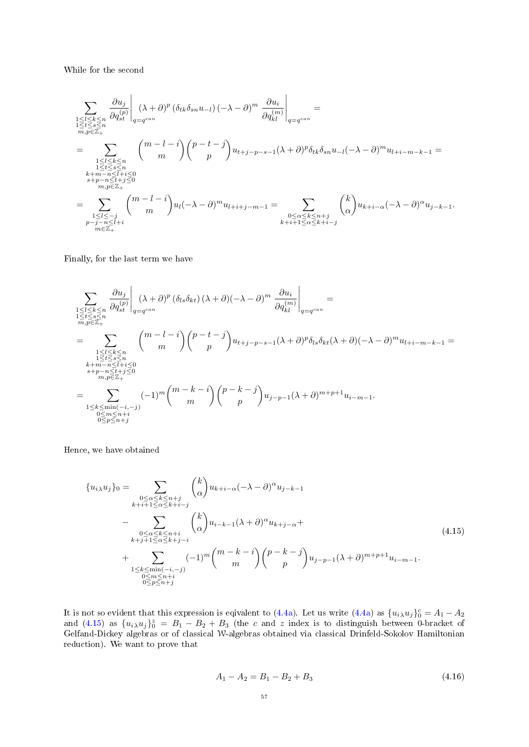While for the second

$$
\sum_{\substack{1 \le l \le k \le n \\ 1 \le l \le s \le n \\ m, p \in \mathbb{Z}_+}} \frac{\partial u_j}{\partial q_{st}^{(p)}} \Big|_{q = q^{can}} (\lambda + \partial)^p (\delta_{tk} \delta_{sn} u_{-l}) (-\lambda - \partial)^m \frac{\partial u_i}{\partial q_{kl}^{(m)}} \Big|_{q = q^{can}} =
$$
\n
$$
= \sum_{\substack{1 \le l \le k \le n \\ 1 \le l \le s \le n \\ k + m - n \le l + i \le 0 \\ m, p \in \mathbb{Z}_+}} \binom{m - l - i}{m} \binom{p - t - j}{p} u_{t+j - p - s - 1} (\lambda + \partial)^p \delta_{tk} \delta_{sn} u_{-l} (-\lambda - \partial)^m u_{l+i - m - k - 1} =
$$
\n
$$
= \sum_{\substack{1 \le l \le s \le n \\ m, p \in \mathbb{Z}_+}} \binom{m - l - i}{m} u_l (-\lambda - \partial)^m u_{l+i+j - m - 1} = \sum_{\substack{0 \le \alpha \le k \le n + j \\ k + i + 1 \le \alpha \le k + i - j}} \binom{k}{\alpha} u_{k+i - \alpha} (-\lambda - \partial)^{\alpha} u_{j-k-1}.
$$

Finally, for the last term we have

$$
\sum_{\substack{1 \le l \le k \le n \\ 1 \le t \le s \le n \\ m, p \in \mathbb{Z}_+}} \frac{\partial u_j}{\partial q_{st}^{(p)}} \left| \frac{(\lambda + \partial)^p (\delta_{ls} \delta_{kt}) (\lambda + \partial)(-\lambda - \partial)^m}{\partial q_{kt}^{(m)}} \frac{\partial u_i}{\partial q_{kt}^{(m)}} \right|_{q = q^{can}} =
$$
\n
$$
= \sum_{\substack{1 \le l \le k \le n \\ 1 \le t \le s \le n \\ 1 \le t \le s \le n \\ k+m-n \le l+i \le 0 \\ m, p \in \mathbb{Z}_+}} \binom{m-l-i}{m} \binom{p-t-j}{p} u_{t+j-p-s-1} (\lambda + \partial)^p \delta_{ls} \delta_{kt} (\lambda + \partial)(-\lambda - \partial)^m u_{l+i-m-k-1} =
$$
\n
$$
= \sum_{\substack{1 \le k \le m \\ m, p \in \mathbb{Z}_+}} (-1)^m \binom{m-k-i}{m} \binom{p-k-j}{p} u_{j-p-1} (\lambda + \partial)^{m+p+1} u_{i-m-1}.
$$

Hence, we have obtained

$$
\{u_{i\lambda}u_{j}\}_{0} = \sum_{\substack{0 \leq \alpha \leq k \leq n+j \\ k+i+1 \leq \alpha \leq k+i-j \\ 0 \leq \alpha \leq k \leq n+i \\ k+j+1 \leq \alpha \leq k \leq n+i \\ k+j+1 \leq \alpha \leq k \leq n+i}} \binom{k}{\alpha} u_{i-k-1}(\lambda+\partial)^{\alpha} u_{k+j-\alpha} + \sum_{\substack{0 \leq \alpha \leq k \leq n+i \\ k+j+1 \leq \alpha \leq k \leq n-i \\ 0 \leq m \leq n+i}} (-1)^{m} \binom{m-k-i}{m} \binom{p-k-j}{p} u_{j-p-1}(\lambda+\partial)^{m+p+1} u_{i-m-1}.
$$
\n(4.15)

It is not so evident that this expression is eqivalent to [\(4.4a\)](#page-55-3). Let us write (4.4a) as  $\{u_i{}_{\lambda}u_j\}_0^c = A_1 - A_2$ and [\(4.15\)](#page-60-0) as  $\{u_i\lambda u_j\}_0^z = B_1 - B_2 + B_3$  (the c and z index is to distinguish between 0-bracket of Gelfand-Dickey algebras or of classical W-algebras obtained via classical Drinfeld-Sokolov Hamiltonian reduction). We want to prove that

<span id="page-60-1"></span><span id="page-60-0"></span>
$$
A_1 - A_2 = B_1 - B_2 + B_3 \tag{4.16}
$$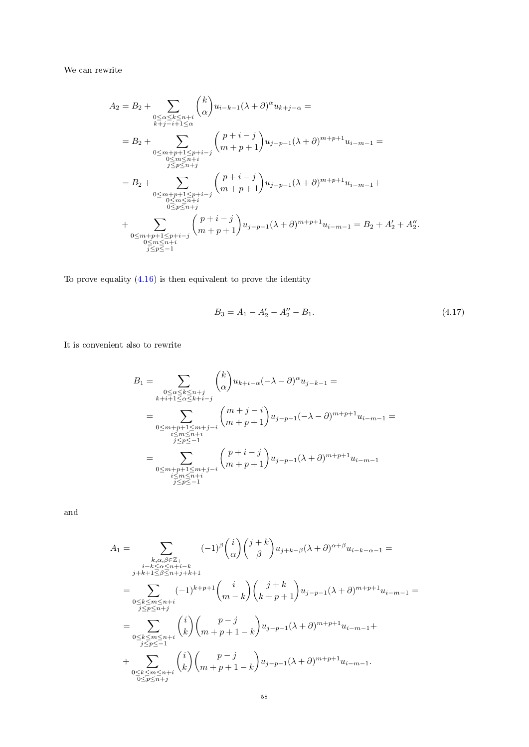We can rewrite

$$
A_{2} = B_{2} + \sum_{\substack{0 \leq \alpha \leq k \leq n+i \\ k+j-i+1 \leq \alpha}} {k \choose \alpha} u_{i-k-1}(\lambda + \partial)^{\alpha} u_{k+j-\alpha} =
$$
  
\n
$$
= B_{2} + \sum_{\substack{0 \leq m+p+1 \leq p+i-j \\ j \leq p \leq n+i \\ j \leq p \leq n+j}} {p+i-j \choose m+p+1} u_{j-p-1}(\lambda + \partial)^{m+p+1} u_{i-m-1} =
$$
  
\n
$$
= B_{2} + \sum_{\substack{0 \leq m \leq n+i \\ 0 \leq p \leq n+i \\ 0 \leq p \leq n+i}} {p+i-j \choose m+p+1} u_{j-p-1}(\lambda + \partial)^{m+p+1} u_{i-m-1} +
$$
  
\n
$$
+ \sum_{\substack{0 \leq m \leq n+i \\ 0 \leq p \leq n+i}} {p+i-j \choose m+p+1} u_{j-p-1}(\lambda + \partial)^{m+p+1} u_{i-m-1} = B_{2} + A'_{2} + A''_{2}.
$$

To prove equality [\(4.16\)](#page-60-1) is then equivalent to prove the identity

<span id="page-61-0"></span>
$$
B_3 = A_1 - A_2' - A_2'' - B_1. \tag{4.17}
$$

It is convenient also to rewrite

$$
B_{1} = \sum_{\substack{0 \leq \alpha \leq k \leq n+j \\ k+i+1 \leq \alpha \leq k+i-j \\ 0 \leq m+p+1 \leq m+j-i \\ j \leq p \leq -1}} {k \choose \alpha} u_{k+i-\alpha}(-\lambda - \partial)^{\alpha} u_{j-k-1} =
$$
  
\n
$$
= \sum_{\substack{0 \leq m+p+1 \leq m+j-i \\ j \leq p \leq -1}} {m+j-i \choose m+p+1} u_{j-p-1}(-\lambda - \partial)^{m+p+1} u_{i-m-1} =
$$
  
\n
$$
= \sum_{\substack{0 \leq m+p+1 \leq m+j-i \\ i \leq m \leq n+i \\ j \leq p \leq -1}} {p+i-j \choose m+p+1} u_{j-p-1}(\lambda + \partial)^{m+p+1} u_{i-m-1}
$$

and

$$
A_{1} = \sum_{\substack{k,\alpha,\beta \in \mathbb{Z}_{+} \\ j+k+1 \leq \beta \leq n+i-k+1 \\ 0 \leq k \leq m \leq n+i}} (-1)^{\beta} {i \choose \alpha} {j+k \choose \beta} u_{j+k-\beta} (\lambda + \partial)^{\alpha+\beta} u_{i-k-\alpha-1} =
$$
  
\n
$$
= \sum_{\substack{0 \leq k \leq m \leq n+i \\ j \leq p \leq n+j}} (-1)^{k+p+1} {i \choose m-k} {j+k \choose k+p+1} u_{j-p-1} (\lambda + \partial)^{m+p+1} u_{i-m-1} =
$$
  
\n
$$
= \sum_{\substack{0 \leq k \leq m \leq n+i \\ j \leq p \leq -1}} {i \choose k} {p-j \choose m+p+1-k} u_{j-p-1} (\lambda + \partial)^{m+p+1} u_{i-m-1} +
$$
  
\n
$$
+ \sum_{\substack{0 \leq k \leq m \leq n+i \\ 0 \leq p \leq n+i}} {i \choose k} {p-j \choose m+p+1-k} u_{j-p-1} (\lambda + \partial)^{m+p+1} u_{i-m-1}.
$$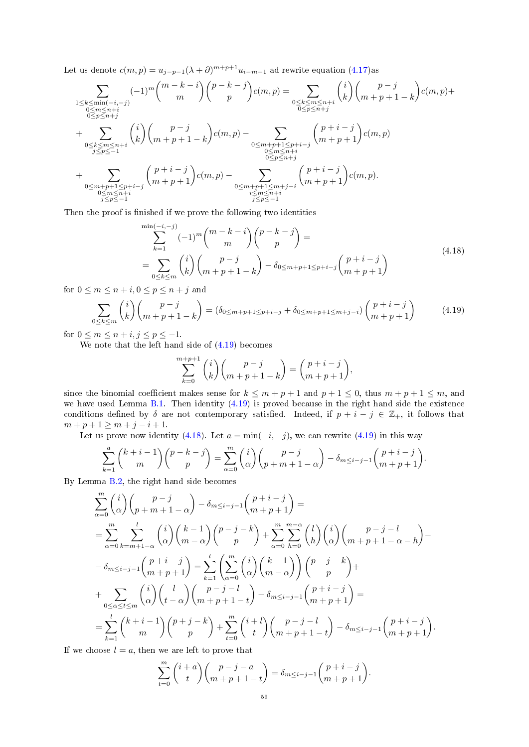Let us denote  $c(m, p) = u_{j-p-1}(\lambda + \partial)^{m+p+1}u_{i-m-1}$  ad rewrite equation [\(4.17\)](#page-61-0)as

$$
\sum_{\substack{1 \le k \le \min(-i,-j) \\ 0 \le m \le n+i \\ 0 \le p \le n+j}} (-1)^m {m-k-i \choose m} {p-k-j \choose p} c(m,p) = \sum_{\substack{0 \le k \le m \le n+i \\ 0 \le p \le n+j}} {i \choose k} {p-j \choose m+p+1-k} c(m,p) + \sum_{\substack{0 \le k \le m \le n+i \\ 0 \le p \le n+j \\ 0 \le m \le n+i}} {i \choose k} {p-j \choose m+p+1-k} c(m,p) - \sum_{\substack{0 \le m+p+1 \le p+i-j \\ 0 \le p \le n+i \\ 0 \le p \le n+j}} {p+i-j \choose m+p+1} c(m,p) + \sum_{\substack{0 \le m \le n+i \\ 0 \le p \le n+j \\ 0 \le m \le n+i}} {p+i-j \choose m+p+1} c(m,p) - \sum_{\substack{0 \le m \le n+i \\ 0 \le p \le n+j \\ i \le m \le n+i}} {p+i-j \choose m+p+1} c(m,p).
$$

Then the proof is finished if we prove the following two identities

$$
\sum_{k=1}^{\min(-i,-j)} (-1)^m {m-k-i \choose m} {p-k-j \choose p} =
$$
\n
$$
= \sum_{0 \le k \le m} {i \choose k} {p-j \choose m+p+1-k} - \delta_{0 \le m+p+1 \le p+i-j} {p+i-j \choose m+p+1}
$$
\n(4.18)

<span id="page-62-1"></span><span id="page-62-0"></span>.

for  $0 \le m \le n + i, 0 \le p \le n + j$  and

$$
\sum_{0 \le k \le m} \binom{i}{k} \binom{p-j}{m+p+1-k} = (\delta_{0 \le m+p+1 \le p+i-j} + \delta_{0 \le m+p+1 \le m+j-i}) \binom{p+i-j}{m+p+1} \tag{4.19}
$$

for  $0 \leq m \leq n + i, j \leq p \leq -1$ .

We note that the left hand side of  $(4.19)$  becomes

$$
\sum_{k=0}^{m+p+1} {i \choose k} {p-j \choose m+p+1-k} = {p+i-j \choose m+p+1},
$$

since the binomial coefficient makes sense for  $k \le m+p+1$  and  $p+1 \le 0$ , thus  $m+p+1 \le m$ , and we have used Lemma [B.1.](#page-84-0) Then identity  $(4.19)$  is proved because in the right hand side the existence conditions defined by  $\delta$  are not contemporary satisfied. Indeed, if  $p + i - j \in \mathbb{Z}_+$ , it follows that  $m+p+1 \geq m+j-i+1.$ 

Let us prove now identity [\(4.18\)](#page-62-1). Let  $a = \min(-i, -j)$ , we can rewrite [\(4.19\)](#page-62-0) in this way

$$
\sum_{k=1}^{a} {k+i-1 \choose m} {p-k-j \choose p} = \sum_{\alpha=0}^{m} {i \choose \alpha} {p-j \choose p+m+1-\alpha} - \delta_{m \leq i-j-1} {p+i-j \choose m+p+1}
$$

By Lemma [B.2,](#page-84-1) the right hand side becomes

$$
\sum_{\alpha=0}^{m} {i \choose \alpha} {p-j \choose p+m+1-\alpha} - \delta_{m \leq i-j-1} {p+i-j \choose m+p+1} =
$$
\n
$$
= \sum_{\alpha=0}^{m} \sum_{k=m+1-\alpha}^{l} {i \choose \alpha} {k-1 \choose m-\alpha} {p-j-k \choose p} + \sum_{\alpha=0}^{m} \sum_{h=0}^{m-\alpha} {l \choose h} {i \choose \alpha} {p-j-l \choose m+p+1-\alpha-h} -
$$
\n
$$
- \delta_{m \leq i-j-1} {p+i-j \choose m+p+1} = \sum_{k=1}^{l} \left( \sum_{\alpha=0}^{m} {i \choose \alpha} {k-1 \choose m-\alpha} \right) {p-j-k \choose p} +
$$
\n
$$
+ \sum_{0 \leq \alpha \leq t \leq m} {i \choose \alpha} {l \choose t-\alpha} {p-j-l \choose m+p+1-t} - \delta_{m \leq i-j-1} {p+i-j \choose m+p+1} =
$$
\n
$$
= \sum_{k=1}^{l} {k+i-1 \choose m} {p+j-k \choose p} + \sum_{t=0}^{m} {i+l \choose t} {p-j-l \choose m+p+1-t} - \delta_{m \leq i-j-1} {p+i-j \choose m+p+1}.
$$
\n\n1888821, is then we can left to prove that

If we choose  $l = a$ , then we are left to prove that

$$
\sum_{t=0}^{m} {i+a \choose t} {p-j-a \choose m+p+1-t} = \delta_{m \le i-j-1} {p+i-j \choose m+p+1}.
$$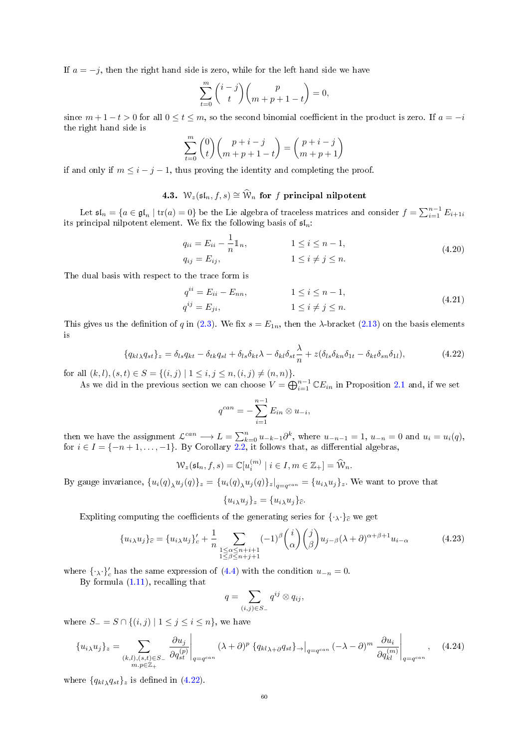If  $a = -j$ , then the right hand side is zero, while for the left hand side we have

$$
\sum_{t=0}^{m} {i-j \choose t} {p \choose m+p+1-t} = 0,
$$

since  $m+1-t>0$  for all  $0 \le t \le m$ , so the second binomial coefficient in the product is zero. If  $a = -i$ the right hand side is

$$
\sum_{t=0}^{m} \binom{0}{t} \binom{p+i-j}{m+p+1-t} = \binom{p+i-j}{m+p+1}
$$

if and only if  $m \leq i - j - 1$ , thus proving the identity and completing the proof.

# 4.3.  $\mathcal{W}_z(\mathfrak{sl}_n, f, s) \cong \widehat{\mathcal{W}}_n$  for  $f$  principal nilpotent

Let  $\mathfrak{sl}_n = \{a \in \mathfrak{gl}_n \mid \text{tr}(a) = 0\}$  be the Lie algebra of traceless matrices and consider  $f = \sum_{i=1}^{n-1} E_{i+1i}$ its principal nilpotent element. We fix the following basis of  $\mathfrak{sl}_n$ .

$$
q_{ii} = E_{ii} - \frac{1}{n} \mathbb{1}_n, \qquad 1 \le i \le n - 1, q_{ij} = E_{ij}, \qquad 1 \le i \ne j \le n.
$$
 (4.20)

The dual basis with respect to the trace form is

$$
q^{ii} = E_{ii} - E_{nn}, \qquad 1 \le i \le n - 1,
$$
  
\n
$$
q^{ij} = E_{ji}, \qquad 1 \le i \ne j \le n.
$$
\n(4.21)

This gives us the definition of q in [\(2.3\)](#page-16-0). We fix  $s = E_{1n}$ , then the  $\lambda$ -bracket [\(2.13\)](#page-18-0) on the basis elements is

$$
\{q_{kl\lambda}q_{st}\}_z = \delta_{ls}q_{kt} - \delta_{tk}q_{sl} + \delta_{ls}\delta_{kt}\lambda - \delta_{kl}\delta_{st}\frac{\lambda}{n} + z(\delta_{ls}\delta_{kn}\delta_{1t} - \delta_{kt}\delta_{sn}\delta_{1l}),\tag{4.22}
$$

for all  $(k, l), (s, t) \in S = \{(i, j) | 1 \le i, j \le n, (i, j) \ne (n, n)\}.$ 

As we did in the previous section we can choose  $V = \bigoplus_{i=1}^{n-1} \mathbb{C} E_{in}$  in Proposition [2.1](#page-17-0) and, if we set

<span id="page-63-0"></span>
$$
q^{can} = -\sum_{i=1}^{n-1} E_{in} \otimes u_{-i},
$$

then we have the assignment  $\mathcal{L}^{can} \longrightarrow L = \sum_{k=0}^n u_{-k-1} \partial^k$ , where  $u_{-n-1} = 1$ ,  $u_{-n} = 0$  and  $u_i = u_i(q)$ , for  $i \in I = \{-n+1, \ldots, -1\}$ . By Corollary [2.2,](#page-17-1) it follows that, as differential algebras,

$$
\mathcal{W}_z(\mathfrak{sl}_n, f, s) = \mathbb{C}[u_i^{(m)} \mid i \in I, m \in \mathbb{Z}_+] = \widehat{\mathcal{W}}_n.
$$

By gauge invariance,  ${u_i(q)_\lambda u_j(q)}_z = {u_i(q)_\lambda u_j(q)}_z|_{q = q^{can}} = {u_i}_\lambda u_j z$ . We want to prove that

<span id="page-63-2"></span>
$$
\{u_i{}_{\lambda}u_j\}_z=\{u_i{}_{\lambda}u_j\}_{\widehat{c}}.
$$

Expliting computing the coefficients of the generating series for  $\{\cdot_\lambda\cdot\}_{\widehat{c}}$  we get

$$
\{u_i{}_{\lambda}u_j\}_{\widehat{c}} = \{u_i{}_{\lambda}u_j\}'_c + \frac{1}{n} \sum_{\substack{1 \leq \alpha \leq n+i+1 \\ 1 \leq \beta \leq n+j+1}} (-1)^{\beta} {i \choose \alpha} {j \choose \beta} u_{j-\beta} (\lambda + \partial)^{\alpha+\beta+1} u_{i-\alpha}
$$
(4.23)

where  $\{\cdot_{\lambda}\cdot\}'_c$  has the same expression of  $(4.4)$  with the condition  $u_{-n} = 0$ .

By formula [\(1.11\)](#page-11-3), recalling that

<span id="page-63-1"></span>
$$
q = \sum_{(i,j)\in S_-} q^{ij} \otimes q_{ij},
$$

where  $S_-=S\cap\{(i,j)\mid 1\leq j\leq i\leq n\}$ , we have

$$
\{u_{i\lambda}u_{j}\}_{z} = \sum_{\substack{(k,l),(s,t)\in S_{-} \ \text{m.p}\in\mathbb{Z}_{+} }} \left. \frac{\partial u_{j}}{\partial q_{st}^{(p)}} \right|_{q=q^{can}} (\lambda+\partial)^{p} \left\{q_{kl\lambda+\partial}q_{st}\right\} \to \left|_{q=q^{can}} (-\lambda-\partial)^{m} \left. \frac{\partial u_{i}}{\partial q_{kl}^{(m)}} \right|_{q=q^{can}} , \quad (4.24)
$$

where  $\{q_{kl\lambda}q_{st}\}_z$  is defined in [\(4.22\)](#page-63-0).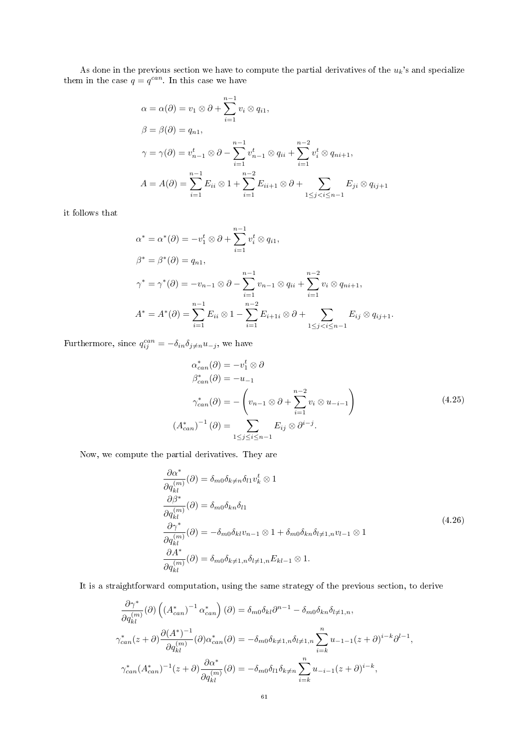As done in the previous section we have to compute the partial derivatives of the  $u_k$ 's and specialize them in the case  $q = q^{can}$ . In this case we have

$$
\alpha = \alpha(\partial) = v_1 \otimes \partial + \sum_{i=1}^{n-1} v_i \otimes q_{i1},
$$
  
\n
$$
\beta = \beta(\partial) = q_{n1},
$$
  
\n
$$
\gamma = \gamma(\partial) = v_{n-1}^t \otimes \partial - \sum_{i=1}^{n-1} v_{n-1}^t \otimes q_{ii} + \sum_{i=1}^{n-2} v_i^t \otimes q_{ni+1},
$$
  
\n
$$
A = A(\partial) = \sum_{i=1}^{n-1} E_{ii} \otimes 1 + \sum_{i=1}^{n-2} E_{ii+1} \otimes \partial + \sum_{1 \le j < i \le n-1} E_{ji} \otimes q_{ij+1}
$$

it follows that

$$
\alpha^* = \alpha^*(\partial) = -v_1^t \otimes \partial + \sum_{i=1}^{n-1} v_i^t \otimes q_{i1},
$$
  
\n
$$
\beta^* = \beta^*(\partial) = q_{n1},
$$
  
\n
$$
\gamma^* = \gamma^*(\partial) = -v_{n-1} \otimes \partial - \sum_{i=1}^{n-1} v_{n-1} \otimes q_{ii} + \sum_{i=1}^{n-2} v_i \otimes q_{ni+1},
$$
  
\n
$$
A^* = A^*(\partial) = \sum_{i=1}^{n-1} E_{ii} \otimes 1 - \sum_{i=1}^{n-2} E_{i+1} \otimes \partial + \sum_{1 \le j < i \le n-1} E_{ij} \otimes q_{ij+1}.
$$

Furthermore, since  $q_{ij}^{can} = -\delta_{in}\delta_{j\neq n}u_{-j}$ , we have

$$
\alpha_{can}^*(\partial) = -v_1^t \otimes \partial
$$
  
\n
$$
\beta_{can}^*(\partial) = -u_{-1}
$$
  
\n
$$
\gamma_{can}^*(\partial) = -\left(v_{n-1} \otimes \partial + \sum_{i=1}^{n-2} v_i \otimes u_{-i-1}\right)
$$
  
\n
$$
(A_{can}^*)^{-1}(\partial) = \sum_{1 \le j \le i \le n-1} E_{ij} \otimes \partial^{i-j}.
$$
\n(4.25)

Now, we compute the partial derivatives. They are

$$
\frac{\partial \alpha^*}{\partial q_{kl}^{(m)}}(\partial) = \delta_{m0} \delta_{k \neq n} \delta_{l1} v_k^t \otimes 1
$$
\n
$$
\frac{\partial \beta^*}{\partial q_{kl}^{(m)}}(\partial) = \delta_{m0} \delta_{kn} \delta_{l1}
$$
\n
$$
\frac{\partial \gamma^*}{\partial q_{kl}^{(m)}}(\partial) = -\delta_{m0} \delta_{kl} v_{n-1} \otimes 1 + \delta_{m0} \delta_{kn} \delta_{l \neq 1, n} v_{l-1} \otimes 1
$$
\n
$$
\frac{\partial A^*}{\partial q_{kl}^{(m)}}(\partial) = \delta_{m0} \delta_{k \neq 1, n} \delta_{l \neq 1, n} E_{kl-1} \otimes 1.
$$
\n(4.26)

It is a straightforward computation, using the same strategy of the previous section, to derive

$$
\frac{\partial \gamma^*}{\partial q_{kl}^{(m)}}(\partial) \left( \left( A_{can}^* \right)^{-1} \alpha^*_{can} \right) (\partial) = \delta_{m0} \delta_{kl} \partial^{n-1} - \delta_{m0} \delta_{kn} \delta_{l \neq 1,n},
$$
\n
$$
\gamma^*_{can}(z + \partial) \frac{\partial (A^*)^{-1}}{\partial q_{kl}^{(m)}}(\partial) \alpha^*_{can}(\partial) = -\delta_{m0} \delta_{k \neq 1,n} \delta_{l \neq 1,n} \sum_{i=k}^n u_{-1-i} (z + \partial)^{i-k} \partial^{l-1},
$$
\n
$$
\gamma^*_{can}(A_{can}^*)^{-1} (z + \partial) \frac{\partial \alpha^*}{\partial q_{kl}^{(m)}}(\partial) = -\delta_{m0} \delta_{l1} \delta_{k \neq n} \sum_{i=k}^n u_{-i-1} (z + \partial)^{i-k},
$$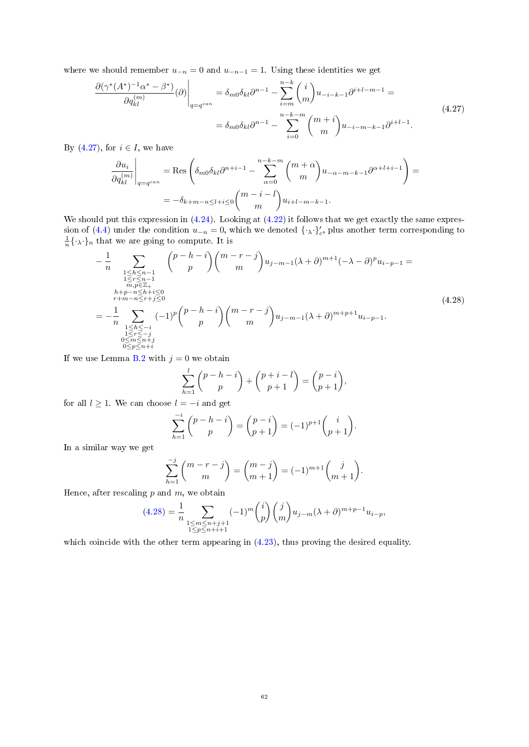where we should remember  $u_{-n} = 0$  and  $u_{-n-1} = 1$ . Using these identities we get

$$
\frac{\partial (\gamma^*(A^*)^{-1} \alpha^* - \beta^*)}{\partial q_{kl}^{(m)}}(\partial) \Big|_{q = q^{can}} = \delta_{m0} \delta_{kl} \partial^{n-1} - \sum_{i=m}^{n-k} {i \choose m} u_{-i-k-1} \partial^{i+l-m-1} =
$$
\n
$$
= \delta_{m0} \delta_{kl} \partial^{n-1} - \sum_{i=0}^{n-k-m} {m+i \choose m} u_{-i-m-k-1} \partial^{i+l-1}.
$$
\n(4.27)

By [\(4.27\)](#page-65-0), for  $i \in I$ , we have

<span id="page-65-0"></span>
$$
\frac{\partial u_i}{\partial q_{kl}^{(m)}}\Big|_{q=q^{can}} = \text{Res}\left(\delta_{m0}\delta_{kl}\partial^{n+i-1} - \sum_{\alpha=0}^{n-k-m} {m+\alpha \choose m} u_{-\alpha-m-k-1}\partial^{\alpha+l+i-1}\right) =
$$
  
=  $-\delta_{k+m-n \leq l+i \leq 0} {m-i-l \choose m} u_{i+l-m-k-1}.$ 

We should put this expression in  $(4.24)$ . Looking at  $(4.22)$  it follows that we get exactly the same expres-sion of [\(4.4\)](#page-55-4) under the condition  $u_{-n} = 0$ , which we denoted  $\{\cdot_{\lambda}\cdot\}'_c$ , plus another term corresponding to  $\frac{1}{n}\{\cdot_\lambda\cdot\}_n$  that we are going to compute. It is

$$
-\frac{1}{n} \sum_{\substack{1 \leq h \leq n-1 \\ 1 \leq r \leq n-1 \\ m, p \in \mathbb{Z}_+ \\ n+m-n \leq h+j \leq 0 \\ 1 \leq r \leq -j \\ 1 \leq r \leq -j \\ 0 \leq m \leq n+j}} \binom{p-h-i}{p} \binom{m-r-j}{m} u_{j-m-1} (\lambda + \partial)^{m+1} (-\lambda - \partial)^p u_{i-p-1} =
$$
\n
$$
(-1)^n \binom{p-h-i}{p} \binom{m-r-j}{m} u_{j-m-1} (\lambda + \partial)^{m+p+1} u_{i-p-1}.
$$
\n(4.28)

If we use Lemma [B.2](#page-84-1) with  $j = 0$  we obtain

<span id="page-65-1"></span>
$$
\sum_{h=1}^{l} {p-h-i \choose p} + {p+i-l \choose p+1} = {p-i \choose p+1},
$$

for all  $l \geq 1$ . We can choose  $l = -i$  and get

$$
\sum_{h=1}^{-i} {p-h-i \choose p} = {p-i \choose p+1} = (-1)^{p+1} {i \choose p+1}.
$$

In a similar way we get

$$
\sum_{h=1}^{-j} {m-r-j \choose m} = {m-j \choose m+1} = (-1)^{m+1} {j \choose m+1}.
$$

Hence, after rescaling  $p$  and  $m$ , we obtain

$$
(4.28) = \frac{1}{n} \sum_{\substack{1 \le m \le n+j+1 \\ 1 \le p \le n+i+1}} (-1)^m {i \choose p} {j \choose m} u_{j-m} (\lambda + \partial)^{m+p-1} u_{i-p},
$$

which coincide with the other term appearing in  $(4.23)$ , thus proving the desired equality.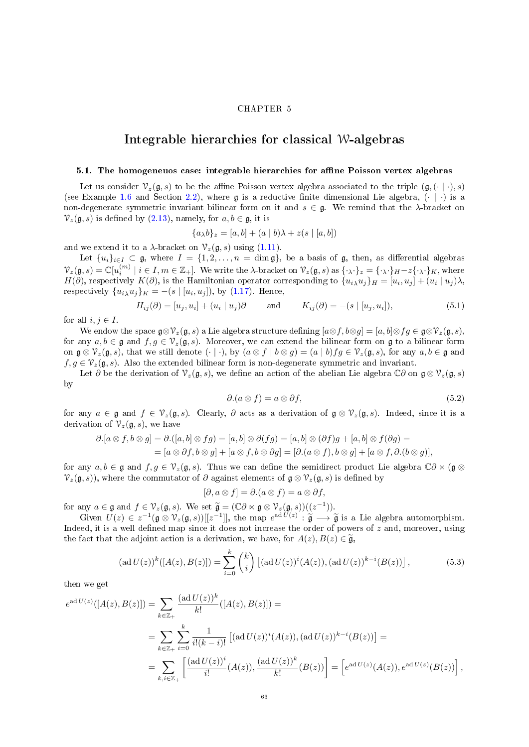#### CHAPTER 5

# <span id="page-66-0"></span>Integrable hierarchies for classical W-algebras

### 5.1. The homogeneuos case: integrable hierarchies for affine Poisson vertex algebras

Let us consider  $\mathcal{V}_z(\mathfrak{g},s)$  to be the affine Poisson vertex algebra associated to the triple  $(\mathfrak{g}, (\cdot | \cdot), s)$ (see Example [1.6](#page-11-4) and Section [2.2\)](#page-18-1), where  $\mathfrak g$  is a reductive finite dimensional Lie algebra,  $(\cdot | \cdot)$  is a non-degenerate symmetric invariant bilinear form on it and  $s \in \mathfrak{g}$ . We remind that the  $\lambda$ -bracket on  $\mathcal{V}_z(\mathfrak{g}, s)$  is defined by  $(2.13)$ , namely, for  $a, b \in \mathfrak{g}$ , it is

$$
\{a_{\lambda}b\}_{z} = [a,b] + (a \mid b)\lambda + z(s \mid [a,b])
$$

and we extend it to a  $\lambda$ -bracket on  $\mathcal{V}_z(\mathfrak{g}, s)$  using [\(1.11\)](#page-11-3).

Let  $\{u_i\}_{i\in I} \subset \mathfrak{g}$ , where  $I = \{1, 2, ..., n = \dim \mathfrak{g}\}\$ , be a basis of  $\mathfrak{g}$ , then, as differential algebras  $\mathcal{V}_z(\mathfrak{g},s) = \mathbb{C}[u_i^{(m)} \mid i \in I, m \in \mathbb{Z}_+]$ . We write the  $\lambda$ -bracket on  $\mathcal{V}_z(\mathfrak{g},s)$  as  $\{\cdot_\lambda\cdot\}_z = \{\cdot_\lambda\cdot\}_H - z\{\cdot_\lambda\cdot\}_K$ , where  $H(\partial)$ , respectively  $K(\partial)$ , is the Hamiltonian operator corresponding to  $\{u_i{}_{\lambda}u_j\}_H=[u_i,u_j]+(u_i\mid u_j)\lambda,$ respectively  $\{u_i, u_j\}_K = -(s \mid [u_i, u_j]),$  by [\(1.17\)](#page-12-0). Hence,

$$
H_{ij}(\partial) = [u_j, u_i] + (u_i \mid u_j)\partial \quad \text{and} \quad K_{ij}(\partial) = -(s \mid [u_j, u_i]), \tag{5.1}
$$

for all  $i, j \in I$ .

We endow the space  $\mathfrak{g} \otimes \mathcal{V}_z(\mathfrak{g}, s)$  a Lie algebra structure defining  $[a \otimes f, b \otimes g] = [a, b] \otimes fg \in \mathfrak{g} \otimes \mathcal{V}_z(\mathfrak{g}, s)$ , for any  $a, b \in \mathfrak{g}$  and  $f, g \in \mathcal{V}_z(\mathfrak{g}, s)$ . Moreover, we can extend the bilinear form on  $\mathfrak{g}$  to a bilinear form on  $\mathfrak{g} \otimes \mathcal{V}_z(\mathfrak{g}, s)$ , that we still denote  $(\cdot | \cdot)$ , by  $(a \otimes f | b \otimes g) = (a | b)fg \in \mathcal{V}_z(\mathfrak{g}, s)$ , for any  $a, b \in \mathfrak{g}$  and  $f, g \in \mathcal{V}_z(\mathfrak{g}, s)$ . Also the extended bilinear form is non-degenerate symmetric and invariant.

Let ∂ be the derivation of  $\mathcal{V}_z(\mathfrak{g}, s)$ , we define an action of the abelian Lie algebra  $\mathbb{C}\partial$  on  $\mathfrak{g}\otimes\mathcal{V}_z(\mathfrak{g}, s)$ by

<span id="page-66-2"></span><span id="page-66-1"></span>
$$
\partial.(a \otimes f) = a \otimes \partial f,\tag{5.2}
$$

for any  $a \in \mathfrak{g}$  and  $f \in \mathcal{V}_z(\mathfrak{g}, s)$ . Clearly,  $\partial$  acts as a derivation of  $\mathfrak{g} \otimes \mathcal{V}_z(\mathfrak{g}, s)$ . Indeed, since it is a derivation of  $\mathcal{V}_z(\mathfrak{g},s)$ , we have

$$
\partial \cdot [a \otimes f, b \otimes g] = \partial \cdot ([a, b] \otimes fg) = [a, b] \otimes \partial (fg) = [a, b] \otimes (\partial f)g + [a, b] \otimes f(\partial g) =
$$
  
= 
$$
[a \otimes \partial f, b \otimes g] + [a \otimes f, b \otimes \partial g] = [\partial \cdot (a \otimes f), b \otimes g] + [a \otimes f, \partial \cdot (b \otimes g)],
$$

for any  $a, b \in \mathfrak{g}$  and  $f, g \in \mathcal{V}_z(\mathfrak{g}, s)$ . Thus we can define the semidirect product Lie algebra  $\mathbb{C}\partial \ltimes (\mathfrak{g} \otimes$  $\mathcal{V}_z(\mathfrak{g}, s)$ , where the commutator of  $\partial$  against elements of  $\mathfrak{g} \otimes \mathcal{V}_z(\mathfrak{g}, s)$  is defined by

<span id="page-66-3"></span>
$$
[\partial, a \otimes f] = \partial.(a \otimes f) = a \otimes \partial f,
$$

for any  $a \in \mathfrak{g}$  and  $f \in \mathcal{V}_z(\mathfrak{g}, s)$ . We set  $\widetilde{\mathfrak{g}} = (\mathbb{C} \partial \ltimes \mathfrak{g} \otimes \mathcal{V}_z(\mathfrak{g}, s))((z^{-1})).$ <br>Civen  $U(x) \subset z^{-1}(x \otimes \mathcal{Y}_z(x, s))$  (i.e.))[[ $x^{-1}$ ]] the map  $\partial \mathfrak{g} U(z)$ ,  $\widetilde{z}$ 

Given  $U(z) \in z^{-1}(\mathfrak{g} \otimes \mathcal{V}_z(\mathfrak{g}, s))[[z^{-1}]]$ , the map  $e^{\mathrm{ad}U(z)} : \widetilde{\mathfrak{g}} \longrightarrow \widetilde{\mathfrak{g}}$  is a Lie algebra automorphism. Indeed, it is a well defined map since it does not increase the order of powers of  $z$  and, moreover, using the fact that the adjoint action is a derivation, we have, for  $A(z), B(z) \in \tilde{\mathfrak{g}}$ ,

$$
(\mathrm{ad}\, U(z))^k ([A(z), B(z)]) = \sum_{i=0}^k {k \choose i} [(\mathrm{ad}\, U(z))^i (A(z)), (\mathrm{ad}\, U(z))^{k-i} (B(z))],\tag{5.3}
$$

then we get

$$
e^{\mathrm{ad}\,U(z)}([A(z),B(z)]) = \sum_{k\in\mathbb{Z}_{+}} \frac{(\mathrm{ad}\,U(z))^{k}}{k!}([A(z),B(z)]) =
$$
  
= 
$$
\sum_{k\in\mathbb{Z}_{+}} \sum_{i=0}^{k} \frac{1}{i!(k-i)!} [(\mathrm{ad}\,U(z))^{i}(A(z)),(\mathrm{ad}\,U(z))^{k-i}(B(z))] =
$$
  
= 
$$
\sum_{k,i\in\mathbb{Z}_{+}} \left[\frac{(\mathrm{ad}\,U(z))^{i}}{i!}(A(z)),\frac{(\mathrm{ad}\,U(z))^{k}}{k!}(B(z))\right] = \left[e^{\mathrm{ad}\,U(z)}(A(z)),e^{\mathrm{ad}\,U(z)}(B(z))\right],
$$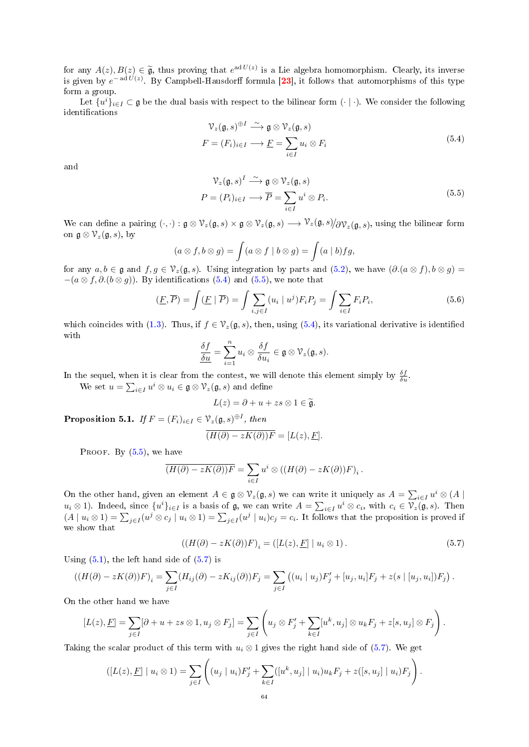for any  $A(z), B(z) \in \tilde{\mathfrak{g}}$ , thus proving that  $e^{ad U(z)}$  is a Lie algebra homomorphism. Clearly, its inverse<br>is given by  $e^{-ad U(z)}$ . By Campbell Hausdorff formula [92], it follows that automorphisms of this type is given by  $e^{-ad U(z)}$ . By Campbell-Hausdorff formula [\[23\]](#page-88-5), it follows that automorphisms of this type form a group.

Let  $\{u^i\}_{i\in I}\subset\mathfrak{g}$  be the dual basis with respect to the bilinear form  $(\cdot\mid\cdot)$ . We consider the following identifications

<span id="page-67-0"></span>
$$
\mathcal{V}_z(\mathfrak{g}, s)^{\oplus I} \stackrel{\sim}{\longrightarrow} \mathfrak{g} \otimes \mathcal{V}_z(\mathfrak{g}, s)
$$
  

$$
F = (F_i)_{i \in I} \longrightarrow \underline{F} = \sum_{i \in I} u_i \otimes F_i
$$
 (5.4)

and

<span id="page-67-1"></span>
$$
\mathcal{V}_z(\mathfrak{g}, s)^I \xrightarrow{\sim} \mathfrak{g} \otimes \mathcal{V}_z(\mathfrak{g}, s)
$$
  
\n
$$
P = (P_i)_{i \in I} \longrightarrow \overline{P} = \sum_{i \in I} u^i \otimes P_i.
$$
\n(5.5)

We can define a pairing  $(\cdot, \cdot) : \mathfrak{g} \otimes \mathcal{V}_z(\mathfrak{g}, s) \times \mathfrak{g} \otimes \mathcal{V}_z(\mathfrak{g}, s) \longrightarrow \mathcal{V}_z(\mathfrak{g}, s) / \partial \mathcal{V}_z(\mathfrak{g}, s)$ , using the bilinear form on  $\mathfrak{g} \otimes \mathcal{V}_z(\mathfrak{g},s)$ , by

$$
(a\otimes f, b\otimes g)=\int (a\otimes f\mid b\otimes g)=\int (a\mid b)fg,
$$

for any  $a, b \in \mathfrak{g}$  and  $f, g \in \mathcal{V}_z(\mathfrak{g}, s)$ . Using integration by parts and  $(5.2)$ , we have  $(\partial \mathfrak{g}, (\mathfrak{a} \otimes f), \mathfrak{b} \otimes g) =$  $-(a \otimes f, \partial.(b \otimes g))$ . By identifications [\(5.4\)](#page-67-0) and [\(5.5\)](#page-67-1), we note that

$$
(\underline{F}, \overline{P}) = \int (\underline{F} | \overline{P}) = \int \sum_{i,j \in I} (u_i | u^j) F_i P_j = \int \sum_{i \in I} F_i P_i,
$$
\n(5.6)

which coincides with [\(1.3\)](#page-9-1). Thus, if  $f \in \mathcal{V}_z(\mathfrak{g}, s)$ , then, using [\(5.4\)](#page-67-0), its variational derivative is identified with

$$
\frac{\delta f}{\delta u} = \sum_{i=1}^n u_i \otimes \frac{\delta f}{\delta u_i} \in \mathfrak{g} \otimes \mathcal{V}_z(\mathfrak{g},s).
$$

In the sequel, when it is clear from the contest, we will denote this element simply by  $\frac{\delta f}{\delta u}$ .

We set  $u = \sum_{i \in I} u^i \otimes u_i \in \mathfrak{g} \otimes \mathcal{V}_z(\mathfrak{g}, s)$  and define

$$
L(z) = \partial + u + zs \otimes 1 \in \widetilde{\mathfrak{g}}.
$$

<span id="page-67-3"></span>**Proposition 5.1.** If  $F = (F_i)_{i \in I} \in \mathcal{V}_z(\mathfrak{g}, s)^{\oplus I}$ , then

<span id="page-67-2"></span>
$$
\overline{(H(\partial)-zK(\partial))F}=[L(z),\underline{F}].
$$

PROOF. By  $(5.5)$ , we have

$$
\overline{(H(\partial)-zK(\partial))F}=\sum_{i\in I}u^i\otimes((H(\partial)-zK(\partial))F)_i.
$$

On the other hand, given an element  $A \in \mathfrak{g} \otimes \mathcal{V}_z(\mathfrak{g},s)$  we can write it uniquely as  $A = \sum_{i \in I} u^i \otimes (A \mid s)$  $u_i \otimes 1$ ). Indeed, since  $\{u^i\}_{i\in I}$  is a basis of  $\mathfrak{g}$ , we can write  $A = \sum_{i\in I} u^i \otimes c_i$ , with  $c_i \in \mathcal{V}_z(\mathfrak{g}, s)$ . Then  $(A \mid u_i \otimes 1) = \sum_{j \in I} (u^j \otimes c_j \mid u_i \otimes 1) = \sum_{j \in I} (u^j \mid u_i)c_j = c_i$ . It follows that the proposition is proved if we show that

$$
((H(\partial)-zK(\partial))F)_i = ([L(z), \underline{F}] \mid u_i \otimes 1).
$$
\n
$$
(5.7)
$$

Using  $(5.1)$ , the left hand side of  $(5.7)$  is

$$
((H(\partial)-zK(\partial))F)_i = \sum_{j\in I} (H_{ij}(\partial)-zK_{ij}(\partial))F_j = \sum_{j\in I} ((u_i \mid u_j)F'_j + [u_j, u_i]F_j + z(s \mid [u_j, u_i])F_j).
$$

On the other hand we have

$$
[L(z), \underline{F}] = \sum_{j \in I} [\partial + u + zs \otimes 1, u_j \otimes F_j] = \sum_{j \in I} \left( u_j \otimes F'_j + \sum_{k \in I} [u^k, u_j] \otimes u_k F_j + z[s, u_j] \otimes F_j \right).
$$

Taking the scalar product of this term with  $u_i \otimes 1$  gives the right hand side of [\(5.7\)](#page-67-2). We get

$$
([L(z), \underline{F}] | u_i \otimes 1) = \sum_{j \in I} \left( (u_j | u_i) F'_j + \sum_{k \in I} ([u^k, u_j] | u_i) u_k F_j + z([s, u_j] | u_i) F_j \right).
$$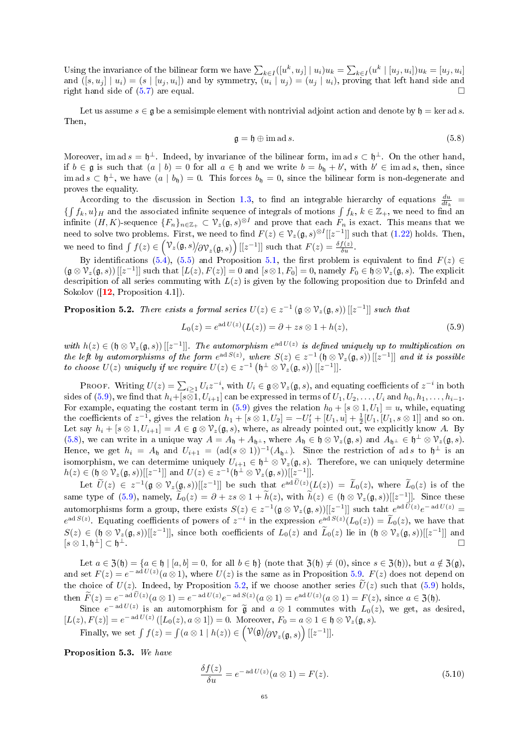Using the invariance of the bilinear form we have  $\sum_{k\in I}([u^k,u_j]\mid u_i)u_k=\sum_{k\in I}(u^k\mid [u_j,u_i])u_k=[u_j,u_i]$ and  $([s, u_j] | u_i) = (s | [u_j, u_i])$  and by symmetry,  $(u_i | u_j) = (u_j | u_i)$ , proving that left hand side and right hand side of  $(5.7)$  are equal.

Let us assume  $s \in \mathfrak{g}$  be a semisimple element with nontrivial adjoint action and denote by  $\mathfrak{h} = \ker ad s$ . Then,

<span id="page-68-1"></span>
$$
\mathfrak{g} = \mathfrak{h} \oplus \text{im ad } s. \tag{5.8}
$$

Moreover, im ad  $s = \mathfrak{h}^{\perp}$ . Indeed, by invariance of the bilinear form, im ad  $s \subset \mathfrak{h}^{\perp}$ . On the other hand, if  $b \in \mathfrak{g}$  is such that  $(a | b) = 0$  for all  $a \in \mathfrak{h}$  and we write  $b = b_{\mathfrak{h}} + b'$ , with  $b' \in \text{im} \text{ ad } s$ , then, since im ad  $s \subset \mathfrak{h}^{\perp}$ , we have  $(a | b_{\mathfrak{h}}) = 0$ . This forces  $b_{\mathfrak{h}} = 0$ , since the bilinear form is non-degenerate and proves the equality.

According to the discussion in Section [1.3,](#page-14-0) to find an integrable hierarchy of equations  $\frac{du}{dt_k}$  $\{\int f_k, u\}_H$  and the associated infinite sequence of integrals of motions  $\int f_k, k \in \mathbb{Z}_+$ , we need to find an infinite  $(H, K)$ -sequence  $\{F_n\}_{n\in\mathbb{Z}_+}\subset\mathcal{V}_z(\mathfrak{g}, s)^{\otimes I}$  and prove that each  $F_n$  is exact. This means that we need to solve two problems. First, we need to find  $F(z) \in \mathcal{V}_z(\mathfrak{g},s)^{\otimes I}[[z^{-1}]]$  such that  $(1.22)$  holds. Then, we need to find  $\int f(z) \in (\mathcal{V}_z(\mathfrak{g}, s) / \partial \mathcal{V}_z(\mathfrak{g}, s))[[z^{-1}]]$  such that  $F(z) = \frac{\delta f(z)}{\delta u}$ .

By identifications [\(5.4\)](#page-67-0), [\(5.5\)](#page-67-1) and Proposition [5.1,](#page-67-3) the first problem is equivalent to find  $F(z) \in$  $(\mathfrak{g} \otimes \mathcal{V}_z(\mathfrak{g}, s))[[z^{-1}]]$  such that  $[L(z), F(z)] = 0$  and  $[s \otimes 1, F_0] = 0$ , namely  $F_0 \in \mathfrak{h} \otimes \mathcal{V}_z(\mathfrak{g}, s)$ . The explicit descripition of all series commuting with  $L(z)$  is given by the following proposition due to Drinfeld and Sokolov ([\[12,](#page-88-4) Proposition 4.1]).

<span id="page-68-2"></span>**Proposition 5.2.** There exists a formal series  $U(z) \in z^{-1}$   $(\mathfrak{g} \otimes \mathcal{V}_z(\mathfrak{g}, s))$  [[ $z^{-1}$ ]] such that

<span id="page-68-0"></span>
$$
L_0(z) = e^{ad U(z)} (L(z)) = \partial + zs \otimes 1 + h(z),
$$
\n(5.9)

with  $h(z) \in (\mathfrak{h} \otimes \mathcal{V}_z(\mathfrak{g},s))$  [[ $z^{-1}$ ]]. The automorphism  $e^{\mathrm{ad} U(z)}$  is defined uniquely up to multiplication on the left by automorphisms of the form  $e^{ad S(z)}$ , where  $S(z) \in z^{-1}$  ( $\mathfrak{h} \otimes \mathcal{V}_z(\mathfrak{g},s))[[z^{-1}]]$  and it is possible to choose  $U(z)$  uniquely if we require  $U(z) \in z^{-1}$   $(\mathfrak{h}^{\perp} \otimes \mathcal{V}_z(\mathfrak{g},s))$   $[[z^{-1}]]$ .

PROOF. Writing  $U(z) = \sum_{i \geq 1} U_i z^{-i}$ , with  $U_i \in \mathfrak{g} \otimes \mathcal{V}_z(\mathfrak{g}, s)$ , and equating coefficients of  $z^{-i}$  in both sides of [\(5.9\)](#page-68-0), we find that  $h_i+[s\ddot{\otimes}1, U_{i+1}]$  can be expressed in terms of  $U_1, U_2, \ldots, U_i$  and  $h_0, h_1, \ldots, h_{i-1}$ . For example, equating the costant term in [\(5.9\)](#page-68-0) gives the relation  $h_0 + [s \otimes 1, U_1] = u$ , while, equating the coefficients of  $z^{-1}$ , gives the relation  $h_1 + [s \otimes 1, U_2] = -U'_1 + [U_1, u] + \frac{1}{2}[U_1, [U_1, s \otimes 1]]$  and so on. Let say  $h_i + [s \otimes 1, U_{i+1}] = A \in \mathfrak{g} \otimes \mathcal{V}_z(\mathfrak{g}, s)$ , where, as already pointed out, we explicitly know A. By [\(5.8\)](#page-68-1), we can write in a unique way  $A = A_{\mathfrak{h}} + A_{\mathfrak{h}^{\perp}}$ , where  $A_{\mathfrak{h}} \in \mathfrak{h} \otimes \mathcal{V}_z(\mathfrak{g}, s)$  and  $A_{\mathfrak{h}^{\perp}} \in \mathfrak{h}^{\perp} \otimes \mathcal{V}_z(\mathfrak{g}, s)$ . Hence, we get  $h_i = A_{\mathfrak{h}}$  and  $U_{i+1} = (ad(s \otimes 1))^{-1}(A_{\mathfrak{h}^\perp})$ . Since the restriction of ads to  $\mathfrak{h}^\perp$  is an isomorphism, we can determime uniquely  $U_{i+1} \in \mathfrak{h}^\perp \otimes \mathcal{V}_z(\mathfrak{g},s)$ . Therefore, we can uniquely determine  $h(z) \in (\mathfrak{h} \otimes \mathcal{V}_z(\mathfrak{g},s))[[z^{-1}]]$  and  $U(z) \in z^{-1}(\mathfrak{h}^{\perp} \otimes \mathcal{V}_z(\mathfrak{g},s))[[z^{-1}]].$ 

Let  $\widetilde{U}(z) \in z^{-1}(\mathfrak{g} \otimes \mathcal{V}_z(\mathfrak{g},s))[[z^{-1}]]$  be such that  $e^{\mathrm{ad} U(z)}(L(z)) = \widetilde{L}_0(z)$ , where  $\widetilde{L}_0(z)$  is of the same type of [\(5.9\)](#page-68-0), namely,  $\widetilde{L}_0(z) = \partial + zs \otimes 1 + \widetilde{h}(z)$ , with  $\widetilde{h}(z) \in (\mathfrak{h} \otimes \mathcal{V}_z(\mathfrak{g}, s))[[z^{-1}]]$ . Since these automorphisms form a group, there exists  $S(z) \in z^{-1}(\mathfrak{g} \otimes \mathcal{V}_z(\mathfrak{g},s))[[z^{-1}]]$  such taht  $e^{\mathrm{ad} U(z)}e^{-\mathrm{ad} U(z)}$  $e^{ad S(z)}$ . Equating coefficients of powers of  $z^{-i}$  in the expression  $e^{ad S(z)}(L_0(z)) = \tilde{L}_0(z)$ , we have that  $S(z) \in (\mathfrak{h} \otimes \mathcal{V}_z(\mathfrak{g}, s))[[z^{-1}]]$ , since both coefficients of  $L_0(z)$  and  $\tilde{L}_0(z)$  lie in  $(\mathfrak{h} \otimes \mathcal{V}_z(\mathfrak{g}, s))[[z^{-1}]]$  and  $[s \otimes 1, \mathfrak{h}^{\perp}] \subset \mathfrak{h}$ <sup>⊥</sup>.

Let  $a \in \mathfrak{Z}(\mathfrak{h}) = \{a \in \mathfrak{h} \mid [a, b] = 0, \text{ for all } b \in \mathfrak{h}\}\$  (note that  $\mathfrak{Z}(\mathfrak{h}) \neq (0), \text{ since } s \in \mathfrak{Z}(\mathfrak{h})\)$ , but  $a \notin \mathfrak{Z}(\mathfrak{g})$ , and set  $F(z) = e^{-ad U(z)} (a \otimes 1)$ , where  $U(z)$  is the same as in Proposition [5.9.](#page-68-0)  $F(z)$  does not depend on the choice of  $U(z)$ . Indeed, by Proposition [5.2,](#page-68-2) if we choose another series  $\tilde{U}(z)$  such that [\(5.9\)](#page-68-0) holds, then  $\widetilde{F}(z) = e^{-ad U(z)}(a \otimes 1) = e^{-ad U(z)}e^{-ad S(z)}(a \otimes 1) = e^{ad U(z)}(a \otimes 1) = F(z)$ , since  $a \in \mathfrak{Z}(\mathfrak{h})$ .

Since  $e^{-ad U(z)}$  is an automorphism for  $\tilde{\mathfrak{g}}$  and  $a \otimes 1$  commutes with  $L_0(z)$ , we get, as desired,  $[L(z), F(z)] = e^{-ad U(z)} ([L_0(z), a \otimes 1]) = 0$ . Moreover,  $F_0 = a \otimes 1 \in \mathfrak{h} \otimes \mathcal{V}_z(\mathfrak{g}, s)$ .

Finally, we set  $\int f(z) = \int (a \otimes 1 \mid h(z)) \in (\mathcal{V}(\mathfrak{g})/\partial \mathcal{V}_z(\mathfrak{g}, s))[[z^{-1}]].$ 

Proposition 5.3. We have

$$
\frac{\delta f(z)}{\delta u} = e^{-ad U(z)} (a \otimes 1) = F(z). \tag{5.10}
$$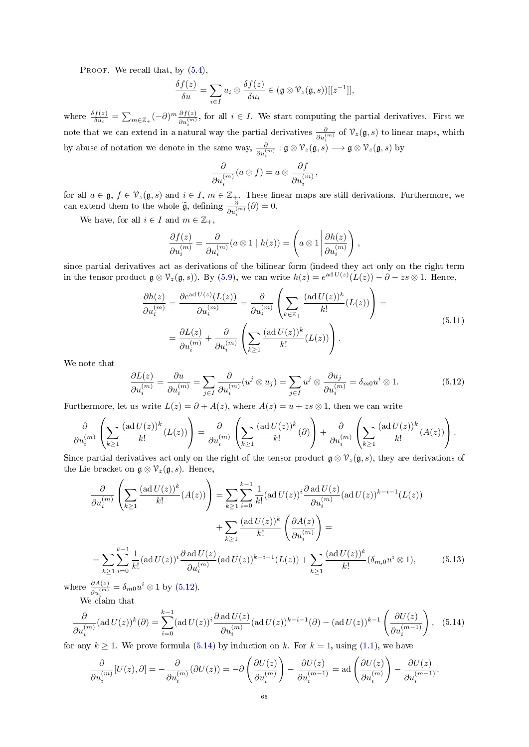PROOF. We recall that, by  $(5.4)$ ,

$$
\frac{\delta f(z)}{\delta u} = \sum_{i \in I} u_i \otimes \frac{\delta f(z)}{\delta u_i} \in (\mathfrak{g} \otimes \mathcal{V}_z(\mathfrak{g}, s))[[z^{-1}]],
$$

where  $\frac{\delta f(z)}{\delta u_i} = \sum_{m \in \mathbb{Z}_+} (-\partial)^m \frac{\partial f(z)}{\partial u_i^{(m)}}$  $\frac{\partial f(z)}{\partial u_i^{(m)}}$ , for all  $i \in I$ . We start computing the partial derivatives. First we note that we can extend in a natural way the partial derivatives  $\frac{\partial}{\partial u_i^{(m)}}$  of  $\mathcal{V}_z(\mathfrak{g},s)$  to linear maps, which by abuse of notation we denote in the same way,  $\frac{\partial}{\partial u_i^{(m)}} : \mathfrak{g} \otimes \mathcal{V}_z(\mathfrak{g}, s) \longrightarrow \mathfrak{g} \otimes \mathcal{V}_z(\mathfrak{g}, s)$  by

$$
\frac{\partial}{\partial u_i^{(m)}}(a\otimes f)=a\otimes \frac{\partial f}{\partial u_i^{(m)}},
$$

for all  $a \in \mathfrak{g}, f \in \mathcal{V}_z(\mathfrak{g}, s)$  and  $i \in I, m \in \mathbb{Z}_+$ . These linear maps are still derivations. Furthermore, we can extend them to the whole  $\widetilde{\mathfrak{g}},$  defining  $\frac{\partial}{\partial u_i^{(m)}}(\partial) = 0$ .

We have, for all  $i \in I$  and  $m \in \mathbb{Z}_+$ ,

<span id="page-69-0"></span>
$$
\frac{\partial f(z)}{\partial u_i^{(m)}} = \frac{\partial}{\partial u_i^{(m)}} (a \otimes 1 \mid h(z)) = \left( a \otimes 1 \middle| \frac{\partial h(z)}{\partial u_i^{(m)}} \right),
$$

since partial derivatives act as derivations of the bilinear form (indeed they act only on the right term in the tensor product  $\mathfrak{g} \otimes \mathcal{V}_z(\mathfrak{g},s)$ ). By [\(5.9\)](#page-68-0), we can write  $h(z) = e^{\mathrm{ad}\,U(z)}(L(z)) - \partial - zs \otimes 1$ . Hence,

$$
\frac{\partial h(z)}{\partial u_i^{(m)}} = \frac{\partial e^{\text{ad }U(z)}(L(z))}{\partial u_i^{(m)}} = \frac{\partial}{\partial u_i^{(m)}} \left( \sum_{k \in \mathbb{Z}_+} \frac{(\text{ad }U(z))^k}{k!} (L(z)) \right) =
$$
\n
$$
= \frac{\partial L(z)}{\partial u_i^{(m)}} + \frac{\partial}{\partial u_i^{(m)}} \left( \sum_{k \ge 1} \frac{(\text{ad }U(z))^k}{k!} (L(z)) \right).
$$
\n(5.11)

We note that

<span id="page-69-2"></span>
$$
\frac{\partial L(z)}{\partial u_i^{(m)}} = \frac{\partial u}{\partial u_i^{(m)}} = \sum_{j \in I} \frac{\partial}{\partial u_i^{(m)}} (u^j \otimes u_j) = \sum_{j \in I} u^j \otimes \frac{\partial u_j}{\partial u_i^{(m)}} = \delta_{m0} u^i \otimes 1. \tag{5.12}
$$

Furthermore, let us write  $L(z) = \partial + A(z)$ , where  $A(z) = u + zs \otimes 1$ , then we can write

$$
\frac{\partial}{\partial u_i^{(m)}} \left( \sum_{k \ge 1} \frac{(\text{ad } U(z))^k}{k!} (L(z)) \right) = \frac{\partial}{\partial u_i^{(m)}} \left( \sum_{k \ge 1} \frac{(\text{ad } U(z))^k}{k!} (\partial) \right) + \frac{\partial}{\partial u_i^{(m)}} \left( \sum_{k \ge 1} \frac{(\text{ad } U(z))^k}{k!} (A(z)) \right).
$$

Since partial derivatives act only on the right of the tensor product  $\mathfrak{g} \otimes \mathcal{V}_z(\mathfrak{g},s)$ , they are derivations of the Lie bracket on  $\mathfrak{g} \otimes \mathcal{V}_z(\mathfrak{g},s)$ . Hence,

$$
\frac{\partial}{\partial u_i^{(m)}} \left( \sum_{k \ge 1} \frac{(\text{ad } U(z))^k}{k!} (A(z)) \right) = \sum_{k \ge 1} \sum_{i=0}^{k-1} \frac{1}{k!} (\text{ad } U(z))^i \frac{\partial \text{ad } U(z)}{\partial u_i^{(m)}} (\text{ad } U(z))^{k-i-1} (L(z)) \n+ \sum_{k \ge 1} \frac{(\text{ad } U(z))^k}{k!} \left( \frac{\partial A(z)}{\partial u_i^{(m)}} \right) = \n= \sum_{k \ge 1} \sum_{i=0}^{k-1} \frac{1}{k!} (\text{ad } U(z))^i \frac{\partial \text{ad } U(z)}{\partial u_i^{(m)}} (\text{ad } U(z))^{k-i-1} (L(z)) + \sum_{k \ge 1} \frac{(\text{ad } U(z))^k}{k!} (\delta_{m,0} u^i \otimes 1),
$$
\n(5.13)

where  $\frac{\partial A(z)}{\partial u_i^{(m)}} = \delta_{m0} u^i \otimes 1$  by [\(5.12\)](#page-69-0).

We claim that

$$
\frac{\partial}{\partial u_i^{(m)}} (\mathrm{ad}\, U(z))^k(\partial) = \sum_{i=0}^{k-1} (\mathrm{ad}\, U(z))^i \frac{\partial \mathrm{ad}\, U(z)}{\partial u_i^{(m)}} (\mathrm{ad}\, U(z))^{k-i-1}(\partial) - (\mathrm{ad}\, U(z))^{k-1} \left( \frac{\partial U(z)}{\partial u_i^{(m-1)}} \right), \quad (5.14)
$$

for any  $k > 1$ . We prove formula [\(5.14\)](#page-69-1) by induction on k. For  $k = 1$ , using [\(1.1\)](#page-8-0), we have

<span id="page-69-1"></span>
$$
\frac{\partial}{\partial u_i^{(m)}}[U(z),\partial] = -\frac{\partial}{\partial u_i^{(m)}}(\partial U(z)) = -\partial \left(\frac{\partial U(z)}{\partial u_i^{(m)}}\right) - \frac{\partial U(z)}{\partial u_i^{(m-1)}} = \text{ad}\left(\frac{\partial U(z)}{\partial u_i^{(m)}}\right) - \frac{\partial U(z)}{\partial u_i^{(m-1)}}.
$$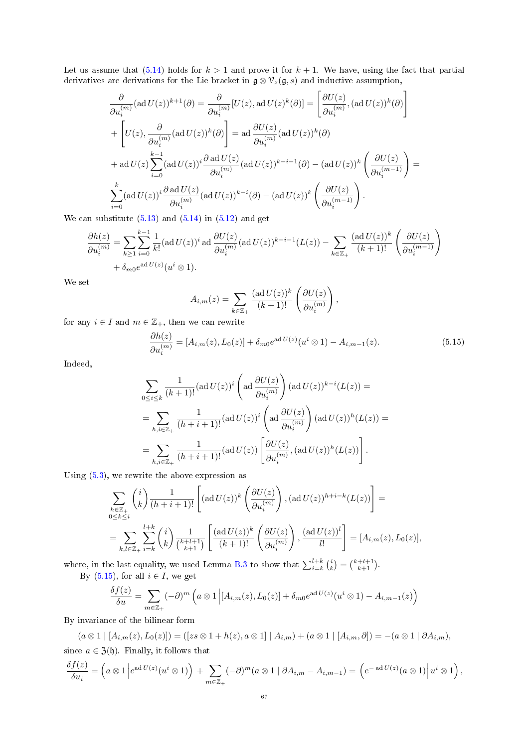Let us assume that  $(5.14)$  holds for  $k > 1$  and prove it for  $k + 1$ . We have, using the fact that partial derivatives are derivations for the Lie bracket in  $\mathfrak{g} \otimes \mathcal{V}_z(\mathfrak{g},s)$  and inductive assumption,

$$
\frac{\partial}{\partial u_i^{(m)}} (\text{ad}\, U(z))^{k+1}(\partial) = \frac{\partial}{\partial u_i^{(m)}} [U(z), \text{ad}\, U(z)^k(\partial)] = \left[ \frac{\partial U(z)}{\partial u_i^{(m)}}, (\text{ad}\, U(z))^k(\partial) \right]
$$

$$
+ \left[ U(z), \frac{\partial}{\partial u_i^{(m)}} (\text{ad}\, U(z))^k(\partial) \right] = \text{ad}\, \frac{\partial U(z)}{\partial u_i^{(m)}} (\text{ad}\, U(z))^k(\partial)
$$

$$
+ \text{ad}\, U(z) \sum_{i=0}^{k-1} (\text{ad}\, U(z))^i \frac{\partial \text{ad}\, U(z)}{\partial u_i^{(m)}} (\text{ad}\, U(z))^{k-i-1}(\partial) - (\text{ad}\, U(z))^k \left( \frac{\partial U(z)}{\partial u_i^{(m-1)}} \right) =
$$

$$
\sum_{i=0}^k (\text{ad}\, U(z))^i \frac{\partial \text{ad}\, U(z)}{\partial u_i^{(m)}} (\text{ad}\, U(z))^{k-i}(\partial) - (\text{ad}\, U(z))^k \left( \frac{\partial U(z)}{\partial u_i^{(m-1)}} \right).
$$

We can substitute  $(5.13)$  and  $(5.14)$  in  $(5.12)$  and get

$$
\frac{\partial h(z)}{\partial u_i^{(m)}} = \sum_{k\geq 1} \sum_{i=0}^{k-1} \frac{1}{k!} (\operatorname{ad} U(z))^i \operatorname{ad} \frac{\partial U(z)}{\partial u_i^{(m)}} (\operatorname{ad} U(z))^{k-i-1} (L(z)) - \sum_{k\in\mathbb{Z}_+} \frac{(\operatorname{ad} U(z))^k}{(k+1)!} \left( \frac{\partial U(z)}{\partial u_i^{(m-1)}} \right)
$$
  
+  $\delta_{m0} e^{\operatorname{ad} U(z)} (u^i \otimes 1).$ 

We set

<span id="page-70-0"></span>
$$
A_{i,m}(z) = \sum_{k \in \mathbb{Z}_+} \frac{(\text{ad }U(z))^k}{(k+1)!} \left( \frac{\partial U(z)}{\partial u_i^{(m)}} \right),
$$

for any  $i \in I$  and  $m \in \mathbb{Z}_+$ , then we can rewrite

$$
\frac{\partial h(z)}{\partial u_i^{(m)}} = [A_{i,m}(z), L_0(z)] + \delta_{m0} e^{\text{ad }U(z)} (u^i \otimes 1) - A_{i,m-1}(z). \tag{5.15}
$$

Indeed,

$$
\sum_{0 \le i \le k} \frac{1}{(k+1)!} (\operatorname{ad} U(z))^i \left( \operatorname{ad} \frac{\partial U(z)}{\partial u_i^{(m)}} \right) (\operatorname{ad} U(z))^{k-i} (L(z)) =
$$
\n
$$
= \sum_{h,i \in \mathbb{Z}_+} \frac{1}{(h+i+1)!} (\operatorname{ad} U(z))^i \left( \operatorname{ad} \frac{\partial U(z)}{\partial u_i^{(m)}} \right) (\operatorname{ad} U(z))^h (L(z)) =
$$
\n
$$
= \sum_{h,i \in \mathbb{Z}_+} \frac{1}{(h+i+1)!} (\operatorname{ad} U(z)) \left[ \frac{\partial U(z)}{\partial u_i^{(m)}}, (\operatorname{ad} U(z))^h (L(z)) \right].
$$

Using [\(5.3\)](#page-66-3), we rewrite the above expression as

$$
\sum_{\substack{h \in \mathbb{Z}_+ \\ 0 \le k \le i}} \binom{i}{k} \frac{1}{(h+i+1)!} \left[ (\operatorname{ad} U(z))^k \left( \frac{\partial U(z)}{\partial u_i^{(m)}} \right), (\operatorname{ad} U(z))^{h+i-k} (L(z)) \right] =
$$
\n
$$
= \sum_{k,l \in \mathbb{Z}_+} \sum_{i=k}^{l+k} \binom{i}{k} \frac{1}{\binom{k+l+1}{k+1}} \left[ \frac{(\operatorname{ad} U(z))^k}{(k+1)!} \left( \frac{\partial U(z)}{\partial u_i^{(m)}} \right), \frac{(\operatorname{ad} U(z))^l}{l!} \right] = [A_{i,m}(z), L_0(z)],
$$

where, in the last equality, we used Lemma [B.3](#page-85-0) to show that  $\sum_{i=k}^{l+k} {i \choose k} = {k+l+1 \choose k+1}$ . By [\(5.15\)](#page-70-0), for all  $i \in I$ , we get

$$
\frac{\delta f(z)}{\delta u} = \sum_{m \in \mathbb{Z}_+} (-\partial)^m \left( a \otimes 1 \left| [A_{i,m}(z), L_0(z)] + \delta_{m0} e^{ad U(z)} (u^i \otimes 1) - A_{i,m-1}(z) \right. \right)
$$

By invariance of the bilinear form

 $(a \otimes 1 | [A_{i,m}(z), L_0(z)]) = ([zs \otimes 1 + h(z), a \otimes 1] | A_{i,m}) + (a \otimes 1 | [A_{i,m}, \partial]) = -(a \otimes 1 | \partial A_{i,m}),$ since  $a \in \mathfrak{Z}(\mathfrak{h})$ . Finally, it follows that

$$
\frac{\delta f(z)}{\delta u_i} = \left( a \otimes 1 \left| e^{ad U(z)} (u^i \otimes 1) \right. \right) + \sum_{m \in \mathbb{Z}_+} (-\partial)^m (a \otimes 1 \left| \partial A_{i,m} - A_{i,m-1} \right) = \left( e^{-ad U(z)} (a \otimes 1) \right| u^i \otimes 1 \right),
$$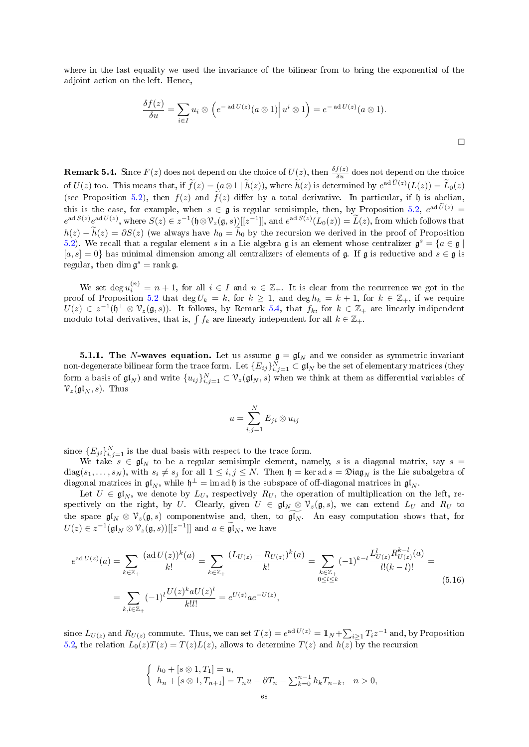where in the last equality we used the invariance of the bilinear from to bring the exponential of the adjoint action on the left. Hence,

$$
\frac{\delta f(z)}{\delta u} = \sum_{i \in I} u_i \otimes \left( e^{-ad U(z)} (a \otimes 1) \middle| u^i \otimes 1 \right) = e^{-ad U(z)} (a \otimes 1).
$$

<span id="page-71-0"></span>**Remark 5.4.** Since  $F(z)$  does not depend on the choice of  $U(z)$ , then  $\frac{\delta f(z)}{\delta u}$  does not depend on the choice of  $U(z)$  too. This means that, if  $\tilde{f}(z) = (a \otimes 1 \mid \tilde{h}(z))$ , where  $\tilde{h}(z)$  is determined by  $e^{ad U(z)}(L(z)) = \tilde{L}_0(z)$ (see Proposition [5.2\)](#page-68-2), then  $f(z)$  and  $\tilde{f}(z)$  differ by a total derivative. In particular, if h is abelian, this is the case, for example, when  $s \in \mathfrak{g}$  is regular semisimple, then, by Proposition [5.2,](#page-68-2)  $e^{ad U(z)} =$  $e^{\operatorname{ad} S(z)}e^{\operatorname{ad} U(z)}$ , where  $S(z) \in z^{-1}(\mathfrak{h} \otimes \mathcal{V}_z(\mathfrak{g}, s))[[z^{-1}]]$ , and  $e^{\operatorname{ad} S(z)}(L_0(z)) = \widetilde{L}(z)$ , from which follows that  $h(z) - \widetilde{h}(z) = \partial S(z)$  (we always have  $h_0 = \widetilde{h}_0$  by the recursion we derived in the proof of Proposition [5.2\)](#page-68-2). We recall that a regular element s in a Lie algebra g is an element whose centralizer  $\mathfrak{g}^s = \{a \in \mathfrak{g} \mid$  $[a, s] = 0$  has minimal dimension among all centralizers of elements of g. If g is reductive and  $s \in \mathfrak{g}$  is regular, then dim  $\mathfrak{g}^s = \text{rank } \mathfrak{g}$ .

We set deg  $u_i^{(n)} = n + 1$ , for all  $i \in I$  and  $n \in \mathbb{Z}_+$ . It is clear from the recurrence we got in the proof of Proposition [5.2](#page-68-2) that  $\deg U_k = k$ , for  $k \geq 1$ , and  $\deg h_k = k + 1$ , for  $k \in \mathbb{Z}_+$ , if we require  $U(z) \in z^{-1}(\mathfrak{h}^{\perp} \otimes \mathcal{V}_z(\mathfrak{g},s))$ . It follows, by Remark [5.4,](#page-71-0) that  $f_k$ , for  $k \in \mathbb{Z}_+$  are linearly indipendent modulo total derivatives, that is,  $\int f_k$  are linearly independent for all  $k \in \mathbb{Z}_+$ .

**5.1.1. The N-waves equation.** Let us assume  $\mathfrak{g} = \mathfrak{gl}_N$  and we consider as symmetric invariant non-degenerate bilinear form the trace form. Let  $\{E_{ij}\}_{i,j=1}^N\subset\mathfrak{gl}_N$  be the set of elementary matrices (they form a basis of  $\mathfrak{gl}_N$ ) and write  $\{u_{ij}\}_{i,j=1}^N\subset\mathcal{V}_z(\mathfrak{gl}_N,s)$  when we think at them as differential variables of  $V_z(\mathfrak{gl}_N, s)$ . Thus

$$
u=\sum_{i,j=1}^N E_{ji}\otimes u_{ij}
$$

since  ${E_{ji}}_{i,j=1}^N$  is the dual basis with respect to the trace form.

We take  $s \in \mathfrak{gl}_N$  to be a regular semisimple element, namely, s is a diagonal matrix, say  $s =$  $diag(s_1,...,s_N)$ , with  $s_i \neq s_j$  for all  $1 \leq i,j \leq N$ . Then  $\mathfrak{h} = \ker \mathrm{ad} s = \mathfrak{Diag}_N$  is the Lie subalgebra of diagonal matrices in  $\mathfrak{gl}_N$ , while  $\mathfrak{h}^\perp=\text{im}\,\text{ad}\,\mathfrak{h}$  is the subspace of off-diagonal matrices in  $\mathfrak{gl}_N$ .

Let  $U \in \mathfrak{gl}_N$ , we denote by  $L_U$ , respectively  $R_U$ , the operation of multiplication on the left, respectively on the right, by U. Clearly, given  $U \in \mathfrak{gl}_N \otimes \mathcal{V}_z(\mathfrak{g}, s)$ , we can extend  $L_U$  and  $R_U$  to the space  $\mathfrak{gl}_N \otimes \mathcal{V}_z(\mathfrak{g},s)$  componentwise and, then, to  $\mathfrak{gl}_N$ . An easy computation shows that, for  $U(z) \in z^{-1}(\mathfrak{gl}_N \otimes \mathcal{V}_z(\mathfrak{g},s))[[z^{-1}]]$  and  $a \in \widetilde{\mathfrak{gl}}_N$ , we have

$$
e^{\operatorname{ad} U(z)}(a) = \sum_{k \in \mathbb{Z}_+} \frac{(\operatorname{ad} U(z))^k(a)}{k!} = \sum_{k \in \mathbb{Z}_+} \frac{(L_{U(z)} - R_{U(z)})^k(a)}{k!} = \sum_{\substack{k \in \mathbb{Z}_+ \\ 0 \le l \le k}} (-1)^{k-l} \frac{L_{U(z)}^l R_{U(z)}^{k-l}(a)}{l!(k-l)!} = \sum_{\substack{k \in \mathbb{Z}_+ \\ 0 \le l \le k}} (-1)^{l} \frac{U(z)^k a U(z)^l}{k! l!} = e^{U(z)} a e^{-U(z)},
$$
\n(5.16)

since  $L_{U(z)}$  and  $R_{U(z)}$  commute. Thus, we can set  $T(z) = e^{ad U(z)} = \mathbb{1}_N + \sum_{i \geq 1} T_i z^{-1}$  and, by Proposition [5.2,](#page-68-2) the relation  $L_0(z)T(z) = T(z)L(z)$ , allows to determine  $T(z)$  and  $h(z)$  by the recursion

$$
\begin{cases} h_0 + [s \otimes 1, T_1] = u, \\ h_n + [s \otimes 1, T_{n+1}] = T_n u - \partial T_n - \sum_{k=0}^{n-1} h_k T_{n-k}, \quad n > 0, \end{cases}
$$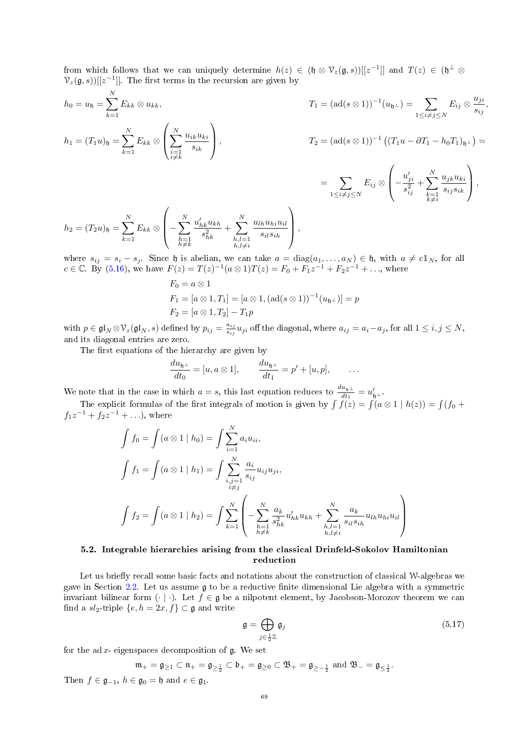from which follows that we can uniquely determine  $h(z) \in (\mathfrak{h} \otimes \mathcal{V}_z(\mathfrak{g},s))[[z^{-1}]]$  and  $T(z) \in (\mathfrak{h}^{\perp} \otimes$  $V_z(\mathfrak{g},s))[[z^{-1}]]$ . The first terms in the recursion are given by

$$
h_0 = u_{\mathfrak{h}} = \sum_{k=1}^{N} E_{kk} \otimes u_{kk},
$$
  
\n
$$
T_1 = (\text{ad}(s \otimes 1))^{-1} (u_{\mathfrak{h}^{\perp}}) = \sum_{1 \le i \neq j \le N} E_{ij} \otimes \frac{u_{ji}}{s_{ij}},
$$
  
\n
$$
h_1 = (T_1 u)_{\mathfrak{h}} = \sum_{k=1}^{N} E_{kk} \otimes \left( \sum_{\substack{i=1 \ i \neq k}}^{N} \frac{u_{ik} u_{ki}}{s_{ik}} \right),
$$
  
\n
$$
T_2 = (\text{ad}(s \otimes 1))^{-1} ((T_1 u - \partial T_1 - h_0 T_1)_{\mathfrak{h}^{\perp}}) =
$$
  
\n
$$
= \sum_{1 \le i \neq j \le N} E_{ij} \otimes \left( -\frac{u'_{ji}}{s_{ij}^2} + \sum_{\substack{k=1 \ k \neq i}}^{N} \frac{u_{jk} u_{ki}}{s_{ij} s_{ik}} \right),
$$
  
\n
$$
\frac{N}{s_{ij}} \left( -\frac{u_{ij}}{s_{ij}} + \sum_{\substack{k=1 \ k \neq i}}^{N} \frac{u_{jk} u_{ki}}{s_{ij} s_{ik}} \right),
$$

$$
h_2 = (T_2 u)_\mathfrak{h} = \sum_{k=1}^N E_{kk} \otimes \left( - \sum_{\substack{h=1 \\ h \neq k}}^N \frac{u'_{hk} u_{kh}}{s_{hk}^2} + \sum_{\substack{h,l=1 \\ h,l \neq i}}^N \frac{u_{lh} u_{hi} u_{il}}{s_{il} s_{ih}} \right),
$$

where  $s_{ij} = s_i - s_j$ . Since h is abelian, we can take  $a = diag(a_1, \ldots, a_N) \in \mathfrak{h}$ , with  $a \neq c1_N$ , for all  $c \in \mathbb{C}$ . By [\(5.16\)](#page-71-0), we have  $F(z) = T(z)^{-1}(a \otimes 1)T(z) = F_0 + F_1z^{-1} + F_2z^{-1} + \ldots$ , where

$$
F_0 = a \otimes 1
$$
  
\n
$$
F_1 = [a \otimes 1, T_1] = [a \otimes 1, (ad(s \otimes 1))^{-1}(u_{\mathfrak{h}^\perp})] = p
$$
  
\n
$$
F_2 = [a \otimes 1, T_2] - T_1 p
$$

with  $p \in \mathfrak{gl}_N \otimes \mathcal{V}_z(\mathfrak{gl}_N, s)$  defined by  $p_{ij} = \frac{a_{ij}}{s_{ij}}$  $\frac{a_{ij}}{s_{ij}} u_{ji}$  off the diagonal, where  $a_{ij} = a_i - a_j,$  for all  $1 \leq i,j \leq N,$ and its diagonal entries are zero.

The first equations of the hierarchy are given by

$$
\frac{du_{\mathfrak{h}^\perp}}{dt_0} = [u, a \otimes 1], \qquad \frac{du_{\mathfrak{h}^\perp}}{dt_1} = p' + [u, p], \qquad \dots
$$

We note that in the case in which  $a = s$ , this last equation reduces to  $\frac{du_{b\perp}}{dt_1} = u'_{b\perp}$ .

The explicit formulas of the first integrals of motion is given by  $\int f(z) = \int (a \otimes 1 \mid h(z)) = \int (f_0 +$  $f_1z^{-1} + f_2z^{-1} + \ldots$ , where

$$
\int f_0 = \int (a \otimes 1 \mid h_0) = \int \sum_{i=1}^N a_i u_{ii},
$$
  

$$
\int f_1 = \int (a \otimes 1 \mid h_1) = \int \sum_{\substack{i,j=1 \ i \neq j}}^N \frac{a_i}{s_{ij}} u_{ij} u_{ji},
$$
  

$$
\int f_2 = \int (a \otimes 1 \mid h_2) = \int \sum_{k=1}^N \left( -\sum_{\substack{h=1 \ h \neq k}}^N \frac{a_k}{s_{hk}^2} u'_{hk} u_{kh} + \sum_{\substack{h,l=1 \ h,l \neq i}}^N \frac{a_k}{s_{il} s_{ih}} u_{lh} u_{hi} u_{il} \right)
$$

## 5.2. Integrable hierarchies arising from the classical Drinfeld-Sokolov Hamiltonian reduction

Let us briefly recall some basic facts and notations about the construction of classical W-algebras we gave in Section [2.2.](#page-18-0) Let us assume  $g$  to be a reductive finite dimensional Lie algebra with a symmetric invariant bilinear form  $(\cdot | \cdot)$ . Let  $f \in \mathfrak{g}$  be a nilpotent element, by Jacobson-Morozov theorem we can find a  $sl_2$ -triple  $\{e, h = 2x, f\} \subset \mathfrak{g}$  and write

<span id="page-72-0"></span>
$$
\mathfrak{g} = \bigoplus_{j \in \frac{1}{2}\mathbb{Z}} \mathfrak{g}_j \tag{5.17}
$$

for the ad  $x$ - eigenspaces decomposition of  $\mathfrak g$ . We set

$$
\mathfrak{m}_+=\mathfrak{g}_{\geq 1}\subset\mathfrak{n}_+=\mathfrak{g}_{\geq \frac{1}{2}}\subset\mathfrak{b}_+=\mathfrak{g}_{\geq 0}\subset\mathfrak{B}_+=\mathfrak{g}_{\geq -\frac{1}{2}}\text{ and }\mathfrak{B}_-=\mathfrak{g}_{\leq \frac{1}{2}}.
$$

Then  $f \in \mathfrak{g}_{-1}$ ,  $h \in \mathfrak{g}_0 = \mathfrak{h}$  and  $e \in \mathfrak{g}_1$ .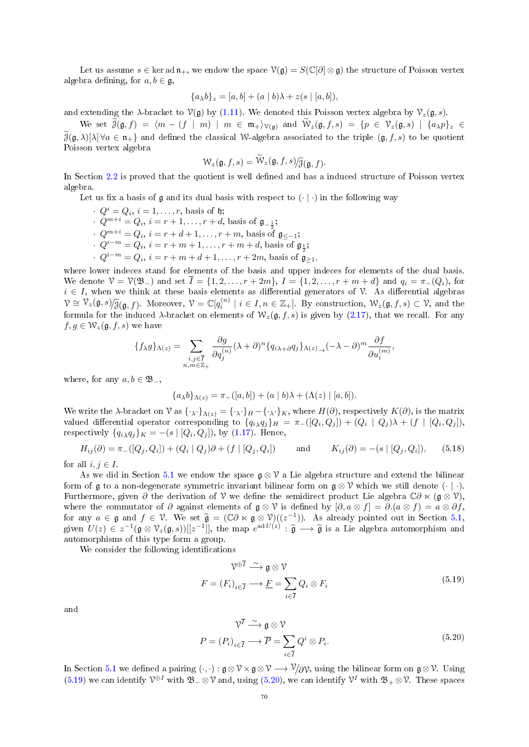Let us assume  $s \in \text{ker ad } \mathfrak{n}_+$ , we endow the space  $\mathcal{V}(\mathfrak{g}) = S(\mathbb{C}[\partial] \otimes \mathfrak{g})$  the structure of Poisson vertex algebra defining, for  $a, b \in \mathfrak{g}$ ,

$$
\{a_{\lambda}b\}_{z} = [a,b] + (a \mid b)\lambda + z(s \mid [a,b]),
$$

and extending the  $\lambda$ -bracket to  $\mathcal{V}(\mathfrak{g})$  by [\(1.11\)](#page-11-0). We denoted this Poisson vertex algebra by  $\mathcal{V}_z(\mathfrak{g}, s)$ .

We set  $\mathcal{J}(\mathfrak{g}, f) = \langle m - (f \mid m) \mid m \in \mathfrak{m}_+\rangle_{\mathcal{V}(\mathfrak{g})}$  and  $\mathcal{W}_z(\mathfrak{g}, f, s) = \{p \in \mathcal{V}_z(\mathfrak{g}, s) \mid \{a_\lambda p\}_z \in$  $\tilde{\mathcal{J}}(\mathfrak{g},\lambda)[\lambda]\,\forall a\in\mathfrak{n}_+\}$  and defined the classical W-algebra associated to the triple  $(\mathfrak{g},f,s)$  to be quotient Poisson vertex algebra

$$
\mathcal{W}_z(\mathfrak{g},f,s)=\mathcal{W}_z(\mathfrak{g},f,s)/\tilde{g}(\mathfrak{g},f).
$$

In Section [2.2](#page-18-0) is proved that the quotient is well defined and has a induced structure of Poisson vertex algebra.

Let us fix a basis of g and its dual basis with respect to  $(·)$  in the following way

 $\cdot$   $Q^i = Q_i$ ,  $i = 1, \ldots, r$ , basis of  $\mathfrak h$ ;  $Q^{m+i} = Q_i$ ,  $i = r+1, ..., r+d$ , basis of  $\mathfrak{g}_{-\frac{1}{2}}$ ;  $Q^{m+i} = Q_i$ ,  $i = r + d + 1, ..., r + m$ , basis of  $\mathfrak{g}_{\le -1}$ ; •  $Q^{i-m} = Q_i$ ,  $i = r + m + 1, ..., r + m + d$ , basis of  $\mathfrak{g}_{\frac{1}{2}}$ ;  $Q^{i-m} = Q_i$ ,  $i = r + m + d + 1, \ldots, r + 2m$ , basis of  $\mathfrak{g}_{\geq 1}$ ,

where lower indeces stand for elements of the basis and upper indeces for elements of the dual basis. We denote  $\mathcal{V} = \mathcal{V}(\mathfrak{B}_-)$  and set  $\overline{I} = \{1, 2, \ldots, r + 2m\}, I = \{1, 2, \ldots, r + m + d\}$  and  $q_i = \pi_-(Q_i)$ , for  $i \in I$ , when we think at these basis elements as differential generators of  $\mathcal{V}$ . As differential algebras  $V \cong \mathcal{V}_z(\mathfrak{g}, s) / \tilde{\mathfrak{J}}(\mathfrak{g}, f)$ . Moreover,  $V = \mathbb{C}[q_i^{(n)} \mid i \in I, n \in \mathbb{Z}_+]$ . By construction,  $\mathcal{W}_z(\mathfrak{g}, f, s) \subset \mathcal{V}$ , and the formula for the induced  $\lambda$ -bracket on elements of  $W_z(\mathfrak{g}, f, s)$  is given by [\(2.17\)](#page-21-0), that we recall. For any  $f, g \in \mathcal{W}_z(\mathfrak{g}, f, s)$  we have

$$
\{f_{\lambda}g\}_{\Lambda(z)} = \sum_{\substack{i,j\in\overline{I}\\n,m\in\mathbb{Z}_+}}\frac{\partial g}{\partial q_j^{(n)}}(\lambda+\partial)^n\{q_{i\lambda+\partial}q_j\}_{\Lambda(z)_\to}(-\lambda-\partial)^m\frac{\partial f}{\partial u_i^{(m)}},
$$

where, for any  $a, b \in \mathfrak{B}_-,$ 

$$
\{a_{\lambda}b\}_{\Lambda(z)} = \pi_{-}([a,b]) + (a \mid b)\lambda + (\Lambda(z) \mid [a,b]).
$$

We write the  $\lambda$ -bracket on  $\mathcal V$  as  $\{\cdot_\lambda\cdot\}_{\Lambda(z)} = \{\cdot_\lambda\cdot\}_H - \{\cdot_\lambda\cdot\}_K$ , where  $H(\partial)$ , respectively  $K(\partial)$ , is the matrix valued differential operator corresponding to  $\{q_{i\lambda}q_{j}\}_{H} = \pi_{-}([Q_{i},Q_{j}]) + (Q_{i} \mid Q_{j})\lambda + (f \mid [Q_{i},Q_{j}]),$ respectively  $\{q_{i\lambda}q_{j}\}_K = -(s \mid [Q_i, Q_j]),$  by [\(1.17\)](#page-12-0). Hence,

$$
H_{ij}(\partial) = \pi_{-}([Q_j, Q_i]) + (Q_i \mid Q_j)\partial + (f \mid [Q_j, Q_i]) \quad \text{and} \quad K_{ij}(\partial) = -(s \mid [Q_j, Q_i]), \quad (5.18)
$$

for all  $i, j \in I$ .

As we did in Section [5.1](#page-66-0) we endow the space  $\mathfrak{g} \otimes \mathfrak{V}$  a Lie algebra structure and extend the bilinear form of g to a non-degenerate symmetric invariant bilinear form on  $g \otimes V$  which we still denote  $(\cdot | \cdot)$ . Furthermore, given  $\partial$  the derivation of V we define the semidirect product Lie algebra  $\mathbb{C}\partial \ltimes (\mathfrak{g} \otimes \mathcal{V})$ , where the commutator of  $\partial$  against elements of  $\mathfrak{g} \otimes \mathfrak{V}$  is defined by  $[\partial, a \otimes f] = \partial \phi(a \otimes f) = a \otimes \partial f$ , for any  $a \in \mathfrak{g}$  and  $f \in \mathcal{V}$ . We set  $\widetilde{\mathfrak{g}} = (\mathbb{C} \partial \ltimes \mathfrak{g} \otimes \mathcal{V})((z^{-1}))$ . As already pointed out in Section [5.1,](#page-66-0) given  $U(z) \in z^{-1}(\mathfrak{g} \otimes \mathcal{V}_z(\mathfrak{g},s))[[z^{-1}]],$  the map  $e^{\mathrm{ad}U(z)} : \widetilde{\mathfrak{g}} \longrightarrow \widetilde{\mathfrak{g}}$  is a Lie algebra automorphism and automorphisms of this type form a group.

We consider the following identifications

<span id="page-73-2"></span><span id="page-73-0"></span>
$$
\mathcal{V}^{\oplus \overline{I}} \xrightarrow{\sim} \mathfrak{g} \otimes \mathcal{V}
$$

$$
F = (F_i)_{i \in \overline{I}} \longrightarrow \underline{F} = \sum_{i \in \overline{I}} Q_i \otimes F_i
$$
(5.19)

and

<span id="page-73-1"></span>
$$
\mathcal{V}^{\overline{I}} \xrightarrow{\sim} \mathfrak{g} \otimes \mathcal{V}
$$

$$
P = (P_i)_{i \in \overline{I}} \longrightarrow \overline{P} = \sum_{i \in \overline{I}} Q^i \otimes P_i.
$$
 (5.20)

In Section [5.1](#page-66-0) we defined a pairing  $(\cdot,\cdot)$  :  $\mathfrak{g}\otimes\mathcal{V}\times\mathfrak{g}\otimes\mathcal{V}\longrightarrow\mathcal{V}\!\!\big/\partial\mathcal{V},$  using the bilinear form on  $\mathfrak{g}\otimes\mathcal{V}.$  Using [\(5.19\)](#page-73-0) we can identify  $\mathcal{V}^{\oplus I}$  with  $\mathfrak{B}_{-}\otimes\mathcal{V}$  and, using [\(5.20\)](#page-73-1), we can identify  $\mathcal{V}^{I}$  with  $\mathfrak{B}_{+}\otimes\mathcal{V}$ . These spaces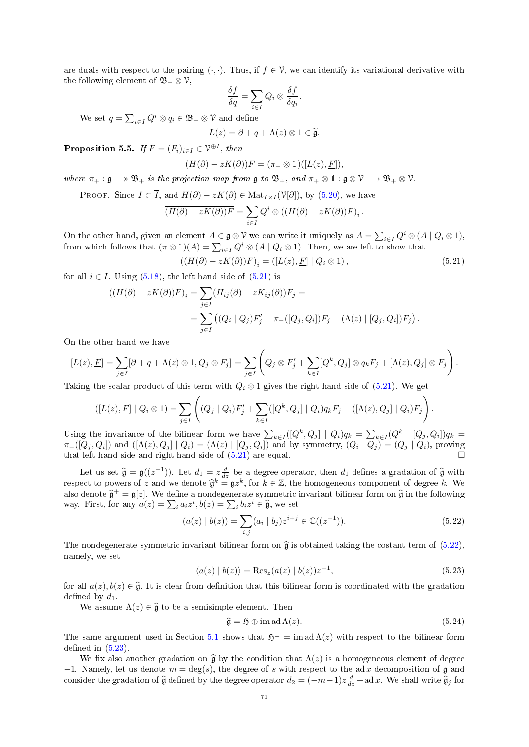are duals with respect to the pairing  $(\cdot, \cdot)$ . Thus, if  $f \in \mathcal{V}$ , we can identify its variational derivative with the following element of  $\mathfrak{B}_-\otimes \mathfrak{V}$ ,

$$
\frac{\delta f}{\delta q} = \sum_{i \in I} Q_i \otimes \frac{\delta f}{\delta q_i}.
$$

We set  $q = \sum_{i \in I} Q^i \otimes q_i \in \mathfrak{B}_+ \otimes \mathcal{V}$  and define

$$
L(z) = \partial + q + \Lambda(z) \otimes 1 \in \widetilde{\mathfrak{g}}.
$$

**Proposition 5.5.** If  $F = (F_i)_{i \in I} \in \mathcal{V}^{\oplus I}$ , then

$$
\overline{(H(\partial)-zK(\partial))F}=(\pi_+\otimes\mathbb{1})([L(z),\underline{F}]),
$$

where  $\pi_+ : \mathfrak{g} \longrightarrow \mathfrak{B}_+$  is the projection map from  $\mathfrak{g}$  to  $\mathfrak{B}_+$ , and  $\pi_+ \otimes \mathbb{1} : \mathfrak{g} \otimes \mathcal{V} \longrightarrow \mathfrak{B}_+ \otimes \mathcal{V}$ .

PROOF. Since  $I \subset \overline{I}$ , and  $H(\partial) - zK(\partial) \in Mat_{I \times I}(\mathcal{V}[\partial])$ , by [\(5.20\)](#page-73-1), we have

$$
\overline{(H(\partial)-zK(\partial))F}=\sum_{i\in I}Q^i\otimes ((H(\partial)-zK(\partial))F)_i\,.
$$

On the other hand, given an element  $A \in \mathfrak{g} \otimes \mathcal{V}$  we can write it uniquely as  $A = \sum_{i \in \overline{I}} Q^i \otimes (A \mid Q_i \otimes 1)$ , from which follows that  $(\pi \otimes 1)(A) = \sum_{i \in I} Q^i \otimes (A \mid Q_i \otimes 1)$ . Then, we are left to show that

<span id="page-74-0"></span>
$$
((H(\partial)-zK(\partial))F)_i = ([L(z), \underline{F}] | Q_i \otimes 1), \qquad (5.21)
$$

for all  $i \in I$ . Using [\(5.18\)](#page-73-2), the left hand side of [\(5.21\)](#page-74-0) is

$$
((H(\partial)-zK(\partial))F)_i = \sum_{j\in I} (H_{ij}(\partial)-zK_{ij}(\partial))F_j =
$$
  
= 
$$
\sum_{j\in I} ((Q_i \mid Q_j)F'_j + \pi_{-}([Q_j, Q_i])F_j + (\Lambda(z) \mid [Q_j, Q_i])F_j).
$$

On the other hand we have

$$
[L(z), \underline{F}] = \sum_{j \in I} [\partial + q + \Lambda(z) \otimes 1, Q_j \otimes F_j] = \sum_{j \in I} \left( Q_j \otimes F'_j + \sum_{k \in I} [Q^k, Q_j] \otimes q_k F_j + [\Lambda(z), Q_j] \otimes F_j \right).
$$

Taking the scalar product of this term with  $Q_i \otimes 1$  gives the right hand side of [\(5.21\)](#page-74-0). We get

$$
([L(z), \underline{F}] | Q_i \otimes 1) = \sum_{j \in I} \left( (Q_j | Q_i) F'_j + \sum_{k \in I} ([Q^k, Q_j] | Q_i) q_k F_j + ([\Lambda(z), Q_j] | Q_i) F_j \right).
$$

Using the invariance of the bilinear form we have  $\sum_{k\in I}([Q^k,Q_j]+Q_i)q_k = \sum_{k\in I}(Q^k+[Q_j,Q_i])q_k =$  $\pi_-([Q_j,Q_i])$  and  $([\Lambda(z),Q_j] \mid Q_i) = (\Lambda(z) \mid [Q_j,Q_i])$  and by symmetry,  $(Q_i \mid Q_j) = (Q_j \mid Q_i)$ , proving that left hand side and right hand side of  $(5.21)$  are equal.

Let us set  $\hat{\mathfrak{g}} = \mathfrak{g}((z^{-1}))$ . Let  $d_1 = z \frac{d}{dz}$  be a degree operator, then  $d_1$  defines a gradation of  $\hat{\mathfrak{g}}$  with respect to powers of z and we denote  $\hat{\mathfrak{g}}^k = \mathfrak{g}z^k$ , for  $k \in \mathbb{Z}$ , the homogeneous component of degree k. We also denote  $\hat{\mathfrak{g}}^k = \mathfrak{g}[z]$ . We define a perdeseneate symmetric inverted bilinear form on also denote  $\hat{\mathfrak{g}}^+ = \mathfrak{g}[z]$ . We define a nondegenerate symmetric invariant bilinear form on  $\hat{\mathfrak{g}}$  in the following way. First, for any  $a(z) = \sum_i a_i z^i, b(z) = \sum_i b_i z^i \in \hat{\mathfrak{g}}$ , we set

$$
(a(z) | b(z)) = \sum_{i,j} (a_i | b_j) z^{i+j} \in \mathbb{C}((z^{-1})).
$$
\n(5.22)

The nondegenerate symmetric invariant bilinear form on  $\hat{\mathfrak{g}}$  is obtained taking the costant term of [\(5.22\)](#page-74-1), namely, we set

$$
\langle a(z) | b(z) \rangle = \text{Res}_{z}(a(z) | b(z))z^{-1}, \tag{5.23}
$$

for all  $a(z)$ ,  $b(z) \in \hat{\mathfrak{g}}$ . It is clear from definition that this bilinear form is coordinated with the gradation defined by  $d_1$ .

We assume  $\Lambda(z) \in \hat{\mathfrak{g}}$  to be a semisimple element. Then

<span id="page-74-3"></span><span id="page-74-2"></span><span id="page-74-1"></span>
$$
\widehat{\mathfrak{g}} = \mathfrak{H} \oplus \text{im ad } \Lambda(z). \tag{5.24}
$$

The same argument used in Section [5.1](#page-66-0) shows that  $\mathfrak{H}^{\perp} = \text{im} \text{ ad } \Lambda(z)$  with respect to the bilinear form defined in  $(5.23)$ .

We fix also another gradation on  $\hat{\mathfrak{g}}$  by the condition that  $\Lambda(z)$  is a homogeneous element of degree  $-1$ . Namely, let us denote  $m = \deg(s)$ , the degree of s with respect to the ad x-decomposition of g and consider the gradation of  $\hat{\mathfrak{g}}$  defined by the degree operator  $d_2 = (-m-1)z\frac{d}{dz} + \text{ad }x$ . We shall write  $\hat{\mathfrak{g}}_j$  for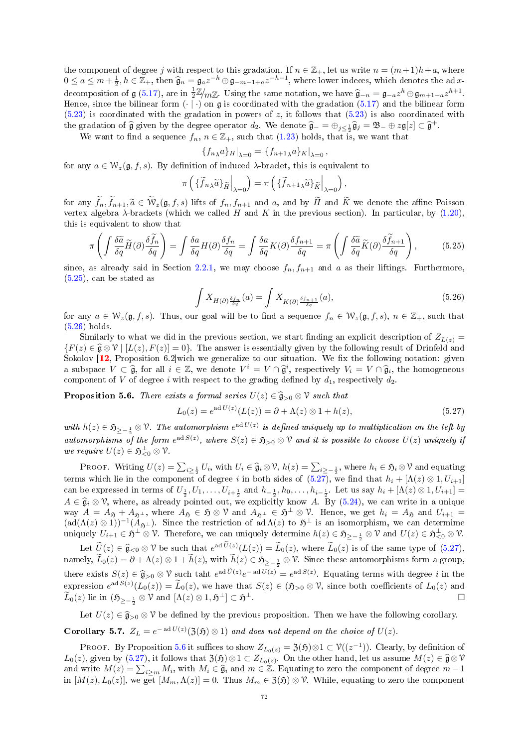the component of degree j with respect to this gradation. If  $n \in \mathbb{Z}_+$ , let us write  $n = (m+1)h+a$ , where  $0 \le a \le m + \frac{1}{2}, h \in \mathbb{Z}_+$ , then  $\widehat{\mathfrak{g}}_n = \mathfrak{g}_a z^{-h} \oplus \mathfrak{g}_{-m-1+a} z^{-h-1}$ , where lower indeces, which denotes the ad xdecomposition of  $\mathfrak{g}(5.17)$  $\mathfrak{g}(5.17)$ , are in  $\frac{1}{2}\mathbb{Z}/m\mathbb{Z}$ . Using the same notation, we have  $\hat{\mathfrak{g}}_{-n} = \mathfrak{g}_{-a}z^{h} \oplus \mathfrak{g}_{m+1-a}z^{h+1}$ . Hence, since the bilinear form  $\left(\cdot\right)\right)$  on g is coordinated with the gradation [\(5.17\)](#page-72-0) and the bilinear form  $(5.23)$  is coordinated with the gradation in powers of z, it follows that  $(5.23)$  is also coordinated with the gradation of  $\hat{\mathfrak{g}}$  given by the degree operator  $d_2$ . We denote  $\hat{\mathfrak{g}}_{-} = \bigoplus_{j \leq \frac{1}{2}} \hat{\mathfrak{g}}_j = \mathfrak{B}_{-} \oplus z \mathfrak{g}[z] \subset \hat{\mathfrak{g}}^+$ .

We want to find a sequence  $f_n$ ,  $n \in \mathbb{Z}_+$ , such that [\(1.23\)](#page-14-0) holds, that is, we want that

$$
\{f_{n\lambda}a\}_H|_{\lambda=0} = \{f_{n+1\lambda}a\}_K|_{\lambda=0},
$$

for any  $a \in \mathcal{W}_z(\mathfrak{g}, f, s)$ . By definition of induced  $\lambda$ -braclet, this is equivalent to

 $\overline{ }$ 

$$
\tau\left(\left\{\widetilde{f}_{n\lambda}\widetilde{a}\right\}_{\widetilde{H}}\Big|_{\lambda=0}\right)=\pi\left(\left\{\widetilde{f}_{n+1\lambda}\widetilde{a}\right\}_{\widetilde{K}}\Big|_{\lambda=0}\right),\right.
$$

for any  $f_n, f_{n+1}, \tilde{a} \in W_z(\mathfrak{g}, f, s)$  lifts of  $f_n, f_{n+1}$  and  $a$ , and by H and K we denote the affine Poisson<br>vertex algebra, a hypotete (which we called H and K in the provious section). In particular, by (1.20) vertex algebra  $\lambda$ -brackets (which we called H and K in the previous section). In particular, by [\(1.20\)](#page-14-1), this is equivalent to show that

$$
\pi \left( \int \frac{\delta \widetilde{a}}{\delta q} \widetilde{H}(\partial) \frac{\delta \widetilde{f}_n}{\delta q} \right) = \int \frac{\delta a}{\delta q} H(\partial) \frac{\delta f_n}{\delta q} = \int \frac{\delta a}{\delta q} K(\partial) \frac{\delta f_{n+1}}{\delta q} = \pi \left( \int \frac{\delta \widetilde{a}}{\delta q} \widetilde{K}(\partial) \frac{\delta \widetilde{f}_{n+1}}{\delta q} \right),
$$
(5.25)

since, as already said in Section [2.2.1,](#page-19-0) we may choose  $f_n, f_{n+1}$  and a as their liftings. Furthermore,  $(5.25)$ , can be stated as

<span id="page-75-1"></span><span id="page-75-0"></span>
$$
\int X_{H(\partial)^{\delta f_n}}(a) = \int X_{K(\partial)^{\delta f_{n+1}}(a)},
$$
\n(5.26)

for any  $a \in \mathcal{W}_z(\mathfrak{g}, f, s)$ . Thus, our goal will be to find a sequence  $f_n \in \mathcal{W}_z(\mathfrak{g}, f, s)$ ,  $n \in \mathbb{Z}_+$ , such that [\(5.26\)](#page-75-1) holds.

Similarly to what we did in the previous section, we start finding an explicit description of  $Z_{L(z)} =$  ${F(z) \in \hat{\mathfrak{g}} \otimes \mathcal{V} \mid [L(z), F(z)] = 0}.$  The answer is essentially given by the following result of Drinfeld and Sokolov  $[12,$  Proposition 6.2 wich we generalize to our situation. We fix the following notation: given a subspace  $V \subset \hat{\mathfrak{g}}$ , for all  $i \in \mathbb{Z}$ , we denote  $V^i = V \cap \hat{\mathfrak{g}}^i$ , respectively  $V_i = V \cap \hat{\mathfrak{g}}_i$ , the homogeneous component of V of degree i with respect to the grading defined by  $d_1$ , respectively  $d_2$ .

<span id="page-75-3"></span>**Proposition 5.6.** There exists a formal series  $U(z) \in \hat{\mathfrak{g}}_{>0} \otimes \mathcal{V}$  such that

<span id="page-75-2"></span>
$$
L_0(z) = e^{ad U(z)} (L(z)) = \partial + \Lambda(z) \otimes 1 + h(z),
$$
\n(5.27)

with  $h(z) \in \mathfrak{H}_{\geq -\frac{1}{2}} \otimes \mathcal{V}$ . The automorphism  $e^{ad U(z)}$  is defined uniquely up to multiplication on the left by automorphisms of the form  $e^{ad S(z)}$ , where  $S(z) \in \mathfrak{H}_{>0} \otimes \mathcal{V}$  and it is possible to choose  $U(z)$  uniquely if we require  $U(z) \in \mathfrak{H}_{\leq 0}^{\perp} \otimes \mathcal{V}$ .

PROOF. Writing  $U(z) = \sum_{i \geq \frac{1}{2}} U_i$ , with  $U_i \in \hat{\mathfrak{g}}_i \otimes \mathfrak{V}$ ,  $h(z) = \sum_{i \geq -\frac{1}{2}}$ , where  $h_i \in \mathfrak{H}_i \otimes \mathfrak{V}$  and equating terms which lie in the component of degree i in both sides of [\(5.27\)](#page-75-2), we find that  $h_i + [\Lambda(z) \otimes 1, U_{i+1}]$ can be expressed in terms of  $U_{\frac{1}{2}}, U_1, \ldots, U_{i+\frac{1}{2}}$  and  $h_{-\frac{1}{2}}, h_0, \ldots, h_{i-\frac{1}{2}}$ . Let us say  $h_i + [\Lambda(z) \otimes 1, U_{i+1}] =$  $A \in \hat{\mathfrak{g}}_i \otimes \mathcal{V}$ , where, as already pointed out, we explicitly know A. By [\(5.24\)](#page-74-3), we can write in a unique way  $A = A_{5} + A_{5} + A_{5}$ , where  $A_{5} \in \mathfrak{H} \otimes \mathcal{V}$  and  $A_{5} + \mathcal{V} \otimes \mathcal{V}$ . Hence, we get  $h_i = A_{5}$  and  $U_{i+1} =$  $(\text{ad}(\Lambda(z) \otimes 1))^{-1} (A_{\mathfrak{H}^{\perp}})$ . Since the restriction of  $\text{ad} \Lambda(z)$  to  $\mathfrak{H}^{\perp}$  is an isomorphism, we can determime uniquely  $U_{i+1} \in \mathfrak{H}^{\perp} \otimes \mathcal{V}$ . Therefore, we can uniquely determine  $h(z) \in \mathfrak{H}_{\geq -\frac{1}{2}} \otimes \mathcal{V}$  and  $U(z) \in \mathfrak{H}_{\leq 0}^{\perp} \otimes \mathcal{V}$ .

Let  $\widetilde{U}(z) \in \widehat{\mathfrak{g}}_{\leq 0} \otimes \mathcal{V}$  be such that  $e^{ad \widetilde{U}(z)}(L(z)) = \widetilde{L}_0(z)$ , where  $\widetilde{L}_0(z)$  is of the same type of [\(5.27\)](#page-75-2), namely,  $L_0(z) = \partial + \Lambda(z) \otimes 1 + h(z)$ , with  $h(z) \in \mathfrak{H}_{\geq -\frac{1}{2}} \otimes \mathcal{V}$ . Since these automorphisms form a group, there exists  $S(z) \in \hat{\mathfrak{g}}_{>0} \otimes \mathcal{V}$  such taht  $e^{ad U(z)}e^{-ad U(z)} = e^{ad S(z)}$ . Equating terms with degree *i* in the expression  $e^{ad S(z)}(L_0(z)) = \tilde{L}_0(z)$ , we have that  $S(z) \in (\mathfrak{H}_{>0} \otimes \mathcal{V})$ , since both coefficients of  $L_0(z)$  and  $\widetilde{L}_0(z)$  lie in  $(\mathfrak{H}_{\geq -\frac{1}{2}} \otimes \mathcal{V}$  and  $[\Lambda(z) \otimes 1, \mathfrak{H}^{\perp}] \subset \mathfrak{H}$ <sup>⊥</sup>.

<span id="page-75-4"></span>Let  $U(z) \in \hat{\mathfrak{g}}_{>0} \otimes \mathcal{V}$  be defined by the previous proposition. Then we have the following corollary. **Corollary 5.7.**  $Z_L = e^{-ad U(z)} (\mathfrak{Z}(\mathfrak{H}) \otimes 1)$  and does not depend on the choice of  $U(z)$ .

PROOF. By Proposition [5.6](#page-75-3) it suffices to show  $Z_{L_0(z)} = \mathfrak{Z}(\mathfrak{H}) \otimes 1 \subset \mathcal{V}((z^{-1}))$ . Clearly, by definition of  $L_0(z)$ , given by [\(5.27\)](#page-75-2), it follows that  $\mathfrak{Z}(\mathfrak{H}) \otimes 1 \subset Z_{L_0(z)}$ . On the other hand, let us assume  $M(z) \in \widehat{\mathfrak{g}} \otimes \mathcal{V}$ <br>and write  $M(z) = \sum_{i \ge m} M_i$ , with  $M_i \in \widehat{\mathfrak{g}}_i$  and  $m \in \mathbb{Z}$ . Equating to zero in  $[M(z), L_0(z)]$ , we get  $[M_m, \Lambda(z)] = 0$ . Thus  $M_m \in \mathfrak{Z}(\mathfrak{H}) \otimes \mathfrak{V}$ . While, equating to zero the component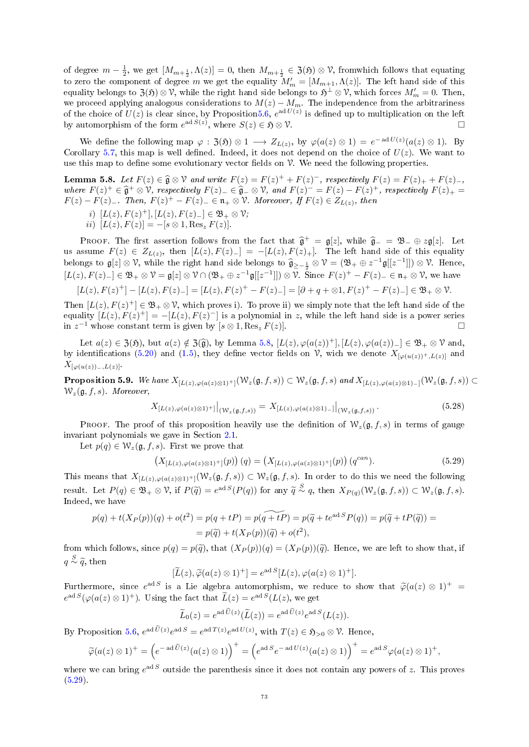of degree  $m-\frac{1}{2}$ , we get  $[M_{m+\frac{1}{2}}, \Lambda(z)] = 0$ , then  $M_{m+\frac{1}{2}} \in \mathfrak{Z}(\mathfrak{H}) \otimes \mathcal{V}$ , from which follows that equating to zero the component of degree m we get the equality  $M'_m = [M_{m+1}, \Lambda(z)]$ . The left hand side of this equality belongs to  $\mathfrak{Z}(\mathfrak{H})\otimes \mathcal{V}$ , while the right hand side belongs to  $\mathfrak{H}^{\perp}\otimes \mathcal{V}$ , which forces  $M'_m=0$ . Then, we proceed applying analogous considerations to  $M(z) - M_m$ . The independence from the arbitrariness of the choice of  $U(z)$  is clear since, by Propositio[n5.6,](#page-75-3)  $e^{ad U(z)}$  is defined up to multiplication on the left by automorphism of the form  $e^{\operatorname{ad} S(z)}$ , where  $S(z) \in \mathfrak{H} \otimes \mathcal{V}$ .

We define the following map  $\varphi : \mathfrak{Z}(\mathfrak{H}) \otimes 1 \longrightarrow Z_{L(z)},$  by  $\varphi(a(z) \otimes 1) = e^{-ad U(z)}(a(z) \otimes 1)$ . By Corollary [5.7,](#page-75-4) this map is well defined. Indeed, it does not depend on the choice of  $U(z)$ . We want to use this map to define some evolutionary vector fields on  $\nu$ . We need the following properties.

<span id="page-76-0"></span>**Lemma 5.8.** Let  $F(z) \in \widehat{\mathfrak{g}} \otimes \mathcal{V}$  and write  $F(z) = F(z)^+ + F(z)^-$ , respectively  $F(z) = F(z) + F(z) -$ <br>where  $F(z) + \widehat{z} + \widehat{z} + \widehat{z}$  respectively  $F(z) - \widehat{z} - \widehat{z} + \widehat{z}$  and  $F(z) = F(z) - F(z) - F(z) + \text{remeating by } F(z) = -\frac{1}{2}$ where  $F(z)^+ \in \hat{\mathfrak{g}}^+ \otimes \mathcal{V}$ , respectively  $F(z) = \hat{\mathfrak{g}}^- \otimes \mathcal{V}$ , and  $F(z)^- = F(z) - F(z)^+$ , respectively  $F(z)_+ = F(z) - F(z)$ .  $F(z) - F(z)$ . Then,  $F(z)^+ - F(z)$ ,  $\in \mathfrak{n}_+ \otimes \mathfrak{V}$ . Moreover, If  $F(z) \in Z_{L(z)}$ , then

- i)  $[L(z), F(z)^+]$ ,  $[L(z), F(z)_+] \in \mathfrak{B}_+ \otimes \mathcal{V}$ ;
- ii)  $[L(z), F(z)] = -[s \otimes 1, \text{Res}_{z} F(z)]$ .

PROOF. The first assertion follows from the fact that  $\hat{\mathfrak{g}}^+ = \mathfrak{g}[z]$ , while  $\hat{\mathfrak{g}}^- = \mathfrak{B}^- \oplus z\mathfrak{g}[z]$ . Let us assume  $F(z) \in Z_{L(z)}$ , then  $[L(z), F(z)_+] = -[L(z), F(z)_+]$ . The left hand side of this equality belongs to  $\mathfrak{g}[z] \otimes \mathcal{V}$ , while the right hand side belongs to  $\hat{\mathfrak{g}}_{\geq -\frac{1}{2}} \otimes \mathcal{V} = (\mathfrak{B}_+ \oplus z^{-1} \mathfrak{g}[[z^{-1}]]) \otimes \mathcal{V}$ . Hence,  $[L(z), F(z)_-] \in \mathfrak{B}_+ \otimes \mathcal{V} = \mathfrak{g}[z] \otimes \mathcal{V} \cap (\mathfrak{B}_+ \oplus z^{-1} \mathfrak{g}[[z^{-1}]]) \otimes \mathcal{V}$ . Since  $F(z)^+ - F(z)_- \in \mathfrak{n}_+ \otimes \mathcal{V}$ , we have

$$
[L(z), F(z)^+] - [L(z), F(z)] = [L(z), F(z)^+] - F(z) = [\partial + q + \otimes 1, F(z)^+] - F(z) = \mathfrak{B}_+ \otimes \mathcal{V}.
$$

Then  $[L(z), F(z)^+] \in \mathfrak{B}_+\otimes \mathcal{V}$ , which proves i). To prove ii) we simply note that the left hand side of the equality  $[L(z), F(z)^+] = -[L(z), F(z)^-]$  is a polynomial in z, while the left hand side is a power series in  $z^{-1}$  whose constant term is given by  $[s \otimes 1, \text{Res}_z F(z)].$ 

Let  $a(z) \in \mathfrak{Z}(\mathfrak{H})$ , but  $a(z) \notin \mathfrak{Z}(\widehat{\mathfrak{g}})$ , by Lemma [5.8,](#page-76-0)  $[L(z), \varphi(a(z))^+], [L(z), \varphi(a(z))^-] \in \mathfrak{B}_+ \otimes \mathcal{V}$  and, by identifications [\(5.20\)](#page-73-1) and [\(1.5\)](#page-9-0), they define vector fields on V, wich we denote  $X_{\lceil\varphi(u(z))\rceil},L(z)\rceil$  and  $X_{\left[\varphi(u(z))=,L(z)\right]}$ .

<span id="page-76-2"></span>**Proposition 5.9.** We have  $X_{[L(z),\varphi(a(z)\otimes 1)+]}(\mathcal{W}_z(\mathfrak{g},f,s)) \subset \mathcal{W}_z(\mathfrak{g},f,s)$  and  $X_{[L(z),\varphi(a(z)\otimes 1)-]}(\mathcal{W}_z(\mathfrak{g},f,s)) \subset \mathcal{W}_z(\mathfrak{g},f,s)$  $W_z(\mathfrak{g}, f, s)$ . Moreover,

$$
X_{[L(z),\varphi(a(z)\otimes 1)^+]}\Big|_{(\mathcal{W}_z(\mathfrak{g},f,s))} = X_{[L(z),\varphi(a(z)\otimes 1)_-]}\Big|_{(\mathcal{W}_z(\mathfrak{g},f,s))}.
$$
\n
$$
(5.28)
$$

PROOF. The proof of this proposition heavily use the definition of  $W_z(\mathfrak{g},f,s)$  in terms of gauge invariant polynomials we gave in Section [2.1.](#page-16-0)

Let  $p(q) \in \mathcal{W}_z(\mathfrak{g},f,s)$ . First we prove that

<span id="page-76-1"></span>
$$
\left(X_{\left[L(z),\varphi(a(z)\otimes 1)^{+}\right]}(p)\right)(q) = \left(X_{\left[L(z),\varphi(a(z)\otimes 1)^{+}\right]}(p)\right)(q^{can}).\tag{5.29}
$$

This means that  $X_{[L(z),\varphi(a(z)\otimes 1)^+]}(\mathcal{W}_z(\mathfrak{g},f,s)) \subset \mathcal{W}_z(\mathfrak{g},f,s)$ . In order to do this we need the following result. Let  $P(q) \in \mathfrak{B}_+ \otimes \mathcal{V}$ , if  $P(\tilde{q}) = e^{adS}(P(q))$  for any  $\tilde{q} \stackrel{S}{\sim} q$ , then  $X_{P(q)}(\mathcal{W}_z(\mathfrak{g}, f, s)) \subset \mathcal{W}_z(\mathfrak{g}, f, s)$ . Indeed, we have

$$
p(q) + t(X_P(p))(q) + o(t^2) = p(q + tP) = p(\widetilde{q + tP}) = p(\widetilde{q} + te^{\text{ad }S}P(q)) = p(\widetilde{q} + tP(\widetilde{q})) =
$$
  
=  $p(\widetilde{q}) + t(X_P(p))(\widetilde{q}) + o(t^2),$ 

from which follows, since  $p(q) = p(\tilde{q})$ , that  $(X_P(p))(q) = (X_P(p))(\tilde{q})$ . Hence, we are left to show that, if  $q \stackrel{S}{\sim} \widetilde{q}$ , then

$$
[\widetilde{L}(z), \widetilde{\varphi}(a(z) \otimes 1)^+] = e^{\mathrm{ad}\,S} [L(z), \varphi(a(z) \otimes 1)^+].
$$

 $[\widetilde{L}(z), \widetilde{\varphi}(a(z) \otimes 1)^+] = e^{\text{ad }S} [L(z), \varphi(a(z) \otimes 1)^+]$ .<br>Furthermore, since  $e^{\text{ad }S}$  is a Lie algebra automorphism, we reduce to show that  $\widetilde{\varphi}(a(z) \otimes 1)^+ =$ <br> $e^{\text{ad }S} (c(z(z)) \otimes 1)^+$ . Using the feat that  $\widetilde{L}(z)$  $e^{\operatorname{ad}S}(\varphi(a(z)\otimes 1)^+)$ . Using the fact that  $\widetilde{L}(z) = e^{\operatorname{ad}S}(L(z))$ , we get

$$
\widetilde{L}_0(z) = e^{\mathrm{ad}\,\widetilde{U}(z)}(\widetilde{L}(z)) = e^{\mathrm{ad}\,\widetilde{U}(z)}e^{\mathrm{ad}\,S}(L(z)).
$$

By Proposition [5.6,](#page-75-3)  $e^{ad U(z)} e^{ad S} = e^{ad T(z)} e^{ad U(z)}$ , with  $T(z) \in \mathfrak{H}_{>0} \otimes \mathcal{V}$ . Hence,

$$
\widetilde{\varphi}(a(z)\otimes 1)^{+} = \left(e^{-\operatorname{ad}\widetilde{U}(z)}(a(z)\otimes 1)\right)^{+} = \left(e^{\operatorname{ad}S}e^{-\operatorname{ad}U(z)}(a(z)\otimes 1)\right)^{+} = e^{\operatorname{ad}S}\varphi(a(z)\otimes 1)^{+},
$$

where we can bring  $e^{ad S}$  outside the parenthesis since it does not contain any powers of z. This proves [\(5.29\)](#page-76-1).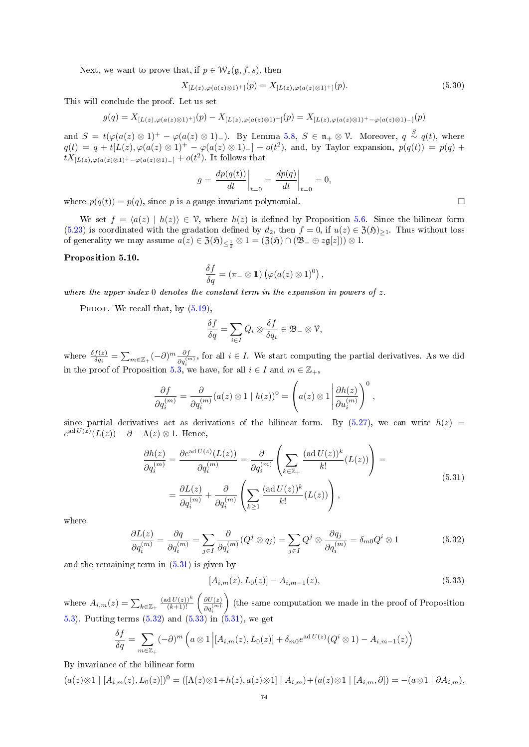Next, we want to prove that, if  $p \in \mathcal{W}_z(\mathfrak{g}, f, s)$ , then

$$
X_{[L(z),\varphi(a(z)\otimes 1)^{+}]}(p) = X_{[L(z),\varphi(a(z)\otimes 1)^{+}]}(p). \tag{5.30}
$$

This will conclude the proof. Let us set

$$
g(q) = X_{[L(z),\varphi(a(z)\otimes 1)^+]}(p) - X_{[L(z),\varphi(a(z)\otimes 1)^+]}(p) = X_{[L(z),\varphi(a(z)\otimes 1)^+ - \varphi(a(z)\otimes 1)^-]}(p)
$$

and  $S = t(\varphi(a(z) \otimes 1)^+ - \varphi(a(z) \otimes 1)_-)$ . By Lemma [5.8,](#page-76-0)  $S \in \mathfrak{n}_+ \otimes \mathcal{V}$ . Moreover,  $q \stackrel{S}{\sim} q(t)$ , where  $q(t) = q + t[L(z), \varphi(a(z) \otimes 1)^{+} - \varphi(a(z) \otimes 1)$ <sub>-</sub>] +  $o(t^{2})$ , and, by Taylor expansion,  $p(q(t)) = p(q)$  +  $tX_{[L(z),\varphi(a(z)\otimes 1)+\varphi(a(z)\otimes 1)_-]}+o(t^2)$ . It follows that

$$
g = \frac{dp(q(t))}{dt}\Big|_{t=0} = \frac{dp(q)}{dt}\Big|_{t=0} = 0,
$$

where  $p(q(t)) = p(q)$ , since p is a gauge invariant polynomial.

We set  $f = \langle a(z) | h(z) \rangle \in V$ , where  $h(z)$  is defined by Proposition [5.6.](#page-75-3) Since the bilinear form [\(5.23\)](#page-74-2) is coordinated with the gradation defined by  $d_2$ , then  $f = 0$ , if  $u(z) \in \mathfrak{Z}(\mathfrak{H})_{\geq 1}$ . Thus without loss of generality we may assume  $a(z) \in \mathfrak{Z}(\mathfrak{H})_{\leq \frac{1}{2}} \otimes 1 = (\mathfrak{Z}(\mathfrak{H}) \cap (\mathfrak{B} - \oplus z\mathfrak{g}[z])) \otimes 1$ .

### <span id="page-77-3"></span>Proposition 5.10.

$$
\frac{\delta f}{\delta q} = (\pi_{-} \otimes 1) \left( \varphi(a(z) \otimes 1)^{0} \right),
$$

where the upper index 0 denotes the constant term in the expansion in powers of  $z$ .

PROOF. We recall that, by  $(5.19)$ ,

$$
\frac{\delta f}{\delta q} = \sum_{i \in I} Q_i \otimes \frac{\delta f}{\delta q_i} \in \mathfrak{B}_- \otimes \mathcal{V},
$$

where  $\frac{\delta f(z)}{\delta q_i} = \sum_{m \in \mathbb{Z}_+} (-\partial)^m \frac{\partial f}{\partial q_i^{(m)}}$ , for all  $i \in I$ . We start computing the partial derivatives. As we did in the proof of Proposition [5.3,](#page-68-0) we have, for all  $i \in I$  and  $m \in \mathbb{Z}_+$ ,

$$
\frac{\partial f}{\partial q_i^{(m)}} = \frac{\partial}{\partial q_i^{(m)}} (a(z) \otimes 1 \mid h(z))^0 = \left( a(z) \otimes 1 \middle| \frac{\partial h(z)}{\partial u_i^{(m)}} \right)^0,
$$

since partial derivatives act as derivations of the bilinear form. By  $(5.27)$ , we can write  $h(z)$  $e^{\operatorname{ad} U(z)}(L(z)) - \partial - \Lambda(z) \otimes 1$ . Hence,

$$
\frac{\partial h(z)}{\partial q_i^{(m)}} = \frac{\partial e^{\mathrm{ad}\,U(z)}(L(z))}{\partial q_i^{(m)}} = \frac{\partial}{\partial q_i^{(m)}} \left( \sum_{k \in \mathbb{Z}_+} \frac{(\mathrm{ad}\,U(z))^k}{k!} (L(z)) \right) =
$$
\n
$$
= \frac{\partial L(z)}{\partial q_i^{(m)}} + \frac{\partial}{\partial q_i^{(m)}} \left( \sum_{k \ge 1} \frac{(\mathrm{ad}\,U(z))^k}{k!} (L(z)) \right),\tag{5.31}
$$

where

$$
\frac{\partial L(z)}{\partial q_i^{(m)}} = \frac{\partial q}{\partial q_i^{(m)}} = \sum_{j \in I} \frac{\partial}{\partial q_i^{(m)}} (Q^j \otimes q_j) = \sum_{j \in I} Q^j \otimes \frac{\partial q_j}{\partial q_i^{(m)}} = \delta_{m0} Q^i \otimes 1 \tag{5.32}
$$

and the remaining term in  $(5.31)$  is given by

<span id="page-77-2"></span><span id="page-77-1"></span><span id="page-77-0"></span>
$$
[A_{i,m}(z), L_0(z)] - A_{i,m-1}(z),
$$
\n(5.33)

where  $A_{i,m}(z) = \sum_{k \in \mathbb{Z}_+} \frac{(\text{ad }U(z))^k}{(k+1)!} \left( \frac{\partial U(z)}{\partial a^{(m)}} \right)$  $\partial q_i^{(m)}$  (the same computation we made in the proof of Proposition [5.3\)](#page-68-0). Putting terms  $(5.32)$  and  $(5.33)$  in  $(5.31)$ , we get

$$
\frac{\delta f}{\delta q} = \sum_{m \in \mathbb{Z}_+} (-\partial)^m \left( a \otimes 1 \left| [A_{i,m}(z), L_0(z)] + \delta_{m0} e^{ad U(z)} (Q^i \otimes 1) - A_{i,m-1}(z) \right. \right)
$$

### By invariance of the bilinear form

$$
(a(z)\otimes 1 | [A_{i,m}(z), L_0(z)])^0 = ([\Lambda(z)\otimes 1 + h(z), a(z)\otimes 1] | A_{i,m}) + (a(z)\otimes 1 | [A_{i,m}, \partial]) = -(a\otimes 1 | \partial A_{i,m}),
$$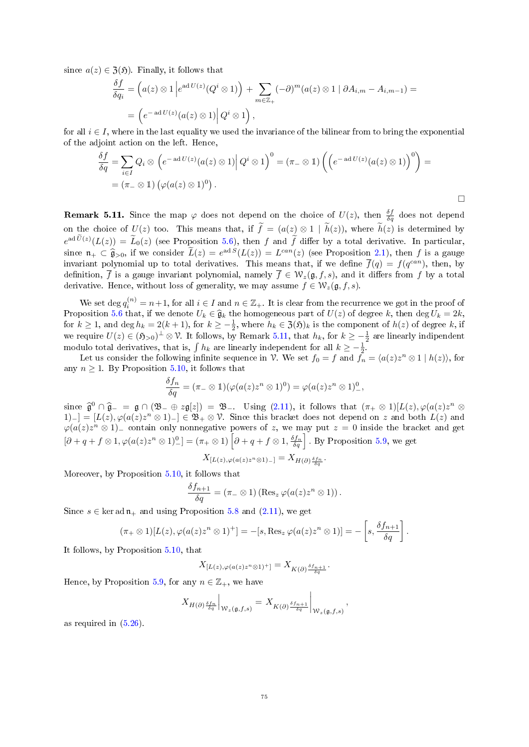since  $a(z) \in \mathfrak{Z}(\mathfrak{H})$ . Finally, it follows that

$$
\frac{\delta f}{\delta q_i} = \left( a(z) \otimes 1 \left| e^{ad U(z)} (Q^i \otimes 1) \right. \right) + \sum_{m \in \mathbb{Z}_+} (-\partial)^m (a(z) \otimes 1 \mid \partial A_{i,m} - A_{i,m-1}) =
$$
\n
$$
= \left( e^{-ad U(z)} (a(z) \otimes 1) \middle| Q^i \otimes 1 \right),
$$

for all  $i \in I$ , where in the last equality we used the invariance of the bilinear from to bring the exponential of the adjoint action on the left. Hence,

$$
\frac{\delta f}{\delta q} = \sum_{i \in I} Q_i \otimes \left( e^{-ad U(z)} (a(z) \otimes 1) \middle| Q^i \otimes 1 \right)^0 = (\pi_- \otimes 1) \left( \left( e^{-ad U(z)} (a(z) \otimes 1) \right)^0 \right) =
$$
  
= (\pi\_- \otimes 1) (\varphi(a(z) \otimes 1)^0).

 $\Box$ 

<span id="page-78-0"></span>**Remark 5.11.** Since the map  $\varphi$  does not depend on the choice of  $U(z)$ , then  $\frac{\delta f}{\delta q}$  does not depend on the choice of  $U(z)$  too. This means that, if  $\tilde{f} = (a(z) \otimes 1 | \tilde{h}(z))$ , where  $\tilde{h}(z)$  is determined by  $e^{ad U(z)}(L(z)) = L_0(z)$  (see Proposition [5.6\)](#page-75-3), then f and f differ by a total derivative. In particular, since  $\mathfrak{n}_+ \subset \widehat{\mathfrak{g}}_{>0}$ , if we consider  $\widetilde{L}(z) = e^{\mathrm{ad}S}(L(z)) = L^{can}(z)$  (see Proposition [2.1\)](#page-17-0), then f is a gauge<br>invariant polynomial up to total depictives. This means that if we define  $\overline{f}(z) = f(z^{can})$  then by invariant polynomial up to total derivatives. This means that, if we define  $\overline{f}(q) = f(q^{can})$ , then, by definition,  $\overline{f}$  is a gauge invariant polynomial, namely  $\overline{f} \in \mathcal{W}_z(\mathfrak{g},f,s)$ , and it differs from f by a total derivative. Hence, without loss of generality, we may assume  $f \in \mathcal{W}_z(\mathfrak{g}, f, s)$ .

We set  $\deg q_i^{(n)} = n+1$ , for all  $i \in I$  and  $n \in \mathbb{Z}_+$ . It is clear from the recurrence we got in the proof of Proposition [5.6](#page-75-3) that, if we denote  $U_k \in \hat{\mathfrak{g}}_k$  the homogeneous part of  $U(z)$  of degree k, then deg  $U_k = 2k$ , for  $k \ge 1$ , and  $\deg h_k = 2(k+1)$ , for  $k \ge -\frac{1}{2}$ , where  $h_k \in \mathfrak{Z}(\mathfrak{H})_k$  is the component of  $h(z)$  of degree k, if we require  $U(z) \in (\mathfrak{H}_{>0})^{\perp} \otimes \mathcal{V}$ . It follows, by Remark [5.11,](#page-78-0) that  $h_k$ , for  $k \geq -\frac{1}{2}$  are linearly indipendent modulo total derivatives, that is,  $\int h_k$  are linearly independent for all  $k \geq -\frac{1}{2}$ .

Let us consider the following infinite sequence in V. We set  $f_0 = f$  and  $\tilde{f_n} = \langle a(z)z^n \otimes 1 \mid h(z) \rangle$ , for any  $n \geq 1$ . By Proposition [5.10,](#page-77-3) it follows that

$$
\frac{\delta f_n}{\delta q} = (\pi_- \otimes 1)(\varphi(a(z)z^n \otimes 1)^0) = \varphi(a(z)z^n \otimes 1)^0_-,
$$

since  $\hat{\mathfrak{g}}^0 \cap \hat{\mathfrak{g}}_-=\mathfrak{g} \cap (\mathfrak{B}_-\oplus z\mathfrak{g}[z])=\mathfrak{B}_-.$  Using [\(2.11\)](#page-18-1), it follows that  $(\pi_+\otimes 1)[L(z), \varphi(a(z)z^n\otimes z)]$  $[1)_-]=[L(z),\varphi(a(z)z^n\otimes 1)_-]\in \mathfrak{B}_+\otimes \mathfrak{V}$ . Since this bracket does not depend on z and both  $L(z)$  and  $\varphi(a(z)z^n \otimes 1)$  contain only nonnegative powers of z, we may put  $z = 0$  inside the bracket and get  $[\partial + q + f \otimes 1, \varphi(a(z)z^n \otimes 1)] = (\pi_+ \otimes 1) [\partial + q + f \otimes 1, \frac{\delta f_n}{\delta q}]$ . By Proposition [5.9,](#page-76-2) we get

$$
X_{[L(z),\varphi(a(z)z^n\otimes 1)_-]}=X_{H(\partial)^{\frac{\delta f_n}{\delta q}}}.
$$

Moreover, by Proposition [5.10,](#page-77-3) it follows that

$$
\frac{\delta f_{n+1}}{\delta q} = (\pi_- \otimes 1) \left( \text{Res}_z \, \varphi(a(z) z^n \otimes 1) \right).
$$

Since  $s \in \text{ker ad } \mathfrak{n}_+$  and using Proposition [5.8](#page-76-0) and [\(2.11\)](#page-18-1), we get

$$
(\pi_+ \otimes 1)[L(z), \varphi(a(z)z^n \otimes 1)^+] = -[s, \text{Res}_z \varphi(a(z)z^n \otimes 1)] = -\left[s, \frac{\delta f_{n+1}}{\delta q}\right].
$$

It follows, by Proposition [5.10,](#page-77-3) that

$$
X_{[L(z),\varphi(a(z)z^n\otimes 1)^+]}=X_{K(\partial)\frac{\delta f_{n+1}}{\delta q}}.
$$

Hence, by Proposition [5.9,](#page-76-2) for any  $n \in \mathbb{Z}_+$ , we have

$$
X_{H(\partial)^{\frac{\delta f_n}{\delta q}}}\Big|_{\mathcal{W}_z(\mathfrak{g},f,s)}=X_{K(\partial)^{\frac{\delta f_{n+1}}{\delta q}}}\Big|_{\mathcal{W}_z(\mathfrak{g},f,s)}
$$

,

as required in [\(5.26\)](#page-75-1).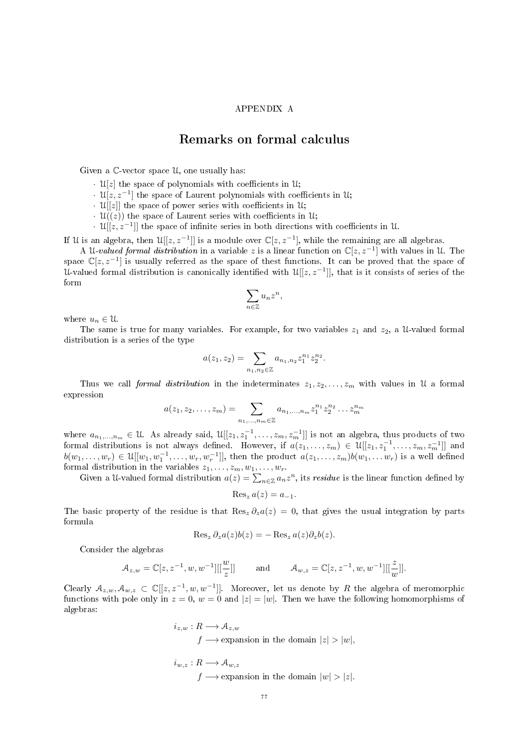### APPENDIX A

## Remarks on formal calculus

Given a  $\mathbb{C}\text{-vector space }U$ , one usually has:

 $\cdot$  U[z] the space of polynomials with coefficients in U;

 $\cdot$  U[z,  $z^{-1}$ ] the space of Laurent polynomials with coefficients in U;

 $\cdot$  U[[z]] the space of power series with coefficients in U;

 $\cdot \mathcal{U}((z))$  the space of Laurent series with coefficients in U;

 $\cdot$  U[[ $z, z^{-1}$ ]] the space of infinite series in both directions with coefficients in U.

If U is an algebra, then  $\mathcal{U}[[z, z^{-1}]]$  is a module over  $\mathbb{C}[z, z^{-1}]$ , while the remaining are all algebras.

A U-valued formal distribution in a variable z is a linear function on  $\mathbb{C}[z, z^{-1}]$  with values in U. The space  $\mathbb{C}[z, z^{-1}]$  is usually referred as the space of thest functions. It can be proved that the space of U-valued formal distribution is canonically identified with  $\mathcal{U}[[z,z^{-1}]]$ , that is it consists of series of the form

$$
\sum_{n\in\mathbb{Z}}u_nz^n,
$$

where  $u_n \in \mathcal{U}$ .

The same is true for many variables. For example, for two variables  $z_1$  and  $z_2$ , a U-valued formal distribution is a series of the type

$$
a(z_1, z_2) = \sum_{n_1, n_2 \in \mathbb{Z}} a_{n_1, n_2} z_1^{n_1} z_2^{n_2}.
$$

Thus we call formal distribution in the indeterminates  $z_1, z_2, \ldots, z_m$  with values in U a formal expression

$$
a(z_1, z_2, \dots, z_m) = \sum_{n_1, \dots, n_m \in \mathbb{Z}} a_{n_1, \dots, n_m} z_1^{n_1} z_2^{n_2} \dots z_m^{n_m}
$$

where  $a_{n_1,...,n_m} \in \mathcal{U}$ . As already said,  $\mathcal{U}[[z_1, z_1^{-1},..., z_m, z_m^{-1}]]$  is not an algebra, thus products of two formal distributions is not always defined. However, if  $a(z_1, \ldots, z_m) \in \mathcal{U}[[z_1, z_1^{-1}, \ldots, z_m, z_m^{-1}]]$  and  $b(w_1,...,w_r) \in \mathcal{U}[[w_1, w_1^{-1},...,w_r, w_r^{-1}]],$  then the product  $a(z_1,...,z_m)b(w_1,...,w_r)$  is a well defined formal distribution in the variables  $z_1, \ldots, z_m, w_1, \ldots, w_r$ .

Given a U-valued formal distribution  $a(z) = \sum_{n \in \mathbb{Z}} a_n z^n$ , its residue is the linear function defined by

$$
\operatorname{Res}_z a(z) = a_{-1}.
$$

The basic property of the residue is that Res<sub>z</sub>  $\partial_z a(z) = 0$ , that gives the usual integration by parts formula

$$
\operatorname{Res}_{z} \partial_{z} a(z)b(z) = - \operatorname{Res}_{z} a(z)\partial_{z} b(z).
$$

Consider the algebras

$$
\mathcal{A}_{z,w} = \mathbb{C}[z, z^{-1}, w, w^{-1}][[\frac{w}{z}]]
$$
 and  $\mathcal{A}_{w,z} = \mathbb{C}[z, z^{-1}, w, w^{-1}][[\frac{z}{w}]].$ 

Clearly  $A_{z,w}, A_{w,z} \subset \mathbb{C}[[z, z^{-1}, w, w^{-1}]]$ . Moreover, let us denote by R the algebra of meromorphic functions with pole only in  $z = 0$ ,  $w = 0$  and  $|z| = |w|$ . Then we have the following homomorphisms of algebras:

$$
i_{z,w}: R \longrightarrow \mathcal{A}_{z,w}
$$
  
\n
$$
f \longrightarrow \text{expansion in the domain } |z| > |w|,
$$
  
\n
$$
i_{w,z}: R \longrightarrow \mathcal{A}_{w,z}
$$
  
\n
$$
f \longrightarrow \text{expansion in the domain } |w| > |z|.
$$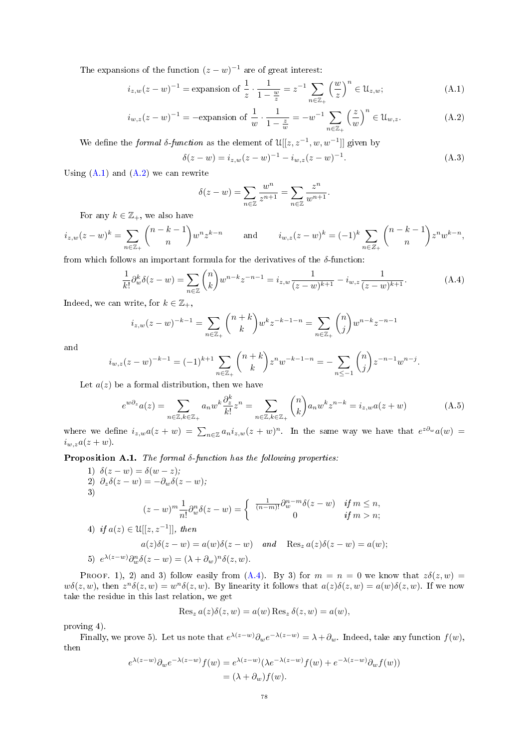The expansions of the function  $(z - w)^{-1}$  are of great interest:

$$
i_{z,w}(z-w)^{-1} = \text{expansion of } \frac{1}{z} \cdot \frac{1}{1-\frac{w}{z}} = z^{-1} \sum_{n \in \mathbb{Z}_+} \left(\frac{w}{z}\right)^n \in \mathcal{U}_{z,w};\tag{A.1}
$$

$$
i_{w,z}(z-w)^{-1} = -\text{expansion of } \frac{1}{w} \cdot \frac{1}{1-\frac{z}{w}} = -w^{-1} \sum_{n \in \mathbb{Z}_+} \left(\frac{z}{w}\right)^n \in \mathfrak{U}_{w,z}.
$$
 (A.2)

We define the *formal*  $\delta$ *-function* as the element of  $\mathcal{U}[[z, z^{-1}, w, w^{-1}]]$  given by

$$
\delta(z - w) = i_{z,w}(z - w)^{-1} - i_{w,z}(z - w)^{-1}.
$$
\n(A.3)

Using  $(A.1)$  and  $(A.2)$  we can rewrite

<span id="page-81-2"></span><span id="page-81-1"></span><span id="page-81-0"></span>
$$
\delta(z - w) = \sum_{n \in \mathbb{Z}} \frac{w^n}{z^{n+1}} = \sum_{n \in \mathbb{Z}} \frac{z^n}{w^{n+1}}.
$$

For any  $k \in \mathbb{Z}_+$ , we also have

$$
i_{z,w}(z-w)^k = \sum_{n \in \mathbb{Z}_+} {n-k-1 \choose n} w^n z^{k-n} \quad \text{and} \quad i_{w,z}(z-w)^k = (-1)^k \sum_{n \in \mathbb{Z}_+} {n-k-1 \choose n} z^n w^{k-n},
$$

from which follows an important formula for the derivatives of the  $\delta$ -function:

$$
\frac{1}{k!} \partial_w^k \delta(z - w) = \sum_{n \in \mathbb{Z}} \binom{n}{k} w^{n-k} z^{-n-1} = i_{z,w} \frac{1}{(z - w)^{k+1}} - i_{w,z} \frac{1}{(z - w)^{k+1}}.
$$
\n(A.4)

Indeed, we can write, for  $k \in \mathbb{Z}_+$ ,

$$
i_{z,w}(z-w)^{-k-1} = \sum_{n \in \mathbb{Z}_+} {n+k \choose k} w^k z^{-k-1-n} = \sum_{n \in \mathbb{Z}_+} {n \choose j} w^{n-k} z^{-n-1}
$$

and

$$
i_{w,z}(z-w)^{-k-1} = (-1)^{k+1} \sum_{n \in \mathbb{Z}_+} {n+k \choose k} z^n w^{-k-1-n} = - \sum_{n \le -1} {n \choose j} z^{-n-1} w^{n-j}.
$$

Let  $a(z)$  be a formal distribution, then we have

$$
e^{w\partial_z}a(z) = \sum_{n\in\mathbb{Z}, k\in\mathbb{Z}_+} a_n w^k \frac{\partial_z^k}{k!} z^n = \sum_{n\in\mathbb{Z}, k\in\mathbb{Z}_+} \binom{n}{k} a_n w^k z^{n-k} = i_{z,w} a(z+w)
$$
(A.5)

where we define  $i_{z,w}a(z+w) = \sum_{n\in\mathbb{Z}} a_n i_{z,w}(z+w)^n$ . In the same way we have that  $e^{z\partial_w}a(w) =$  $i_{w,z}a(z + w)$ .

<span id="page-81-3"></span>**Proposition A.1.** The formal  $\delta$ -function has the following properties:

1)  $\delta(z-w) = \delta(w-z);$ 2)  $\partial_z \delta(z-w) = -\partial_w \delta(z-w)$ ; 3)  $(z-w)^m\frac{1}{z}$  $\frac{1}{n!} \partial_w^n \delta(z-w) = \begin{cases} \frac{1}{(n-m)!} \partial_w^{n-m} \delta(z-w) & \text{if } m \leq n, \\ 0 & \text{if } m > n; \end{cases}$ 0 if  $m > n$ ; 4) if  $a(z) \in \mathcal{U}[[z, z^{-1}]],$  then

$$
a(z)\delta(z-w) = a(w)\delta(z-w) \quad and \quad \text{Res}_z a(z)\delta(z-w) = a(w);
$$
  
5) 
$$
e^{\lambda(z-w)}\partial_w^n \delta(z-w) = (\lambda + \partial_w)^n \delta(z,w).
$$

PROOF. 1), 2) and 3) follow easily from [\(A.4\)](#page-81-2). By 3) for  $m = n = 0$  we know that  $z\delta(z, w) =$  $w\delta(z, w)$ , then  $z^n\delta(z, w) = w^n\delta(z, w)$ . By linearity it follows that  $a(z)\delta(z, w) = a(w)\delta(z, w)$ . If we now take the residue in this last relation, we get

$$
\operatorname{Res}_{z} a(z)\delta(z,w) = a(w) \operatorname{Res}_{z} \delta(z,w) = a(w),
$$

proving 4).

Finally, we prove 5). Let us note that  $e^{\lambda(z-w)}\partial_w e^{-\lambda(z-w)} = \lambda + \partial_w$ . Indeed, take any function  $f(w)$ , then

$$
e^{\lambda(z-w)}\partial_w e^{-\lambda(z-w)}f(w) = e^{\lambda(z-w)}(\lambda e^{-\lambda(z-w)}f(w) + e^{-\lambda(z-w)}\partial_w f(w))
$$
  
=  $(\lambda + \partial_w)f(w).$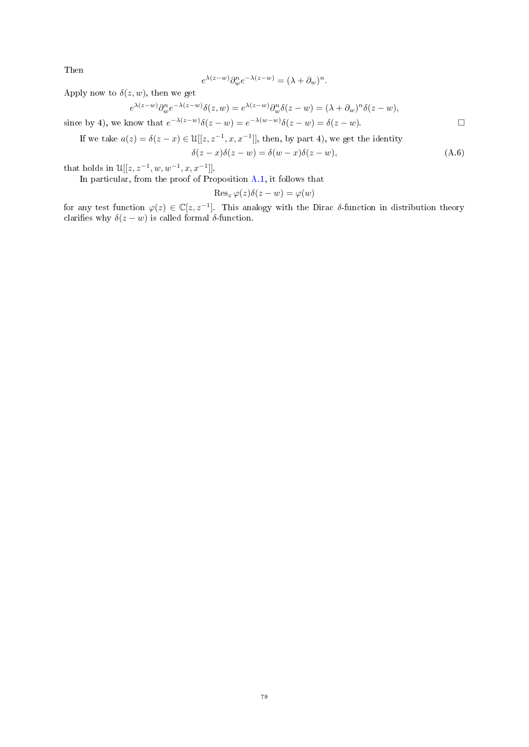Then

$$
e^{\lambda(z-w)}\partial_w^n e^{-\lambda(z-w)} = (\lambda + \partial_w)^n.
$$

Apply now to  $\delta(z, w)$ , then we get

$$
e^{\lambda(z-w)}\partial_w^n e^{-\lambda(z-w)}\delta(z,w) = e^{\lambda(z-w)}\partial_w^n \delta(z-w) = (\lambda + \partial_w)^n \delta(z-w),
$$
  
since by 4), we know that  $e^{-\lambda(z-w)}\delta(z-w) = e^{-\lambda(w-w)}\delta(z-w) = \delta(z-w).$ 

If we take 
$$
a(z) = \delta(z - x) \in \mathcal{U}[[z, z^{-1}, x, x^{-1}]],
$$
 then, by part 4), we get the identity

$$
\delta(z - x)\delta(z - w) = \delta(w - x)\delta(z - w),\tag{A.6}
$$

that holds in  $\mathcal{U}[[z, z^{-1}, w, w^{-1}, x, x^{-1}]].$ 

In particular, from the proof of Proposition [A.1,](#page-81-3) it follows that

$$
\operatorname{Res}_{z} \varphi(z)\delta(z-w) = \varphi(w)
$$

for any test function  $\varphi(z) \in \mathbb{C}[z, z^{-1}]$ . This analogy with the Dirac δ-function in distribution theory clarifies why  $\delta(z-w)$  is called formal  $\delta$ -function.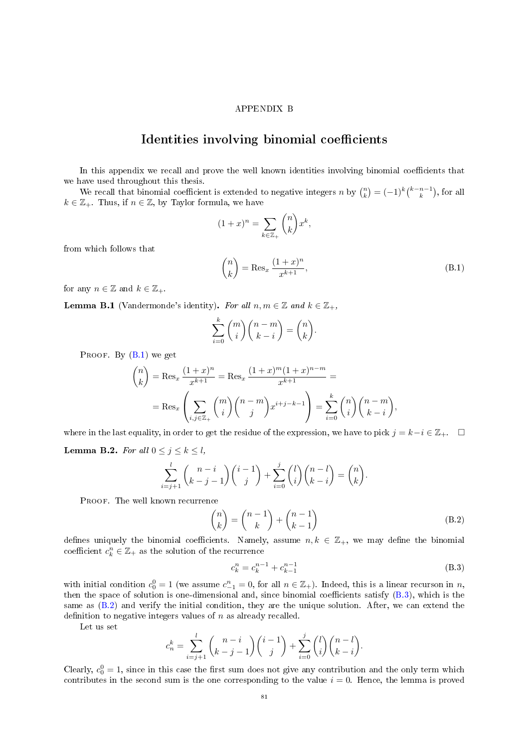#### APPENDIX B

## Identities involving binomial coefficients

In this appendix we recall and prove the well known identities involving binomial coefficients that we have used throughout this thesis.

We recall that binomial coefficient is extended to negative integers n by  $\binom{n}{k} = (-1)^k \binom{k-n-1}{k}$ , for all  $k \in \mathbb{Z}_+$ . Thus, if  $n \in \mathbb{Z}$ , by Taylor formula, we have

$$
(1+x)^n = \sum_{k \in \mathbb{Z}_+} \binom{n}{k} x^k,
$$

from which follows that

<span id="page-84-0"></span>
$$
\binom{n}{k} = \text{Res}_x \frac{(1+x)^n}{x^{k+1}},\tag{B.1}
$$

for any  $n \in \mathbb{Z}$  and  $k \in \mathbb{Z}_+$ .

**Lemma B.1** (Vandermonde's identity). For all  $n, m \in \mathbb{Z}$  and  $k \in \mathbb{Z}_+$ ,

$$
\sum_{i=0}^{k} \binom{m}{i} \binom{n-m}{k-i} = \binom{n}{k}.
$$

PROOF. By  $(B.1)$  we get

$$
\binom{n}{k} = \text{Res}_x \frac{(1+x)^n}{x^{k+1}} = \text{Res}_x \frac{(1+x)^m (1+x)^{n-m}}{x^{k+1}} =
$$

$$
= \text{Res}_x \left( \sum_{i,j \in \mathbb{Z}_+} \binom{m}{i} \binom{n-m}{j} x^{i+j-k-1} \right) = \sum_{i=0}^k \binom{n}{i} \binom{n-m}{k-i},
$$

where in the last equality, in order to get the residue of the expression, we have to pick  $j = k-i \in \mathbb{Z}_+$ .  $\Box$ Lemma B.2. For all  $0 \leq j \leq k \leq l$ ,

$$
\sum_{i=j+1}^{l} {n-i \choose k-j-1} {i-1 \choose j} + \sum_{i=0}^{j} {l \choose i} {n-l \choose k-i} = {n \choose k}.
$$

PROOF. The well known recurrence

$$
\binom{n}{k} = \binom{n-1}{k} + \binom{n-1}{k-1} \tag{B.2}
$$

defines uniquely the binomial coefficients. Namely, assume  $n, k \in \mathbb{Z}_+$ , we may define the binomial coefficient  $c_k^n \in \mathbb{Z}_+$  as the solution of the recurrence

<span id="page-84-2"></span><span id="page-84-1"></span>
$$
c_k^n = c_k^{n-1} + c_{k-1}^{n-1}
$$
 (B.3)

with initial condition  $c_0^0 = 1$  (we assume  $c_{-1}^n = 0$ , for all  $n \in \mathbb{Z}_+$ ). Indeed, this is a linear recurson in n, then the space of solution is one-dimensional and, since binomial coefficients satisfy  $(B.3)$ , which is the same as [\(B.2\)](#page-84-2) and verify the initial condition, they are the unique solution. After, we can extend the definition to negative integers values of  $n$  as already recalled.

Let us set

$$
c_n^k = \sum_{i=j+1}^l {n-i \choose k-j-1} {i-1 \choose j} + \sum_{i=0}^j {l \choose i} {n-l \choose k-i}.
$$

Clearly,  $c_0^0 = 1$ , since in this case the first sum does not give any contribution and the only term which contributes in the second sum is the one corresponding to the value  $i = 0$ . Hence, the lemma is proved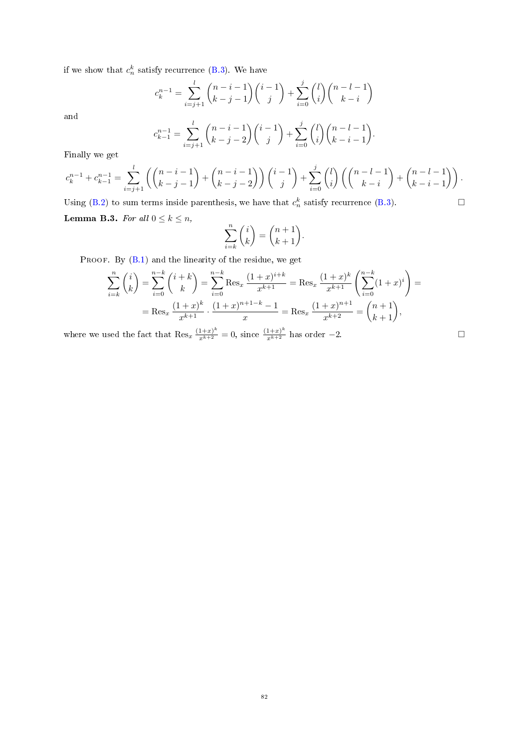if we show that  $c_n^k$  satisfy recurrence [\(B.3\)](#page-84-1). We have

$$
c_k^{n-1} = \sum_{i=j+1}^l {n-i-1 \choose k-j-1} {i-1 \choose j} + \sum_{i=0}^j {l \choose i} {n-l-1 \choose k-i}
$$

and

$$
c_{k-1}^{n-1} = \sum_{i=j+1}^{l} {n-i-1 \choose k-j-2} {i-1 \choose j} + \sum_{i=0}^{j} {l \choose i} {n-l-1 \choose k-i-1}.
$$

Finally we get

$$
c_k^{n-1} + c_{k-1}^{n-1} = \sum_{i=j+1}^{l} \left( \binom{n-i-1}{k-j-1} + \binom{n-i-1}{k-j-2} \right) \binom{i-1}{j} + \sum_{i=0}^{j} \binom{l}{i} \left( \binom{n-l-1}{k-i} + \binom{n-l-1}{k-i-1} \right).
$$

Using [\(B.2\)](#page-84-2) to sum terms inside parenthesis, we have that  $c_n^k$  satisfy recurrence [\(B.3\)](#page-84-1). Lemma B.3. For all  $0 \leq k \leq n$ ,

$$
\sum_{i=k}^{n} \binom{i}{k} = \binom{n+1}{k+1}.
$$

PROOF. By  $(B.1)$  and the linearity of the residue, we get

$$
\sum_{i=k}^{n} {i \choose k} = \sum_{i=0}^{n-k} {i+k \choose k} = \sum_{i=0}^{n-k} \text{Res}_{x} \frac{(1+x)^{i+k}}{x^{k+1}} = \text{Res}_{x} \frac{(1+x)^{k}}{x^{k+1}} \left( \sum_{i=0}^{n-k} (1+x)^{i} \right) =
$$

$$
= \text{Res}_{x} \frac{(1+x)^{k}}{x^{k+1}} \cdot \frac{(1+x)^{n+1-k} - 1}{x} = \text{Res}_{x} \frac{(1+x)^{n+1}}{x^{k+2}} = {n+1 \choose k+1},
$$

where we used the fact that  $\text{Res}_x \frac{(1+x)^k}{x^{k+2}} = 0$ , since  $\frac{(1+x)^k}{x^{k+2}}$  has order  $-2$ .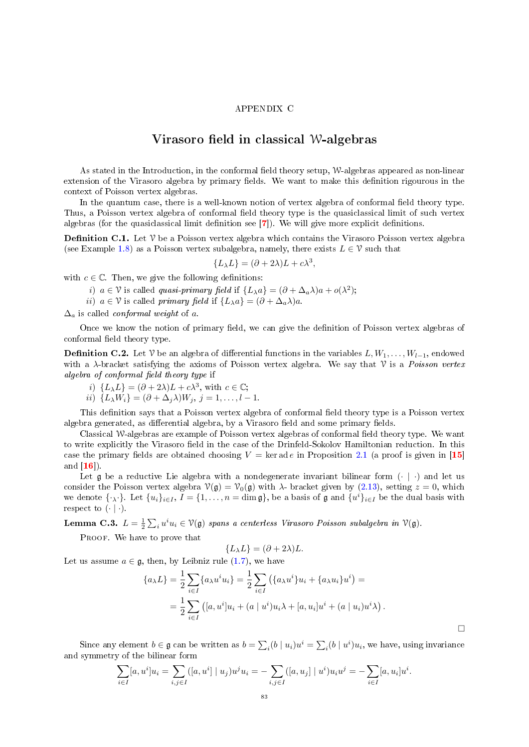#### APPENDIX C

## Virasoro field in classical  $W$ -algebras

As stated in the Introduction, in the conformal field theory setup, W-algebras appeared as non-linear extension of the Virasoro algebra by primary fields. We want to make this definition rigourous in the context of Poisson vertex algebras.

In the quantum case, there is a well-known notion of vertex algebra of conformal field theory type. Thus, a Poisson vertex algebra of conformal field theory type is the quasiclassical limit of such vertex algebras (for the quasiclassical limit definition see  $\mathbf{z}$ ). We will give more explicit definitions.

**Definition C.1.** Let  $\mathcal V$  be a Poisson vertex algebra which contains the Virasoro Poisson vertex algebra (see Example [1.8\)](#page-11-1) as a Poisson vertex subalgebra, namely, there exists  $L \in \mathcal{V}$  such that

$$
\{L_{\lambda}L\} = (\partial + 2\lambda)L + c\lambda^3,
$$

with  $c \in \mathbb{C}$ . Then, we give the following definitions:

i)  $a \in \mathcal{V}$  is called quasi-primary field if  $\{L_{\lambda}a\} = (\partial + \Delta_a\lambda)a + o(\lambda^2);$ 

ii)  $a \in \mathcal{V}$  is called primary field if  $\{L_{\lambda}a\} = (\partial + \Delta_a\lambda)a$ .

 $\Delta_a$  is called *conformal weight* of a.

Once we know the notion of primary field, we can give the definition of Poisson vertex algebras of conformal field theory type.

**Definition C.2.** Let V be an algebra of differential functions in the variables  $L, W_1, \ldots, W_{l-1}$ , endowed with a  $\lambda$ -bracket satisfying the axioms of Poisson vertex algebra. We say that  $\mathcal V$  is a Poisson vertex algebra of conformal field theory type if

*i*) 
$$
{L_{\lambda}L} = (\partial + 2\lambda)L + c\lambda^3
$$
, with  $c \in \mathbb{C}$ ;

$$
ii) \ \{L_{\lambda}W_i\} = (\partial + \Delta_j \lambda)W_j, \ j = 1, \ldots, l-1.
$$

This definition says that a Poisson vertex algebra of conformal field theory type is a Poisson vertex algebra generated, as differential algebra, by a Virasoro field and some primary fields.

Classical W-algebras are example of Poisson vertex algebras of conformal field theory type. We want to write explicitly the Virasoro field in the case of the Drinfeld-Sokolov Hamiltonian reduction. In this case the primary fields are obtained choosing  $V = \text{ker ad } e$  in Proposition [2.1](#page-17-0) (a proof is given in [\[15\]](#page-88-2) and  $[16]$ .

Let g be a reductive Lie algebra with a nondegenerate invariant bilinear form  $(\cdot | \cdot)$  and let us consider the Poisson vertex algebra  $\mathcal{V}(\mathfrak{g}) = \mathcal{V}_0(\mathfrak{g})$  with  $\lambda$ - bracket given by [\(2.13\)](#page-18-2), setting  $z = 0$ , which we denote  $\{\cdot_\lambda\}$ . Let  $\{u_i\}_{i\in I}$ ,  $I = \{1,\ldots,n=\dim \mathfrak{g}\}\$ , be a basis of  $\mathfrak g$  and  $\{u^i\}_{i\in I}$  be the dual basis with respect to  $(\cdot | \cdot)$ .

**Lemma C.3.**  $L = \frac{1}{2} \sum_i u^i u_i \in V(\mathfrak{g})$  spans a centerless Virasoro Poisson subalgebra in  $V(\mathfrak{g})$ .

PROOF. We have to prove that

$$
\{L_{\lambda}L\} = (\partial + 2\lambda)L.
$$

Let us assume  $a \in \mathfrak{g}$ , then, by Leibniz rule  $(1.7)$ , we have

$$
\{a_{\lambda}L\} = \frac{1}{2} \sum_{i \in I} \{a_{\lambda}u^{i}u_{i}\} = \frac{1}{2} \sum_{i \in I} (\{a_{\lambda}u^{i}\}u_{i} + \{a_{\lambda}u_{i}\}u^{i}) =
$$
  
= 
$$
\frac{1}{2} \sum_{i \in I} ([a, u^{i}]u_{i} + (a \mid u^{i})u_{i}\lambda + [a, u_{i}]u^{i} + (a \mid u_{i})u^{i}\lambda).
$$

Since any element  $b \in \mathfrak{g}$  can be written as  $b = \sum_i (b \mid u_i) u^i = \sum_i (b \mid u^i) u_i$ , we have, using invariance and symmetry of the bilinear form

$$
\sum_{i \in I} [a, u^i] u_i = \sum_{i,j \in I} ([a, u^i] \mid u_j) u^j u_i = - \sum_{i,j \in I} ([a, u_j] \mid u^i) u_i u^j = - \sum_{i \in I} [a, u_i] u^i.
$$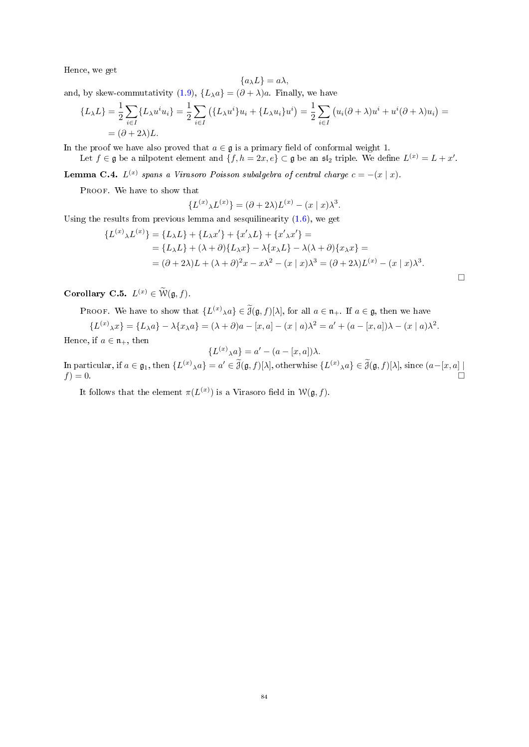Hence, we get

$$
\{a_{\lambda}L\}=a\lambda,
$$

and, by skew-commutativity [\(1.9\)](#page-10-1),  $\{L_\lambda a\} = (\partial + \lambda)a$ . Finally, we have

$$
\{L_{\lambda}L\} = \frac{1}{2} \sum_{i \in I} \{L_{\lambda}u^{i}u_{i}\} = \frac{1}{2} \sum_{i \in I} (\{L_{\lambda}u^{i}\}u_{i} + \{L_{\lambda}u_{i}\}u^{i}) = \frac{1}{2} \sum_{i \in I} (u_{i}(\partial + \lambda)u^{i} + u^{i}(\partial + \lambda)u_{i}) =
$$
  
=  $(\partial + 2\lambda)L.$ 

In the proof we have also proved that  $a \in \mathfrak{g}$  is a primary field of conformal weight 1.

Let  $f \in \mathfrak{g}$  be a nilpotent element and  $\{f, h = 2x, e\} \subset \mathfrak{g}$  be an  $\mathfrak{sl}_2$  triple. We define  $L^{(x)} = L + x'.$ 

**Lemma C.4.**  $L^{(x)}$  spans a Virasoro Poisson subalgebra of central charge  $c = -(x \mid x)$ .

PROOF. We have to show that

$$
\{L^{(x)}\lambda L^{(x)}\} = (\partial + 2\lambda)L^{(x)} - (x \mid x)\lambda^{3}.
$$

Using the results from previous lemma and sesquilinearity  $(1.6)$ , we get

$$
\{L^{(x)}\lambda L^{(x)}\} = \{L_{\lambda}L\} + \{L_{\lambda}x'\} + \{x'\lambda L\} + \{x'\lambda x'\} =
$$
  
=  $\{L_{\lambda}L\} + (\lambda + \partial)\{L_{\lambda}x\} - \lambda\{x\lambda L\} - \lambda(\lambda + \partial)\{x\lambda x\} =$   
=  $(\partial + 2\lambda)L + (\lambda + \partial)^2 x - x\lambda^2 - (x \mid x)\lambda^3 = (\partial + 2\lambda)L^{(x)} - (x \mid x)\lambda^3.$ 

 $\Box$ 

Corollary C.5.  $L^{(x)} \in \widetilde{\mathcal{W}}(\mathfrak{g},f)$ .

PROOF. We have to show that  $\{L^{(x)}\lambda a\} \in \tilde{\mathcal{J}}(\mathfrak{g},f)[\lambda]$ , for all  $a \in \mathfrak{n}_+$ . If  $a \in \mathfrak{g}$ , then we have

 ${L^{(x)}_{\lambda}}x={L_{\lambda}}a-{ \lambda }{x_{\lambda}}a{ }=(\lambda +\partial )a-{[x,a]}-{(x+a) {\lambda} ^{2}}={{a}^{\prime}}+{(a-[x,a]) {\lambda}}-{(x+a) {\lambda} ^{2}}.$ Hence, if  $a \in \mathfrak{n}_+$ , then

$$
\{L^{(x)}\lambda a\} = a' - (a - [x, a])\lambda.
$$

In particular, if  $a \in \mathfrak{g}_1$ , then  $\{L^{(x)}\lambda a\} = a' \in \tilde{\mathfrak{J}}(\mathfrak{g},f)[\lambda]$ , otherwhise  $\{L^{(x)}\lambda a\} \in \tilde{\mathfrak{J}}(\mathfrak{g},f)[\lambda]$ , since  $(a-[x,a] \mid f) = 0$ .

It follows that the element  $\pi(L^{(x)})$  is a Virasoro field in  $\mathcal{W}(\mathfrak{g},f)$ .